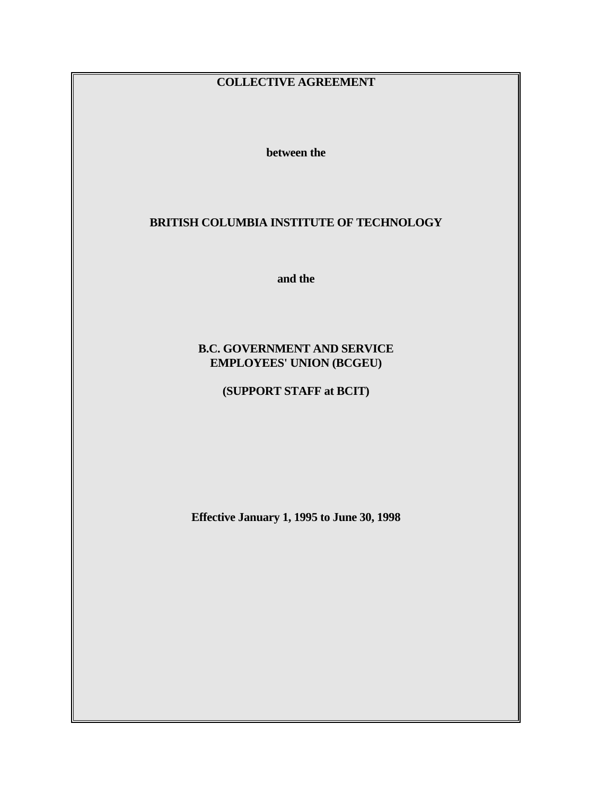# **COLLECTIVE AGREEMENT**

 **between the** 

# **BRITISH COLUMBIA INSTITUTE OF TECHNOLOGY**

 **and the** 

# **B.C. GOVERNMENT AND SERVICE EMPLOYEES' UNION (BCGEU)**

 **(SUPPORT STAFF at BCIT)** 

 **Effective January 1, 1995 to June 30, 1998**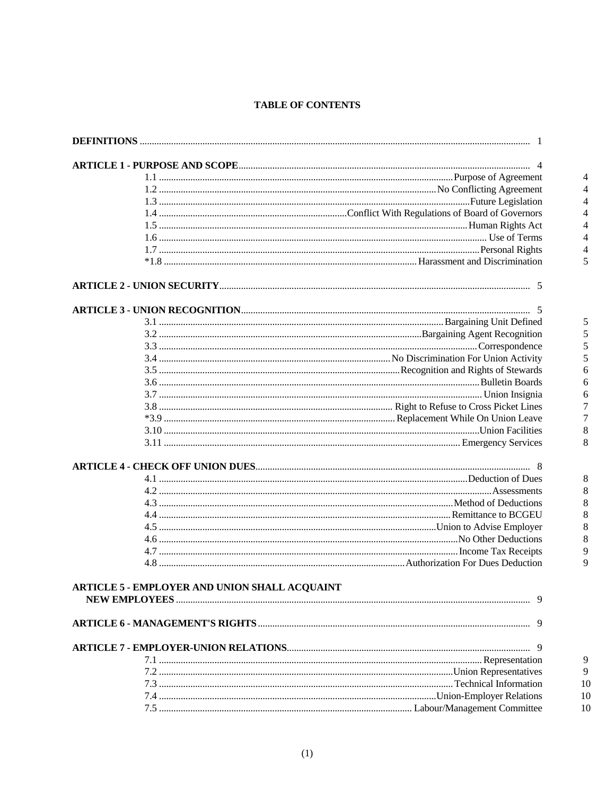# **TABLE OF CONTENTS**

| <b>ARTICLE 5 - EMPLOYER AND UNION SHALL ACQUAINT</b> |  |
|------------------------------------------------------|--|
|                                                      |  |
|                                                      |  |
|                                                      |  |
|                                                      |  |
|                                                      |  |
|                                                      |  |
|                                                      |  |
|                                                      |  |
|                                                      |  |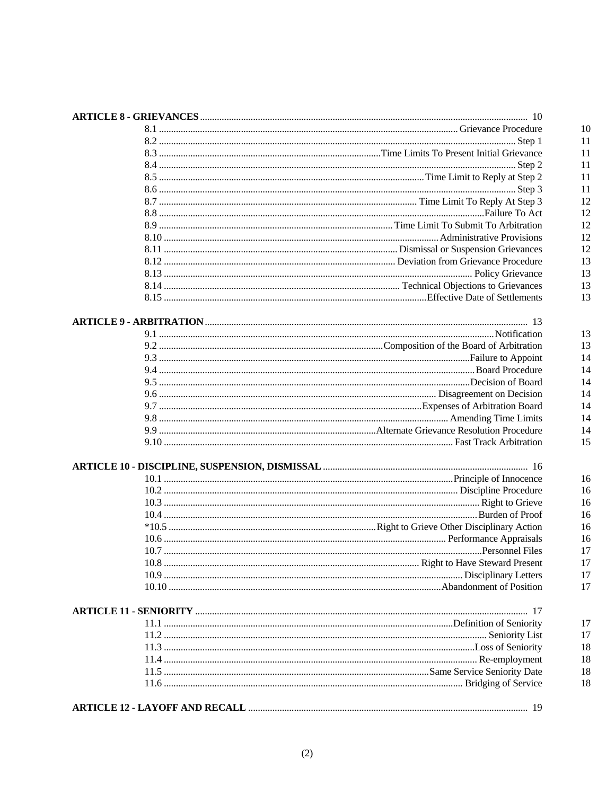| 10 R |
|------|
|      |
|      |
|      |
|      |
|      |
|      |
|      |
|      |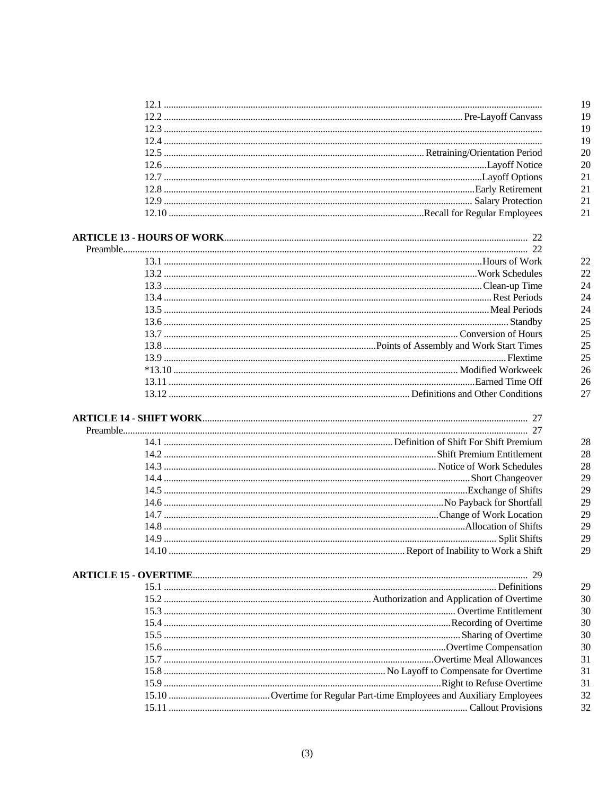| 14.10 |  |
|-------|--|
|       |  |
|       |  |
|       |  |
|       |  |
|       |  |
|       |  |
|       |  |
|       |  |
|       |  |
|       |  |
|       |  |
|       |  |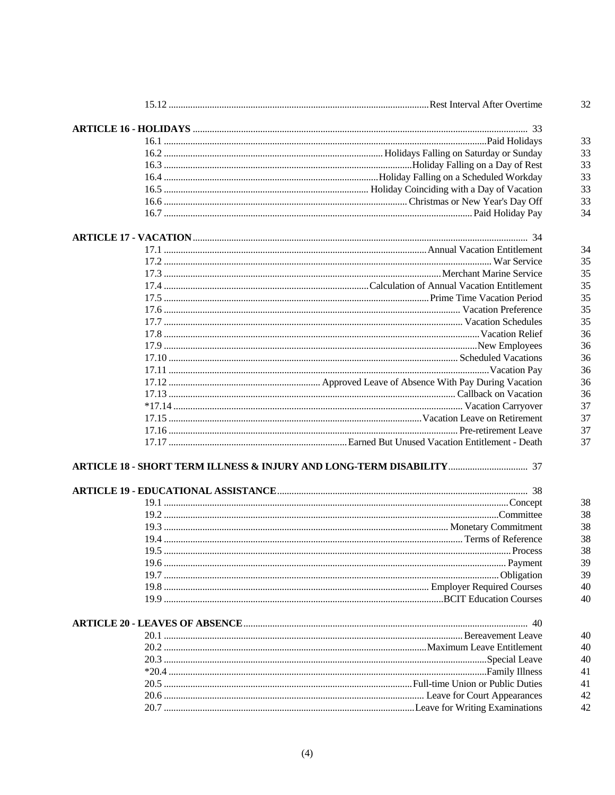|  | 32 |
|--|----|
|  |    |
|  | 33 |
|  | 33 |
|  | 33 |
|  | 33 |
|  | 33 |
|  | 33 |
|  | 34 |
|  |    |
|  | 34 |
|  | 35 |
|  | 35 |
|  | 35 |
|  | 35 |
|  | 35 |
|  | 35 |
|  | 36 |
|  | 36 |
|  | 36 |
|  | 36 |
|  | 36 |
|  | 36 |
|  |    |
|  | 37 |
|  | 37 |
|  | 37 |
|  | 37 |
|  |    |
|  |    |
|  | 38 |
|  | 38 |
|  | 38 |
|  | 38 |
|  | 38 |
|  | 39 |
|  | 39 |
|  | 40 |
|  | 40 |
|  |    |
|  | 40 |
|  | 40 |
|  | 40 |
|  | 41 |
|  | 41 |
|  | 42 |
|  | 42 |
|  |    |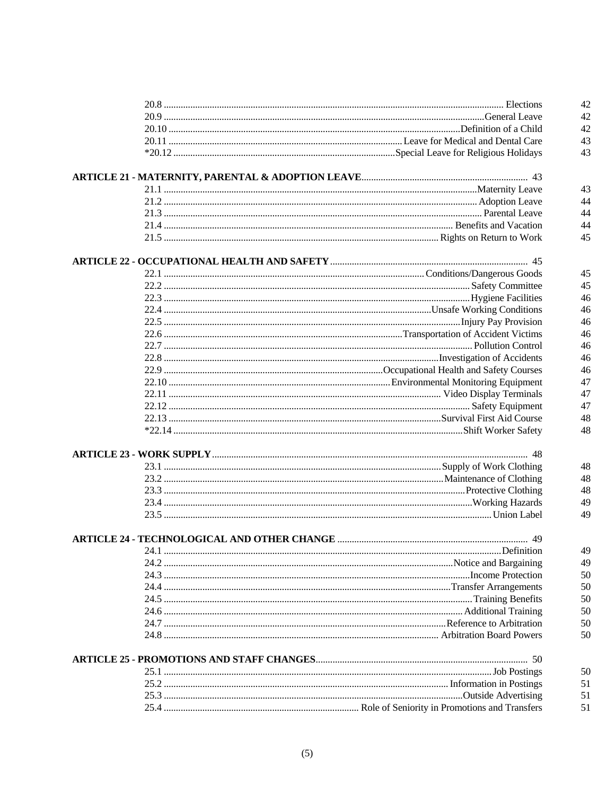|  | 42 |
|--|----|
|  | 42 |
|  | 42 |
|  | 43 |
|  | 43 |
|  |    |
|  |    |
|  | 43 |
|  | 44 |
|  | 44 |
|  | 44 |
|  | 45 |
|  |    |
|  |    |
|  | 45 |
|  | 45 |
|  | 46 |
|  | 46 |
|  | 46 |
|  | 46 |
|  | 46 |
|  | 46 |
|  | 46 |
|  | 47 |
|  | 47 |
|  | 47 |
|  |    |
|  | 48 |
|  | 48 |
|  |    |
|  | 48 |
|  | 48 |
|  | 48 |
|  | 49 |
|  | 49 |
|  |    |
|  |    |
|  | 49 |
|  | 49 |
|  | 50 |
|  | 50 |
|  | 50 |
|  | 50 |
|  | 50 |
|  | 50 |
|  |    |
|  |    |
|  | 50 |
|  | 51 |
|  | 51 |
|  | 51 |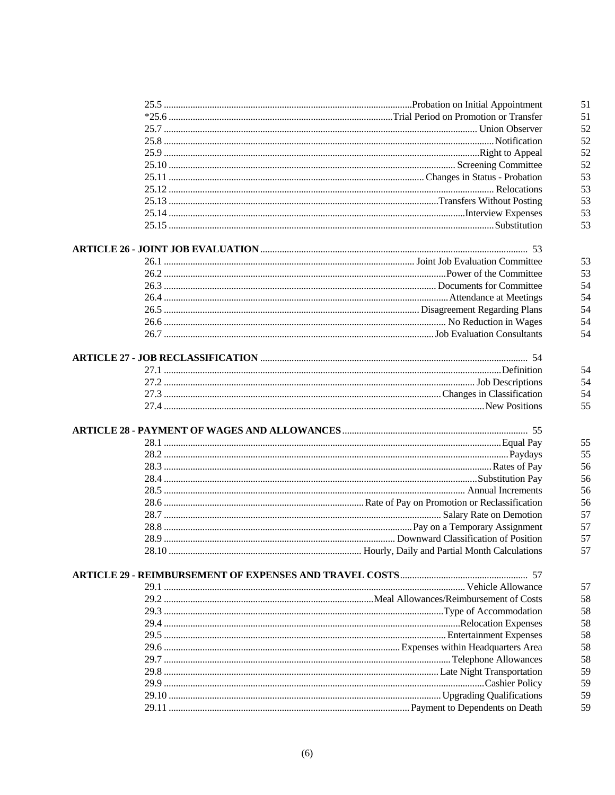|  | 51       |
|--|----------|
|  | 51       |
|  | 52       |
|  | 52       |
|  | 52       |
|  | 52       |
|  | 53       |
|  | 53       |
|  | 53       |
|  | 53       |
|  | 53       |
|  |          |
|  | 53       |
|  | 53       |
|  | 54       |
|  | 54       |
|  | 54       |
|  | 54       |
|  | 54       |
|  |          |
|  | 54       |
|  | 54       |
|  | 54       |
|  | 55       |
|  |          |
|  | 55       |
|  | 55       |
|  | 56       |
|  | 56       |
|  | 56       |
|  | 56       |
|  | 57       |
|  | 57       |
|  | 57       |
|  | 57       |
|  |          |
|  |          |
|  | 57       |
|  | 58       |
|  | 58       |
|  | 58       |
|  | 58       |
|  | 58       |
|  | 58       |
|  | 59       |
|  | 59       |
|  |          |
|  | 59<br>59 |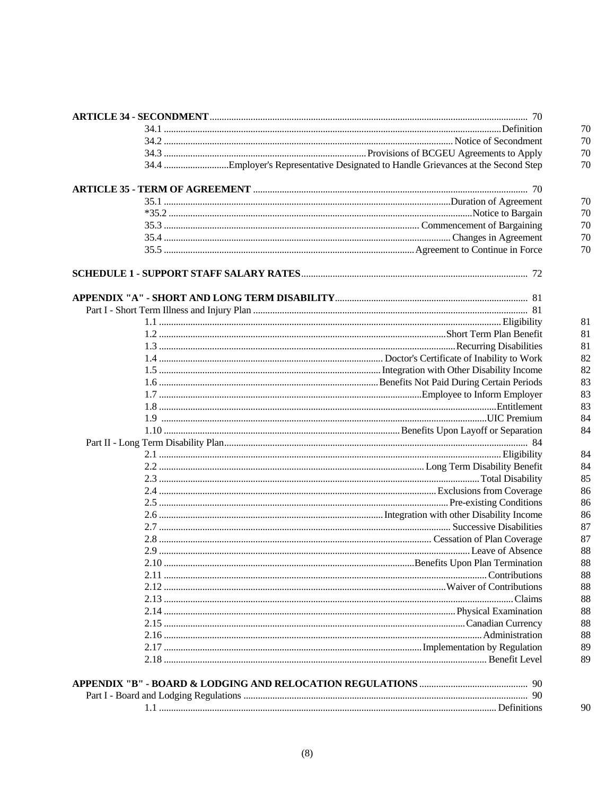|      | 70 |
|------|----|
|      | 70 |
|      | 70 |
|      | 70 |
|      |    |
|      | 70 |
|      | 70 |
|      | 70 |
|      | 70 |
|      | 70 |
|      |    |
|      |    |
|      |    |
|      | 81 |
|      | 81 |
|      | 81 |
|      | 82 |
|      | 82 |
|      | 83 |
|      | 83 |
|      | 83 |
|      | 84 |
|      | 84 |
|      |    |
|      | 84 |
|      | 84 |
|      | 85 |
|      | 86 |
|      | 86 |
|      | 86 |
|      | 87 |
|      | 87 |
|      | 88 |
| 2.10 | 88 |
|      | 88 |
|      | 88 |
|      | 88 |
|      | 88 |
|      | 88 |
|      | 88 |
|      | 89 |
|      | 89 |
|      |    |
|      | 90 |
|      |    |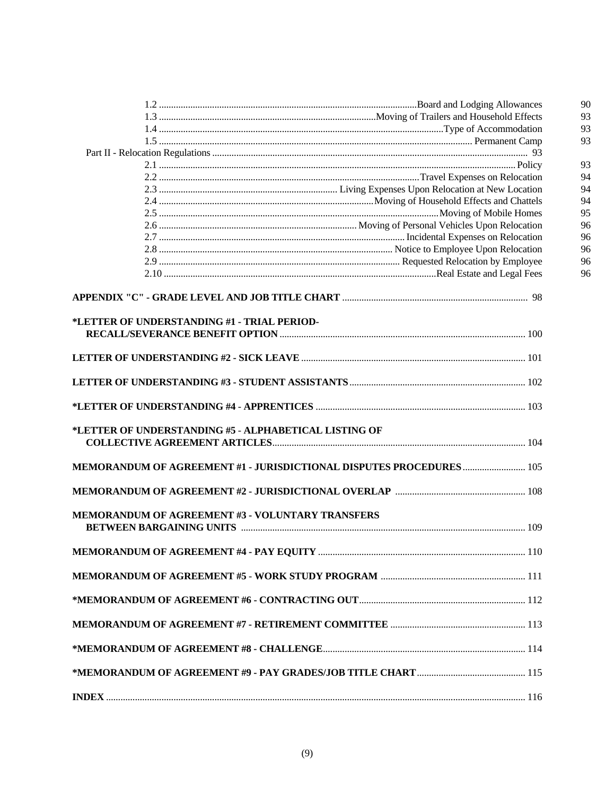|                                                                      | 90 |
|----------------------------------------------------------------------|----|
|                                                                      | 93 |
|                                                                      | 93 |
|                                                                      | 93 |
|                                                                      |    |
|                                                                      | 93 |
|                                                                      | 94 |
|                                                                      | 94 |
|                                                                      | 94 |
|                                                                      | 95 |
|                                                                      | 96 |
|                                                                      | 96 |
|                                                                      | 96 |
|                                                                      | 96 |
|                                                                      | 96 |
|                                                                      |    |
|                                                                      |    |
| *LETTER OF UNDERSTANDING #1 - TRIAL PERIOD-                          |    |
|                                                                      |    |
|                                                                      |    |
|                                                                      |    |
|                                                                      |    |
|                                                                      |    |
|                                                                      |    |
| *LETTER OF UNDERSTANDING #5 - ALPHABETICAL LISTING OF                |    |
|                                                                      |    |
| MEMORANDUM OF AGREEMENT #1 - JURISDICTIONAL DISPUTES PROCEDURES  105 |    |
|                                                                      |    |
| MEMORANDUM OF AGREEMENT #3 - VOLUNTARY TRANSFERS                     |    |
|                                                                      |    |
|                                                                      |    |
|                                                                      |    |
|                                                                      |    |
|                                                                      |    |
|                                                                      |    |
|                                                                      |    |
|                                                                      |    |
|                                                                      |    |
|                                                                      |    |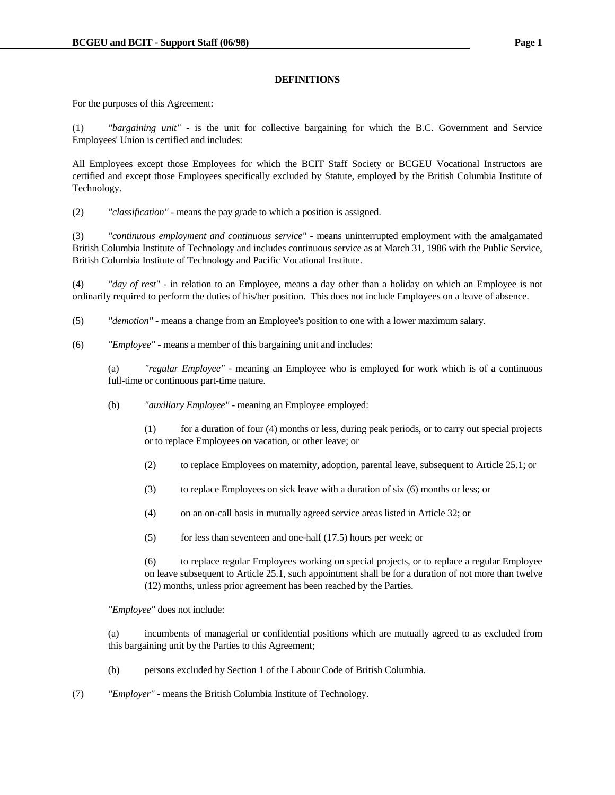### **DEFINITIONS**

For the purposes of this Agreement:

(1) *"bargaining unit"* - is the unit for collective bargaining for which the B.C. Government and Service Employees' Union is certified and includes:

All Employees except those Employees for which the BCIT Staff Society or BCGEU Vocational Instructors are certified and except those Employees specifically excluded by Statute, employed by the British Columbia Institute of Technology.

(2) *"classification"* - means the pay grade to which a position is assigned.

(3) *"continuous employment and continuous service"* - means uninterrupted employment with the amalgamated British Columbia Institute of Technology and includes continuous service as at March 31, 1986 with the Public Service, British Columbia Institute of Technology and Pacific Vocational Institute.

(4) *"day of rest"* - in relation to an Employee, means a day other than a holiday on which an Employee is not ordinarily required to perform the duties of his/her position. This does not include Employees on a leave of absence.

(5) *"demotion"* - means a change from an Employee's position to one with a lower maximum salary.

(6) *"Employee"* - means a member of this bargaining unit and includes:

 (a) *"regular Employee"* - meaning an Employee who is employed for work which is of a continuous full-time or continuous part-time nature.

- (b) *"auxiliary Employee"* meaning an Employee employed:
	- $(1)$  for a duration of four  $(4)$  months or less, during peak periods, or to carry out special projects or to replace Employees on vacation, or other leave; or
	- (2) to replace Employees on maternity, adoption, parental leave, subsequent to Article 25.1; or
	- (3) to replace Employees on sick leave with a duration of six (6) months or less; or
	- (4) on an on-call basis in mutually agreed service areas listed in Article 32; or
	- $(5)$  for less than seventeen and one-half  $(17.5)$  hours per week; or

 (6) to replace regular Employees working on special projects, or to replace a regular Employee on leave subsequent to Article 25.1, such appointment shall be for a duration of not more than twelve (12) months, unless prior agreement has been reached by the Parties.

 *"Employee"* does not include:

 (a) incumbents of managerial or confidential positions which are mutually agreed to as excluded from this bargaining unit by the Parties to this Agreement;

- (b) persons excluded by Section 1 of the Labour Code of British Columbia.
- (7) *"Employer"* means the British Columbia Institute of Technology.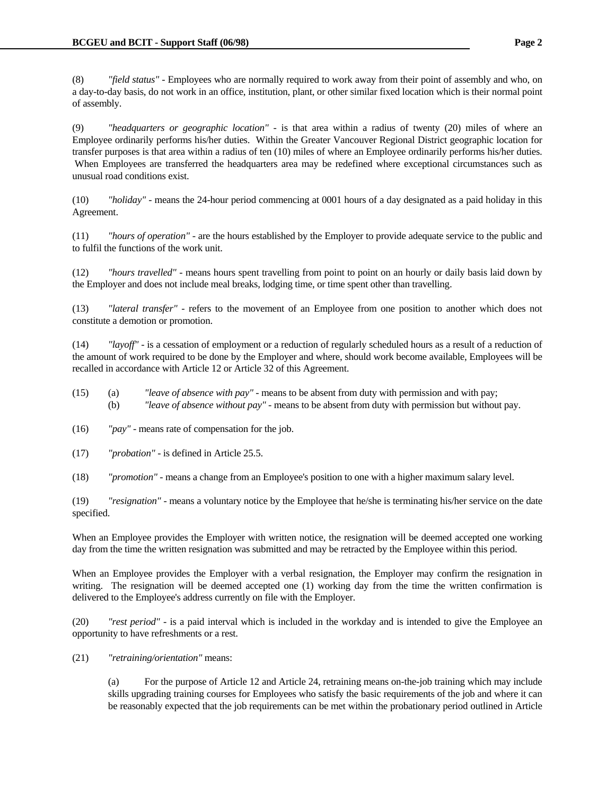(8) *"field status"* - Employees who are normally required to work away from their point of assembly and who, on a day-to-day basis, do not work in an office, institution, plant, or other similar fixed location which is their normal point of assembly.

(9) *"headquarters or geographic location"* - is that area within a radius of twenty (20) miles of where an Employee ordinarily performs his/her duties. Within the Greater Vancouver Regional District geographic location for transfer purposes is that area within a radius of ten (10) miles of where an Employee ordinarily performs his/her duties. When Employees are transferred the headquarters area may be redefined where exceptional circumstances such as unusual road conditions exist.

(10) *"holiday"* - means the 24-hour period commencing at 0001 hours of a day designated as a paid holiday in this Agreement.

(11) *"hours of operation"* - are the hours established by the Employer to provide adequate service to the public and to fulfil the functions of the work unit.

(12) *"hours travelled"* - means hours spent travelling from point to point on an hourly or daily basis laid down by the Employer and does not include meal breaks, lodging time, or time spent other than travelling.

(13) *"lateral transfer"* - refers to the movement of an Employee from one position to another which does not constitute a demotion or promotion.

(14) *"layoff"* - is a cessation of employment or a reduction of regularly scheduled hours as a result of a reduction of the amount of work required to be done by the Employer and where, should work become available, Employees will be recalled in accordance with Article 12 or Article 32 of this Agreement.

- (15) (a) *"leave of absence with pay"* means to be absent from duty with permission and with pay; (b) *"leave of absence without pay"* - means to be absent from duty with permission but without pay.
- (16) *"pay"*  means rate of compensation for the job.
- (17) *"probation"* is defined in Article 25.5.
- (18) *"promotion"*  means a change from an Employee's position to one with a higher maximum salary level.

(19) *"resignation"* - means a voluntary notice by the Employee that he/she is terminating his/her service on the date specified.

When an Employee provides the Employer with written notice, the resignation will be deemed accepted one working day from the time the written resignation was submitted and may be retracted by the Employee within this period.

When an Employee provides the Employer with a verbal resignation, the Employer may confirm the resignation in writing. The resignation will be deemed accepted one (1) working day from the time the written confirmation is delivered to the Employee's address currently on file with the Employer.

(20) *"rest period"* - is a paid interval which is included in the workday and is intended to give the Employee an opportunity to have refreshments or a rest.

(21) *"retraining/orientation"* means:

 (a) For the purpose of Article 12 and Article 24, retraining means on-the-job training which may include skills upgrading training courses for Employees who satisfy the basic requirements of the job and where it can be reasonably expected that the job requirements can be met within the probationary period outlined in Article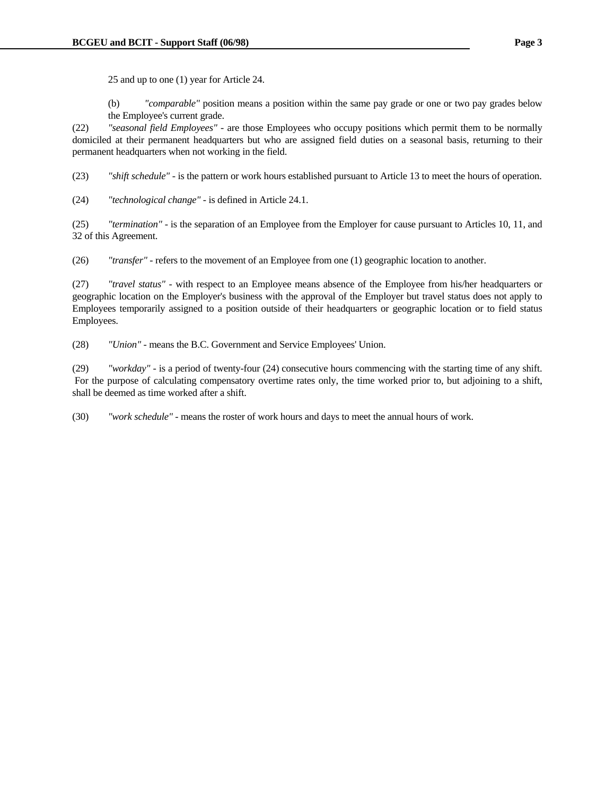25 and up to one (1) year for Article 24.

 (b) *"comparable"* position means a position within the same pay grade or one or two pay grades below the Employee's current grade.

(22) *"seasonal field Employees"* - are those Employees who occupy positions which permit them to be normally domiciled at their permanent headquarters but who are assigned field duties on a seasonal basis, returning to their permanent headquarters when not working in the field.

(23) *"shift schedule"* - is the pattern or work hours established pursuant to Article 13 to meet the hours of operation.

(24) *"technological change"* - is defined in Article 24.1.

(25) *"termination"* - is the separation of an Employee from the Employer for cause pursuant to Articles 10, 11, and 32 of this Agreement.

(26) *"transfer"* - refers to the movement of an Employee from one (1) geographic location to another.

(27) *"travel status"* - with respect to an Employee means absence of the Employee from his/her headquarters or geographic location on the Employer's business with the approval of the Employer but travel status does not apply to Employees temporarily assigned to a position outside of their headquarters or geographic location or to field status Employees.

(28) *"Union"* - means the B.C. Government and Service Employees' Union.

(29) *"workday"* - is a period of twenty-four (24) consecutive hours commencing with the starting time of any shift. For the purpose of calculating compensatory overtime rates only, the time worked prior to, but adjoining to a shift, shall be deemed as time worked after a shift.

(30) *"work schedule"* - means the roster of work hours and days to meet the annual hours of work.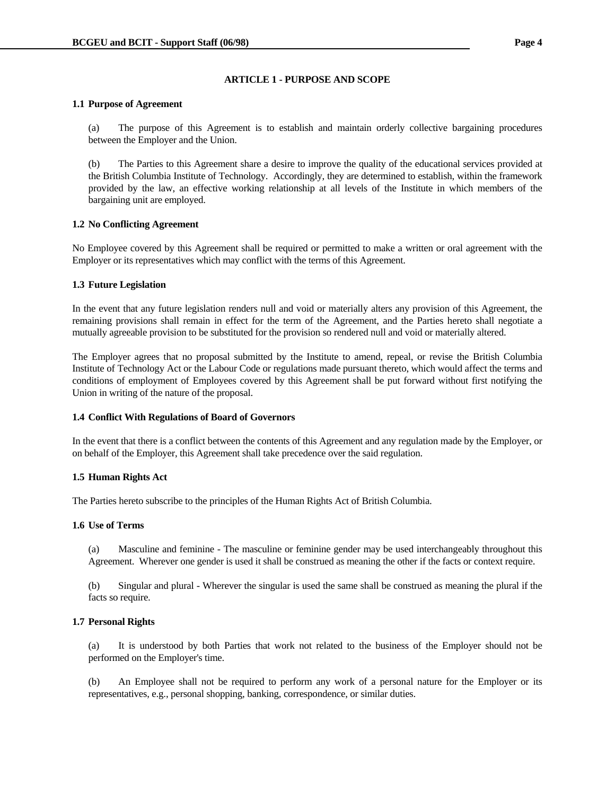### **ARTICLE 1 - PURPOSE AND SCOPE**

### **1.1 Purpose of Agreement**

 (a) The purpose of this Agreement is to establish and maintain orderly collective bargaining procedures between the Employer and the Union.

 (b) The Parties to this Agreement share a desire to improve the quality of the educational services provided at the British Columbia Institute of Technology. Accordingly, they are determined to establish, within the framework provided by the law, an effective working relationship at all levels of the Institute in which members of the bargaining unit are employed.

# **1.2 No Conflicting Agreement**

No Employee covered by this Agreement shall be required or permitted to make a written or oral agreement with the Employer or its representatives which may conflict with the terms of this Agreement.

# **1.3 Future Legislation**

In the event that any future legislation renders null and void or materially alters any provision of this Agreement, the remaining provisions shall remain in effect for the term of the Agreement, and the Parties hereto shall negotiate a mutually agreeable provision to be substituted for the provision so rendered null and void or materially altered.

The Employer agrees that no proposal submitted by the Institute to amend, repeal, or revise the British Columbia Institute of Technology Act or the Labour Code or regulations made pursuant thereto, which would affect the terms and conditions of employment of Employees covered by this Agreement shall be put forward without first notifying the Union in writing of the nature of the proposal.

# **1.4 Conflict With Regulations of Board of Governors**

In the event that there is a conflict between the contents of this Agreement and any regulation made by the Employer, or on behalf of the Employer, this Agreement shall take precedence over the said regulation.

# **1.5 Human Rights Act**

The Parties hereto subscribe to the principles of the Human Rights Act of British Columbia.

### **1.6 Use of Terms**

 (a) Masculine and feminine - The masculine or feminine gender may be used interchangeably throughout this Agreement. Wherever one gender is used it shall be construed as meaning the other if the facts or context require.

 (b) Singular and plural - Wherever the singular is used the same shall be construed as meaning the plural if the facts so require.

# **1.7 Personal Rights**

 (a) It is understood by both Parties that work not related to the business of the Employer should not be performed on the Employer's time.

 (b) An Employee shall not be required to perform any work of a personal nature for the Employer or its representatives, e.g., personal shopping, banking, correspondence, or similar duties.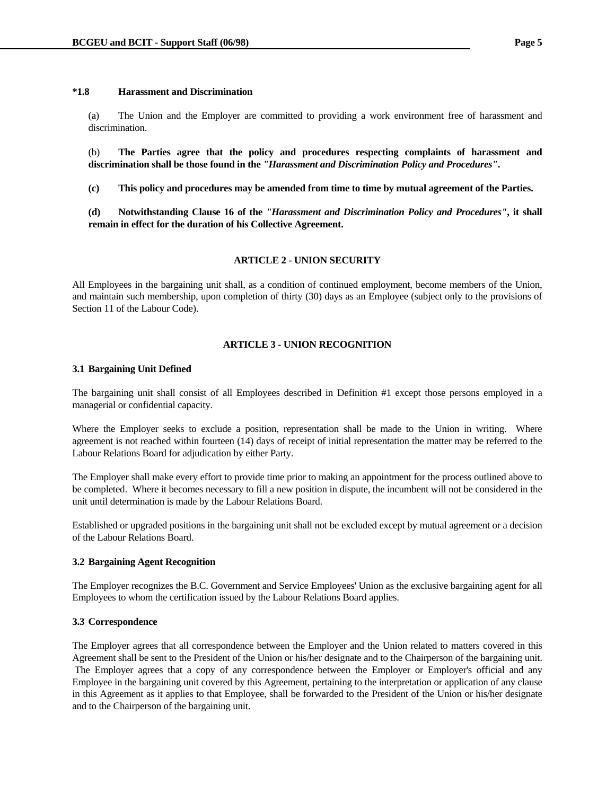### **\*1.8 Harassment and Discrimination**

 (a) The Union and the Employer are committed to providing a work environment free of harassment and discrimination.

 (b) **The Parties agree that the policy and procedures respecting complaints of harassment and discrimination shall be those found in the** *"Harassment and Discrimination Policy and Procedures"***.** 

 **(c) This policy and procedures may be amended from time to time by mutual agreement of the Parties.** 

 **(d) Notwithstanding Clause 16 of the** *"Harassment and Discrimination Policy and Procedures"***, it shall remain in effect for the duration of his Collective Agreement.**

### **ARTICLE 2 - UNION SECURITY**

All Employees in the bargaining unit shall, as a condition of continued employment, become members of the Union, and maintain such membership, upon completion of thirty (30) days as an Employee (subject only to the provisions of Section 11 of the Labour Code).

### **ARTICLE 3 - UNION RECOGNITION**

### **3.1 Bargaining Unit Defined**

The bargaining unit shall consist of all Employees described in Definition #1 except those persons employed in a managerial or confidential capacity.

Where the Employer seeks to exclude a position, representation shall be made to the Union in writing. Where agreement is not reached within fourteen (14) days of receipt of initial representation the matter may be referred to the Labour Relations Board for adjudication by either Party.

The Employer shall make every effort to provide time prior to making an appointment for the process outlined above to be completed. Where it becomes necessary to fill a new position in dispute, the incumbent will not be considered in the unit until determination is made by the Labour Relations Board.

Established or upgraded positions in the bargaining unit shall not be excluded except by mutual agreement or a decision of the Labour Relations Board.

### **3.2 Bargaining Agent Recognition**

The Employer recognizes the B.C. Government and Service Employees' Union as the exclusive bargaining agent for all Employees to whom the certification issued by the Labour Relations Board applies.

### **3.3 Correspondence**

The Employer agrees that all correspondence between the Employer and the Union related to matters covered in this Agreement shall be sent to the President of the Union or his/her designate and to the Chairperson of the bargaining unit. The Employer agrees that a copy of any correspondence between the Employer or Employer's official and any Employee in the bargaining unit covered by this Agreement, pertaining to the interpretation or application of any clause in this Agreement as it applies to that Employee, shall be forwarded to the President of the Union or his/her designate and to the Chairperson of the bargaining unit.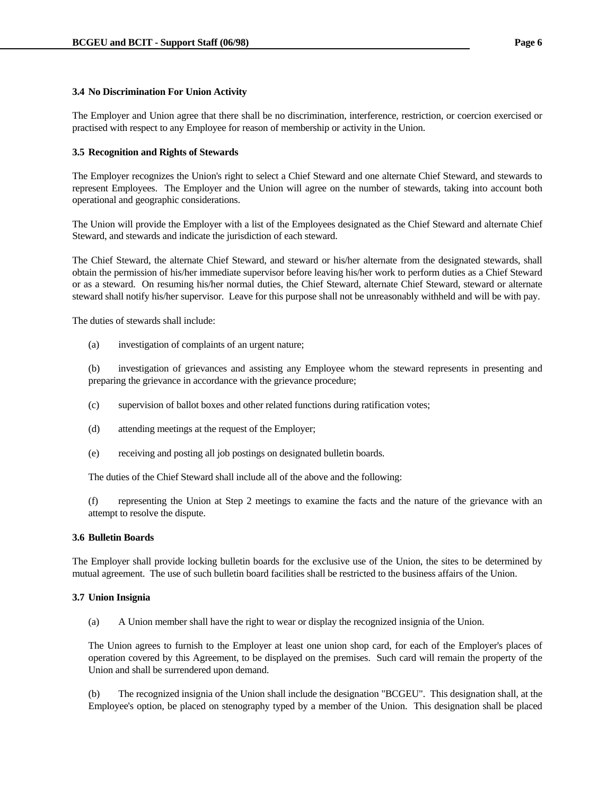### **3.4 No Discrimination For Union Activity**

The Employer and Union agree that there shall be no discrimination, interference, restriction, or coercion exercised or practised with respect to any Employee for reason of membership or activity in the Union.

### **3.5 Recognition and Rights of Stewards**

The Employer recognizes the Union's right to select a Chief Steward and one alternate Chief Steward, and stewards to represent Employees. The Employer and the Union will agree on the number of stewards, taking into account both operational and geographic considerations.

The Union will provide the Employer with a list of the Employees designated as the Chief Steward and alternate Chief Steward, and stewards and indicate the jurisdiction of each steward.

The Chief Steward, the alternate Chief Steward, and steward or his/her alternate from the designated stewards, shall obtain the permission of his/her immediate supervisor before leaving his/her work to perform duties as a Chief Steward or as a steward. On resuming his/her normal duties, the Chief Steward, alternate Chief Steward, steward or alternate steward shall notify his/her supervisor. Leave for this purpose shall not be unreasonably withheld and will be with pay.

The duties of stewards shall include:

(a) investigation of complaints of an urgent nature;

 (b) investigation of grievances and assisting any Employee whom the steward represents in presenting and preparing the grievance in accordance with the grievance procedure;

- (c) supervision of ballot boxes and other related functions during ratification votes;
- (d) attending meetings at the request of the Employer;
- (e) receiving and posting all job postings on designated bulletin boards.

The duties of the Chief Steward shall include all of the above and the following:

 (f) representing the Union at Step 2 meetings to examine the facts and the nature of the grievance with an attempt to resolve the dispute.

# **3.6 Bulletin Boards**

The Employer shall provide locking bulletin boards for the exclusive use of the Union, the sites to be determined by mutual agreement. The use of such bulletin board facilities shall be restricted to the business affairs of the Union.

## **3.7 Union Insignia**

(a) A Union member shall have the right to wear or display the recognized insignia of the Union.

 The Union agrees to furnish to the Employer at least one union shop card, for each of the Employer's places of operation covered by this Agreement, to be displayed on the premises. Such card will remain the property of the Union and shall be surrendered upon demand.

 (b) The recognized insignia of the Union shall include the designation "BCGEU". This designation shall, at the Employee's option, be placed on stenography typed by a member of the Union. This designation shall be placed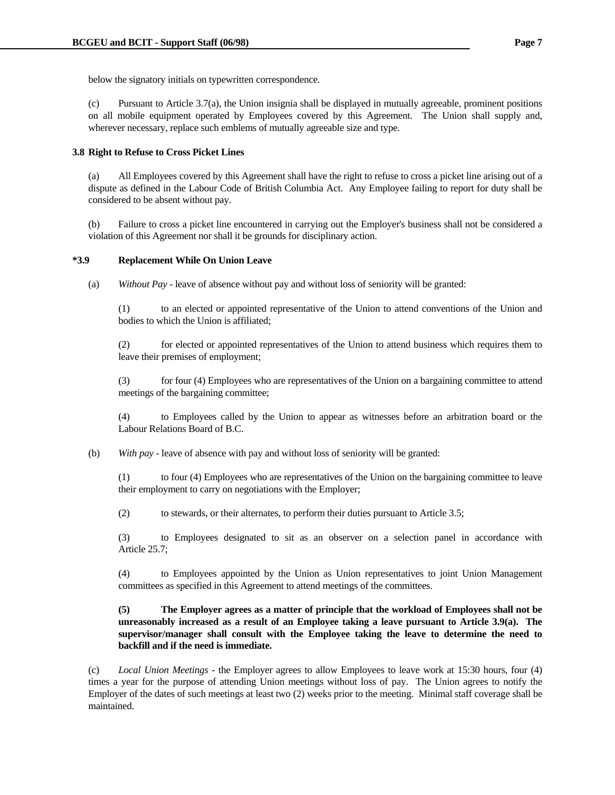below the signatory initials on typewritten correspondence.

 (c) Pursuant to Article 3.7(a), the Union insignia shall be displayed in mutually agreeable, prominent positions on all mobile equipment operated by Employees covered by this Agreement. The Union shall supply and, wherever necessary, replace such emblems of mutually agreeable size and type.

# **3.8 Right to Refuse to Cross Picket Lines**

 (a) All Employees covered by this Agreement shall have the right to refuse to cross a picket line arising out of a dispute as defined in the Labour Code of British Columbia Act. Any Employee failing to report for duty shall be considered to be absent without pay.

 (b) Failure to cross a picket line encountered in carrying out the Employer's business shall not be considered a violation of this Agreement nor shall it be grounds for disciplinary action.

### **\*3.9 Replacement While On Union Leave**

(a) *Without Pay* - leave of absence without pay and without loss of seniority will be granted:

 (1) to an elected or appointed representative of the Union to attend conventions of the Union and bodies to which the Union is affiliated;

 (2) for elected or appointed representatives of the Union to attend business which requires them to leave their premises of employment;

 (3) for four (4) Employees who are representatives of the Union on a bargaining committee to attend meetings of the bargaining committee;

 (4) to Employees called by the Union to appear as witnesses before an arbitration board or the Labour Relations Board of B.C.

(b) *With pay* - leave of absence with pay and without loss of seniority will be granted:

 (1) to four (4) Employees who are representatives of the Union on the bargaining committee to leave their employment to carry on negotiations with the Employer;

(2) to stewards, or their alternates, to perform their duties pursuant to Article 3.5;

 (3) to Employees designated to sit as an observer on a selection panel in accordance with Article 25.7;

 (4) to Employees appointed by the Union as Union representatives to joint Union Management committees as specified in this Agreement to attend meetings of the committees.

# **(5) The Employer agrees as a matter of principle that the workload of Employees shall not be unreasonably increased as a result of an Employee taking a leave pursuant to Article 3.9(a). The supervisor/manager shall consult with the Employee taking the leave to determine the need to backfill and if the need is immediate.**

 (c) *Local Union Meetings* - the Employer agrees to allow Employees to leave work at 15:30 hours, four (4) times a year for the purpose of attending Union meetings without loss of pay. The Union agrees to notify the Employer of the dates of such meetings at least two (2) weeks prior to the meeting. Minimal staff coverage shall be maintained.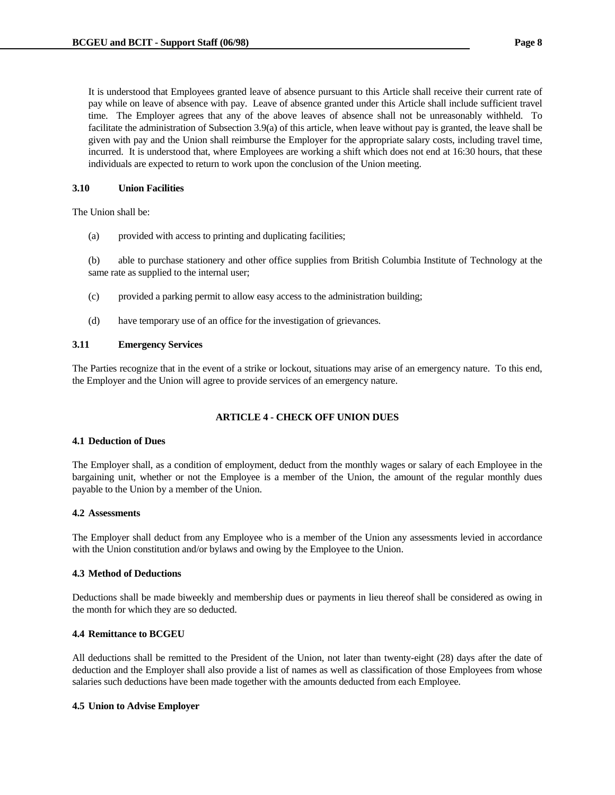It is understood that Employees granted leave of absence pursuant to this Article shall receive their current rate of pay while on leave of absence with pay. Leave of absence granted under this Article shall include sufficient travel time. The Employer agrees that any of the above leaves of absence shall not be unreasonably withheld. To facilitate the administration of Subsection 3.9(a) of this article, when leave without pay is granted, the leave shall be given with pay and the Union shall reimburse the Employer for the appropriate salary costs, including travel time, incurred. It is understood that, where Employees are working a shift which does not end at 16:30 hours, that these individuals are expected to return to work upon the conclusion of the Union meeting.

### **3.10 Union Facilities**

The Union shall be:

(a) provided with access to printing and duplicating facilities;

 (b) able to purchase stationery and other office supplies from British Columbia Institute of Technology at the same rate as supplied to the internal user;

- (c) provided a parking permit to allow easy access to the administration building;
- (d) have temporary use of an office for the investigation of grievances.

### **3.11 Emergency Services**

The Parties recognize that in the event of a strike or lockout, situations may arise of an emergency nature. To this end, the Employer and the Union will agree to provide services of an emergency nature.

# **ARTICLE 4 - CHECK OFF UNION DUES**

### **4.1 Deduction of Dues**

The Employer shall, as a condition of employment, deduct from the monthly wages or salary of each Employee in the bargaining unit, whether or not the Employee is a member of the Union, the amount of the regular monthly dues payable to the Union by a member of the Union.

### **4.2 Assessments**

The Employer shall deduct from any Employee who is a member of the Union any assessments levied in accordance with the Union constitution and/or bylaws and owing by the Employee to the Union.

### **4.3 Method of Deductions**

Deductions shall be made biweekly and membership dues or payments in lieu thereof shall be considered as owing in the month for which they are so deducted.

### **4.4 Remittance to BCGEU**

All deductions shall be remitted to the President of the Union, not later than twenty-eight (28) days after the date of deduction and the Employer shall also provide a list of names as well as classification of those Employees from whose salaries such deductions have been made together with the amounts deducted from each Employee.

# **4.5 Union to Advise Employer**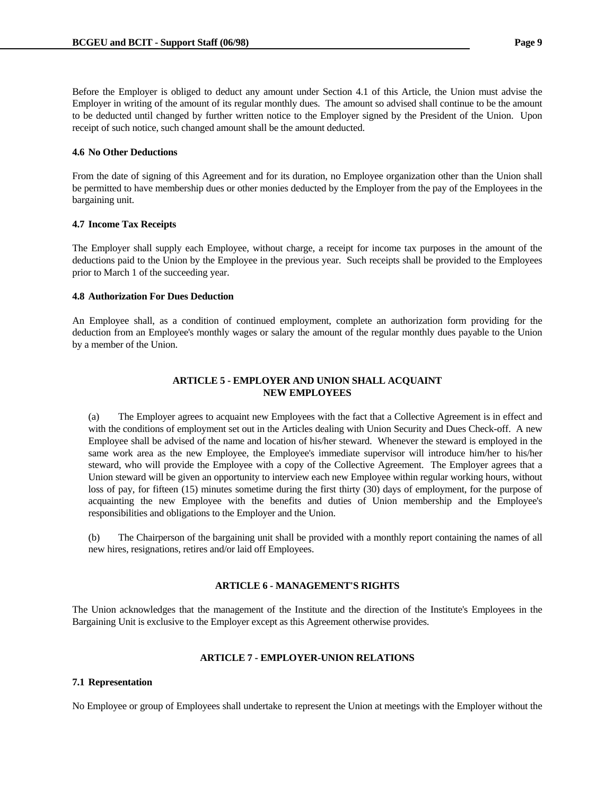Before the Employer is obliged to deduct any amount under Section 4.1 of this Article, the Union must advise the Employer in writing of the amount of its regular monthly dues. The amount so advised shall continue to be the amount to be deducted until changed by further written notice to the Employer signed by the President of the Union. Upon receipt of such notice, such changed amount shall be the amount deducted.

### **4.6 No Other Deductions**

From the date of signing of this Agreement and for its duration, no Employee organization other than the Union shall be permitted to have membership dues or other monies deducted by the Employer from the pay of the Employees in the bargaining unit.

### **4.7 Income Tax Receipts**

The Employer shall supply each Employee, without charge, a receipt for income tax purposes in the amount of the deductions paid to the Union by the Employee in the previous year. Such receipts shall be provided to the Employees prior to March 1 of the succeeding year.

### **4.8 Authorization For Dues Deduction**

An Employee shall, as a condition of continued employment, complete an authorization form providing for the deduction from an Employee's monthly wages or salary the amount of the regular monthly dues payable to the Union by a member of the Union.

# **ARTICLE 5 - EMPLOYER AND UNION SHALL ACQUAINT NEW EMPLOYEES**

 (a) The Employer agrees to acquaint new Employees with the fact that a Collective Agreement is in effect and with the conditions of employment set out in the Articles dealing with Union Security and Dues Check-off. A new Employee shall be advised of the name and location of his/her steward. Whenever the steward is employed in the same work area as the new Employee, the Employee's immediate supervisor will introduce him/her to his/her steward, who will provide the Employee with a copy of the Collective Agreement. The Employer agrees that a Union steward will be given an opportunity to interview each new Employee within regular working hours, without loss of pay, for fifteen (15) minutes sometime during the first thirty (30) days of employment, for the purpose of acquainting the new Employee with the benefits and duties of Union membership and the Employee's responsibilities and obligations to the Employer and the Union.

 (b) The Chairperson of the bargaining unit shall be provided with a monthly report containing the names of all new hires, resignations, retires and/or laid off Employees.

# **ARTICLE 6 - MANAGEMENT'S RIGHTS**

The Union acknowledges that the management of the Institute and the direction of the Institute's Employees in the Bargaining Unit is exclusive to the Employer except as this Agreement otherwise provides.

# **ARTICLE 7 - EMPLOYER-UNION RELATIONS**

### **7.1 Representation**

No Employee or group of Employees shall undertake to represent the Union at meetings with the Employer without the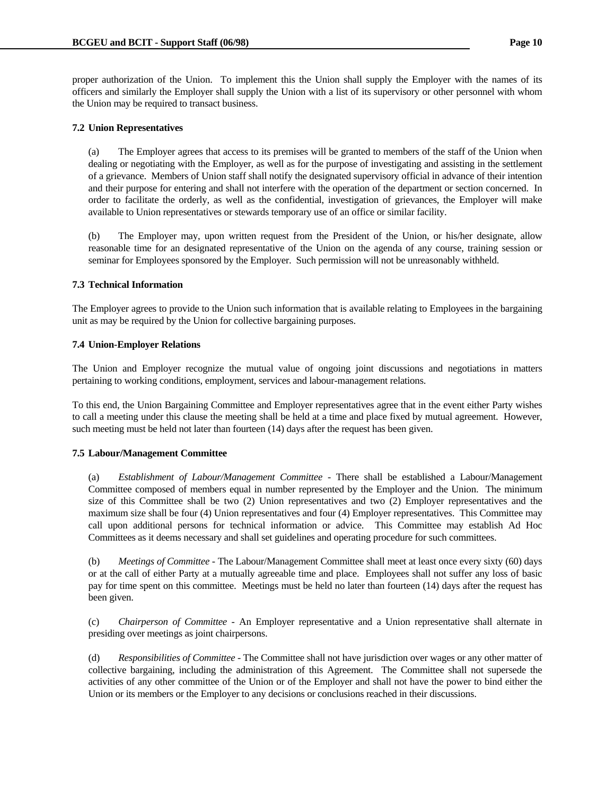proper authorization of the Union. To implement this the Union shall supply the Employer with the names of its officers and similarly the Employer shall supply the Union with a list of its supervisory or other personnel with whom the Union may be required to transact business.

### **7.2 Union Representatives**

 (a) The Employer agrees that access to its premises will be granted to members of the staff of the Union when dealing or negotiating with the Employer, as well as for the purpose of investigating and assisting in the settlement of a grievance. Members of Union staff shall notify the designated supervisory official in advance of their intention and their purpose for entering and shall not interfere with the operation of the department or section concerned. In order to facilitate the orderly, as well as the confidential, investigation of grievances, the Employer will make available to Union representatives or stewards temporary use of an office or similar facility.

 (b) The Employer may, upon written request from the President of the Union, or his/her designate, allow reasonable time for an designated representative of the Union on the agenda of any course, training session or seminar for Employees sponsored by the Employer. Such permission will not be unreasonably withheld.

### **7.3 Technical Information**

The Employer agrees to provide to the Union such information that is available relating to Employees in the bargaining unit as may be required by the Union for collective bargaining purposes.

### **7.4 Union-Employer Relations**

The Union and Employer recognize the mutual value of ongoing joint discussions and negotiations in matters pertaining to working conditions, employment, services and labour-management relations.

To this end, the Union Bargaining Committee and Employer representatives agree that in the event either Party wishes to call a meeting under this clause the meeting shall be held at a time and place fixed by mutual agreement. However, such meeting must be held not later than fourteen (14) days after the request has been given.

# **7.5 Labour/Management Committee**

 (a) *Establishment of Labour/Management Committee* - There shall be established a Labour/Management Committee composed of members equal in number represented by the Employer and the Union. The minimum size of this Committee shall be two (2) Union representatives and two (2) Employer representatives and the maximum size shall be four (4) Union representatives and four (4) Employer representatives. This Committee may call upon additional persons for technical information or advice. This Committee may establish Ad Hoc Committees as it deems necessary and shall set guidelines and operating procedure for such committees.

 (b) *Meetings of Committee* - The Labour/Management Committee shall meet at least once every sixty (60) days or at the call of either Party at a mutually agreeable time and place. Employees shall not suffer any loss of basic pay for time spent on this committee. Meetings must be held no later than fourteen (14) days after the request has been given.

 (c) *Chairperson of Committee* - An Employer representative and a Union representative shall alternate in presiding over meetings as joint chairpersons.

 (d) *Responsibilities of Committee* - The Committee shall not have jurisdiction over wages or any other matter of collective bargaining, including the administration of this Agreement. The Committee shall not supersede the activities of any other committee of the Union or of the Employer and shall not have the power to bind either the Union or its members or the Employer to any decisions or conclusions reached in their discussions.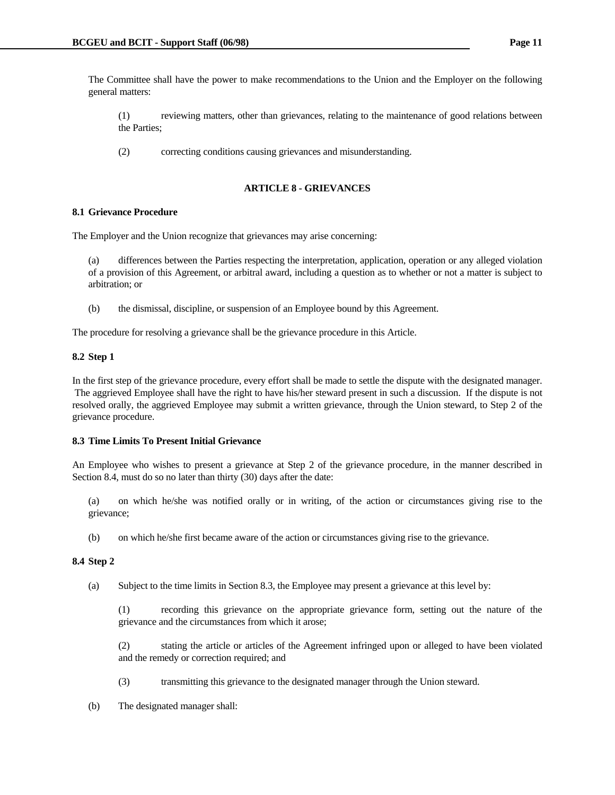The Committee shall have the power to make recommendations to the Union and the Employer on the following general matters:

 (1) reviewing matters, other than grievances, relating to the maintenance of good relations between the Parties;

(2) correcting conditions causing grievances and misunderstanding.

# **ARTICLE 8 - GRIEVANCES**

### **8.1 Grievance Procedure**

The Employer and the Union recognize that grievances may arise concerning:

 (a) differences between the Parties respecting the interpretation, application, operation or any alleged violation of a provision of this Agreement, or arbitral award, including a question as to whether or not a matter is subject to arbitration; or

(b) the dismissal, discipline, or suspension of an Employee bound by this Agreement.

The procedure for resolving a grievance shall be the grievance procedure in this Article.

# **8.2 Step 1**

In the first step of the grievance procedure, every effort shall be made to settle the dispute with the designated manager. The aggrieved Employee shall have the right to have his/her steward present in such a discussion. If the dispute is not resolved orally, the aggrieved Employee may submit a written grievance, through the Union steward, to Step 2 of the grievance procedure.

### **8.3 Time Limits To Present Initial Grievance**

An Employee who wishes to present a grievance at Step 2 of the grievance procedure, in the manner described in Section 8.4, must do so no later than thirty (30) days after the date:

 (a) on which he/she was notified orally or in writing, of the action or circumstances giving rise to the grievance;

(b) on which he/she first became aware of the action or circumstances giving rise to the grievance.

### **8.4 Step 2**

(a) Subject to the time limits in Section 8.3, the Employee may present a grievance at this level by:

 (1) recording this grievance on the appropriate grievance form, setting out the nature of the grievance and the circumstances from which it arose;

 (2) stating the article or articles of the Agreement infringed upon or alleged to have been violated and the remedy or correction required; and

- (3) transmitting this grievance to the designated manager through the Union steward.
- (b) The designated manager shall: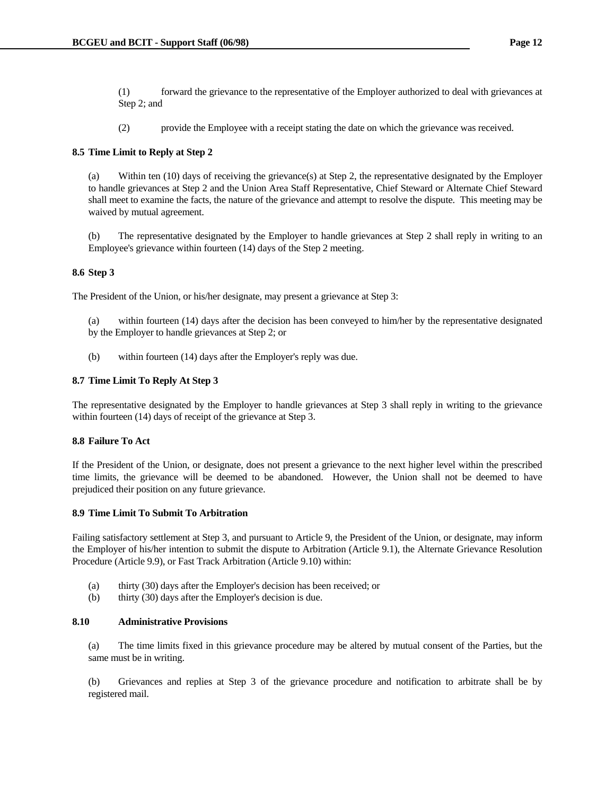(1) forward the grievance to the representative of the Employer authorized to deal with grievances at Step 2; and

(2) provide the Employee with a receipt stating the date on which the grievance was received.

### **8.5 Time Limit to Reply at Step 2**

 (a) Within ten (10) days of receiving the grievance(s) at Step 2, the representative designated by the Employer to handle grievances at Step 2 and the Union Area Staff Representative, Chief Steward or Alternate Chief Steward shall meet to examine the facts, the nature of the grievance and attempt to resolve the dispute. This meeting may be waived by mutual agreement.

 (b) The representative designated by the Employer to handle grievances at Step 2 shall reply in writing to an Employee's grievance within fourteen (14) days of the Step 2 meeting.

### **8.6 Step 3**

The President of the Union, or his/her designate, may present a grievance at Step 3:

- (a) within fourteen (14) days after the decision has been conveyed to him/her by the representative designated by the Employer to handle grievances at Step 2; or
- (b) within fourteen (14) days after the Employer's reply was due.

### **8.7 Time Limit To Reply At Step 3**

The representative designated by the Employer to handle grievances at Step 3 shall reply in writing to the grievance within fourteen (14) days of receipt of the grievance at Step 3.

### **8.8 Failure To Act**

If the President of the Union, or designate, does not present a grievance to the next higher level within the prescribed time limits, the grievance will be deemed to be abandoned. However, the Union shall not be deemed to have prejudiced their position on any future grievance.

### **8.9 Time Limit To Submit To Arbitration**

Failing satisfactory settlement at Step 3, and pursuant to Article 9, the President of the Union, or designate, may inform the Employer of his/her intention to submit the dispute to Arbitration (Article 9.1), the Alternate Grievance Resolution Procedure (Article 9.9), or Fast Track Arbitration (Article 9.10) within:

- (a) thirty (30) days after the Employer's decision has been received; or
- (b) thirty (30) days after the Employer's decision is due.

### **8.10 Administrative Provisions**

 (a) The time limits fixed in this grievance procedure may be altered by mutual consent of the Parties, but the same must be in writing.

 (b) Grievances and replies at Step 3 of the grievance procedure and notification to arbitrate shall be by registered mail.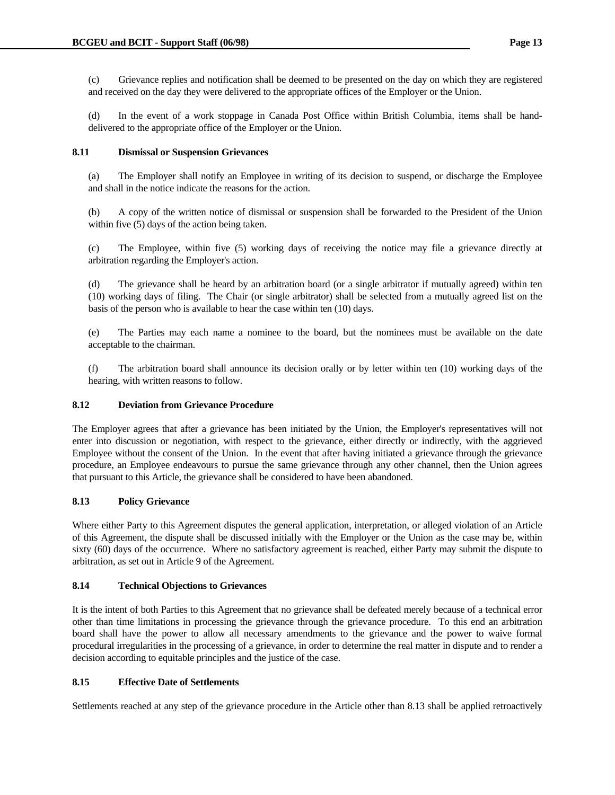(d) In the event of a work stoppage in Canada Post Office within British Columbia, items shall be handdelivered to the appropriate office of the Employer or the Union.

# **8.11 Dismissal or Suspension Grievances**

 (a) The Employer shall notify an Employee in writing of its decision to suspend, or discharge the Employee and shall in the notice indicate the reasons for the action.

 (b) A copy of the written notice of dismissal or suspension shall be forwarded to the President of the Union within five (5) days of the action being taken.

 (c) The Employee, within five (5) working days of receiving the notice may file a grievance directly at arbitration regarding the Employer's action.

 (d) The grievance shall be heard by an arbitration board (or a single arbitrator if mutually agreed) within ten (10) working days of filing. The Chair (or single arbitrator) shall be selected from a mutually agreed list on the basis of the person who is available to hear the case within ten (10) days.

 (e) The Parties may each name a nominee to the board, but the nominees must be available on the date acceptable to the chairman.

 (f) The arbitration board shall announce its decision orally or by letter within ten (10) working days of the hearing, with written reasons to follow.

# **8.12 Deviation from Grievance Procedure**

The Employer agrees that after a grievance has been initiated by the Union, the Employer's representatives will not enter into discussion or negotiation, with respect to the grievance, either directly or indirectly, with the aggrieved Employee without the consent of the Union. In the event that after having initiated a grievance through the grievance procedure, an Employee endeavours to pursue the same grievance through any other channel, then the Union agrees that pursuant to this Article, the grievance shall be considered to have been abandoned.

# **8.13 Policy Grievance**

Where either Party to this Agreement disputes the general application, interpretation, or alleged violation of an Article of this Agreement, the dispute shall be discussed initially with the Employer or the Union as the case may be, within sixty (60) days of the occurrence. Where no satisfactory agreement is reached, either Party may submit the dispute to arbitration, as set out in Article 9 of the Agreement.

# **8.14 Technical Objections to Grievances**

It is the intent of both Parties to this Agreement that no grievance shall be defeated merely because of a technical error other than time limitations in processing the grievance through the grievance procedure. To this end an arbitration board shall have the power to allow all necessary amendments to the grievance and the power to waive formal procedural irregularities in the processing of a grievance, in order to determine the real matter in dispute and to render a decision according to equitable principles and the justice of the case.

# **8.15 Effective Date of Settlements**

Settlements reached at any step of the grievance procedure in the Article other than 8.13 shall be applied retroactively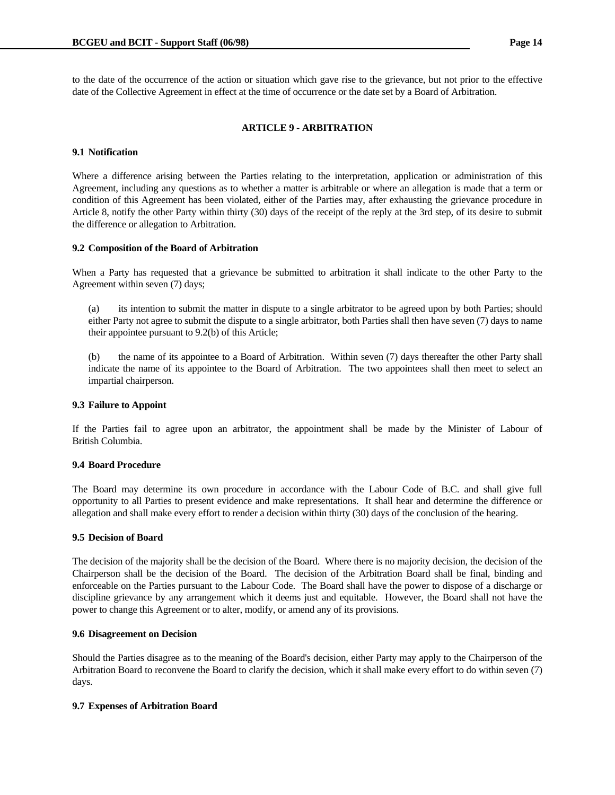to the date of the occurrence of the action or situation which gave rise to the grievance, but not prior to the effective date of the Collective Agreement in effect at the time of occurrence or the date set by a Board of Arbitration.

### **ARTICLE 9 - ARBITRATION**

### **9.1 Notification**

Where a difference arising between the Parties relating to the interpretation, application or administration of this Agreement, including any questions as to whether a matter is arbitrable or where an allegation is made that a term or condition of this Agreement has been violated, either of the Parties may, after exhausting the grievance procedure in Article 8, notify the other Party within thirty (30) days of the receipt of the reply at the 3rd step, of its desire to submit the difference or allegation to Arbitration.

### **9.2 Composition of the Board of Arbitration**

When a Party has requested that a grievance be submitted to arbitration it shall indicate to the other Party to the Agreement within seven (7) days;

 (a) its intention to submit the matter in dispute to a single arbitrator to be agreed upon by both Parties; should either Party not agree to submit the dispute to a single arbitrator, both Parties shall then have seven (7) days to name their appointee pursuant to 9.2(b) of this Article;

 (b) the name of its appointee to a Board of Arbitration. Within seven (7) days thereafter the other Party shall indicate the name of its appointee to the Board of Arbitration. The two appointees shall then meet to select an impartial chairperson.

### **9.3 Failure to Appoint**

If the Parties fail to agree upon an arbitrator, the appointment shall be made by the Minister of Labour of British Columbia.

### **9.4 Board Procedure**

The Board may determine its own procedure in accordance with the Labour Code of B.C. and shall give full opportunity to all Parties to present evidence and make representations. It shall hear and determine the difference or allegation and shall make every effort to render a decision within thirty (30) days of the conclusion of the hearing.

### **9.5 Decision of Board**

The decision of the majority shall be the decision of the Board. Where there is no majority decision, the decision of the Chairperson shall be the decision of the Board. The decision of the Arbitration Board shall be final, binding and enforceable on the Parties pursuant to the Labour Code. The Board shall have the power to dispose of a discharge or discipline grievance by any arrangement which it deems just and equitable. However, the Board shall not have the power to change this Agreement or to alter, modify, or amend any of its provisions.

### **9.6 Disagreement on Decision**

Should the Parties disagree as to the meaning of the Board's decision, either Party may apply to the Chairperson of the Arbitration Board to reconvene the Board to clarify the decision, which it shall make every effort to do within seven (7) days.

### **9.7 Expenses of Arbitration Board**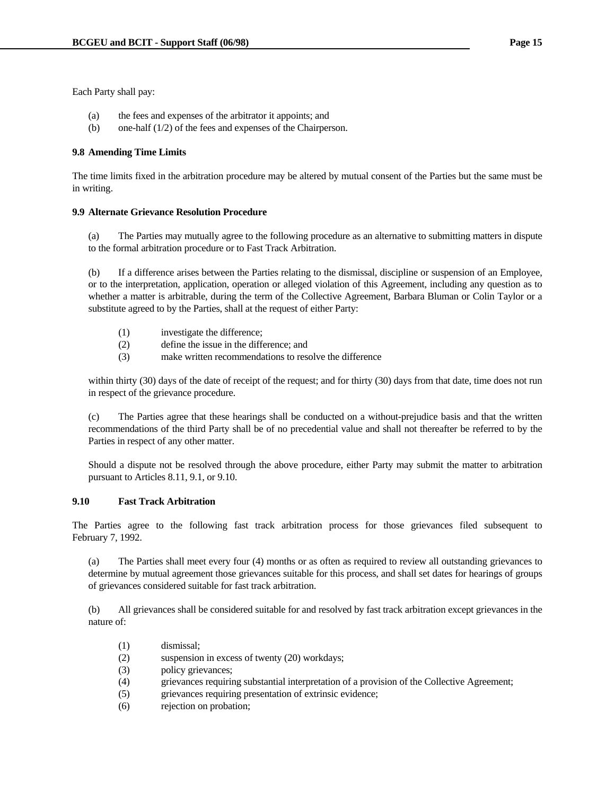Each Party shall pay:

- (a) the fees and expenses of the arbitrator it appoints; and
- (b) one-half (1/2) of the fees and expenses of the Chairperson.

### **9.8 Amending Time Limits**

The time limits fixed in the arbitration procedure may be altered by mutual consent of the Parties but the same must be in writing.

### **9.9 Alternate Grievance Resolution Procedure**

 (a) The Parties may mutually agree to the following procedure as an alternative to submitting matters in dispute to the formal arbitration procedure or to Fast Track Arbitration.

 (b) If a difference arises between the Parties relating to the dismissal, discipline or suspension of an Employee, or to the interpretation, application, operation or alleged violation of this Agreement, including any question as to whether a matter is arbitrable, during the term of the Collective Agreement, Barbara Bluman or Colin Taylor or a substitute agreed to by the Parties, shall at the request of either Party:

- (1) investigate the difference;
- (2) define the issue in the difference; and
- (3) make written recommendations to resolve the difference

within thirty (30) days of the date of receipt of the request; and for thirty (30) days from that date, time does not run in respect of the grievance procedure.

 (c) The Parties agree that these hearings shall be conducted on a without-prejudice basis and that the written recommendations of the third Party shall be of no precedential value and shall not thereafter be referred to by the Parties in respect of any other matter.

 Should a dispute not be resolved through the above procedure, either Party may submit the matter to arbitration pursuant to Articles 8.11, 9.1, or 9.10.

# **9.10 Fast Track Arbitration**

The Parties agree to the following fast track arbitration process for those grievances filed subsequent to February 7, 1992.

 (a) The Parties shall meet every four (4) months or as often as required to review all outstanding grievances to determine by mutual agreement those grievances suitable for this process, and shall set dates for hearings of groups of grievances considered suitable for fast track arbitration.

 (b) All grievances shall be considered suitable for and resolved by fast track arbitration except grievances in the nature of:

- (1) dismissal;
- (2) suspension in excess of twenty (20) workdays;
- (3) policy grievances;
- (4) grievances requiring substantial interpretation of a provision of the Collective Agreement;
- (5) grievances requiring presentation of extrinsic evidence;
- (6) rejection on probation;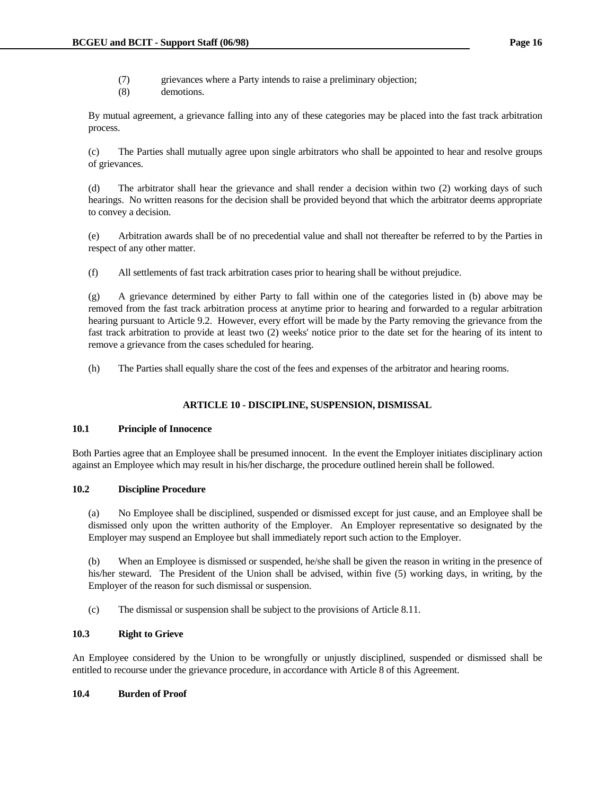- (7) grievances where a Party intends to raise a preliminary objection;
- (8) demotions.

 By mutual agreement, a grievance falling into any of these categories may be placed into the fast track arbitration process.

 (c) The Parties shall mutually agree upon single arbitrators who shall be appointed to hear and resolve groups of grievances.

 (d) The arbitrator shall hear the grievance and shall render a decision within two (2) working days of such hearings. No written reasons for the decision shall be provided beyond that which the arbitrator deems appropriate to convey a decision.

 (e) Arbitration awards shall be of no precedential value and shall not thereafter be referred to by the Parties in respect of any other matter.

(f) All settlements of fast track arbitration cases prior to hearing shall be without prejudice.

 (g) A grievance determined by either Party to fall within one of the categories listed in (b) above may be removed from the fast track arbitration process at anytime prior to hearing and forwarded to a regular arbitration hearing pursuant to Article 9.2. However, every effort will be made by the Party removing the grievance from the fast track arbitration to provide at least two (2) weeks' notice prior to the date set for the hearing of its intent to remove a grievance from the cases scheduled for hearing.

(h) The Parties shall equally share the cost of the fees and expenses of the arbitrator and hearing rooms.

# **ARTICLE 10 - DISCIPLINE, SUSPENSION, DISMISSAL**

### **10.1 Principle of Innocence**

Both Parties agree that an Employee shall be presumed innocent. In the event the Employer initiates disciplinary action against an Employee which may result in his/her discharge, the procedure outlined herein shall be followed.

# **10.2 Discipline Procedure**

 (a) No Employee shall be disciplined, suspended or dismissed except for just cause, and an Employee shall be dismissed only upon the written authority of the Employer. An Employer representative so designated by the Employer may suspend an Employee but shall immediately report such action to the Employer.

 (b) When an Employee is dismissed or suspended, he/she shall be given the reason in writing in the presence of his/her steward. The President of the Union shall be advised, within five (5) working days, in writing, by the Employer of the reason for such dismissal or suspension.

(c) The dismissal or suspension shall be subject to the provisions of Article 8.11.

# **10.3 Right to Grieve**

An Employee considered by the Union to be wrongfully or unjustly disciplined, suspended or dismissed shall be entitled to recourse under the grievance procedure, in accordance with Article 8 of this Agreement.

### **10.4 Burden of Proof**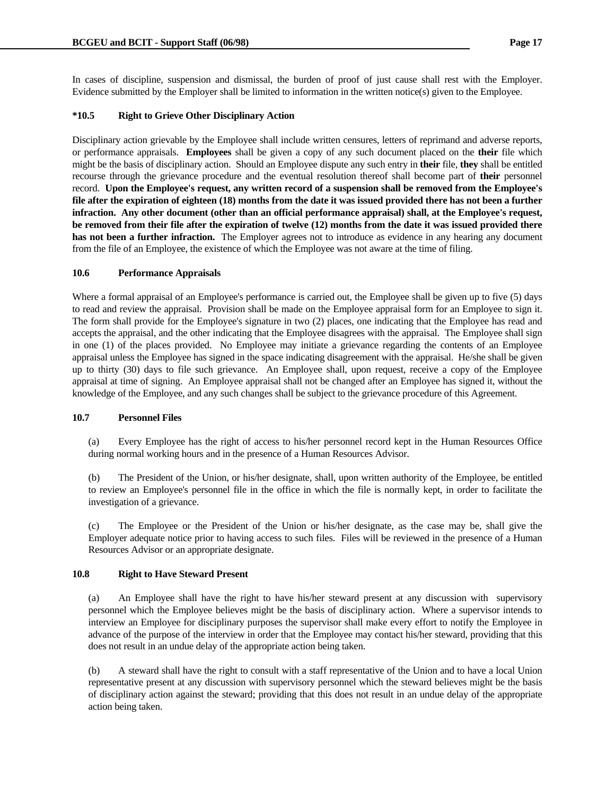In cases of discipline, suspension and dismissal, the burden of proof of just cause shall rest with the Employer. Evidence submitted by the Employer shall be limited to information in the written notice(s) given to the Employee.

### **\*10.5 Right to Grieve Other Disciplinary Action**

Disciplinary action grievable by the Employee shall include written censures, letters of reprimand and adverse reports, or performance appraisals. **Employees** shall be given a copy of any such document placed on the **their** file which might be the basis of disciplinary action. Should an Employee dispute any such entry in **their** file, **they** shall be entitled recourse through the grievance procedure and the eventual resolution thereof shall become part of **their** personnel record. **Upon the Employee's request, any written record of a suspension shall be removed from the Employee's file after the expiration of eighteen (18) months from the date it was issued provided there has not been a further infraction. Any other document (other than an official performance appraisal) shall, at the Employee's request, be removed from their file after the expiration of twelve (12) months from the date it was issued provided there has not been a further infraction.** The Employer agrees not to introduce as evidence in any hearing any document from the file of an Employee, the existence of which the Employee was not aware at the time of filing.

### **10.6 Performance Appraisals**

Where a formal appraisal of an Employee's performance is carried out, the Employee shall be given up to five (5) days to read and review the appraisal. Provision shall be made on the Employee appraisal form for an Employee to sign it. The form shall provide for the Employee's signature in two (2) places, one indicating that the Employee has read and accepts the appraisal, and the other indicating that the Employee disagrees with the appraisal. The Employee shall sign in one (1) of the places provided. No Employee may initiate a grievance regarding the contents of an Employee appraisal unless the Employee has signed in the space indicating disagreement with the appraisal. He/she shall be given up to thirty (30) days to file such grievance. An Employee shall, upon request, receive a copy of the Employee appraisal at time of signing. An Employee appraisal shall not be changed after an Employee has signed it, without the knowledge of the Employee, and any such changes shall be subject to the grievance procedure of this Agreement.

### **10.7 Personnel Files**

 (a) Every Employee has the right of access to his/her personnel record kept in the Human Resources Office during normal working hours and in the presence of a Human Resources Advisor.

 (b) The President of the Union, or his/her designate, shall, upon written authority of the Employee, be entitled to review an Employee's personnel file in the office in which the file is normally kept, in order to facilitate the investigation of a grievance.

 (c) The Employee or the President of the Union or his/her designate, as the case may be, shall give the Employer adequate notice prior to having access to such files. Files will be reviewed in the presence of a Human Resources Advisor or an appropriate designate.

### **10.8 Right to Have Steward Present**

 (a) An Employee shall have the right to have his/her steward present at any discussion with supervisory personnel which the Employee believes might be the basis of disciplinary action. Where a supervisor intends to interview an Employee for disciplinary purposes the supervisor shall make every effort to notify the Employee in advance of the purpose of the interview in order that the Employee may contact his/her steward, providing that this does not result in an undue delay of the appropriate action being taken.

 (b) A steward shall have the right to consult with a staff representative of the Union and to have a local Union representative present at any discussion with supervisory personnel which the steward believes might be the basis of disciplinary action against the steward; providing that this does not result in an undue delay of the appropriate action being taken.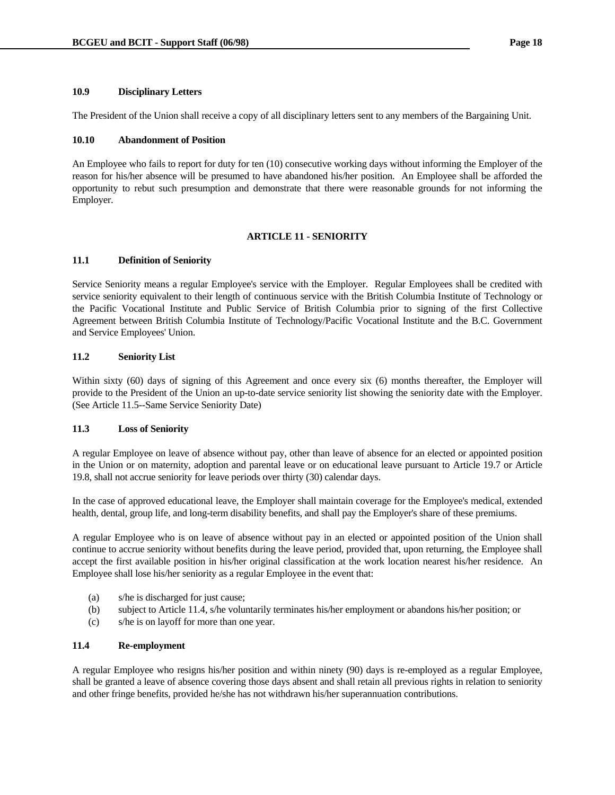### **10.9 Disciplinary Letters**

The President of the Union shall receive a copy of all disciplinary letters sent to any members of the Bargaining Unit.

### **10.10 Abandonment of Position**

An Employee who fails to report for duty for ten (10) consecutive working days without informing the Employer of the reason for his/her absence will be presumed to have abandoned his/her position. An Employee shall be afforded the opportunity to rebut such presumption and demonstrate that there were reasonable grounds for not informing the Employer.

### **ARTICLE 11 - SENIORITY**

### **11.1 Definition of Seniority**

Service Seniority means a regular Employee's service with the Employer. Regular Employees shall be credited with service seniority equivalent to their length of continuous service with the British Columbia Institute of Technology or the Pacific Vocational Institute and Public Service of British Columbia prior to signing of the first Collective Agreement between British Columbia Institute of Technology/Pacific Vocational Institute and the B.C. Government and Service Employees' Union.

### **11.2 Seniority List**

Within sixty (60) days of signing of this Agreement and once every six (6) months thereafter, the Employer will provide to the President of the Union an up-to-date service seniority list showing the seniority date with the Employer. (See Article 11.5--Same Service Seniority Date)

# **11.3 Loss of Seniority**

A regular Employee on leave of absence without pay, other than leave of absence for an elected or appointed position in the Union or on maternity, adoption and parental leave or on educational leave pursuant to Article 19.7 or Article 19.8, shall not accrue seniority for leave periods over thirty (30) calendar days.

In the case of approved educational leave, the Employer shall maintain coverage for the Employee's medical, extended health, dental, group life, and long-term disability benefits, and shall pay the Employer's share of these premiums.

A regular Employee who is on leave of absence without pay in an elected or appointed position of the Union shall continue to accrue seniority without benefits during the leave period, provided that, upon returning, the Employee shall accept the first available position in his/her original classification at the work location nearest his/her residence. An Employee shall lose his/her seniority as a regular Employee in the event that:

- (a) s/he is discharged for just cause;
- (b) subject to Article 11.4, s/he voluntarily terminates his/her employment or abandons his/her position; or
- (c) s/he is on layoff for more than one year.

### **11.4 Re-employment**

A regular Employee who resigns his/her position and within ninety (90) days is re-employed as a regular Employee, shall be granted a leave of absence covering those days absent and shall retain all previous rights in relation to seniority and other fringe benefits, provided he/she has not withdrawn his/her superannuation contributions.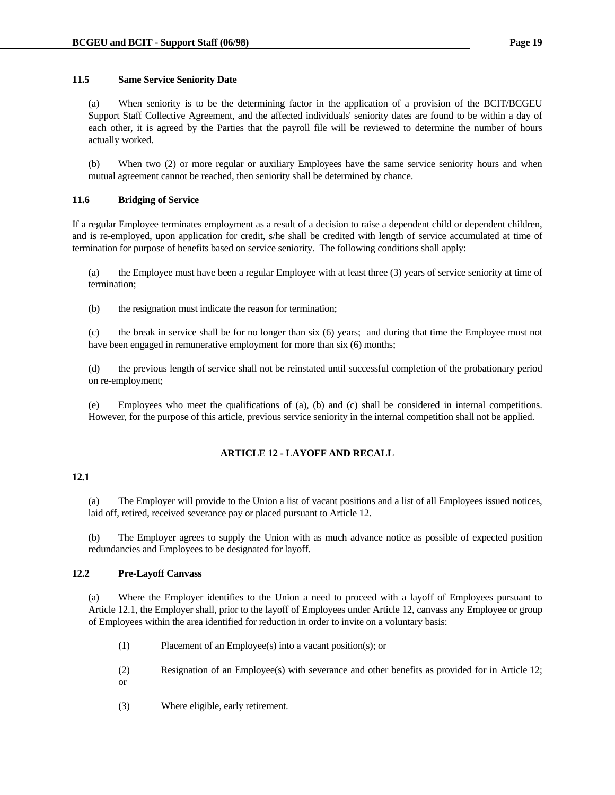### **11.5 Same Service Seniority Date**

 (a) When seniority is to be the determining factor in the application of a provision of the BCIT/BCGEU Support Staff Collective Agreement, and the affected individuals' seniority dates are found to be within a day of each other, it is agreed by the Parties that the payroll file will be reviewed to determine the number of hours actually worked.

 (b) When two (2) or more regular or auxiliary Employees have the same service seniority hours and when mutual agreement cannot be reached, then seniority shall be determined by chance.

# **11.6 Bridging of Service**

If a regular Employee terminates employment as a result of a decision to raise a dependent child or dependent children, and is re-employed, upon application for credit, s/he shall be credited with length of service accumulated at time of termination for purpose of benefits based on service seniority. The following conditions shall apply:

 (a) the Employee must have been a regular Employee with at least three (3) years of service seniority at time of termination;

(b) the resignation must indicate the reason for termination;

 (c) the break in service shall be for no longer than six (6) years; and during that time the Employee must not have been engaged in remunerative employment for more than six (6) months;

 (d) the previous length of service shall not be reinstated until successful completion of the probationary period on re-employment;

 (e) Employees who meet the qualifications of (a), (b) and (c) shall be considered in internal competitions. However, for the purpose of this article, previous service seniority in the internal competition shall not be applied.

# **ARTICLE 12 - LAYOFF AND RECALL**

### **12.1**

 (a) The Employer will provide to the Union a list of vacant positions and a list of all Employees issued notices, laid off, retired, received severance pay or placed pursuant to Article 12.

 (b) The Employer agrees to supply the Union with as much advance notice as possible of expected position redundancies and Employees to be designated for layoff.

# **12.2 Pre-Layoff Canvass**

 (a) Where the Employer identifies to the Union a need to proceed with a layoff of Employees pursuant to Article 12.1, the Employer shall, prior to the layoff of Employees under Article 12, canvass any Employee or group of Employees within the area identified for reduction in order to invite on a voluntary basis:

- (1) Placement of an Employee(s) into a vacant position(s); or
- (2) Resignation of an Employee(s) with severance and other benefits as provided for in Article 12; or
- (3) Where eligible, early retirement.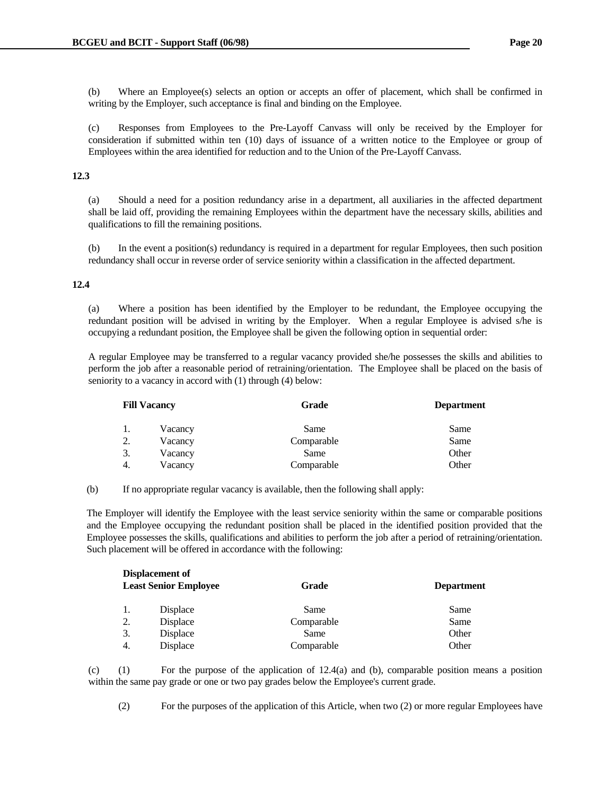(b) Where an Employee(s) selects an option or accepts an offer of placement, which shall be confirmed in writing by the Employer, such acceptance is final and binding on the Employee.

 (c) Responses from Employees to the Pre-Layoff Canvass will only be received by the Employer for consideration if submitted within ten (10) days of issuance of a written notice to the Employee or group of Employees within the area identified for reduction and to the Union of the Pre-Layoff Canvass.

### **12.3**

 (a) Should a need for a position redundancy arise in a department, all auxiliaries in the affected department shall be laid off, providing the remaining Employees within the department have the necessary skills, abilities and qualifications to fill the remaining positions.

 (b) In the event a position(s) redundancy is required in a department for regular Employees, then such position redundancy shall occur in reverse order of service seniority within a classification in the affected department.

### **12.4**

 (a) Where a position has been identified by the Employer to be redundant, the Employee occupying the redundant position will be advised in writing by the Employer. When a regular Employee is advised s/he is occupying a redundant position, the Employee shall be given the following option in sequential order:

 A regular Employee may be transferred to a regular vacancy provided she/he possesses the skills and abilities to perform the job after a reasonable period of retraining/orientation. The Employee shall be placed on the basis of seniority to a vacancy in accord with (1) through (4) below:

|                |         | Grade               | <b>Department</b> |
|----------------|---------|---------------------|-------------------|
| 1.             | Vacancy | Same                | Same              |
| $\gamma$<br>Ź. | Vacancy | Comparable          | Same              |
| 3.             | Vacancy | Same                | Other             |
| 4.             | Vacancy | Comparable          | Other             |
|                |         | <b>Fill Vacancy</b> |                   |

(b) If no appropriate regular vacancy is available, then the following shall apply:

 The Employer will identify the Employee with the least service seniority within the same or comparable positions and the Employee occupying the redundant position shall be placed in the identified position provided that the Employee possesses the skills, qualifications and abilities to perform the job after a period of retraining/orientation. Such placement will be offered in accordance with the following:

| Displacement of<br><b>Least Senior Employee</b> |                 | Grade      | <b>Department</b> |
|-------------------------------------------------|-----------------|------------|-------------------|
|                                                 | Displace        | Same       | Same              |
| 2.                                              | Displace        | Comparable | Same              |
| 3.                                              | <b>Displace</b> | Same       | Other             |
| 4.                                              | Displace        | Comparable | Other             |

 (c) (1) For the purpose of the application of 12.4(a) and (b), comparable position means a position within the same pay grade or one or two pay grades below the Employee's current grade.

(2) For the purposes of the application of this Article, when two (2) or more regular Employees have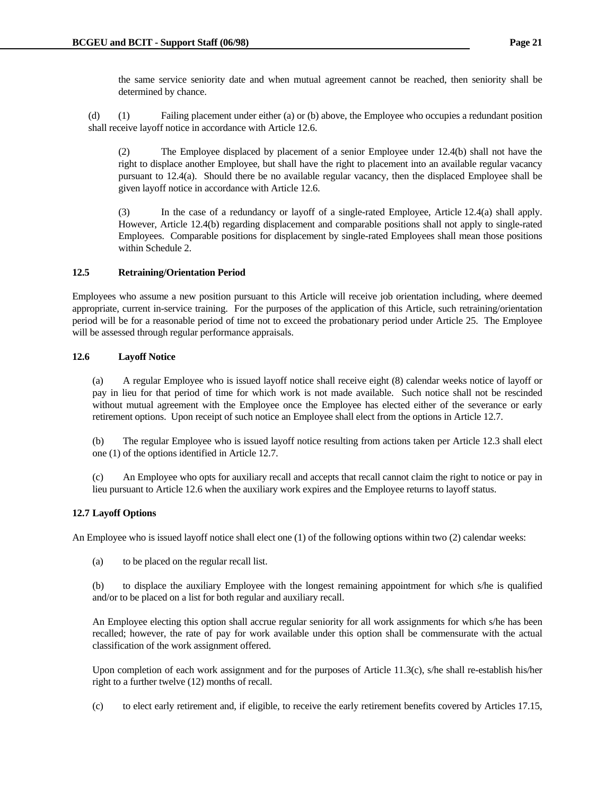the same service seniority date and when mutual agreement cannot be reached, then seniority shall be determined by chance.

 (d) (1) Failing placement under either (a) or (b) above, the Employee who occupies a redundant position shall receive layoff notice in accordance with Article 12.6.

 (2) The Employee displaced by placement of a senior Employee under 12.4(b) shall not have the right to displace another Employee, but shall have the right to placement into an available regular vacancy pursuant to 12.4(a). Should there be no available regular vacancy, then the displaced Employee shall be given layoff notice in accordance with Article 12.6.

 (3) In the case of a redundancy or layoff of a single-rated Employee, Article 12.4(a) shall apply. However, Article 12.4(b) regarding displacement and comparable positions shall not apply to single-rated Employees. Comparable positions for displacement by single-rated Employees shall mean those positions within Schedule 2.

# **12.5 Retraining/Orientation Period**

Employees who assume a new position pursuant to this Article will receive job orientation including, where deemed appropriate, current in-service training. For the purposes of the application of this Article, such retraining/orientation period will be for a reasonable period of time not to exceed the probationary period under Article 25. The Employee will be assessed through regular performance appraisals.

# **12.6 Layoff Notice**

 (a) A regular Employee who is issued layoff notice shall receive eight (8) calendar weeks notice of layoff or pay in lieu for that period of time for which work is not made available. Such notice shall not be rescinded without mutual agreement with the Employee once the Employee has elected either of the severance or early retirement options. Upon receipt of such notice an Employee shall elect from the options in Article 12.7.

 (b) The regular Employee who is issued layoff notice resulting from actions taken per Article 12.3 shall elect one (1) of the options identified in Article 12.7.

 (c) An Employee who opts for auxiliary recall and accepts that recall cannot claim the right to notice or pay in lieu pursuant to Article 12.6 when the auxiliary work expires and the Employee returns to layoff status.

# **12.7 Layoff Options**

An Employee who is issued layoff notice shall elect one (1) of the following options within two (2) calendar weeks:

(a) to be placed on the regular recall list.

 (b) to displace the auxiliary Employee with the longest remaining appointment for which s/he is qualified and/or to be placed on a list for both regular and auxiliary recall.

 An Employee electing this option shall accrue regular seniority for all work assignments for which s/he has been recalled; however, the rate of pay for work available under this option shall be commensurate with the actual classification of the work assignment offered.

Upon completion of each work assignment and for the purposes of Article 11.3(c), s/he shall re-establish his/her right to a further twelve (12) months of recall.

(c) to elect early retirement and, if eligible, to receive the early retirement benefits covered by Articles 17.15,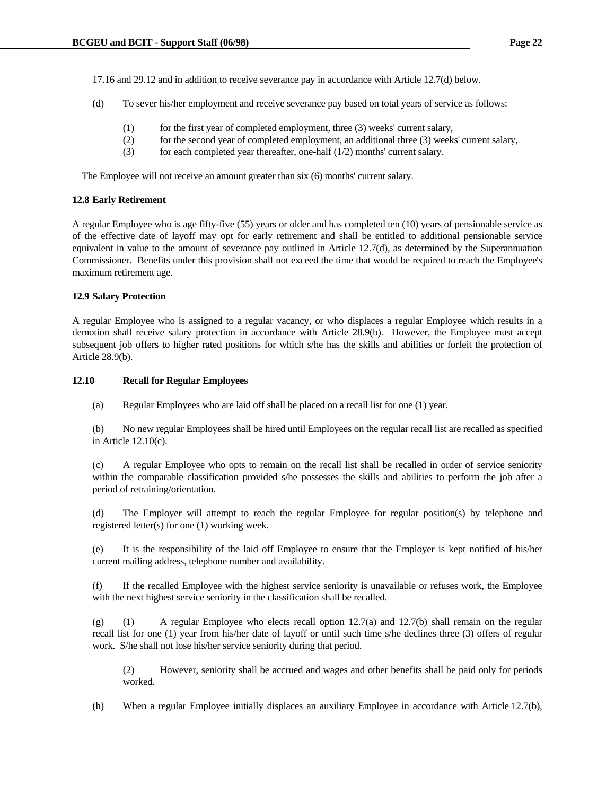17.16 and 29.12 and in addition to receive severance pay in accordance with Article 12.7(d) below.

- (d) To sever his/her employment and receive severance pay based on total years of service as follows:
	- (1) for the first year of completed employment, three (3) weeks' current salary,
	- (2) for the second year of completed employment, an additional three (3) weeks' current salary,
	- (3) for each completed year thereafter, one-half  $(1/2)$  months' current salary.

The Employee will not receive an amount greater than six (6) months' current salary.

#### **12.8 Early Retirement**

A regular Employee who is age fifty-five (55) years or older and has completed ten (10) years of pensionable service as of the effective date of layoff may opt for early retirement and shall be entitled to additional pensionable service equivalent in value to the amount of severance pay outlined in Article 12.7(d), as determined by the Superannuation Commissioner. Benefits under this provision shall not exceed the time that would be required to reach the Employee's maximum retirement age.

### **12.9 Salary Protection**

A regular Employee who is assigned to a regular vacancy, or who displaces a regular Employee which results in a demotion shall receive salary protection in accordance with Article 28.9(b). However, the Employee must accept subsequent job offers to higher rated positions for which s/he has the skills and abilities or forfeit the protection of Article 28.9(b).

### **12.10 Recall for Regular Employees**

(a) Regular Employees who are laid off shall be placed on a recall list for one (1) year.

 (b) No new regular Employees shall be hired until Employees on the regular recall list are recalled as specified in Article 12.10(c).

 (c) A regular Employee who opts to remain on the recall list shall be recalled in order of service seniority within the comparable classification provided s/he possesses the skills and abilities to perform the job after a period of retraining/orientation.

 (d) The Employer will attempt to reach the regular Employee for regular position(s) by telephone and registered letter(s) for one (1) working week.

 (e) It is the responsibility of the laid off Employee to ensure that the Employer is kept notified of his/her current mailing address, telephone number and availability.

 (f) If the recalled Employee with the highest service seniority is unavailable or refuses work, the Employee with the next highest service seniority in the classification shall be recalled.

 (g) (1) A regular Employee who elects recall option 12.7(a) and 12.7(b) shall remain on the regular recall list for one (1) year from his/her date of layoff or until such time s/he declines three (3) offers of regular work. S/he shall not lose his/her service seniority during that period.

 (2) However, seniority shall be accrued and wages and other benefits shall be paid only for periods worked.

(h) When a regular Employee initially displaces an auxiliary Employee in accordance with Article 12.7(b),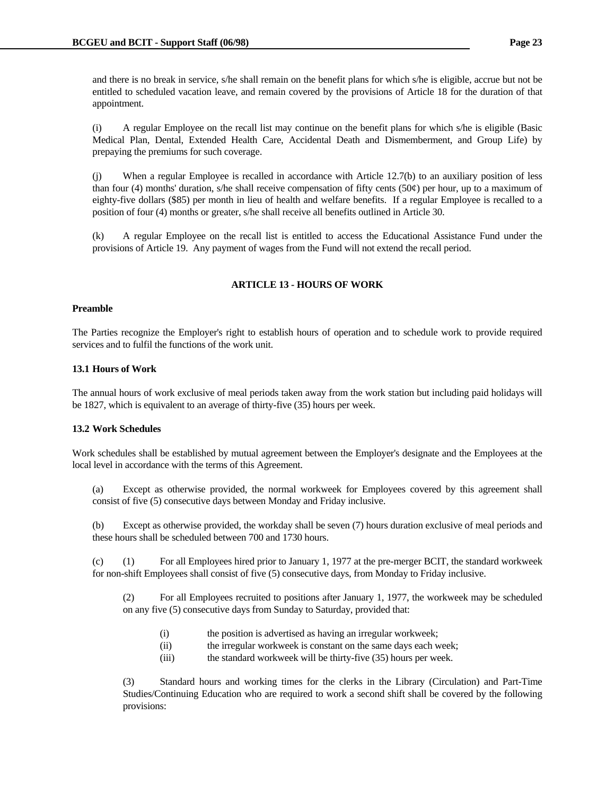and there is no break in service, s/he shall remain on the benefit plans for which s/he is eligible, accrue but not be entitled to scheduled vacation leave, and remain covered by the provisions of Article 18 for the duration of that appointment.

 (i) A regular Employee on the recall list may continue on the benefit plans for which s/he is eligible (Basic Medical Plan, Dental, Extended Health Care, Accidental Death and Dismemberment, and Group Life) by prepaying the premiums for such coverage.

 (j) When a regular Employee is recalled in accordance with Article 12.7(b) to an auxiliary position of less than four (4) months' duration, s/he shall receive compensation of fifty cents (50 $\varphi$ ) per hour, up to a maximum of eighty-five dollars (\$85) per month in lieu of health and welfare benefits. If a regular Employee is recalled to a position of four (4) months or greater, s/he shall receive all benefits outlined in Article 30.

 (k) A regular Employee on the recall list is entitled to access the Educational Assistance Fund under the provisions of Article 19. Any payment of wages from the Fund will not extend the recall period.

# **ARTICLE 13 - HOURS OF WORK**

### **Preamble**

The Parties recognize the Employer's right to establish hours of operation and to schedule work to provide required services and to fulfil the functions of the work unit.

### **13.1 Hours of Work**

The annual hours of work exclusive of meal periods taken away from the work station but including paid holidays will be 1827, which is equivalent to an average of thirty-five (35) hours per week.

# **13.2 Work Schedules**

Work schedules shall be established by mutual agreement between the Employer's designate and the Employees at the local level in accordance with the terms of this Agreement.

 (a) Except as otherwise provided, the normal workweek for Employees covered by this agreement shall consist of five (5) consecutive days between Monday and Friday inclusive.

 (b) Except as otherwise provided, the workday shall be seven (7) hours duration exclusive of meal periods and these hours shall be scheduled between 700 and 1730 hours.

 (c) (1) For all Employees hired prior to January 1, 1977 at the pre-merger BCIT, the standard workweek for non-shift Employees shall consist of five (5) consecutive days, from Monday to Friday inclusive.

 (2) For all Employees recruited to positions after January 1, 1977, the workweek may be scheduled on any five (5) consecutive days from Sunday to Saturday, provided that:

- (i) the position is advertised as having an irregular workweek;
- (ii) the irregular workweek is constant on the same days each week;
- (iii) the standard workweek will be thirty-five (35) hours per week.

 (3) Standard hours and working times for the clerks in the Library (Circulation) and Part-Time Studies/Continuing Education who are required to work a second shift shall be covered by the following provisions: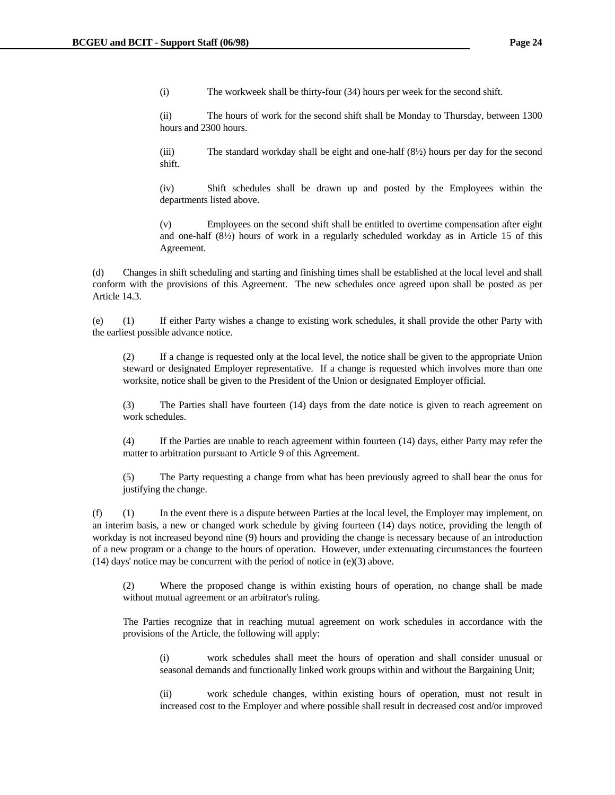(i) The workweek shall be thirty-four (34) hours per week for the second shift.

 (ii) The hours of work for the second shift shall be Monday to Thursday, between 1300 hours and 2300 hours.

(iii) The standard workday shall be eight and one-half  $(8\frac{1}{2})$  hours per day for the second shift.

 (iv) Shift schedules shall be drawn up and posted by the Employees within the departments listed above.

 (v) Employees on the second shift shall be entitled to overtime compensation after eight and one-half (8½) hours of work in a regularly scheduled workday as in Article 15 of this Agreement.

 (d) Changes in shift scheduling and starting and finishing times shall be established at the local level and shall conform with the provisions of this Agreement. The new schedules once agreed upon shall be posted as per Article 14.3.

 (e) (1) If either Party wishes a change to existing work schedules, it shall provide the other Party with the earliest possible advance notice.

 (2) If a change is requested only at the local level, the notice shall be given to the appropriate Union steward or designated Employer representative. If a change is requested which involves more than one worksite, notice shall be given to the President of the Union or designated Employer official.

 (3) The Parties shall have fourteen (14) days from the date notice is given to reach agreement on work schedules.

 (4) If the Parties are unable to reach agreement within fourteen (14) days, either Party may refer the matter to arbitration pursuant to Article 9 of this Agreement.

 (5) The Party requesting a change from what has been previously agreed to shall bear the onus for justifying the change.

 (f) (1) In the event there is a dispute between Parties at the local level, the Employer may implement, on an interim basis, a new or changed work schedule by giving fourteen (14) days notice, providing the length of workday is not increased beyond nine (9) hours and providing the change is necessary because of an introduction of a new program or a change to the hours of operation. However, under extenuating circumstances the fourteen (14) days' notice may be concurrent with the period of notice in (e)(3) above.

 (2) Where the proposed change is within existing hours of operation, no change shall be made without mutual agreement or an arbitrator's ruling.

 The Parties recognize that in reaching mutual agreement on work schedules in accordance with the provisions of the Article, the following will apply:

 (i) work schedules shall meet the hours of operation and shall consider unusual or seasonal demands and functionally linked work groups within and without the Bargaining Unit;

 (ii) work schedule changes, within existing hours of operation, must not result in increased cost to the Employer and where possible shall result in decreased cost and/or improved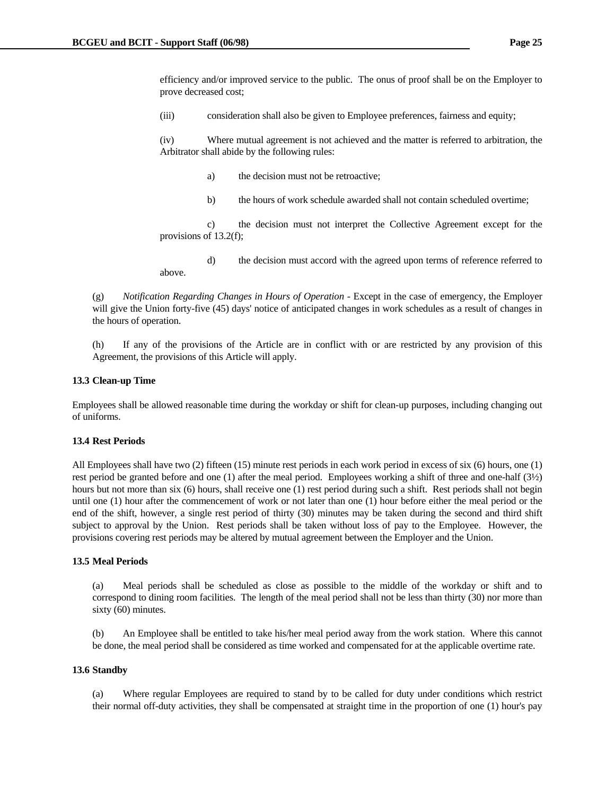efficiency and/or improved service to the public. The onus of proof shall be on the Employer to prove decreased cost;

(iii) consideration shall also be given to Employee preferences, fairness and equity;

 (iv) Where mutual agreement is not achieved and the matter is referred to arbitration, the Arbitrator shall abide by the following rules:

- a) the decision must not be retroactive;
- b) the hours of work schedule awarded shall not contain scheduled overtime;

 c) the decision must not interpret the Collective Agreement except for the provisions of 13.2(f);

 d) the decision must accord with the agreed upon terms of reference referred to above.

 (g) *Notification Regarding Changes in Hours of Operation* - Except in the case of emergency, the Employer will give the Union forty-five (45) days' notice of anticipated changes in work schedules as a result of changes in the hours of operation.

 (h) If any of the provisions of the Article are in conflict with or are restricted by any provision of this Agreement, the provisions of this Article will apply.

#### **13.3 Clean-up Time**

Employees shall be allowed reasonable time during the workday or shift for clean-up purposes, including changing out of uniforms.

### **13.4 Rest Periods**

All Employees shall have two (2) fifteen (15) minute rest periods in each work period in excess of six (6) hours, one (1) rest period be granted before and one (1) after the meal period. Employees working a shift of three and one-half (3½) hours but not more than six (6) hours, shall receive one (1) rest period during such a shift. Rest periods shall not begin until one (1) hour after the commencement of work or not later than one (1) hour before either the meal period or the end of the shift, however, a single rest period of thirty (30) minutes may be taken during the second and third shift subject to approval by the Union. Rest periods shall be taken without loss of pay to the Employee. However, the provisions covering rest periods may be altered by mutual agreement between the Employer and the Union.

#### **13.5 Meal Periods**

 (a) Meal periods shall be scheduled as close as possible to the middle of the workday or shift and to correspond to dining room facilities. The length of the meal period shall not be less than thirty (30) nor more than sixty (60) minutes.

 (b) An Employee shall be entitled to take his/her meal period away from the work station. Where this cannot be done, the meal period shall be considered as time worked and compensated for at the applicable overtime rate.

#### **13.6 Standby**

 (a) Where regular Employees are required to stand by to be called for duty under conditions which restrict their normal off-duty activities, they shall be compensated at straight time in the proportion of one (1) hour's pay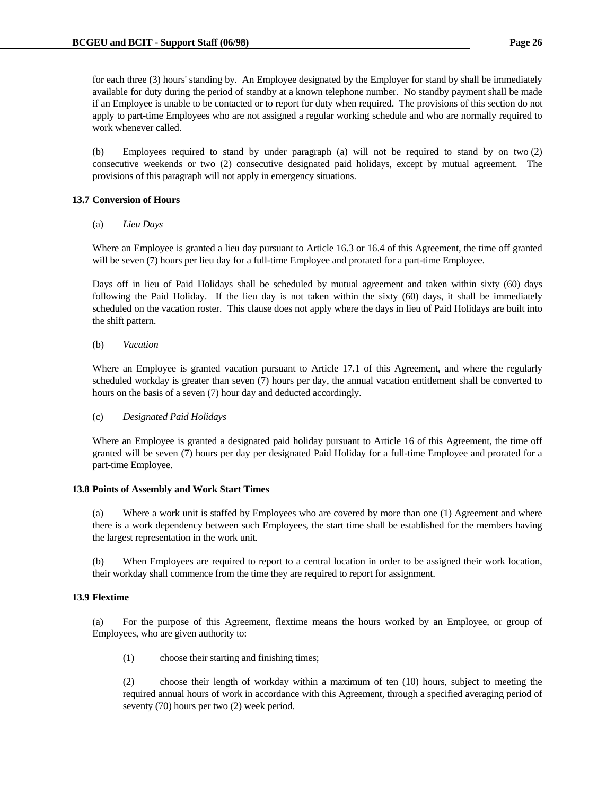for each three (3) hours' standing by. An Employee designated by the Employer for stand by shall be immediately available for duty during the period of standby at a known telephone number. No standby payment shall be made if an Employee is unable to be contacted or to report for duty when required. The provisions of this section do not apply to part-time Employees who are not assigned a regular working schedule and who are normally required to work whenever called.

 (b) Employees required to stand by under paragraph (a) will not be required to stand by on two (2) consecutive weekends or two (2) consecutive designated paid holidays, except by mutual agreement. The provisions of this paragraph will not apply in emergency situations.

# **13.7 Conversion of Hours**

# (a) *Lieu Days*

 Where an Employee is granted a lieu day pursuant to Article 16.3 or 16.4 of this Agreement, the time off granted will be seven (7) hours per lieu day for a full-time Employee and prorated for a part-time Employee.

 Days off in lieu of Paid Holidays shall be scheduled by mutual agreement and taken within sixty (60) days following the Paid Holiday. If the lieu day is not taken within the sixty (60) days, it shall be immediately scheduled on the vacation roster. This clause does not apply where the days in lieu of Paid Holidays are built into the shift pattern.

## (b) *Vacation*

 Where an Employee is granted vacation pursuant to Article 17.1 of this Agreement, and where the regularly scheduled workday is greater than seven (7) hours per day, the annual vacation entitlement shall be converted to hours on the basis of a seven (7) hour day and deducted accordingly.

# (c) *Designated Paid Holidays*

 Where an Employee is granted a designated paid holiday pursuant to Article 16 of this Agreement, the time off granted will be seven (7) hours per day per designated Paid Holiday for a full-time Employee and prorated for a part-time Employee.

# **13.8 Points of Assembly and Work Start Times**

 (a) Where a work unit is staffed by Employees who are covered by more than one (1) Agreement and where there is a work dependency between such Employees, the start time shall be established for the members having the largest representation in the work unit.

 (b) When Employees are required to report to a central location in order to be assigned their work location, their workday shall commence from the time they are required to report for assignment.

# **13.9 Flextime**

 (a) For the purpose of this Agreement, flextime means the hours worked by an Employee, or group of Employees, who are given authority to:

(1) choose their starting and finishing times;

 (2) choose their length of workday within a maximum of ten (10) hours, subject to meeting the required annual hours of work in accordance with this Agreement, through a specified averaging period of seventy (70) hours per two (2) week period.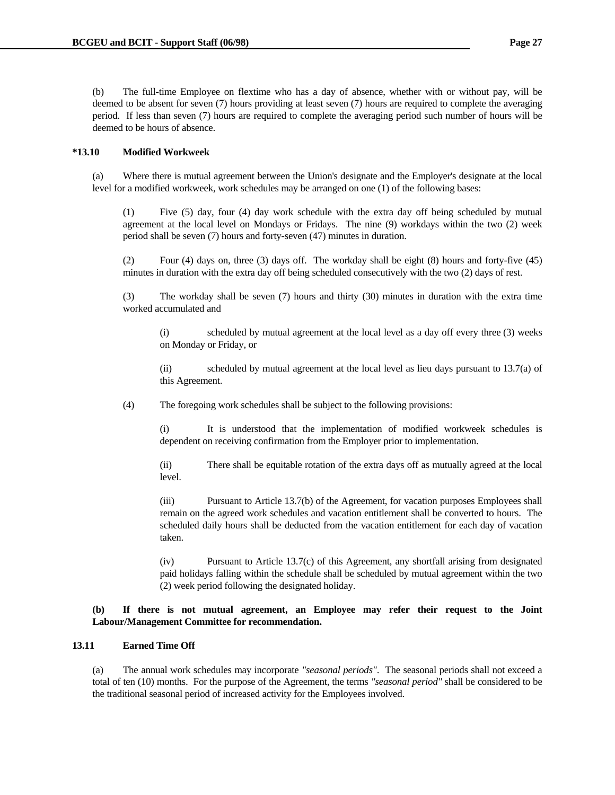(b) The full-time Employee on flextime who has a day of absence, whether with or without pay, will be deemed to be absent for seven (7) hours providing at least seven (7) hours are required to complete the averaging period. If less than seven (7) hours are required to complete the averaging period such number of hours will be deemed to be hours of absence.

## **\*13.10 Modified Workweek**

 (a) Where there is mutual agreement between the Union's designate and the Employer's designate at the local level for a modified workweek, work schedules may be arranged on one (1) of the following bases:

 (1) Five (5) day, four (4) day work schedule with the extra day off being scheduled by mutual agreement at the local level on Mondays or Fridays. The nine (9) workdays within the two (2) week period shall be seven (7) hours and forty-seven (47) minutes in duration.

 (2) Four (4) days on, three (3) days off. The workday shall be eight (8) hours and forty-five (45) minutes in duration with the extra day off being scheduled consecutively with the two (2) days of rest.

 (3) The workday shall be seven (7) hours and thirty (30) minutes in duration with the extra time worked accumulated and

 (i) scheduled by mutual agreement at the local level as a day off every three (3) weeks on Monday or Friday, or

 (ii) scheduled by mutual agreement at the local level as lieu days pursuant to 13.7(a) of this Agreement.

(4) The foregoing work schedules shall be subject to the following provisions:

 (i) It is understood that the implementation of modified workweek schedules is dependent on receiving confirmation from the Employer prior to implementation.

 (ii) There shall be equitable rotation of the extra days off as mutually agreed at the local level.

 (iii) Pursuant to Article 13.7(b) of the Agreement, for vacation purposes Employees shall remain on the agreed work schedules and vacation entitlement shall be converted to hours. The scheduled daily hours shall be deducted from the vacation entitlement for each day of vacation taken.

 (iv) Pursuant to Article 13.7(c) of this Agreement, any shortfall arising from designated paid holidays falling within the schedule shall be scheduled by mutual agreement within the two (2) week period following the designated holiday.

# **(b) If there is not mutual agreement, an Employee may refer their request to the Joint Labour/Management Committee for recommendation.**

# **13.11 Earned Time Off**

 (a) The annual work schedules may incorporate *"seasonal periods"*. The seasonal periods shall not exceed a total of ten (10) months. For the purpose of the Agreement, the terms *"seasonal period"* shall be considered to be the traditional seasonal period of increased activity for the Employees involved.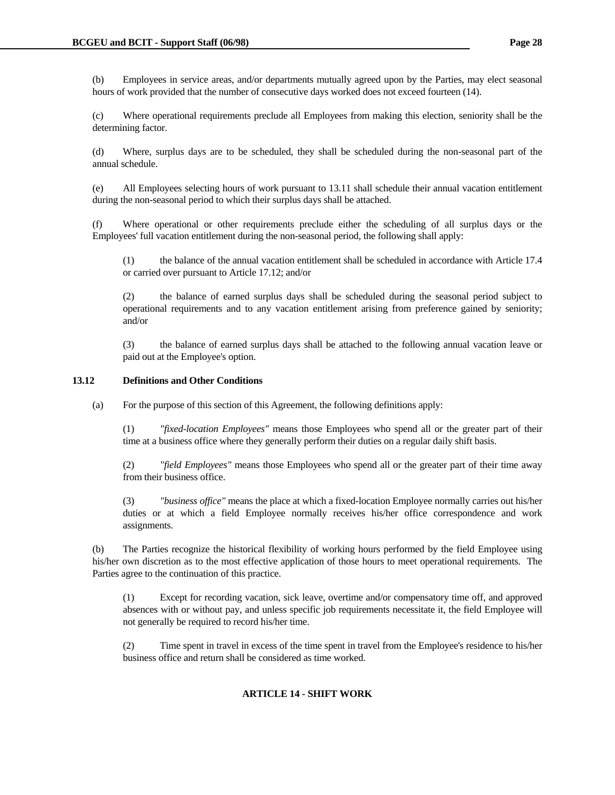(c) Where operational requirements preclude all Employees from making this election, seniority shall be the determining factor.

 (d) Where, surplus days are to be scheduled, they shall be scheduled during the non-seasonal part of the annual schedule.

 (e) All Employees selecting hours of work pursuant to 13.11 shall schedule their annual vacation entitlement during the non-seasonal period to which their surplus days shall be attached.

 (f) Where operational or other requirements preclude either the scheduling of all surplus days or the Employees' full vacation entitlement during the non-seasonal period, the following shall apply:

 (1) the balance of the annual vacation entitlement shall be scheduled in accordance with Article 17.4 or carried over pursuant to Article 17.12; and/or

 (2) the balance of earned surplus days shall be scheduled during the seasonal period subject to operational requirements and to any vacation entitlement arising from preference gained by seniority; and/or

 (3) the balance of earned surplus days shall be attached to the following annual vacation leave or paid out at the Employee's option.

# **13.12 Definitions and Other Conditions**

(a) For the purpose of this section of this Agreement, the following definitions apply:

 (1) *"fixed-location Employees"* means those Employees who spend all or the greater part of their time at a business office where they generally perform their duties on a regular daily shift basis.

 (2) *"field Employees"* means those Employees who spend all or the greater part of their time away from their business office.

 (3) *"business office"* means the place at which a fixed-location Employee normally carries out his/her duties or at which a field Employee normally receives his/her office correspondence and work assignments.

 (b) The Parties recognize the historical flexibility of working hours performed by the field Employee using his/her own discretion as to the most effective application of those hours to meet operational requirements. The Parties agree to the continuation of this practice.

 (1) Except for recording vacation, sick leave, overtime and/or compensatory time off, and approved absences with or without pay, and unless specific job requirements necessitate it, the field Employee will not generally be required to record his/her time.

 (2) Time spent in travel in excess of the time spent in travel from the Employee's residence to his/her business office and return shall be considered as time worked.

# **ARTICLE 14 - SHIFT WORK**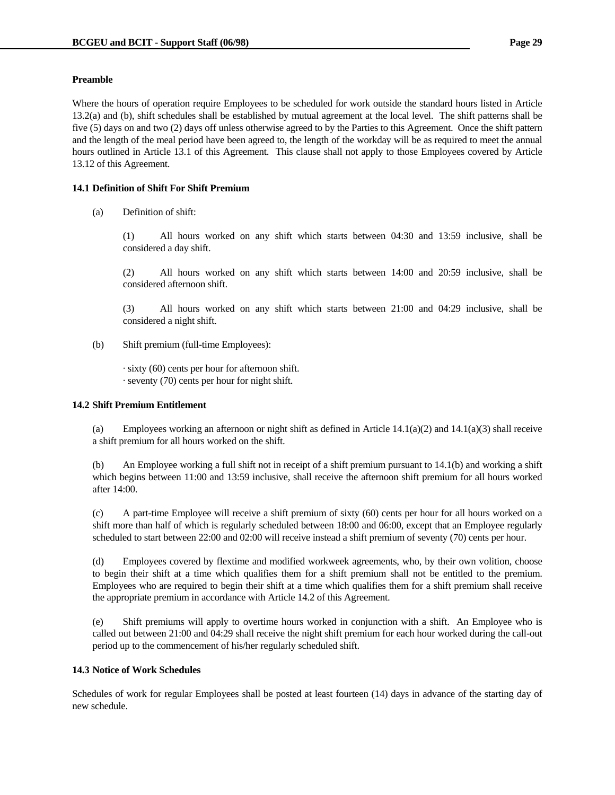## **Preamble**

Where the hours of operation require Employees to be scheduled for work outside the standard hours listed in Article 13.2(a) and (b), shift schedules shall be established by mutual agreement at the local level. The shift patterns shall be five (5) days on and two (2) days off unless otherwise agreed to by the Parties to this Agreement. Once the shift pattern and the length of the meal period have been agreed to, the length of the workday will be as required to meet the annual hours outlined in Article 13.1 of this Agreement. This clause shall not apply to those Employees covered by Article 13.12 of this Agreement.

# **14.1 Definition of Shift For Shift Premium**

(a) Definition of shift:

 (1) All hours worked on any shift which starts between 04:30 and 13:59 inclusive, shall be considered a day shift.

 (2) All hours worked on any shift which starts between 14:00 and 20:59 inclusive, shall be considered afternoon shift.

 (3) All hours worked on any shift which starts between 21:00 and 04:29 inclusive, shall be considered a night shift.

(b) Shift premium (full-time Employees):

 · sixty (60) cents per hour for afternoon shift. · seventy (70) cents per hour for night shift.

### **14.2 Shift Premium Entitlement**

(a) Employees working an afternoon or night shift as defined in Article  $14.1(a)(2)$  and  $14.1(a)(3)$  shall receive a shift premium for all hours worked on the shift.

 (b) An Employee working a full shift not in receipt of a shift premium pursuant to 14.1(b) and working a shift which begins between 11:00 and 13:59 inclusive, shall receive the afternoon shift premium for all hours worked after 14:00.

 (c) A part-time Employee will receive a shift premium of sixty (60) cents per hour for all hours worked on a shift more than half of which is regularly scheduled between 18:00 and 06:00, except that an Employee regularly scheduled to start between 22:00 and 02:00 will receive instead a shift premium of seventy (70) cents per hour.

 (d) Employees covered by flextime and modified workweek agreements, who, by their own volition, choose to begin their shift at a time which qualifies them for a shift premium shall not be entitled to the premium. Employees who are required to begin their shift at a time which qualifies them for a shift premium shall receive the appropriate premium in accordance with Article 14.2 of this Agreement.

 (e) Shift premiums will apply to overtime hours worked in conjunction with a shift. An Employee who is called out between 21:00 and 04:29 shall receive the night shift premium for each hour worked during the call-out period up to the commencement of his/her regularly scheduled shift.

### **14.3 Notice of Work Schedules**

Schedules of work for regular Employees shall be posted at least fourteen (14) days in advance of the starting day of new schedule.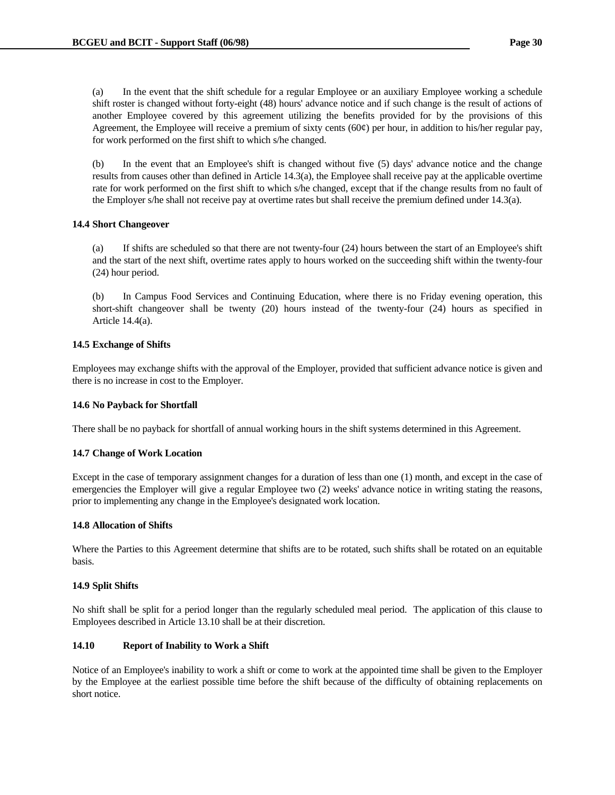(a) In the event that the shift schedule for a regular Employee or an auxiliary Employee working a schedule shift roster is changed without forty-eight (48) hours' advance notice and if such change is the result of actions of another Employee covered by this agreement utilizing the benefits provided for by the provisions of this Agreement, the Employee will receive a premium of sixty cents  $(60¢)$  per hour, in addition to his/her regular pay, for work performed on the first shift to which s/he changed.

 (b) In the event that an Employee's shift is changed without five (5) days' advance notice and the change results from causes other than defined in Article 14.3(a), the Employee shall receive pay at the applicable overtime rate for work performed on the first shift to which s/he changed, except that if the change results from no fault of the Employer s/he shall not receive pay at overtime rates but shall receive the premium defined under 14.3(a).

### **14.4 Short Changeover**

 (a) If shifts are scheduled so that there are not twenty-four (24) hours between the start of an Employee's shift and the start of the next shift, overtime rates apply to hours worked on the succeeding shift within the twenty-four (24) hour period.

 (b) In Campus Food Services and Continuing Education, where there is no Friday evening operation, this short-shift changeover shall be twenty (20) hours instead of the twenty-four (24) hours as specified in Article 14.4(a).

## **14.5 Exchange of Shifts**

Employees may exchange shifts with the approval of the Employer, provided that sufficient advance notice is given and there is no increase in cost to the Employer.

### **14.6 No Payback for Shortfall**

There shall be no payback for shortfall of annual working hours in the shift systems determined in this Agreement.

# **14.7 Change of Work Location**

Except in the case of temporary assignment changes for a duration of less than one (1) month, and except in the case of emergencies the Employer will give a regular Employee two (2) weeks' advance notice in writing stating the reasons, prior to implementing any change in the Employee's designated work location.

### **14.8 Allocation of Shifts**

Where the Parties to this Agreement determine that shifts are to be rotated, such shifts shall be rotated on an equitable basis.

### **14.9 Split Shifts**

No shift shall be split for a period longer than the regularly scheduled meal period. The application of this clause to Employees described in Article 13.10 shall be at their discretion.

# **14.10 Report of Inability to Work a Shift**

Notice of an Employee's inability to work a shift or come to work at the appointed time shall be given to the Employer by the Employee at the earliest possible time before the shift because of the difficulty of obtaining replacements on short notice.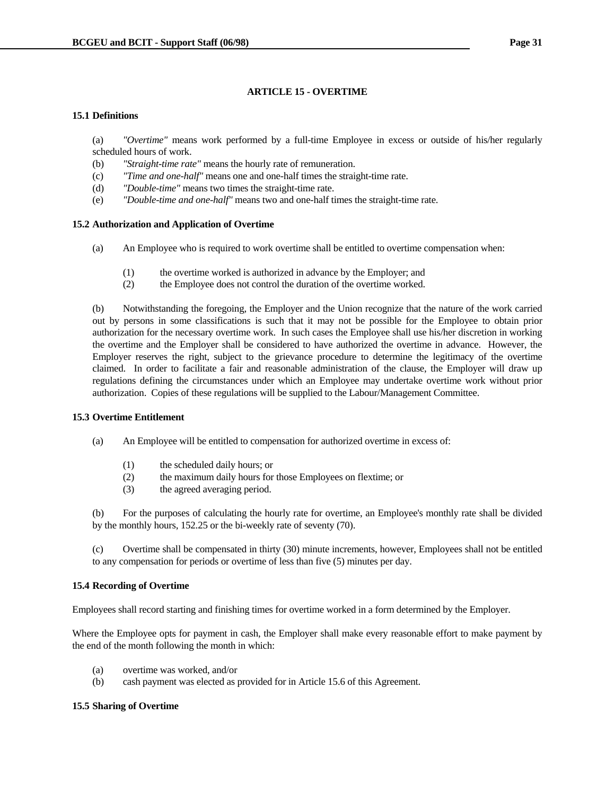# **ARTICLE 15 - OVERTIME**

# **15.1 Definitions**

 (a) *"Overtime"* means work performed by a full-time Employee in excess or outside of his/her regularly scheduled hours of work.

- (b) *"Straight-time rate"* means the hourly rate of remuneration.
- (c) *"Time and one-half"* means one and one-half times the straight-time rate.
- (d) *"Double-time"* means two times the straight-time rate.
- (e) *"Double-time and one-half"* means two and one-half times the straight-time rate.

## **15.2 Authorization and Application of Overtime**

- (a) An Employee who is required to work overtime shall be entitled to overtime compensation when:
	- (1) the overtime worked is authorized in advance by the Employer; and
	- (2) the Employee does not control the duration of the overtime worked.

 (b) Notwithstanding the foregoing, the Employer and the Union recognize that the nature of the work carried out by persons in some classifications is such that it may not be possible for the Employee to obtain prior authorization for the necessary overtime work. In such cases the Employee shall use his/her discretion in working the overtime and the Employer shall be considered to have authorized the overtime in advance. However, the Employer reserves the right, subject to the grievance procedure to determine the legitimacy of the overtime claimed. In order to facilitate a fair and reasonable administration of the clause, the Employer will draw up regulations defining the circumstances under which an Employee may undertake overtime work without prior authorization. Copies of these regulations will be supplied to the Labour/Management Committee.

# **15.3 Overtime Entitlement**

- (a) An Employee will be entitled to compensation for authorized overtime in excess of:
	- (1) the scheduled daily hours; or
	- (2) the maximum daily hours for those Employees on flextime; or
	- (3) the agreed averaging period.

 (b) For the purposes of calculating the hourly rate for overtime, an Employee's monthly rate shall be divided by the monthly hours, 152.25 or the bi-weekly rate of seventy (70).

 (c) Overtime shall be compensated in thirty (30) minute increments, however, Employees shall not be entitled to any compensation for periods or overtime of less than five (5) minutes per day.

# **15.4 Recording of Overtime**

Employees shall record starting and finishing times for overtime worked in a form determined by the Employer.

Where the Employee opts for payment in cash, the Employer shall make every reasonable effort to make payment by the end of the month following the month in which:

- (a) overtime was worked, and/or
- (b) cash payment was elected as provided for in Article 15.6 of this Agreement.

## **15.5 Sharing of Overtime**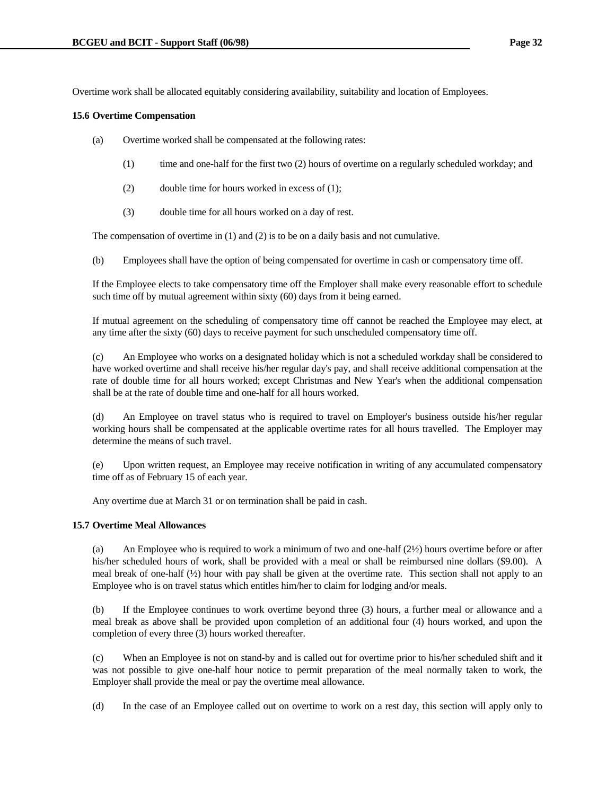Overtime work shall be allocated equitably considering availability, suitability and location of Employees.

## **15.6 Overtime Compensation**

- (a) Overtime worked shall be compensated at the following rates:
	- (1) time and one-half for the first two (2) hours of overtime on a regularly scheduled workday; and
	- (2) double time for hours worked in excess of (1);
	- (3) double time for all hours worked on a day of rest.

The compensation of overtime in (1) and (2) is to be on a daily basis and not cumulative.

(b) Employees shall have the option of being compensated for overtime in cash or compensatory time off.

 If the Employee elects to take compensatory time off the Employer shall make every reasonable effort to schedule such time off by mutual agreement within sixty (60) days from it being earned.

 If mutual agreement on the scheduling of compensatory time off cannot be reached the Employee may elect, at any time after the sixty (60) days to receive payment for such unscheduled compensatory time off.

 (c) An Employee who works on a designated holiday which is not a scheduled workday shall be considered to have worked overtime and shall receive his/her regular day's pay, and shall receive additional compensation at the rate of double time for all hours worked; except Christmas and New Year's when the additional compensation shall be at the rate of double time and one-half for all hours worked.

 (d) An Employee on travel status who is required to travel on Employer's business outside his/her regular working hours shall be compensated at the applicable overtime rates for all hours travelled. The Employer may determine the means of such travel.

 (e) Upon written request, an Employee may receive notification in writing of any accumulated compensatory time off as of February 15 of each year.

Any overtime due at March 31 or on termination shall be paid in cash.

# **15.7 Overtime Meal Allowances**

(a) An Employee who is required to work a minimum of two and one-half  $(2\frac{1}{2})$  hours overtime before or after his/her scheduled hours of work, shall be provided with a meal or shall be reimbursed nine dollars (\$9.00). A meal break of one-half  $(\frac{1}{2})$  hour with pay shall be given at the overtime rate. This section shall not apply to an Employee who is on travel status which entitles him/her to claim for lodging and/or meals.

 (b) If the Employee continues to work overtime beyond three (3) hours, a further meal or allowance and a meal break as above shall be provided upon completion of an additional four (4) hours worked, and upon the completion of every three (3) hours worked thereafter.

 (c) When an Employee is not on stand-by and is called out for overtime prior to his/her scheduled shift and it was not possible to give one-half hour notice to permit preparation of the meal normally taken to work, the Employer shall provide the meal or pay the overtime meal allowance.

(d) In the case of an Employee called out on overtime to work on a rest day, this section will apply only to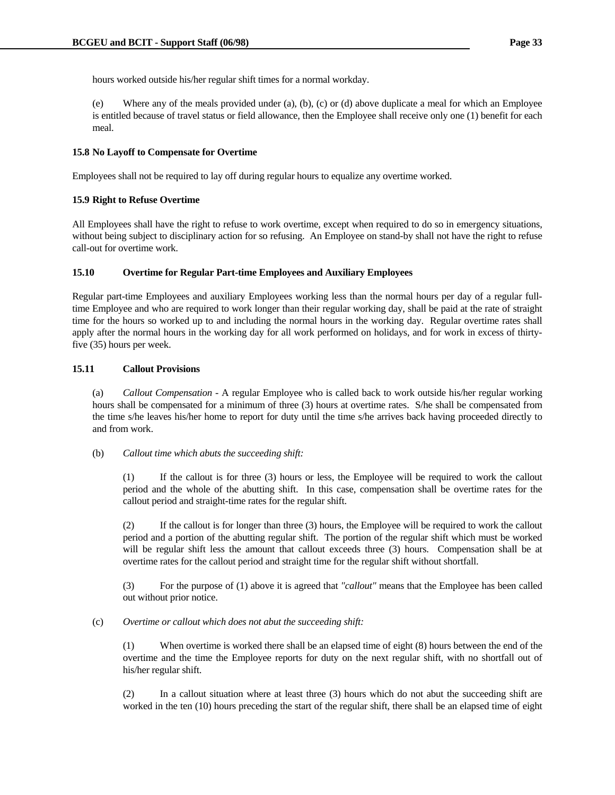hours worked outside his/her regular shift times for a normal workday.

 (e) Where any of the meals provided under (a), (b), (c) or (d) above duplicate a meal for which an Employee is entitled because of travel status or field allowance, then the Employee shall receive only one (1) benefit for each meal.

## **15.8 No Layoff to Compensate for Overtime**

Employees shall not be required to lay off during regular hours to equalize any overtime worked.

## **15.9 Right to Refuse Overtime**

All Employees shall have the right to refuse to work overtime, except when required to do so in emergency situations, without being subject to disciplinary action for so refusing. An Employee on stand-by shall not have the right to refuse call-out for overtime work.

# **15.10 Overtime for Regular Part-time Employees and Auxiliary Employees**

Regular part-time Employees and auxiliary Employees working less than the normal hours per day of a regular fulltime Employee and who are required to work longer than their regular working day, shall be paid at the rate of straight time for the hours so worked up to and including the normal hours in the working day. Regular overtime rates shall apply after the normal hours in the working day for all work performed on holidays, and for work in excess of thirtyfive (35) hours per week.

## **15.11 Callout Provisions**

 (a) *Callout Compensation* - A regular Employee who is called back to work outside his/her regular working hours shall be compensated for a minimum of three (3) hours at overtime rates. S/he shall be compensated from the time s/he leaves his/her home to report for duty until the time s/he arrives back having proceeded directly to and from work.

# (b) *Callout time which abuts the succeeding shift:*

 (1) If the callout is for three (3) hours or less, the Employee will be required to work the callout period and the whole of the abutting shift. In this case, compensation shall be overtime rates for the callout period and straight-time rates for the regular shift.

 (2) If the callout is for longer than three (3) hours, the Employee will be required to work the callout period and a portion of the abutting regular shift. The portion of the regular shift which must be worked will be regular shift less the amount that callout exceeds three (3) hours. Compensation shall be at overtime rates for the callout period and straight time for the regular shift without shortfall.

 (3) For the purpose of (1) above it is agreed that *"callout"* means that the Employee has been called out without prior notice.

### (c) *Overtime or callout which does not abut the succeeding shift:*

 (1) When overtime is worked there shall be an elapsed time of eight (8) hours between the end of the overtime and the time the Employee reports for duty on the next regular shift, with no shortfall out of his/her regular shift.

 (2) In a callout situation where at least three (3) hours which do not abut the succeeding shift are worked in the ten (10) hours preceding the start of the regular shift, there shall be an elapsed time of eight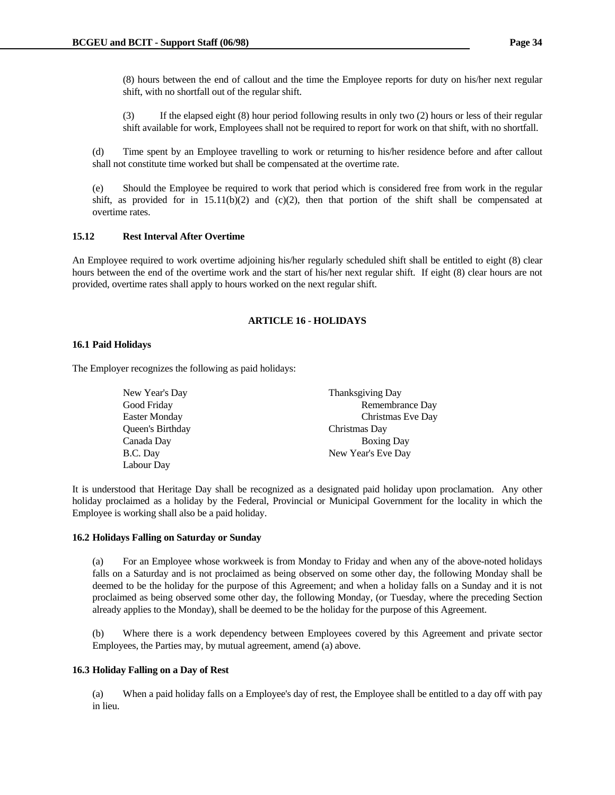(8) hours between the end of callout and the time the Employee reports for duty on his/her next regular shift, with no shortfall out of the regular shift.

 (3) If the elapsed eight (8) hour period following results in only two (2) hours or less of their regular shift available for work, Employees shall not be required to report for work on that shift, with no shortfall.

 (d) Time spent by an Employee travelling to work or returning to his/her residence before and after callout shall not constitute time worked but shall be compensated at the overtime rate.

 (e) Should the Employee be required to work that period which is considered free from work in the regular shift, as provided for in  $15.11(b)(2)$  and  $(c)(2)$ , then that portion of the shift shall be compensated at overtime rates.

## **15.12 Rest Interval After Overtime**

An Employee required to work overtime adjoining his/her regularly scheduled shift shall be entitled to eight (8) clear hours between the end of the overtime work and the start of his/her next regular shift. If eight (8) clear hours are not provided, overtime rates shall apply to hours worked on the next regular shift.

## **ARTICLE 16 - HOLIDAYS**

## **16.1 Paid Holidays**

The Employer recognizes the following as paid holidays:

| New Year's Day          | <b>Thanksgiving Day</b> |
|-------------------------|-------------------------|
| Good Friday             | Remembrance Day         |
| <b>Easter Monday</b>    | Christmas Eve Day       |
| <b>Oueen's Birthday</b> | Christmas Day           |
| Canada Day              | <b>Boxing Day</b>       |
| B.C. Day                | New Year's Eve Day      |
| Labour Day              |                         |

It is understood that Heritage Day shall be recognized as a designated paid holiday upon proclamation. Any other holiday proclaimed as a holiday by the Federal, Provincial or Municipal Government for the locality in which the Employee is working shall also be a paid holiday.

### **16.2 Holidays Falling on Saturday or Sunday**

 (a) For an Employee whose workweek is from Monday to Friday and when any of the above-noted holidays falls on a Saturday and is not proclaimed as being observed on some other day, the following Monday shall be deemed to be the holiday for the purpose of this Agreement; and when a holiday falls on a Sunday and it is not proclaimed as being observed some other day, the following Monday, (or Tuesday, where the preceding Section already applies to the Monday), shall be deemed to be the holiday for the purpose of this Agreement.

 (b) Where there is a work dependency between Employees covered by this Agreement and private sector Employees, the Parties may, by mutual agreement, amend (a) above.

### **16.3 Holiday Falling on a Day of Rest**

 (a) When a paid holiday falls on a Employee's day of rest, the Employee shall be entitled to a day off with pay in lieu.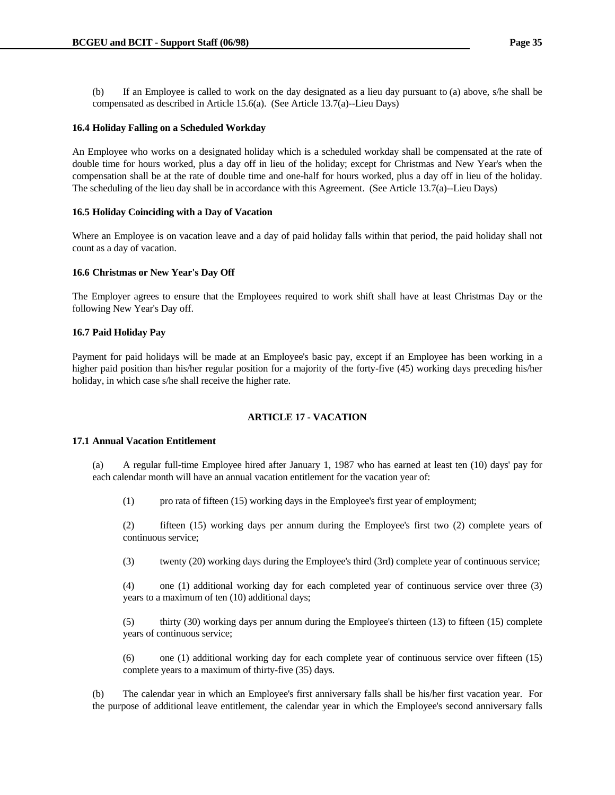(b) If an Employee is called to work on the day designated as a lieu day pursuant to (a) above, s/he shall be compensated as described in Article 15.6(a). (See Article 13.7(a)--Lieu Days)

# **16.4 Holiday Falling on a Scheduled Workday**

An Employee who works on a designated holiday which is a scheduled workday shall be compensated at the rate of double time for hours worked, plus a day off in lieu of the holiday; except for Christmas and New Year's when the compensation shall be at the rate of double time and one-half for hours worked, plus a day off in lieu of the holiday. The scheduling of the lieu day shall be in accordance with this Agreement. (See Article 13.7(a)--Lieu Days)

## **16.5 Holiday Coinciding with a Day of Vacation**

Where an Employee is on vacation leave and a day of paid holiday falls within that period, the paid holiday shall not count as a day of vacation.

### **16.6 Christmas or New Year's Day Off**

The Employer agrees to ensure that the Employees required to work shift shall have at least Christmas Day or the following New Year's Day off.

## **16.7 Paid Holiday Pay**

Payment for paid holidays will be made at an Employee's basic pay, except if an Employee has been working in a higher paid position than his/her regular position for a majority of the forty-five (45) working days preceding his/her holiday, in which case s/he shall receive the higher rate.

# **ARTICLE 17 - VACATION**

### **17.1 Annual Vacation Entitlement**

 (a) A regular full-time Employee hired after January 1, 1987 who has earned at least ten (10) days' pay for each calendar month will have an annual vacation entitlement for the vacation year of:

(1) pro rata of fifteen (15) working days in the Employee's first year of employment;

 (2) fifteen (15) working days per annum during the Employee's first two (2) complete years of continuous service;

(3) twenty (20) working days during the Employee's third (3rd) complete year of continuous service;

 (4) one (1) additional working day for each completed year of continuous service over three (3) years to a maximum of ten (10) additional days;

 (5) thirty (30) working days per annum during the Employee's thirteen (13) to fifteen (15) complete years of continuous service;

 (6) one (1) additional working day for each complete year of continuous service over fifteen (15) complete years to a maximum of thirty-five (35) days.

 (b) The calendar year in which an Employee's first anniversary falls shall be his/her first vacation year. For the purpose of additional leave entitlement, the calendar year in which the Employee's second anniversary falls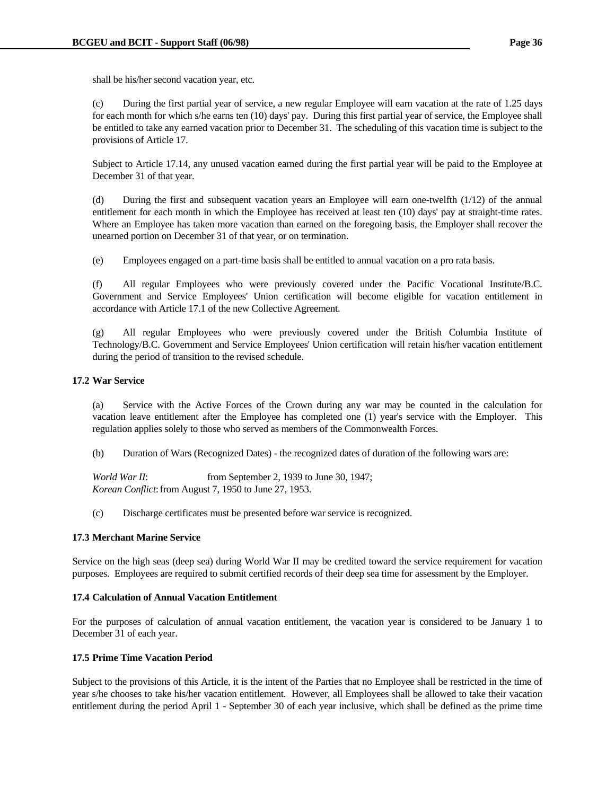shall be his/her second vacation year, etc.

 (c) During the first partial year of service, a new regular Employee will earn vacation at the rate of 1.25 days for each month for which s/he earns ten (10) days' pay. During this first partial year of service, the Employee shall be entitled to take any earned vacation prior to December 31. The scheduling of this vacation time is subject to the provisions of Article 17.

 Subject to Article 17.14, any unused vacation earned during the first partial year will be paid to the Employee at December 31 of that year.

 (d) During the first and subsequent vacation years an Employee will earn one-twelfth (1/12) of the annual entitlement for each month in which the Employee has received at least ten (10) days' pay at straight-time rates. Where an Employee has taken more vacation than earned on the foregoing basis, the Employer shall recover the unearned portion on December 31 of that year, or on termination.

(e) Employees engaged on a part-time basis shall be entitled to annual vacation on a pro rata basis.

 (f) All regular Employees who were previously covered under the Pacific Vocational Institute/B.C. Government and Service Employees' Union certification will become eligible for vacation entitlement in accordance with Article 17.1 of the new Collective Agreement.

 (g) All regular Employees who were previously covered under the British Columbia Institute of Technology/B.C. Government and Service Employees' Union certification will retain his/her vacation entitlement during the period of transition to the revised schedule.

# **17.2 War Service**

 (a) Service with the Active Forces of the Crown during any war may be counted in the calculation for vacation leave entitlement after the Employee has completed one (1) year's service with the Employer. This regulation applies solely to those who served as members of the Commonwealth Forces.

(b) Duration of Wars (Recognized Dates) - the recognized dates of duration of the following wars are:

*World War II*: from September 2, 1939 to June 30, 1947;  *Korean Conflict*: from August 7, 1950 to June 27, 1953.

(c) Discharge certificates must be presented before war service is recognized.

### **17.3 Merchant Marine Service**

Service on the high seas (deep sea) during World War II may be credited toward the service requirement for vacation purposes. Employees are required to submit certified records of their deep sea time for assessment by the Employer.

## **17.4 Calculation of Annual Vacation Entitlement**

For the purposes of calculation of annual vacation entitlement, the vacation year is considered to be January 1 to December 31 of each year.

# **17.5 Prime Time Vacation Period**

Subject to the provisions of this Article, it is the intent of the Parties that no Employee shall be restricted in the time of year s/he chooses to take his/her vacation entitlement. However, all Employees shall be allowed to take their vacation entitlement during the period April 1 - September 30 of each year inclusive, which shall be defined as the prime time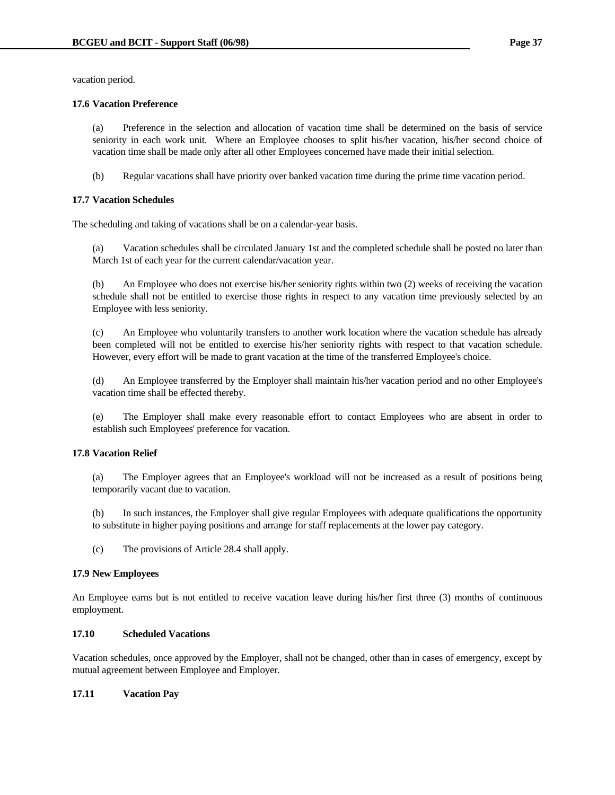vacation period.

# **17.6 Vacation Preference**

 (a) Preference in the selection and allocation of vacation time shall be determined on the basis of service seniority in each work unit. Where an Employee chooses to split his/her vacation, his/her second choice of vacation time shall be made only after all other Employees concerned have made their initial selection.

(b) Regular vacations shall have priority over banked vacation time during the prime time vacation period.

# **17.7 Vacation Schedules**

The scheduling and taking of vacations shall be on a calendar-year basis.

 (a) Vacation schedules shall be circulated January 1st and the completed schedule shall be posted no later than March 1st of each year for the current calendar/vacation year.

 (b) An Employee who does not exercise his/her seniority rights within two (2) weeks of receiving the vacation schedule shall not be entitled to exercise those rights in respect to any vacation time previously selected by an Employee with less seniority.

 (c) An Employee who voluntarily transfers to another work location where the vacation schedule has already been completed will not be entitled to exercise his/her seniority rights with respect to that vacation schedule. However, every effort will be made to grant vacation at the time of the transferred Employee's choice.

 (d) An Employee transferred by the Employer shall maintain his/her vacation period and no other Employee's vacation time shall be effected thereby.

 (e) The Employer shall make every reasonable effort to contact Employees who are absent in order to establish such Employees' preference for vacation.

# **17.8 Vacation Relief**

 (a) The Employer agrees that an Employee's workload will not be increased as a result of positions being temporarily vacant due to vacation.

 (b) In such instances, the Employer shall give regular Employees with adequate qualifications the opportunity to substitute in higher paying positions and arrange for staff replacements at the lower pay category.

(c) The provisions of Article 28.4 shall apply.

# **17.9 New Employees**

An Employee earns but is not entitled to receive vacation leave during his/her first three (3) months of continuous employment.

# **17.10 Scheduled Vacations**

Vacation schedules, once approved by the Employer, shall not be changed, other than in cases of emergency, except by mutual agreement between Employee and Employer.

# **17.11 Vacation Pay**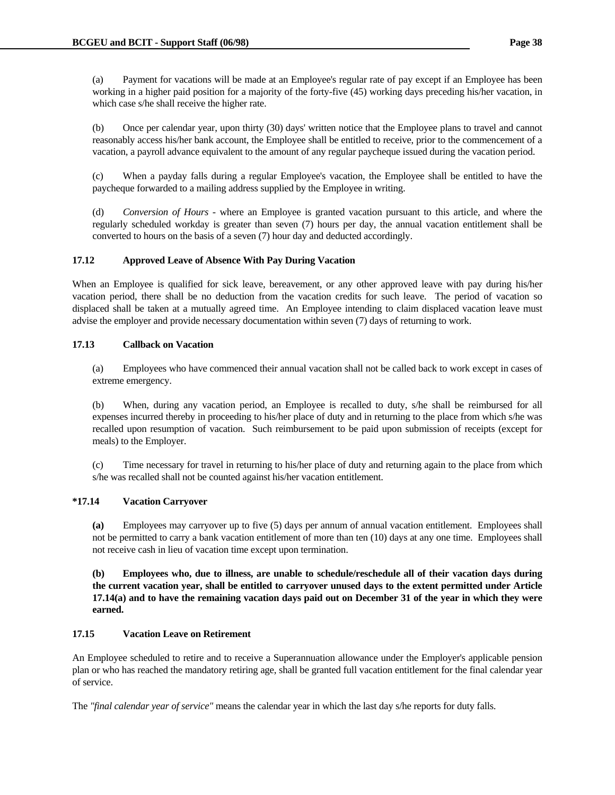(a) Payment for vacations will be made at an Employee's regular rate of pay except if an Employee has been working in a higher paid position for a majority of the forty-five (45) working days preceding his/her vacation, in which case s/he shall receive the higher rate.

 (b) Once per calendar year, upon thirty (30) days' written notice that the Employee plans to travel and cannot reasonably access his/her bank account, the Employee shall be entitled to receive, prior to the commencement of a vacation, a payroll advance equivalent to the amount of any regular paycheque issued during the vacation period.

 (c) When a payday falls during a regular Employee's vacation, the Employee shall be entitled to have the paycheque forwarded to a mailing address supplied by the Employee in writing.

 (d) *Conversion of Hours* - where an Employee is granted vacation pursuant to this article, and where the regularly scheduled workday is greater than seven (7) hours per day, the annual vacation entitlement shall be converted to hours on the basis of a seven (7) hour day and deducted accordingly.

# **17.12 Approved Leave of Absence With Pay During Vacation**

When an Employee is qualified for sick leave, bereavement, or any other approved leave with pay during his/her vacation period, there shall be no deduction from the vacation credits for such leave. The period of vacation so displaced shall be taken at a mutually agreed time. An Employee intending to claim displaced vacation leave must advise the employer and provide necessary documentation within seven (7) days of returning to work.

# **17.13 Callback on Vacation**

 (a) Employees who have commenced their annual vacation shall not be called back to work except in cases of extreme emergency.

 (b) When, during any vacation period, an Employee is recalled to duty, s/he shall be reimbursed for all expenses incurred thereby in proceeding to his/her place of duty and in returning to the place from which s/he was recalled upon resumption of vacation. Such reimbursement to be paid upon submission of receipts (except for meals) to the Employer.

 (c) Time necessary for travel in returning to his/her place of duty and returning again to the place from which s/he was recalled shall not be counted against his/her vacation entitlement.

# **\*17.14 Vacation Carryover**

 **(a)** Employees may carryover up to five (5) days per annum of annual vacation entitlement. Employees shall not be permitted to carry a bank vacation entitlement of more than ten (10) days at any one time. Employees shall not receive cash in lieu of vacation time except upon termination.

 **(b) Employees who, due to illness, are unable to schedule/reschedule all of their vacation days during the current vacation year, shall be entitled to carryover unused days to the extent permitted under Article 17.14(a) and to have the remaining vacation days paid out on December 31 of the year in which they were earned.**

# **17.15 Vacation Leave on Retirement**

An Employee scheduled to retire and to receive a Superannuation allowance under the Employer's applicable pension plan or who has reached the mandatory retiring age, shall be granted full vacation entitlement for the final calendar year of service.

The *"final calendar year of service"* means the calendar year in which the last day s/he reports for duty falls.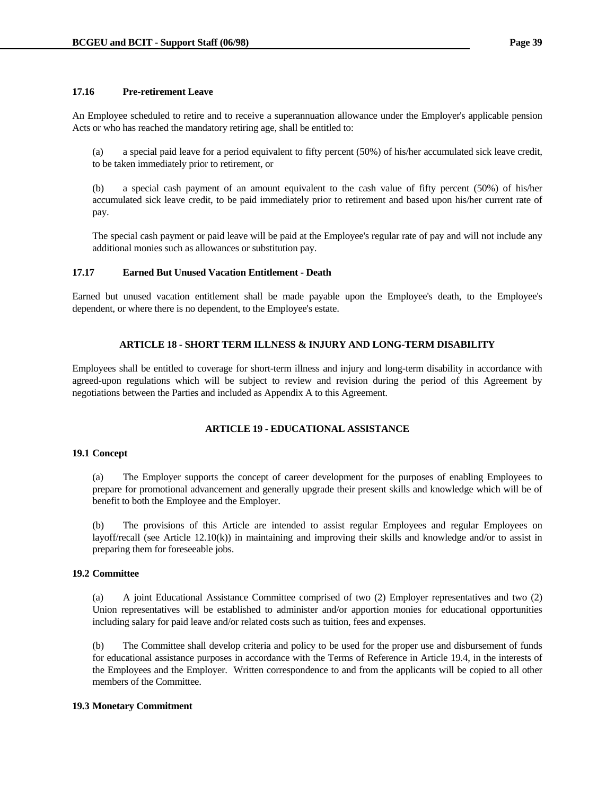# **17.16 Pre-retirement Leave**

An Employee scheduled to retire and to receive a superannuation allowance under the Employer's applicable pension Acts or who has reached the mandatory retiring age, shall be entitled to:

 (a) a special paid leave for a period equivalent to fifty percent (50%) of his/her accumulated sick leave credit, to be taken immediately prior to retirement, or

 (b) a special cash payment of an amount equivalent to the cash value of fifty percent (50%) of his/her accumulated sick leave credit, to be paid immediately prior to retirement and based upon his/her current rate of pay.

 The special cash payment or paid leave will be paid at the Employee's regular rate of pay and will not include any additional monies such as allowances or substitution pay.

## **17.17 Earned But Unused Vacation Entitlement - Death**

Earned but unused vacation entitlement shall be made payable upon the Employee's death, to the Employee's dependent, or where there is no dependent, to the Employee's estate.

## **ARTICLE 18 - SHORT TERM ILLNESS & INJURY AND LONG-TERM DISABILITY**

Employees shall be entitled to coverage for short-term illness and injury and long-term disability in accordance with agreed-upon regulations which will be subject to review and revision during the period of this Agreement by negotiations between the Parties and included as Appendix A to this Agreement.

# **ARTICLE 19 - EDUCATIONAL ASSISTANCE**

### **19.1 Concept**

 (a) The Employer supports the concept of career development for the purposes of enabling Employees to prepare for promotional advancement and generally upgrade their present skills and knowledge which will be of benefit to both the Employee and the Employer.

 (b) The provisions of this Article are intended to assist regular Employees and regular Employees on layoff/recall (see Article 12.10(k)) in maintaining and improving their skills and knowledge and/or to assist in preparing them for foreseeable jobs.

## **19.2 Committee**

 (a) A joint Educational Assistance Committee comprised of two (2) Employer representatives and two (2) Union representatives will be established to administer and/or apportion monies for educational opportunities including salary for paid leave and/or related costs such as tuition, fees and expenses.

 (b) The Committee shall develop criteria and policy to be used for the proper use and disbursement of funds for educational assistance purposes in accordance with the Terms of Reference in Article 19.4, in the interests of the Employees and the Employer. Written correspondence to and from the applicants will be copied to all other members of the Committee.

# **19.3 Monetary Commitment**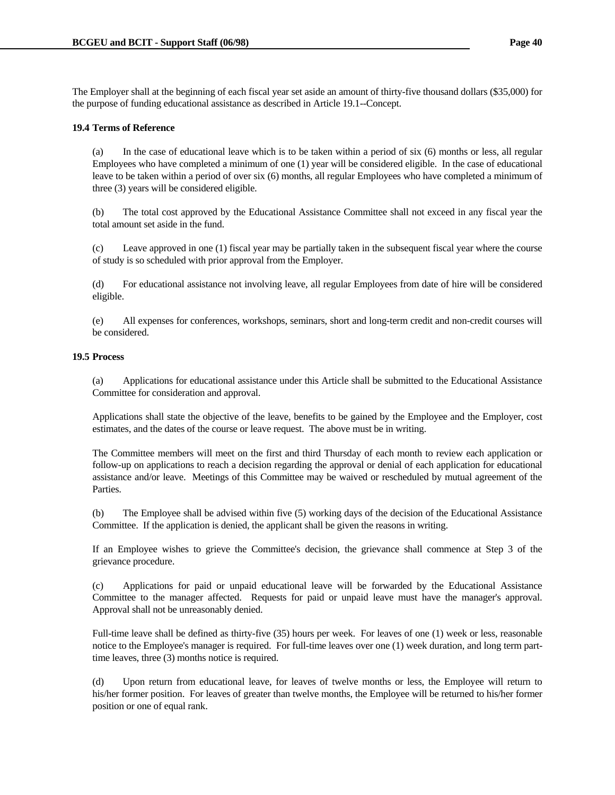The Employer shall at the beginning of each fiscal year set aside an amount of thirty-five thousand dollars (\$35,000) for the purpose of funding educational assistance as described in Article 19.1--Concept.

## **19.4 Terms of Reference**

 (a) In the case of educational leave which is to be taken within a period of six (6) months or less, all regular Employees who have completed a minimum of one (1) year will be considered eligible. In the case of educational leave to be taken within a period of over six (6) months, all regular Employees who have completed a minimum of three (3) years will be considered eligible.

 (b) The total cost approved by the Educational Assistance Committee shall not exceed in any fiscal year the total amount set aside in the fund.

 (c) Leave approved in one (1) fiscal year may be partially taken in the subsequent fiscal year where the course of study is so scheduled with prior approval from the Employer.

 (d) For educational assistance not involving leave, all regular Employees from date of hire will be considered eligible.

 (e) All expenses for conferences, workshops, seminars, short and long-term credit and non-credit courses will be considered.

## **19.5 Process**

 (a) Applications for educational assistance under this Article shall be submitted to the Educational Assistance Committee for consideration and approval.

 Applications shall state the objective of the leave, benefits to be gained by the Employee and the Employer, cost estimates, and the dates of the course or leave request. The above must be in writing.

 The Committee members will meet on the first and third Thursday of each month to review each application or follow-up on applications to reach a decision regarding the approval or denial of each application for educational assistance and/or leave. Meetings of this Committee may be waived or rescheduled by mutual agreement of the Parties.

 (b) The Employee shall be advised within five (5) working days of the decision of the Educational Assistance Committee. If the application is denied, the applicant shall be given the reasons in writing.

 If an Employee wishes to grieve the Committee's decision, the grievance shall commence at Step 3 of the grievance procedure.

 (c) Applications for paid or unpaid educational leave will be forwarded by the Educational Assistance Committee to the manager affected. Requests for paid or unpaid leave must have the manager's approval. Approval shall not be unreasonably denied.

 Full-time leave shall be defined as thirty-five (35) hours per week. For leaves of one (1) week or less, reasonable notice to the Employee's manager is required. For full-time leaves over one (1) week duration, and long term parttime leaves, three (3) months notice is required.

 (d) Upon return from educational leave, for leaves of twelve months or less, the Employee will return to his/her former position. For leaves of greater than twelve months, the Employee will be returned to his/her former position or one of equal rank.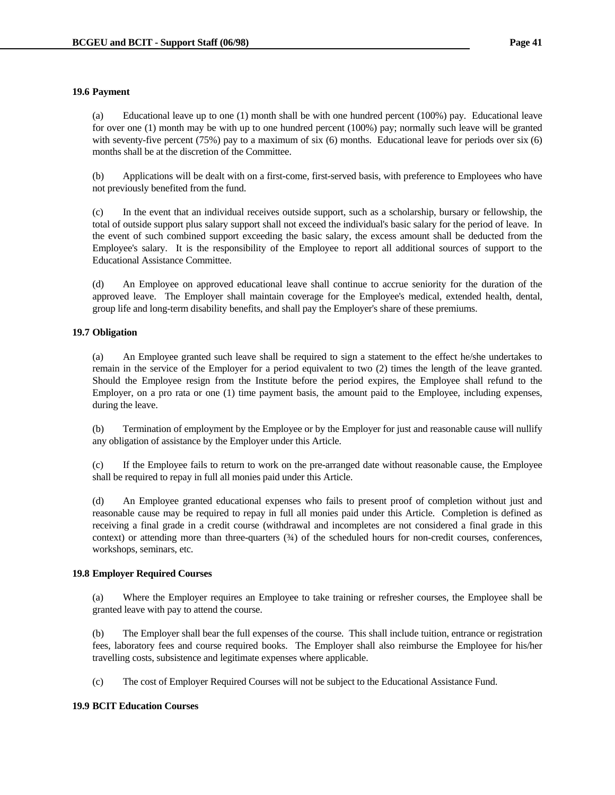## **19.6 Payment**

 (a) Educational leave up to one (1) month shall be with one hundred percent (100%) pay. Educational leave for over one (1) month may be with up to one hundred percent (100%) pay; normally such leave will be granted with seventy-five percent (75%) pay to a maximum of six (6) months. Educational leave for periods over six (6) months shall be at the discretion of the Committee.

 (b) Applications will be dealt with on a first-come, first-served basis, with preference to Employees who have not previously benefited from the fund.

 (c) In the event that an individual receives outside support, such as a scholarship, bursary or fellowship, the total of outside support plus salary support shall not exceed the individual's basic salary for the period of leave. In the event of such combined support exceeding the basic salary, the excess amount shall be deducted from the Employee's salary. It is the responsibility of the Employee to report all additional sources of support to the Educational Assistance Committee.

 (d) An Employee on approved educational leave shall continue to accrue seniority for the duration of the approved leave. The Employer shall maintain coverage for the Employee's medical, extended health, dental, group life and long-term disability benefits, and shall pay the Employer's share of these premiums.

# **19.7 Obligation**

 (a) An Employee granted such leave shall be required to sign a statement to the effect he/she undertakes to remain in the service of the Employer for a period equivalent to two (2) times the length of the leave granted. Should the Employee resign from the Institute before the period expires, the Employee shall refund to the Employer, on a pro rata or one (1) time payment basis, the amount paid to the Employee, including expenses, during the leave.

 (b) Termination of employment by the Employee or by the Employer for just and reasonable cause will nullify any obligation of assistance by the Employer under this Article.

 (c) If the Employee fails to return to work on the pre-arranged date without reasonable cause, the Employee shall be required to repay in full all monies paid under this Article.

 (d) An Employee granted educational expenses who fails to present proof of completion without just and reasonable cause may be required to repay in full all monies paid under this Article. Completion is defined as receiving a final grade in a credit course (withdrawal and incompletes are not considered a final grade in this context) or attending more than three-quarters  $(34)$  of the scheduled hours for non-credit courses, conferences, workshops, seminars, etc.

## **19.8 Employer Required Courses**

 (a) Where the Employer requires an Employee to take training or refresher courses, the Employee shall be granted leave with pay to attend the course.

 (b) The Employer shall bear the full expenses of the course. This shall include tuition, entrance or registration fees, laboratory fees and course required books. The Employer shall also reimburse the Employee for his/her travelling costs, subsistence and legitimate expenses where applicable.

(c) The cost of Employer Required Courses will not be subject to the Educational Assistance Fund.

# **19.9 BCIT Education Courses**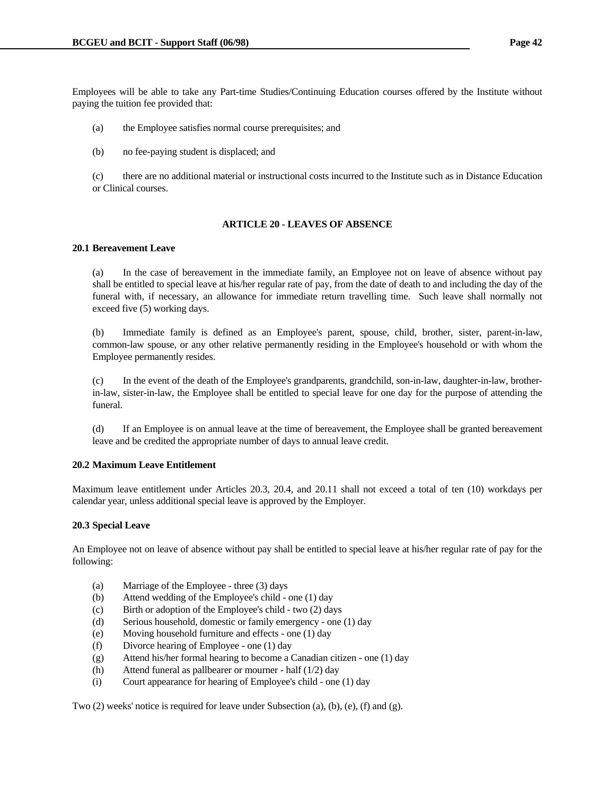Employees will be able to take any Part-time Studies/Continuing Education courses offered by the Institute without paying the tuition fee provided that:

- (a) the Employee satisfies normal course prerequisites; and
- (b) no fee-paying student is displaced; and

 (c) there are no additional material or instructional costs incurred to the Institute such as in Distance Education or Clinical courses.

# **ARTICLE 20 - LEAVES OF ABSENCE**

## **20.1 Bereavement Leave**

 (a) In the case of bereavement in the immediate family, an Employee not on leave of absence without pay shall be entitled to special leave at his/her regular rate of pay, from the date of death to and including the day of the funeral with, if necessary, an allowance for immediate return travelling time. Such leave shall normally not exceed five (5) working days.

 (b) Immediate family is defined as an Employee's parent, spouse, child, brother, sister, parent-in-law, common-law spouse, or any other relative permanently residing in the Employee's household or with whom the Employee permanently resides.

 (c) In the event of the death of the Employee's grandparents, grandchild, son-in-law, daughter-in-law, brotherin-law, sister-in-law, the Employee shall be entitled to special leave for one day for the purpose of attending the funeral.

 (d) If an Employee is on annual leave at the time of bereavement, the Employee shall be granted bereavement leave and be credited the appropriate number of days to annual leave credit.

## **20.2 Maximum Leave Entitlement**

Maximum leave entitlement under Articles 20.3, 20.4, and 20.11 shall not exceed a total of ten (10) workdays per calendar year, unless additional special leave is approved by the Employer.

### **20.3 Special Leave**

An Employee not on leave of absence without pay shall be entitled to special leave at his/her regular rate of pay for the following:

- (a) Marriage of the Employee three (3) days
- (b) Attend wedding of the Employee's child one (1) day
- (c) Birth or adoption of the Employee's child two (2) days
- (d) Serious household, domestic or family emergency one (1) day
- (e) Moving household furniture and effects one (1) day
- (f) Divorce hearing of Employee one (1) day
- (g) Attend his/her formal hearing to become a Canadian citizen one (1) day
- (h) Attend funeral as pallbearer or mourner half (1/2) day
- (i) Court appearance for hearing of Employee's child one (1) day

Two (2) weeks' notice is required for leave under Subsection (a), (b), (e), (f) and (g).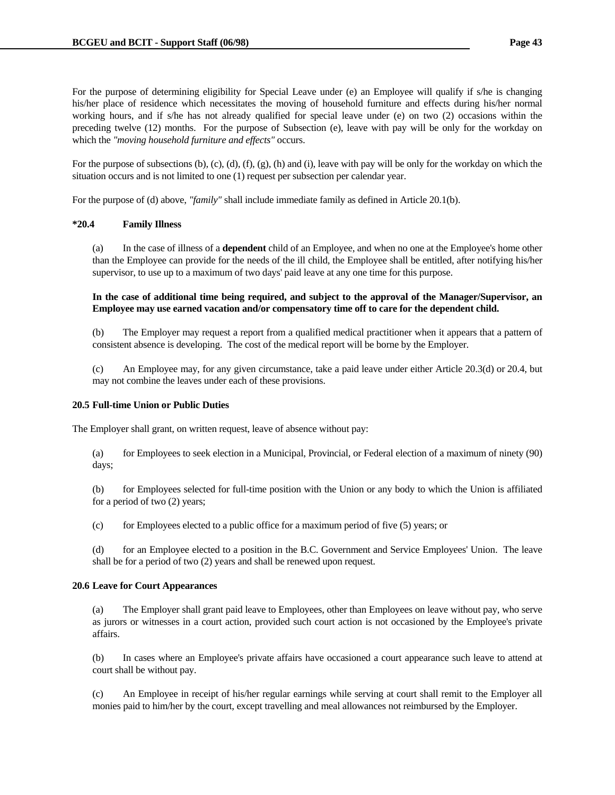For the purpose of determining eligibility for Special Leave under (e) an Employee will qualify if s/he is changing his/her place of residence which necessitates the moving of household furniture and effects during his/her normal working hours, and if s/he has not already qualified for special leave under (e) on two (2) occasions within the preceding twelve (12) months. For the purpose of Subsection (e), leave with pay will be only for the workday on which the *"moving household furniture and effects"* occurs.

For the purpose of subsections  $(b)$ ,  $(c)$ ,  $(d)$ ,  $(f)$ ,  $(g)$ ,  $(h)$  and  $(i)$ , leave with pay will be only for the workday on which the situation occurs and is not limited to one (1) request per subsection per calendar year.

For the purpose of (d) above, *"family"* shall include immediate family as defined in Article 20.1(b).

## **\*20.4 Family Illness**

 (a) In the case of illness of a **dependent** child of an Employee, and when no one at the Employee's home other than the Employee can provide for the needs of the ill child, the Employee shall be entitled, after notifying his/her supervisor, to use up to a maximum of two days' paid leave at any one time for this purpose.

 **In the case of additional time being required, and subject to the approval of the Manager/Supervisor, an Employee may use earned vacation and/or compensatory time off to care for the dependent child.**

 (b) The Employer may request a report from a qualified medical practitioner when it appears that a pattern of consistent absence is developing. The cost of the medical report will be borne by the Employer.

 (c) An Employee may, for any given circumstance, take a paid leave under either Article 20.3(d) or 20.4, but may not combine the leaves under each of these provisions.

### **20.5 Full-time Union or Public Duties**

The Employer shall grant, on written request, leave of absence without pay:

 (a) for Employees to seek election in a Municipal, Provincial, or Federal election of a maximum of ninety (90) days;

 (b) for Employees selected for full-time position with the Union or any body to which the Union is affiliated for a period of two (2) years;

(c) for Employees elected to a public office for a maximum period of five (5) years; or

 (d) for an Employee elected to a position in the B.C. Government and Service Employees' Union. The leave shall be for a period of two (2) years and shall be renewed upon request.

# **20.6 Leave for Court Appearances**

 (a) The Employer shall grant paid leave to Employees, other than Employees on leave without pay, who serve as jurors or witnesses in a court action, provided such court action is not occasioned by the Employee's private affairs.

 (b) In cases where an Employee's private affairs have occasioned a court appearance such leave to attend at court shall be without pay.

 (c) An Employee in receipt of his/her regular earnings while serving at court shall remit to the Employer all monies paid to him/her by the court, except travelling and meal allowances not reimbursed by the Employer.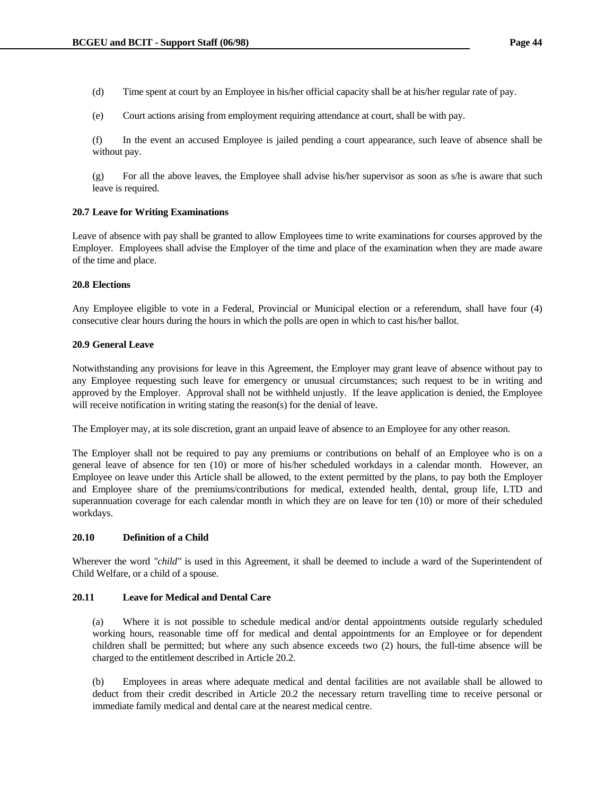- (d) Time spent at court by an Employee in his/her official capacity shall be at his/her regular rate of pay.
- (e) Court actions arising from employment requiring attendance at court, shall be with pay.

 (f) In the event an accused Employee is jailed pending a court appearance, such leave of absence shall be without pay.

 (g) For all the above leaves, the Employee shall advise his/her supervisor as soon as s/he is aware that such leave is required.

## **20.7 Leave for Writing Examinations**

Leave of absence with pay shall be granted to allow Employees time to write examinations for courses approved by the Employer. Employees shall advise the Employer of the time and place of the examination when they are made aware of the time and place.

## **20.8 Elections**

Any Employee eligible to vote in a Federal, Provincial or Municipal election or a referendum, shall have four (4) consecutive clear hours during the hours in which the polls are open in which to cast his/her ballot.

## **20.9 General Leave**

Notwithstanding any provisions for leave in this Agreement, the Employer may grant leave of absence without pay to any Employee requesting such leave for emergency or unusual circumstances; such request to be in writing and approved by the Employer. Approval shall not be withheld unjustly. If the leave application is denied, the Employee will receive notification in writing stating the reason(s) for the denial of leave.

The Employer may, at its sole discretion, grant an unpaid leave of absence to an Employee for any other reason.

The Employer shall not be required to pay any premiums or contributions on behalf of an Employee who is on a general leave of absence for ten (10) or more of his/her scheduled workdays in a calendar month. However, an Employee on leave under this Article shall be allowed, to the extent permitted by the plans, to pay both the Employer and Employee share of the premiums/contributions for medical, extended health, dental, group life, LTD and superannuation coverage for each calendar month in which they are on leave for ten (10) or more of their scheduled workdays.

# **20.10 Definition of a Child**

Wherever the word *"child"* is used in this Agreement, it shall be deemed to include a ward of the Superintendent of Child Welfare, or a child of a spouse.

## **20.11 Leave for Medical and Dental Care**

 (a) Where it is not possible to schedule medical and/or dental appointments outside regularly scheduled working hours, reasonable time off for medical and dental appointments for an Employee or for dependent children shall be permitted; but where any such absence exceeds two (2) hours, the full-time absence will be charged to the entitlement described in Article 20.2.

 (b) Employees in areas where adequate medical and dental facilities are not available shall be allowed to deduct from their credit described in Article 20.2 the necessary return travelling time to receive personal or immediate family medical and dental care at the nearest medical centre.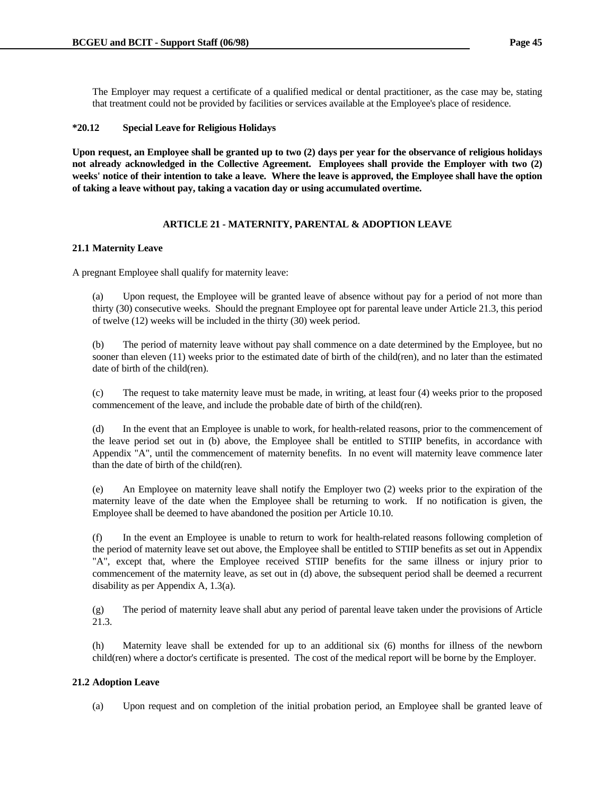The Employer may request a certificate of a qualified medical or dental practitioner, as the case may be, stating that treatment could not be provided by facilities or services available at the Employee's place of residence.

# **\*20.12 Special Leave for Religious Holidays**

**Upon request, an Employee shall be granted up to two (2) days per year for the observance of religious holidays not already acknowledged in the Collective Agreement. Employees shall provide the Employer with two (2) weeks' notice of their intention to take a leave. Where the leave is approved, the Employee shall have the option of taking a leave without pay, taking a vacation day or using accumulated overtime.**

## **ARTICLE 21 - MATERNITY, PARENTAL & ADOPTION LEAVE**

### **21.1 Maternity Leave**

A pregnant Employee shall qualify for maternity leave:

 (a) Upon request, the Employee will be granted leave of absence without pay for a period of not more than thirty (30) consecutive weeks. Should the pregnant Employee opt for parental leave under Article 21.3, this period of twelve (12) weeks will be included in the thirty (30) week period.

 (b) The period of maternity leave without pay shall commence on a date determined by the Employee, but no sooner than eleven (11) weeks prior to the estimated date of birth of the child(ren), and no later than the estimated date of birth of the child(ren).

 (c) The request to take maternity leave must be made, in writing, at least four (4) weeks prior to the proposed commencement of the leave, and include the probable date of birth of the child(ren).

 (d) In the event that an Employee is unable to work, for health-related reasons, prior to the commencement of the leave period set out in (b) above, the Employee shall be entitled to STIIP benefits, in accordance with Appendix "A", until the commencement of maternity benefits. In no event will maternity leave commence later than the date of birth of the child(ren).

 (e) An Employee on maternity leave shall notify the Employer two (2) weeks prior to the expiration of the maternity leave of the date when the Employee shall be returning to work. If no notification is given, the Employee shall be deemed to have abandoned the position per Article 10.10.

 (f) In the event an Employee is unable to return to work for health-related reasons following completion of the period of maternity leave set out above, the Employee shall be entitled to STIIP benefits as set out in Appendix "A", except that, where the Employee received STIIP benefits for the same illness or injury prior to commencement of the maternity leave, as set out in (d) above, the subsequent period shall be deemed a recurrent disability as per Appendix A, 1.3(a).

 (g) The period of maternity leave shall abut any period of parental leave taken under the provisions of Article 21.3.

 (h) Maternity leave shall be extended for up to an additional six (6) months for illness of the newborn child(ren) where a doctor's certificate is presented. The cost of the medical report will be borne by the Employer.

### **21.2 Adoption Leave**

(a) Upon request and on completion of the initial probation period, an Employee shall be granted leave of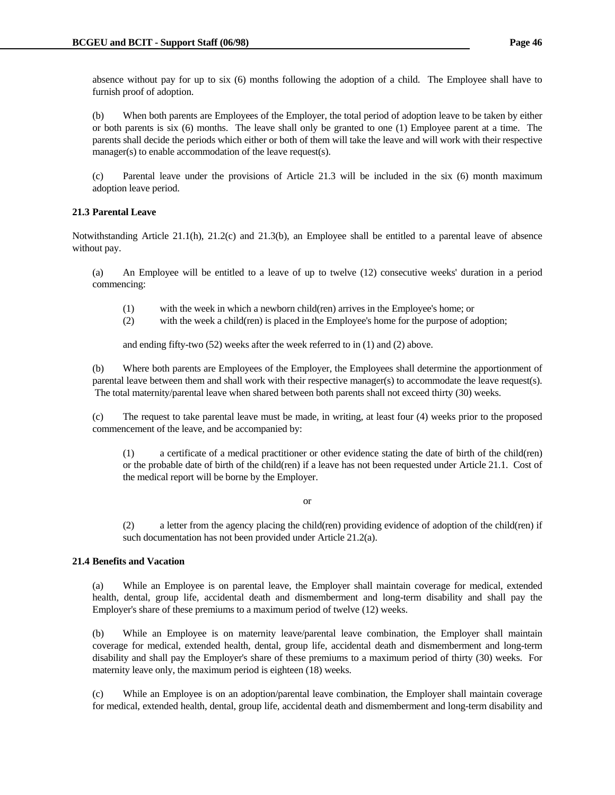absence without pay for up to six (6) months following the adoption of a child. The Employee shall have to furnish proof of adoption.

 (b) When both parents are Employees of the Employer, the total period of adoption leave to be taken by either or both parents is six (6) months. The leave shall only be granted to one (1) Employee parent at a time. The parents shall decide the periods which either or both of them will take the leave and will work with their respective manager(s) to enable accommodation of the leave request(s).

 (c) Parental leave under the provisions of Article 21.3 will be included in the six (6) month maximum adoption leave period.

# **21.3 Parental Leave**

Notwithstanding Article 21.1(h), 21.2(c) and 21.3(b), an Employee shall be entitled to a parental leave of absence without pay.

 (a) An Employee will be entitled to a leave of up to twelve (12) consecutive weeks' duration in a period commencing:

- (1) with the week in which a newborn child(ren) arrives in the Employee's home; or
- (2) with the week a child(ren) is placed in the Employee's home for the purpose of adoption;

and ending fifty-two (52) weeks after the week referred to in (1) and (2) above.

 (b) Where both parents are Employees of the Employer, the Employees shall determine the apportionment of parental leave between them and shall work with their respective manager(s) to accommodate the leave request(s). The total maternity/parental leave when shared between both parents shall not exceed thirty (30) weeks.

 (c) The request to take parental leave must be made, in writing, at least four (4) weeks prior to the proposed commencement of the leave, and be accompanied by:

 (1) a certificate of a medical practitioner or other evidence stating the date of birth of the child(ren) or the probable date of birth of the child(ren) if a leave has not been requested under Article 21.1. Cost of the medical report will be borne by the Employer.

or

 (2) a letter from the agency placing the child(ren) providing evidence of adoption of the child(ren) if such documentation has not been provided under Article 21.2(a).

### **21.4 Benefits and Vacation**

 (a) While an Employee is on parental leave, the Employer shall maintain coverage for medical, extended health, dental, group life, accidental death and dismemberment and long-term disability and shall pay the Employer's share of these premiums to a maximum period of twelve (12) weeks.

 (b) While an Employee is on maternity leave/parental leave combination, the Employer shall maintain coverage for medical, extended health, dental, group life, accidental death and dismemberment and long-term disability and shall pay the Employer's share of these premiums to a maximum period of thirty (30) weeks. For maternity leave only, the maximum period is eighteen (18) weeks.

 (c) While an Employee is on an adoption/parental leave combination, the Employer shall maintain coverage for medical, extended health, dental, group life, accidental death and dismemberment and long-term disability and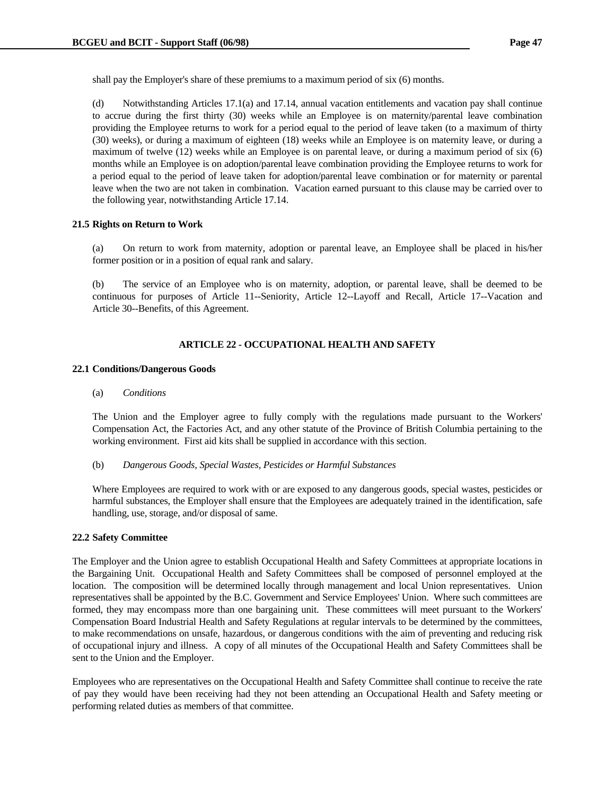shall pay the Employer's share of these premiums to a maximum period of six (6) months.

 (d) Notwithstanding Articles 17.1(a) and 17.14, annual vacation entitlements and vacation pay shall continue to accrue during the first thirty (30) weeks while an Employee is on maternity/parental leave combination providing the Employee returns to work for a period equal to the period of leave taken (to a maximum of thirty (30) weeks), or during a maximum of eighteen (18) weeks while an Employee is on maternity leave, or during a maximum of twelve (12) weeks while an Employee is on parental leave, or during a maximum period of six (6) months while an Employee is on adoption/parental leave combination providing the Employee returns to work for a period equal to the period of leave taken for adoption/parental leave combination or for maternity or parental leave when the two are not taken in combination. Vacation earned pursuant to this clause may be carried over to the following year, notwithstanding Article 17.14.

### **21.5 Rights on Return to Work**

 (a) On return to work from maternity, adoption or parental leave, an Employee shall be placed in his/her former position or in a position of equal rank and salary.

 (b) The service of an Employee who is on maternity, adoption, or parental leave, shall be deemed to be continuous for purposes of Article 11--Seniority, Article 12--Layoff and Recall, Article 17--Vacation and Article 30--Benefits, of this Agreement.

## **ARTICLE 22 - OCCUPATIONAL HEALTH AND SAFETY**

#### **22.1 Conditions/Dangerous Goods**

#### (a) *Conditions*

 The Union and the Employer agree to fully comply with the regulations made pursuant to the Workers' Compensation Act, the Factories Act, and any other statute of the Province of British Columbia pertaining to the working environment. First aid kits shall be supplied in accordance with this section.

### (b) *Dangerous Goods, Special Wastes, Pesticides or Harmful Substances*

 Where Employees are required to work with or are exposed to any dangerous goods, special wastes, pesticides or harmful substances, the Employer shall ensure that the Employees are adequately trained in the identification, safe handling, use, storage, and/or disposal of same.

#### **22.2 Safety Committee**

The Employer and the Union agree to establish Occupational Health and Safety Committees at appropriate locations in the Bargaining Unit. Occupational Health and Safety Committees shall be composed of personnel employed at the location. The composition will be determined locally through management and local Union representatives. Union representatives shall be appointed by the B.C. Government and Service Employees' Union. Where such committees are formed, they may encompass more than one bargaining unit. These committees will meet pursuant to the Workers' Compensation Board Industrial Health and Safety Regulations at regular intervals to be determined by the committees, to make recommendations on unsafe, hazardous, or dangerous conditions with the aim of preventing and reducing risk of occupational injury and illness. A copy of all minutes of the Occupational Health and Safety Committees shall be sent to the Union and the Employer.

Employees who are representatives on the Occupational Health and Safety Committee shall continue to receive the rate of pay they would have been receiving had they not been attending an Occupational Health and Safety meeting or performing related duties as members of that committee.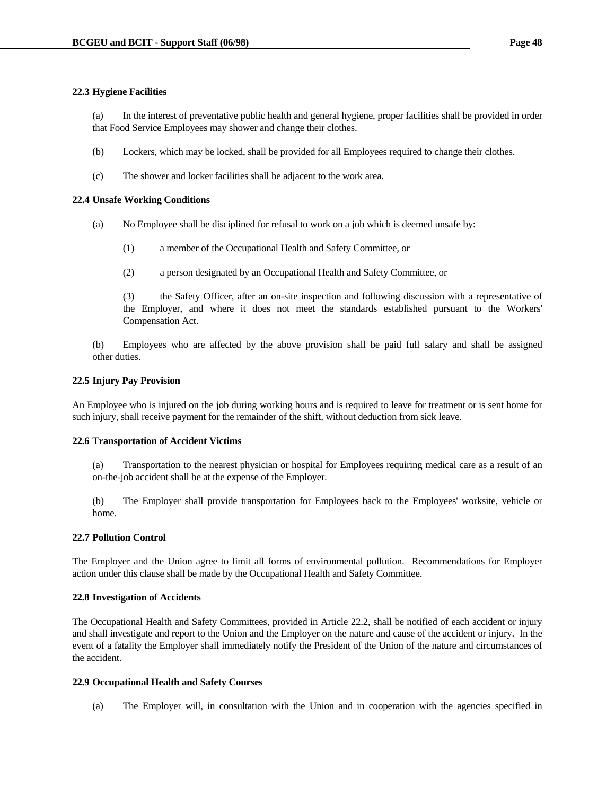## **22.3 Hygiene Facilities**

 (a) In the interest of preventative public health and general hygiene, proper facilities shall be provided in order that Food Service Employees may shower and change their clothes.

- (b) Lockers, which may be locked, shall be provided for all Employees required to change their clothes.
- (c) The shower and locker facilities shall be adjacent to the work area.

## **22.4 Unsafe Working Conditions**

- (a) No Employee shall be disciplined for refusal to work on a job which is deemed unsafe by:
	- (1) a member of the Occupational Health and Safety Committee, or
	- (2) a person designated by an Occupational Health and Safety Committee, or

 (3) the Safety Officer, after an on-site inspection and following discussion with a representative of the Employer, and where it does not meet the standards established pursuant to the Workers' Compensation Act.

 (b) Employees who are affected by the above provision shall be paid full salary and shall be assigned other duties.

## **22.5 Injury Pay Provision**

An Employee who is injured on the job during working hours and is required to leave for treatment or is sent home for such injury, shall receive payment for the remainder of the shift, without deduction from sick leave.

### **22.6 Transportation of Accident Victims**

 (a) Transportation to the nearest physician or hospital for Employees requiring medical care as a result of an on-the-job accident shall be at the expense of the Employer.

 (b) The Employer shall provide transportation for Employees back to the Employees' worksite, vehicle or home.

### **22.7 Pollution Control**

The Employer and the Union agree to limit all forms of environmental pollution. Recommendations for Employer action under this clause shall be made by the Occupational Health and Safety Committee.

### **22.8 Investigation of Accidents**

The Occupational Health and Safety Committees, provided in Article 22.2, shall be notified of each accident or injury and shall investigate and report to the Union and the Employer on the nature and cause of the accident or injury. In the event of a fatality the Employer shall immediately notify the President of the Union of the nature and circumstances of the accident.

### **22.9 Occupational Health and Safety Courses**

(a) The Employer will, in consultation with the Union and in cooperation with the agencies specified in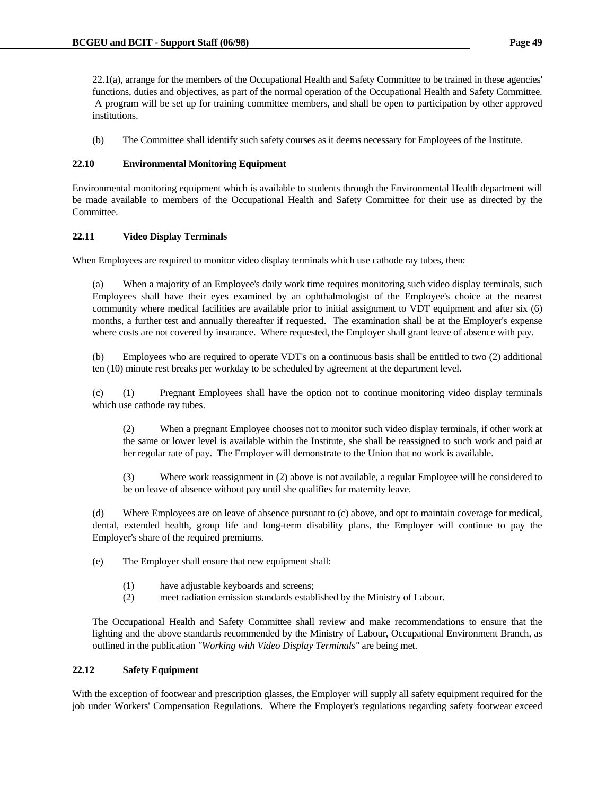22.1(a), arrange for the members of the Occupational Health and Safety Committee to be trained in these agencies' functions, duties and objectives, as part of the normal operation of the Occupational Health and Safety Committee. A program will be set up for training committee members, and shall be open to participation by other approved institutions.

(b) The Committee shall identify such safety courses as it deems necessary for Employees of the Institute.

# **22.10 Environmental Monitoring Equipment**

Environmental monitoring equipment which is available to students through the Environmental Health department will be made available to members of the Occupational Health and Safety Committee for their use as directed by the Committee.

# **22.11 Video Display Terminals**

When Employees are required to monitor video display terminals which use cathode ray tubes, then:

 (a) When a majority of an Employee's daily work time requires monitoring such video display terminals, such Employees shall have their eyes examined by an ophthalmologist of the Employee's choice at the nearest community where medical facilities are available prior to initial assignment to VDT equipment and after six (6) months, a further test and annually thereafter if requested. The examination shall be at the Employer's expense where costs are not covered by insurance. Where requested, the Employer shall grant leave of absence with pay.

 (b) Employees who are required to operate VDT's on a continuous basis shall be entitled to two (2) additional ten (10) minute rest breaks per workday to be scheduled by agreement at the department level.

 (c) (1) Pregnant Employees shall have the option not to continue monitoring video display terminals which use cathode ray tubes.

 (2) When a pregnant Employee chooses not to monitor such video display terminals, if other work at the same or lower level is available within the Institute, she shall be reassigned to such work and paid at her regular rate of pay. The Employer will demonstrate to the Union that no work is available.

 (3) Where work reassignment in (2) above is not available, a regular Employee will be considered to be on leave of absence without pay until she qualifies for maternity leave.

 (d) Where Employees are on leave of absence pursuant to (c) above, and opt to maintain coverage for medical, dental, extended health, group life and long-term disability plans, the Employer will continue to pay the Employer's share of the required premiums.

(e) The Employer shall ensure that new equipment shall:

- (1) have adjustable keyboards and screens;
- (2) meet radiation emission standards established by the Ministry of Labour.

 The Occupational Health and Safety Committee shall review and make recommendations to ensure that the lighting and the above standards recommended by the Ministry of Labour, Occupational Environment Branch, as outlined in the publication *"Working with Video Display Terminals"* are being met.

# **22.12 Safety Equipment**

With the exception of footwear and prescription glasses, the Employer will supply all safety equipment required for the job under Workers' Compensation Regulations. Where the Employer's regulations regarding safety footwear exceed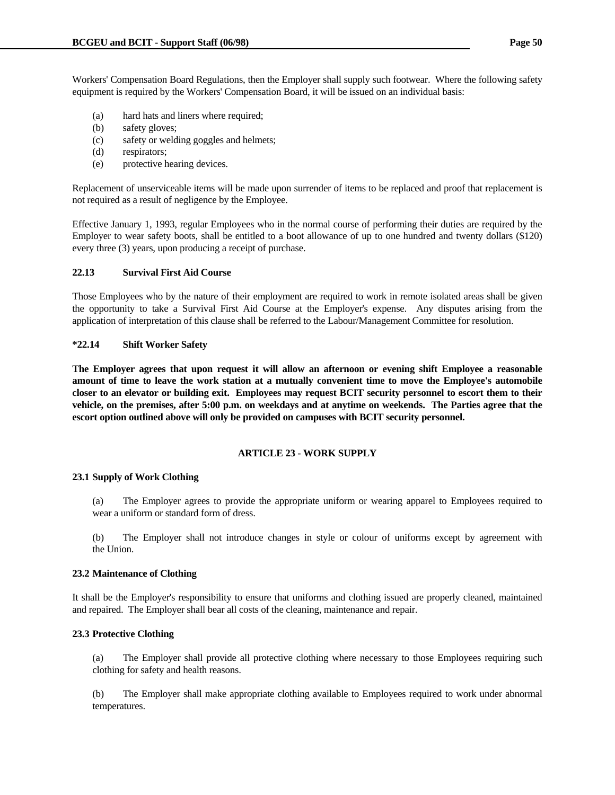Workers' Compensation Board Regulations, then the Employer shall supply such footwear. Where the following safety equipment is required by the Workers' Compensation Board, it will be issued on an individual basis:

- (a) hard hats and liners where required;
- (b) safety gloves;
- (c) safety or welding goggles and helmets;
- (d) respirators;
- (e) protective hearing devices.

Replacement of unserviceable items will be made upon surrender of items to be replaced and proof that replacement is not required as a result of negligence by the Employee.

Effective January 1, 1993, regular Employees who in the normal course of performing their duties are required by the Employer to wear safety boots, shall be entitled to a boot allowance of up to one hundred and twenty dollars (\$120) every three (3) years, upon producing a receipt of purchase.

# **22.13 Survival First Aid Course**

Those Employees who by the nature of their employment are required to work in remote isolated areas shall be given the opportunity to take a Survival First Aid Course at the Employer's expense. Any disputes arising from the application of interpretation of this clause shall be referred to the Labour/Management Committee for resolution.

### **\*22.14 Shift Worker Safety**

**The Employer agrees that upon request it will allow an afternoon or evening shift Employee a reasonable amount of time to leave the work station at a mutually convenient time to move the Employee's automobile closer to an elevator or building exit. Employees may request BCIT security personnel to escort them to their vehicle, on the premises, after 5:00 p.m. on weekdays and at anytime on weekends. The Parties agree that the escort option outlined above will only be provided on campuses with BCIT security personnel.**

### **ARTICLE 23 - WORK SUPPLY**

### **23.1 Supply of Work Clothing**

 (a) The Employer agrees to provide the appropriate uniform or wearing apparel to Employees required to wear a uniform or standard form of dress.

 (b) The Employer shall not introduce changes in style or colour of uniforms except by agreement with the Union.

### **23.2 Maintenance of Clothing**

It shall be the Employer's responsibility to ensure that uniforms and clothing issued are properly cleaned, maintained and repaired. The Employer shall bear all costs of the cleaning, maintenance and repair.

### **23.3 Protective Clothing**

 (a) The Employer shall provide all protective clothing where necessary to those Employees requiring such clothing for safety and health reasons.

 (b) The Employer shall make appropriate clothing available to Employees required to work under abnormal temperatures.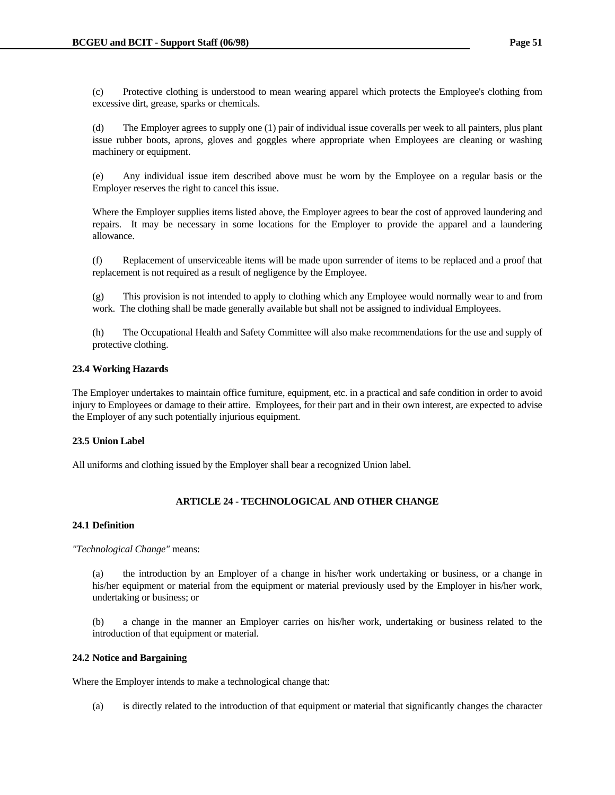(c) Protective clothing is understood to mean wearing apparel which protects the Employee's clothing from excessive dirt, grease, sparks or chemicals.

 (d) The Employer agrees to supply one (1) pair of individual issue coveralls per week to all painters, plus plant issue rubber boots, aprons, gloves and goggles where appropriate when Employees are cleaning or washing machinery or equipment.

 (e) Any individual issue item described above must be worn by the Employee on a regular basis or the Employer reserves the right to cancel this issue.

 Where the Employer supplies items listed above, the Employer agrees to bear the cost of approved laundering and repairs. It may be necessary in some locations for the Employer to provide the apparel and a laundering allowance.

 (f) Replacement of unserviceable items will be made upon surrender of items to be replaced and a proof that replacement is not required as a result of negligence by the Employee.

 (g) This provision is not intended to apply to clothing which any Employee would normally wear to and from work. The clothing shall be made generally available but shall not be assigned to individual Employees.

 (h) The Occupational Health and Safety Committee will also make recommendations for the use and supply of protective clothing.

# **23.4 Working Hazards**

The Employer undertakes to maintain office furniture, equipment, etc. in a practical and safe condition in order to avoid injury to Employees or damage to their attire. Employees, for their part and in their own interest, are expected to advise the Employer of any such potentially injurious equipment.

### **23.5 Union Label**

All uniforms and clothing issued by the Employer shall bear a recognized Union label.

# **ARTICLE 24 - TECHNOLOGICAL AND OTHER CHANGE**

## **24.1 Definition**

*"Technological Change"* means:

 (a) the introduction by an Employer of a change in his/her work undertaking or business, or a change in his/her equipment or material from the equipment or material previously used by the Employer in his/her work, undertaking or business; or

 (b) a change in the manner an Employer carries on his/her work, undertaking or business related to the introduction of that equipment or material.

# **24.2 Notice and Bargaining**

Where the Employer intends to make a technological change that:

(a) is directly related to the introduction of that equipment or material that significantly changes the character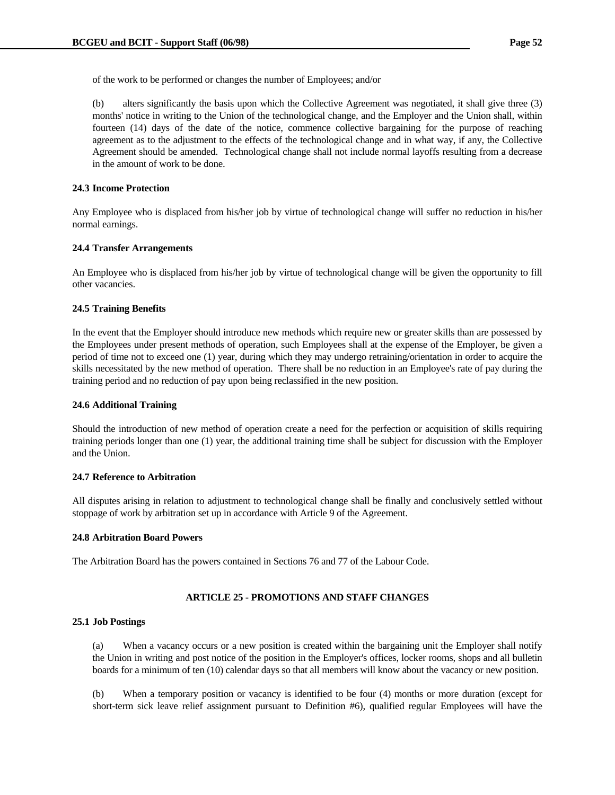of the work to be performed or changes the number of Employees; and/or

 (b) alters significantly the basis upon which the Collective Agreement was negotiated, it shall give three (3) months' notice in writing to the Union of the technological change, and the Employer and the Union shall, within fourteen (14) days of the date of the notice, commence collective bargaining for the purpose of reaching agreement as to the adjustment to the effects of the technological change and in what way, if any, the Collective Agreement should be amended. Technological change shall not include normal layoffs resulting from a decrease in the amount of work to be done.

### **24.3 Income Protection**

Any Employee who is displaced from his/her job by virtue of technological change will suffer no reduction in his/her normal earnings.

#### **24.4 Transfer Arrangements**

An Employee who is displaced from his/her job by virtue of technological change will be given the opportunity to fill other vacancies.

### **24.5 Training Benefits**

In the event that the Employer should introduce new methods which require new or greater skills than are possessed by the Employees under present methods of operation, such Employees shall at the expense of the Employer, be given a period of time not to exceed one (1) year, during which they may undergo retraining/orientation in order to acquire the skills necessitated by the new method of operation. There shall be no reduction in an Employee's rate of pay during the training period and no reduction of pay upon being reclassified in the new position.

#### **24.6 Additional Training**

Should the introduction of new method of operation create a need for the perfection or acquisition of skills requiring training periods longer than one (1) year, the additional training time shall be subject for discussion with the Employer and the Union.

### **24.7 Reference to Arbitration**

All disputes arising in relation to adjustment to technological change shall be finally and conclusively settled without stoppage of work by arbitration set up in accordance with Article 9 of the Agreement.

#### **24.8 Arbitration Board Powers**

The Arbitration Board has the powers contained in Sections 76 and 77 of the Labour Code.

# **ARTICLE 25 - PROMOTIONS AND STAFF CHANGES**

### **25.1 Job Postings**

 (a) When a vacancy occurs or a new position is created within the bargaining unit the Employer shall notify the Union in writing and post notice of the position in the Employer's offices, locker rooms, shops and all bulletin boards for a minimum of ten (10) calendar days so that all members will know about the vacancy or new position.

 (b) When a temporary position or vacancy is identified to be four (4) months or more duration (except for short-term sick leave relief assignment pursuant to Definition #6), qualified regular Employees will have the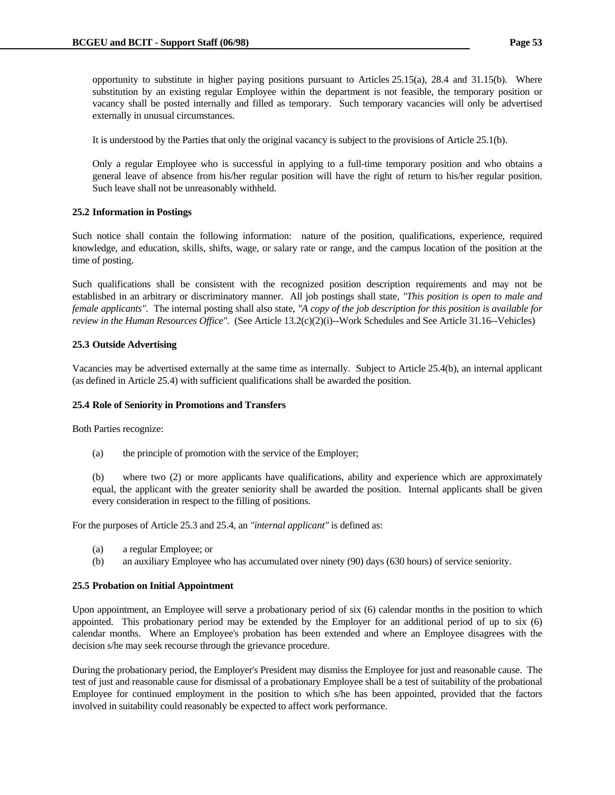opportunity to substitute in higher paying positions pursuant to Articles 25.15(a), 28.4 and 31.15(b). Where substitution by an existing regular Employee within the department is not feasible, the temporary position or vacancy shall be posted internally and filled as temporary. Such temporary vacancies will only be advertised externally in unusual circumstances.

It is understood by the Parties that only the original vacancy is subject to the provisions of Article 25.1(b).

 Only a regular Employee who is successful in applying to a full-time temporary position and who obtains a general leave of absence from his/her regular position will have the right of return to his/her regular position. Such leave shall not be unreasonably withheld.

# **25.2 Information in Postings**

Such notice shall contain the following information: nature of the position, qualifications, experience, required knowledge, and education, skills, shifts, wage, or salary rate or range, and the campus location of the position at the time of posting.

Such qualifications shall be consistent with the recognized position description requirements and may not be established in an arbitrary or discriminatory manner. All job postings shall state, *"This position is open to male and female applicants".* The internal posting shall also state, *"A copy of the job description for this position is available for review in the Human Resources Office".* (See Article 13.2(c)(2)(i)--Work Schedules and See Article 31.16--Vehicles)

# **25.3 Outside Advertising**

Vacancies may be advertised externally at the same time as internally. Subject to Article 25.4(b), an internal applicant (as defined in Article 25.4) with sufficient qualifications shall be awarded the position.

# **25.4 Role of Seniority in Promotions and Transfers**

Both Parties recognize:

(a) the principle of promotion with the service of the Employer;

 (b) where two (2) or more applicants have qualifications, ability and experience which are approximately equal, the applicant with the greater seniority shall be awarded the position. Internal applicants shall be given every consideration in respect to the filling of positions.

For the purposes of Article 25.3 and 25.4, an *"internal applicant"* is defined as:

- (a) a regular Employee; or
- (b) an auxiliary Employee who has accumulated over ninety (90) days (630 hours) of service seniority.

# **25.5 Probation on Initial Appointment**

Upon appointment, an Employee will serve a probationary period of six (6) calendar months in the position to which appointed. This probationary period may be extended by the Employer for an additional period of up to six (6) calendar months. Where an Employee's probation has been extended and where an Employee disagrees with the decision s/he may seek recourse through the grievance procedure.

During the probationary period, the Employer's President may dismiss the Employee for just and reasonable cause. The test of just and reasonable cause for dismissal of a probationary Employee shall be a test of suitability of the probational Employee for continued employment in the position to which s/he has been appointed, provided that the factors involved in suitability could reasonably be expected to affect work performance.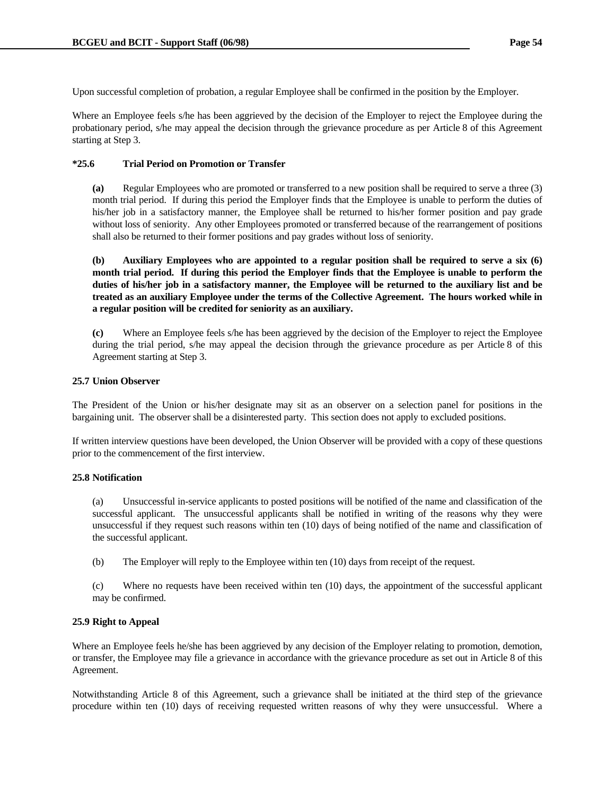Upon successful completion of probation, a regular Employee shall be confirmed in the position by the Employer.

Where an Employee feels s/he has been aggrieved by the decision of the Employer to reject the Employee during the probationary period, s/he may appeal the decision through the grievance procedure as per Article 8 of this Agreement starting at Step 3.

# **\*25.6 Trial Period on Promotion or Transfer**

 **(a)** Regular Employees who are promoted or transferred to a new position shall be required to serve a three (3) month trial period. If during this period the Employer finds that the Employee is unable to perform the duties of his/her job in a satisfactory manner, the Employee shall be returned to his/her former position and pay grade without loss of seniority. Any other Employees promoted or transferred because of the rearrangement of positions shall also be returned to their former positions and pay grades without loss of seniority.

 **(b) Auxiliary Employees who are appointed to a regular position shall be required to serve a six (6) month trial period. If during this period the Employer finds that the Employee is unable to perform the duties of his/her job in a satisfactory manner, the Employee will be returned to the auxiliary list and be treated as an auxiliary Employee under the terms of the Collective Agreement. The hours worked while in a regular position will be credited for seniority as an auxiliary.**

 **(c)** Where an Employee feels s/he has been aggrieved by the decision of the Employer to reject the Employee during the trial period, s/he may appeal the decision through the grievance procedure as per Article 8 of this Agreement starting at Step 3.

# **25.7 Union Observer**

The President of the Union or his/her designate may sit as an observer on a selection panel for positions in the bargaining unit. The observer shall be a disinterested party. This section does not apply to excluded positions.

If written interview questions have been developed, the Union Observer will be provided with a copy of these questions prior to the commencement of the first interview.

# **25.8 Notification**

 (a) Unsuccessful in-service applicants to posted positions will be notified of the name and classification of the successful applicant. The unsuccessful applicants shall be notified in writing of the reasons why they were unsuccessful if they request such reasons within ten (10) days of being notified of the name and classification of the successful applicant.

(b) The Employer will reply to the Employee within ten (10) days from receipt of the request.

 (c) Where no requests have been received within ten (10) days, the appointment of the successful applicant may be confirmed.

# **25.9 Right to Appeal**

Where an Employee feels he/she has been aggrieved by any decision of the Employer relating to promotion, demotion, or transfer, the Employee may file a grievance in accordance with the grievance procedure as set out in Article 8 of this Agreement.

Notwithstanding Article 8 of this Agreement, such a grievance shall be initiated at the third step of the grievance procedure within ten (10) days of receiving requested written reasons of why they were unsuccessful. Where a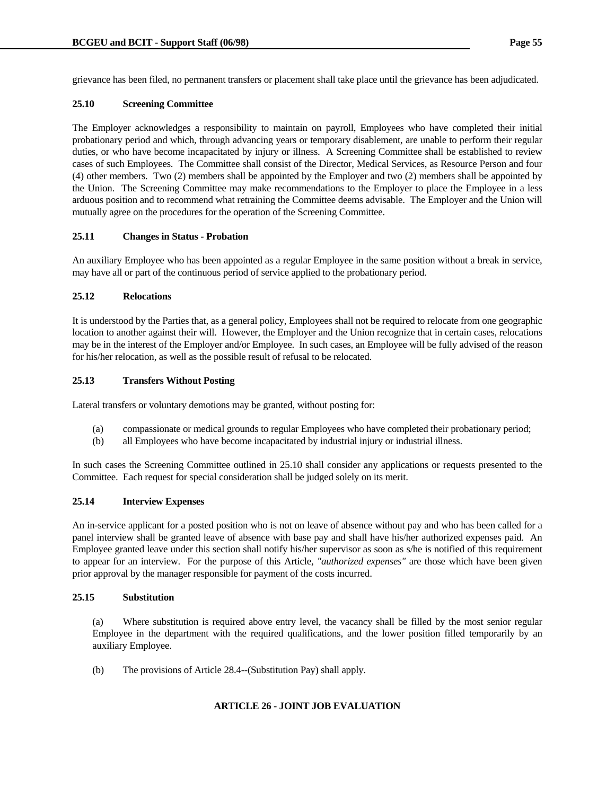grievance has been filed, no permanent transfers or placement shall take place until the grievance has been adjudicated.

# **25.10 Screening Committee**

The Employer acknowledges a responsibility to maintain on payroll, Employees who have completed their initial probationary period and which, through advancing years or temporary disablement, are unable to perform their regular duties, or who have become incapacitated by injury or illness. A Screening Committee shall be established to review cases of such Employees. The Committee shall consist of the Director, Medical Services, as Resource Person and four (4) other members. Two (2) members shall be appointed by the Employer and two (2) members shall be appointed by the Union. The Screening Committee may make recommendations to the Employer to place the Employee in a less arduous position and to recommend what retraining the Committee deems advisable. The Employer and the Union will mutually agree on the procedures for the operation of the Screening Committee.

# **25.11 Changes in Status - Probation**

An auxiliary Employee who has been appointed as a regular Employee in the same position without a break in service, may have all or part of the continuous period of service applied to the probationary period.

## **25.12 Relocations**

It is understood by the Parties that, as a general policy, Employees shall not be required to relocate from one geographic location to another against their will. However, the Employer and the Union recognize that in certain cases, relocations may be in the interest of the Employer and/or Employee. In such cases, an Employee will be fully advised of the reason for his/her relocation, as well as the possible result of refusal to be relocated.

## **25.13 Transfers Without Posting**

Lateral transfers or voluntary demotions may be granted, without posting for:

- (a) compassionate or medical grounds to regular Employees who have completed their probationary period;
- (b) all Employees who have become incapacitated by industrial injury or industrial illness.

In such cases the Screening Committee outlined in 25.10 shall consider any applications or requests presented to the Committee. Each request for special consideration shall be judged solely on its merit.

## **25.14 Interview Expenses**

An in-service applicant for a posted position who is not on leave of absence without pay and who has been called for a panel interview shall be granted leave of absence with base pay and shall have his/her authorized expenses paid. An Employee granted leave under this section shall notify his/her supervisor as soon as s/he is notified of this requirement to appear for an interview. For the purpose of this Article, *"authorized expenses"* are those which have been given prior approval by the manager responsible for payment of the costs incurred.

## **25.15 Substitution**

 (a) Where substitution is required above entry level, the vacancy shall be filled by the most senior regular Employee in the department with the required qualifications, and the lower position filled temporarily by an auxiliary Employee.

(b) The provisions of Article 28.4--(Substitution Pay) shall apply.

# **ARTICLE 26 - JOINT JOB EVALUATION**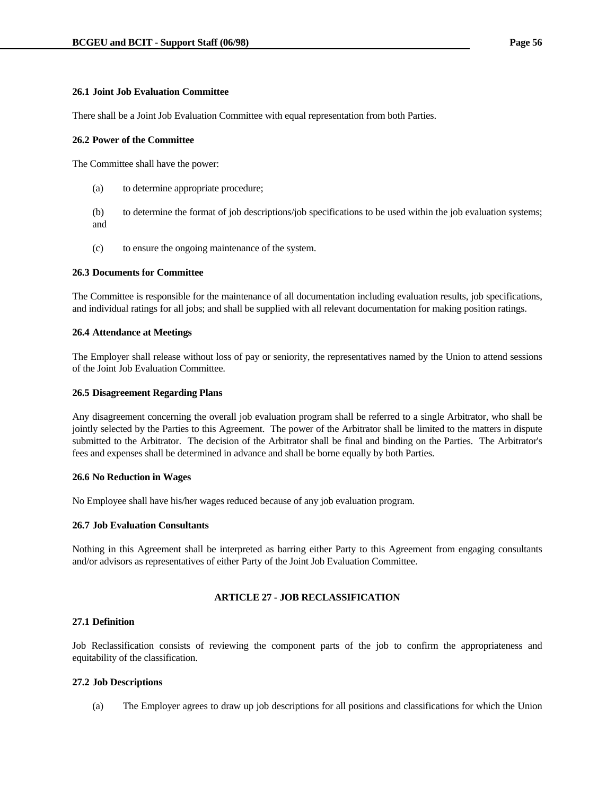### **26.1 Joint Job Evaluation Committee**

There shall be a Joint Job Evaluation Committee with equal representation from both Parties.

#### **26.2 Power of the Committee**

The Committee shall have the power:

(a) to determine appropriate procedure;

 (b) to determine the format of job descriptions/job specifications to be used within the job evaluation systems; and

(c) to ensure the ongoing maintenance of the system.

#### **26.3 Documents for Committee**

The Committee is responsible for the maintenance of all documentation including evaluation results, job specifications, and individual ratings for all jobs; and shall be supplied with all relevant documentation for making position ratings.

#### **26.4 Attendance at Meetings**

The Employer shall release without loss of pay or seniority, the representatives named by the Union to attend sessions of the Joint Job Evaluation Committee.

#### **26.5 Disagreement Regarding Plans**

Any disagreement concerning the overall job evaluation program shall be referred to a single Arbitrator, who shall be jointly selected by the Parties to this Agreement. The power of the Arbitrator shall be limited to the matters in dispute submitted to the Arbitrator. The decision of the Arbitrator shall be final and binding on the Parties. The Arbitrator's fees and expenses shall be determined in advance and shall be borne equally by both Parties.

### **26.6 No Reduction in Wages**

No Employee shall have his/her wages reduced because of any job evaluation program.

### **26.7 Job Evaluation Consultants**

Nothing in this Agreement shall be interpreted as barring either Party to this Agreement from engaging consultants and/or advisors as representatives of either Party of the Joint Job Evaluation Committee.

## **ARTICLE 27 - JOB RECLASSIFICATION**

## **27.1 Definition**

Job Reclassification consists of reviewing the component parts of the job to confirm the appropriateness and equitability of the classification.

### **27.2 Job Descriptions**

(a) The Employer agrees to draw up job descriptions for all positions and classifications for which the Union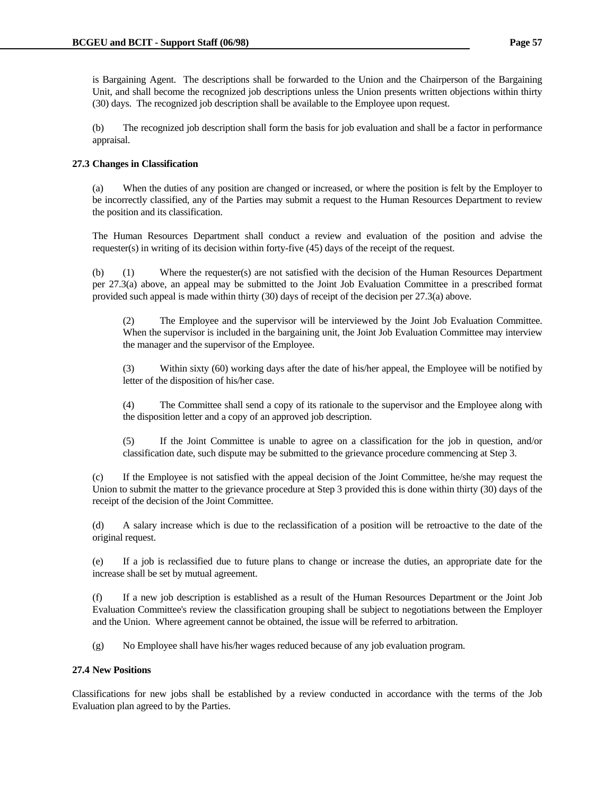is Bargaining Agent. The descriptions shall be forwarded to the Union and the Chairperson of the Bargaining Unit, and shall become the recognized job descriptions unless the Union presents written objections within thirty (30) days. The recognized job description shall be available to the Employee upon request.

 (b) The recognized job description shall form the basis for job evaluation and shall be a factor in performance appraisal.

# **27.3 Changes in Classification**

 (a) When the duties of any position are changed or increased, or where the position is felt by the Employer to be incorrectly classified, any of the Parties may submit a request to the Human Resources Department to review the position and its classification.

 The Human Resources Department shall conduct a review and evaluation of the position and advise the requester(s) in writing of its decision within forty-five (45) days of the receipt of the request.

 (b) (1) Where the requester(s) are not satisfied with the decision of the Human Resources Department per 27.3(a) above, an appeal may be submitted to the Joint Job Evaluation Committee in a prescribed format provided such appeal is made within thirty (30) days of receipt of the decision per 27.3(a) above.

 (2) The Employee and the supervisor will be interviewed by the Joint Job Evaluation Committee. When the supervisor is included in the bargaining unit, the Joint Job Evaluation Committee may interview the manager and the supervisor of the Employee.

 (3) Within sixty (60) working days after the date of his/her appeal, the Employee will be notified by letter of the disposition of his/her case.

 (4) The Committee shall send a copy of its rationale to the supervisor and the Employee along with the disposition letter and a copy of an approved job description.

 (5) If the Joint Committee is unable to agree on a classification for the job in question, and/or classification date, such dispute may be submitted to the grievance procedure commencing at Step 3.

 (c) If the Employee is not satisfied with the appeal decision of the Joint Committee, he/she may request the Union to submit the matter to the grievance procedure at Step 3 provided this is done within thirty (30) days of the receipt of the decision of the Joint Committee.

 (d) A salary increase which is due to the reclassification of a position will be retroactive to the date of the original request.

 (e) If a job is reclassified due to future plans to change or increase the duties, an appropriate date for the increase shall be set by mutual agreement.

 (f) If a new job description is established as a result of the Human Resources Department or the Joint Job Evaluation Committee's review the classification grouping shall be subject to negotiations between the Employer and the Union. Where agreement cannot be obtained, the issue will be referred to arbitration.

(g) No Employee shall have his/her wages reduced because of any job evaluation program.

# **27.4 New Positions**

Classifications for new jobs shall be established by a review conducted in accordance with the terms of the Job Evaluation plan agreed to by the Parties.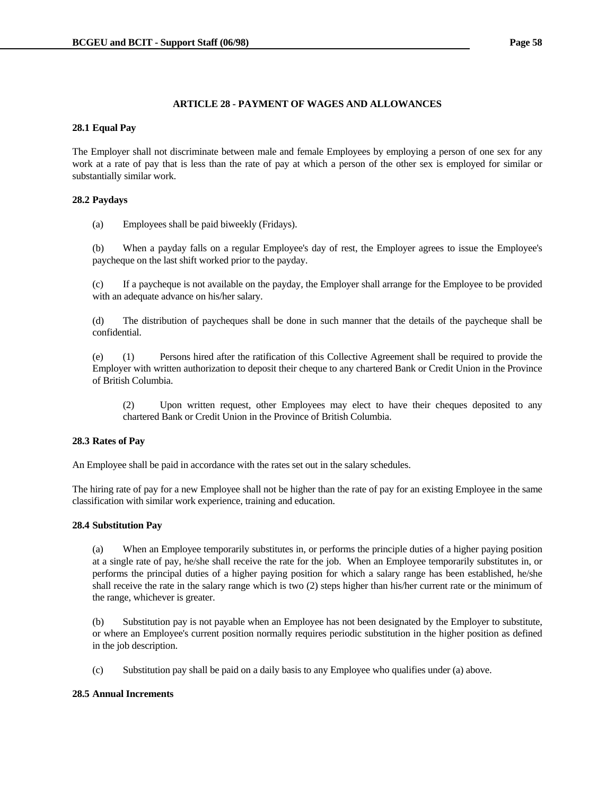## **ARTICLE 28 - PAYMENT OF WAGES AND ALLOWANCES**

## **28.1 Equal Pay**

The Employer shall not discriminate between male and female Employees by employing a person of one sex for any work at a rate of pay that is less than the rate of pay at which a person of the other sex is employed for similar or substantially similar work.

## **28.2 Paydays**

(a) Employees shall be paid biweekly (Fridays).

 (b) When a payday falls on a regular Employee's day of rest, the Employer agrees to issue the Employee's paycheque on the last shift worked prior to the payday.

 (c) If a paycheque is not available on the payday, the Employer shall arrange for the Employee to be provided with an adequate advance on his/her salary.

 (d) The distribution of paycheques shall be done in such manner that the details of the paycheque shall be confidential.

 (e) (1) Persons hired after the ratification of this Collective Agreement shall be required to provide the Employer with written authorization to deposit their cheque to any chartered Bank or Credit Union in the Province of British Columbia.

 (2) Upon written request, other Employees may elect to have their cheques deposited to any chartered Bank or Credit Union in the Province of British Columbia.

## **28.3 Rates of Pay**

An Employee shall be paid in accordance with the rates set out in the salary schedules.

The hiring rate of pay for a new Employee shall not be higher than the rate of pay for an existing Employee in the same classification with similar work experience, training and education.

### **28.4 Substitution Pay**

 (a) When an Employee temporarily substitutes in, or performs the principle duties of a higher paying position at a single rate of pay, he/she shall receive the rate for the job. When an Employee temporarily substitutes in, or performs the principal duties of a higher paying position for which a salary range has been established, he/she shall receive the rate in the salary range which is two (2) steps higher than his/her current rate or the minimum of the range, whichever is greater.

 (b) Substitution pay is not payable when an Employee has not been designated by the Employer to substitute, or where an Employee's current position normally requires periodic substitution in the higher position as defined in the job description.

(c) Substitution pay shall be paid on a daily basis to any Employee who qualifies under (a) above.

### **28.5 Annual Increments**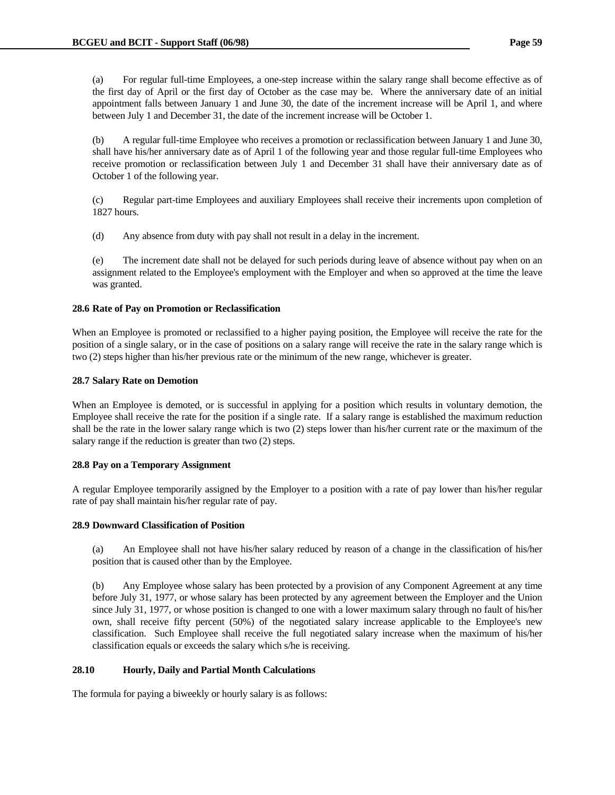(a) For regular full-time Employees, a one-step increase within the salary range shall become effective as of the first day of April or the first day of October as the case may be. Where the anniversary date of an initial appointment falls between January 1 and June 30, the date of the increment increase will be April 1, and where between July 1 and December 31, the date of the increment increase will be October 1.

 (b) A regular full-time Employee who receives a promotion or reclassification between January 1 and June 30, shall have his/her anniversary date as of April 1 of the following year and those regular full-time Employees who receive promotion or reclassification between July 1 and December 31 shall have their anniversary date as of October 1 of the following year.

 (c) Regular part-time Employees and auxiliary Employees shall receive their increments upon completion of 1827 hours.

(d) Any absence from duty with pay shall not result in a delay in the increment.

 (e) The increment date shall not be delayed for such periods during leave of absence without pay when on an assignment related to the Employee's employment with the Employer and when so approved at the time the leave was granted.

## **28.6 Rate of Pay on Promotion or Reclassification**

When an Employee is promoted or reclassified to a higher paying position, the Employee will receive the rate for the position of a single salary, or in the case of positions on a salary range will receive the rate in the salary range which is two (2) steps higher than his/her previous rate or the minimum of the new range, whichever is greater.

## **28.7 Salary Rate on Demotion**

When an Employee is demoted, or is successful in applying for a position which results in voluntary demotion, the Employee shall receive the rate for the position if a single rate. If a salary range is established the maximum reduction shall be the rate in the lower salary range which is two (2) steps lower than his/her current rate or the maximum of the salary range if the reduction is greater than two (2) steps.

### **28.8 Pay on a Temporary Assignment**

A regular Employee temporarily assigned by the Employer to a position with a rate of pay lower than his/her regular rate of pay shall maintain his/her regular rate of pay.

### **28.9 Downward Classification of Position**

 (a) An Employee shall not have his/her salary reduced by reason of a change in the classification of his/her position that is caused other than by the Employee.

 (b) Any Employee whose salary has been protected by a provision of any Component Agreement at any time before July 31, 1977, or whose salary has been protected by any agreement between the Employer and the Union since July 31, 1977, or whose position is changed to one with a lower maximum salary through no fault of his/her own, shall receive fifty percent (50%) of the negotiated salary increase applicable to the Employee's new classification. Such Employee shall receive the full negotiated salary increase when the maximum of his/her classification equals or exceeds the salary which s/he is receiving.

### **28.10 Hourly, Daily and Partial Month Calculations**

The formula for paying a biweekly or hourly salary is as follows: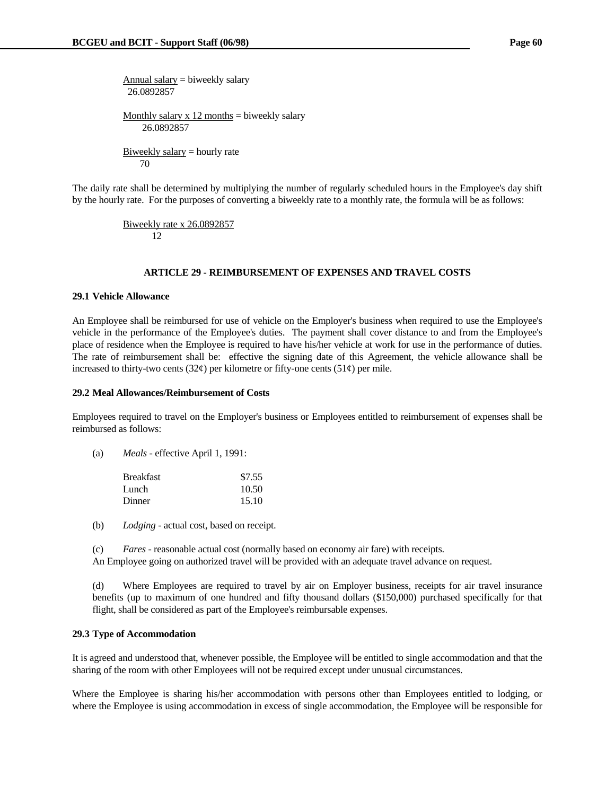Annual salary  $=$  biweekly salary 26.0892857 Monthly salary  $x$  12 months = biweekly salary 26.0892857 Biweekly salary  $=$  hourly rate 70

The daily rate shall be determined by multiplying the number of regularly scheduled hours in the Employee's day shift by the hourly rate. For the purposes of converting a biweekly rate to a monthly rate, the formula will be as follows:

> Biweekly rate x 26.0892857 12

### **ARTICLE 29 - REIMBURSEMENT OF EXPENSES AND TRAVEL COSTS**

#### **29.1 Vehicle Allowance**

An Employee shall be reimbursed for use of vehicle on the Employer's business when required to use the Employee's vehicle in the performance of the Employee's duties. The payment shall cover distance to and from the Employee's place of residence when the Employee is required to have his/her vehicle at work for use in the performance of duties. The rate of reimbursement shall be: effective the signing date of this Agreement, the vehicle allowance shall be increased to thirty-two cents (32 $\varphi$ ) per kilometre or fifty-one cents (51 $\varphi$ ) per mile.

### **29.2 Meal Allowances/Reimbursement of Costs**

Employees required to travel on the Employer's business or Employees entitled to reimbursement of expenses shall be reimbursed as follows:

(a) *Meals* - effective April 1, 1991:

| <b>Breakfast</b> | \$7.55 |
|------------------|--------|
| Lunch.           | 10.50  |
| Dinner           | 15.10  |

(b) *Lodging* - actual cost, based on receipt.

(c) *Fares* - reasonable actual cost (normally based on economy air fare) with receipts.

An Employee going on authorized travel will be provided with an adequate travel advance on request.

 (d) Where Employees are required to travel by air on Employer business, receipts for air travel insurance benefits (up to maximum of one hundred and fifty thousand dollars (\$150,000) purchased specifically for that flight, shall be considered as part of the Employee's reimbursable expenses.

### **29.3 Type of Accommodation**

It is agreed and understood that, whenever possible, the Employee will be entitled to single accommodation and that the sharing of the room with other Employees will not be required except under unusual circumstances.

Where the Employee is sharing his/her accommodation with persons other than Employees entitled to lodging, or where the Employee is using accommodation in excess of single accommodation, the Employee will be responsible for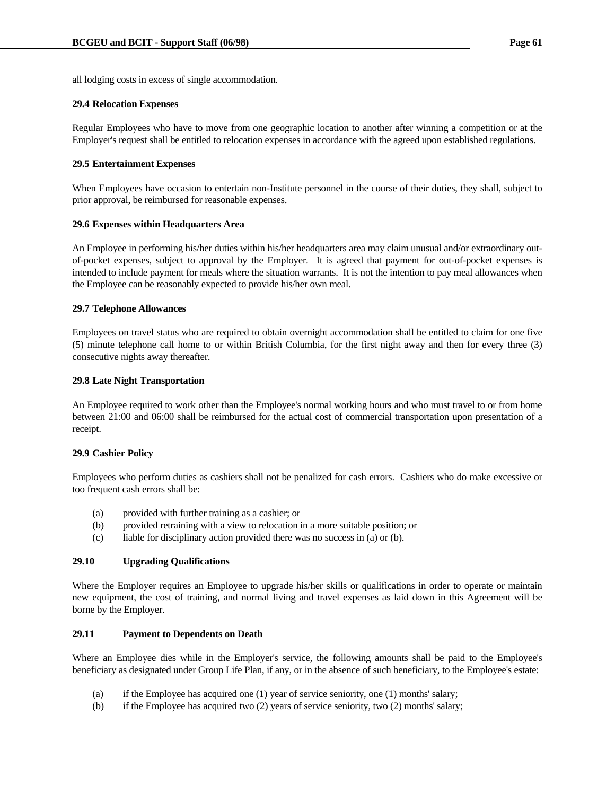all lodging costs in excess of single accommodation.

## **29.4 Relocation Expenses**

Regular Employees who have to move from one geographic location to another after winning a competition or at the Employer's request shall be entitled to relocation expenses in accordance with the agreed upon established regulations.

### **29.5 Entertainment Expenses**

When Employees have occasion to entertain non-Institute personnel in the course of their duties, they shall, subject to prior approval, be reimbursed for reasonable expenses.

### **29.6 Expenses within Headquarters Area**

An Employee in performing his/her duties within his/her headquarters area may claim unusual and/or extraordinary outof-pocket expenses, subject to approval by the Employer. It is agreed that payment for out-of-pocket expenses is intended to include payment for meals where the situation warrants. It is not the intention to pay meal allowances when the Employee can be reasonably expected to provide his/her own meal.

### **29.7 Telephone Allowances**

Employees on travel status who are required to obtain overnight accommodation shall be entitled to claim for one five (5) minute telephone call home to or within British Columbia, for the first night away and then for every three (3) consecutive nights away thereafter.

#### **29.8 Late Night Transportation**

An Employee required to work other than the Employee's normal working hours and who must travel to or from home between 21:00 and 06:00 shall be reimbursed for the actual cost of commercial transportation upon presentation of a receipt.

### **29.9 Cashier Policy**

Employees who perform duties as cashiers shall not be penalized for cash errors. Cashiers who do make excessive or too frequent cash errors shall be:

- (a) provided with further training as a cashier; or
- (b) provided retraining with a view to relocation in a more suitable position; or
- (c) liable for disciplinary action provided there was no success in (a) or (b).

#### **29.10 Upgrading Qualifications**

Where the Employer requires an Employee to upgrade his/her skills or qualifications in order to operate or maintain new equipment, the cost of training, and normal living and travel expenses as laid down in this Agreement will be borne by the Employer.

### **29.11 Payment to Dependents on Death**

Where an Employee dies while in the Employer's service, the following amounts shall be paid to the Employee's beneficiary as designated under Group Life Plan, if any, or in the absence of such beneficiary, to the Employee's estate:

- (a) if the Employee has acquired one (1) year of service seniority, one (1) months' salary;
- (b) if the Employee has acquired two (2) years of service seniority, two (2) months' salary;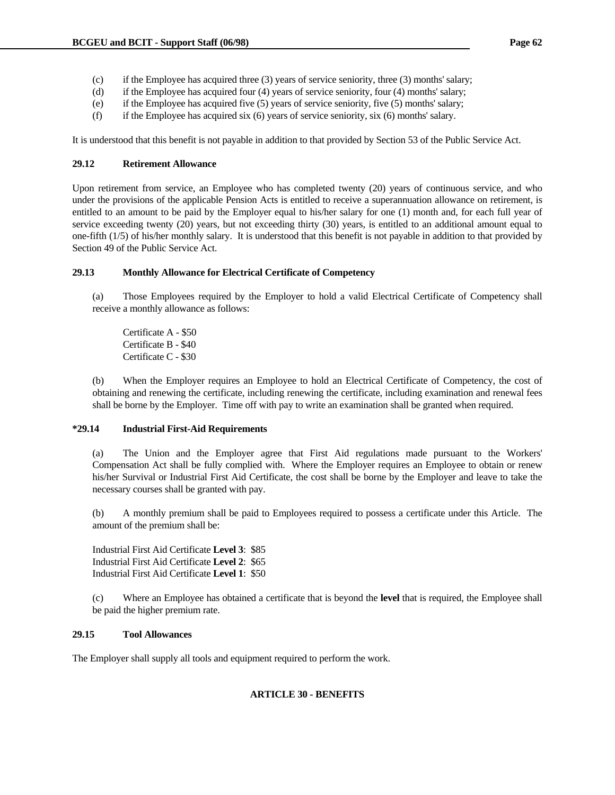- (c) if the Employee has acquired three (3) years of service seniority, three (3) months' salary;
- (d) if the Employee has acquired four (4) years of service seniority, four (4) months' salary;
- (e) if the Employee has acquired five (5) years of service seniority, five (5) months' salary;
- (f) if the Employee has acquired six (6) years of service seniority, six (6) months' salary.

It is understood that this benefit is not payable in addition to that provided by Section 53 of the Public Service Act.

### **29.12 Retirement Allowance**

Upon retirement from service, an Employee who has completed twenty (20) years of continuous service, and who under the provisions of the applicable Pension Acts is entitled to receive a superannuation allowance on retirement, is entitled to an amount to be paid by the Employer equal to his/her salary for one (1) month and, for each full year of service exceeding twenty (20) years, but not exceeding thirty (30) years, is entitled to an additional amount equal to one-fifth (1/5) of his/her monthly salary. It is understood that this benefit is not payable in addition to that provided by Section 49 of the Public Service Act.

### **29.13 Monthly Allowance for Electrical Certificate of Competency**

 (a) Those Employees required by the Employer to hold a valid Electrical Certificate of Competency shall receive a monthly allowance as follows:

 Certificate A - \$50 Certificate B - \$40 Certificate C - \$30

 (b) When the Employer requires an Employee to hold an Electrical Certificate of Competency, the cost of obtaining and renewing the certificate, including renewing the certificate, including examination and renewal fees shall be borne by the Employer. Time off with pay to write an examination shall be granted when required.

### **\*29.14 Industrial First-Aid Requirements**

 (a) The Union and the Employer agree that First Aid regulations made pursuant to the Workers' Compensation Act shall be fully complied with. Where the Employer requires an Employee to obtain or renew his/her Survival or Industrial First Aid Certificate, the cost shall be borne by the Employer and leave to take the necessary courses shall be granted with pay.

 (b) A monthly premium shall be paid to Employees required to possess a certificate under this Article. The amount of the premium shall be:

 Industrial First Aid Certificate **Level 3**: \$85 Industrial First Aid Certificate **Level 2**: \$65 Industrial First Aid Certificate **Level 1**: \$50

 (c) Where an Employee has obtained a certificate that is beyond the **level** that is required, the Employee shall be paid the higher premium rate.

### **29.15 Tool Allowances**

The Employer shall supply all tools and equipment required to perform the work.

# **ARTICLE 30 - BENEFITS**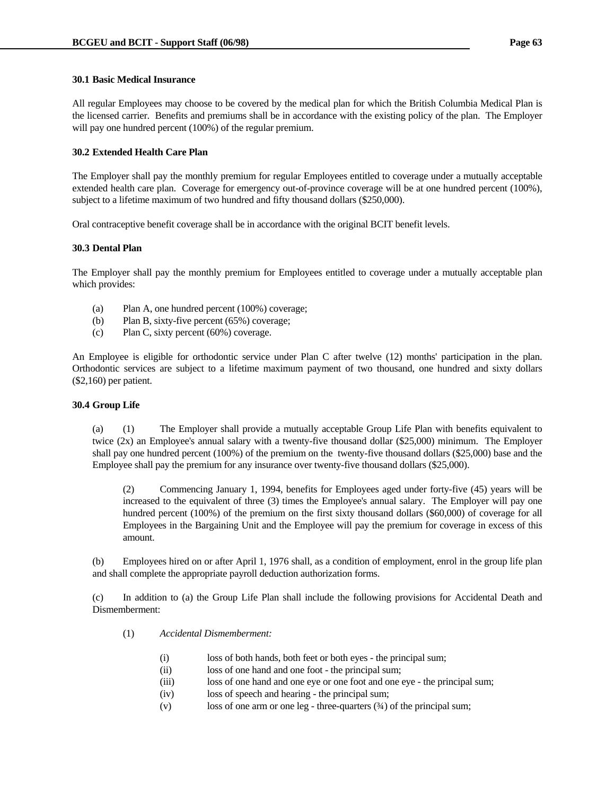### **30.1 Basic Medical Insurance**

All regular Employees may choose to be covered by the medical plan for which the British Columbia Medical Plan is the licensed carrier. Benefits and premiums shall be in accordance with the existing policy of the plan. The Employer will pay one hundred percent (100%) of the regular premium.

### **30.2 Extended Health Care Plan**

The Employer shall pay the monthly premium for regular Employees entitled to coverage under a mutually acceptable extended health care plan. Coverage for emergency out-of-province coverage will be at one hundred percent (100%), subject to a lifetime maximum of two hundred and fifty thousand dollars (\$250,000).

Oral contraceptive benefit coverage shall be in accordance with the original BCIT benefit levels.

### **30.3 Dental Plan**

The Employer shall pay the monthly premium for Employees entitled to coverage under a mutually acceptable plan which provides:

- (a) Plan A, one hundred percent (100%) coverage;
- (b) Plan B, sixty-five percent (65%) coverage;
- (c) Plan C, sixty percent (60%) coverage.

An Employee is eligible for orthodontic service under Plan C after twelve (12) months' participation in the plan. Orthodontic services are subject to a lifetime maximum payment of two thousand, one hundred and sixty dollars (\$2,160) per patient.

### **30.4 Group Life**

 (a) (1) The Employer shall provide a mutually acceptable Group Life Plan with benefits equivalent to twice (2x) an Employee's annual salary with a twenty-five thousand dollar (\$25,000) minimum. The Employer shall pay one hundred percent (100%) of the premium on the twenty-five thousand dollars (\$25,000) base and the Employee shall pay the premium for any insurance over twenty-five thousand dollars (\$25,000).

 (2) Commencing January 1, 1994, benefits for Employees aged under forty-five (45) years will be increased to the equivalent of three (3) times the Employee's annual salary. The Employer will pay one hundred percent (100%) of the premium on the first sixty thousand dollars (\$60,000) of coverage for all Employees in the Bargaining Unit and the Employee will pay the premium for coverage in excess of this amount.

 (b) Employees hired on or after April 1, 1976 shall, as a condition of employment, enrol in the group life plan and shall complete the appropriate payroll deduction authorization forms.

 (c) In addition to (a) the Group Life Plan shall include the following provisions for Accidental Death and Dismemberment:

- (1) *Accidental Dismemberment:*
	- (i) loss of both hands, both feet or both eyes the principal sum;
	- (ii) loss of one hand and one foot the principal sum;
	- (iii) loss of one hand and one eye or one foot and one eye the principal sum;
	- (iv) loss of speech and hearing the principal sum;
	- (v) loss of one arm or one leg three-quarters (¾) of the principal sum;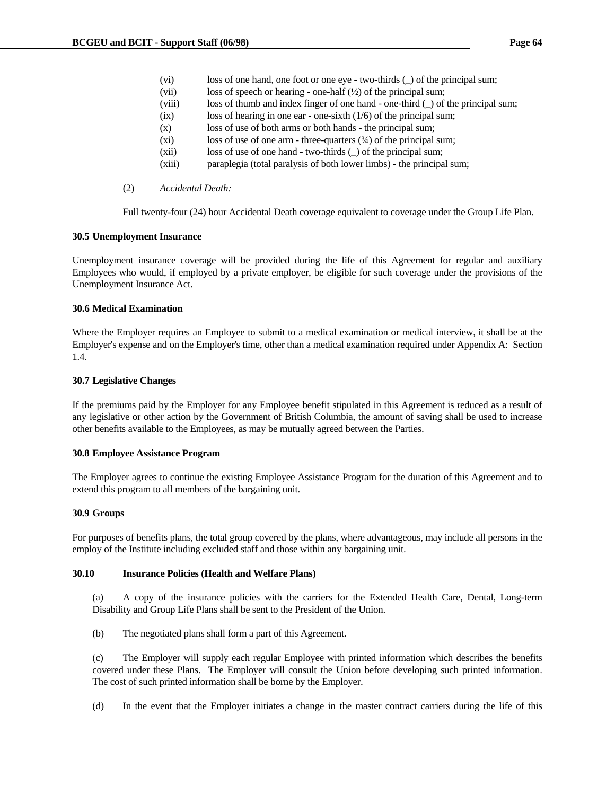- (vi) loss of one hand, one foot or one eye two-thirds (\_) of the principal sum;
- (vii) loss of speech or hearing one-half  $(\frac{1}{2})$  of the principal sum;
- (viii) loss of thumb and index finger of one hand one-third () of the principal sum;
- (ix) loss of hearing in one ear one-sixth (1/6) of the principal sum;
- (x) loss of use of both arms or both hands the principal sum;
- (xi) loss of use of one arm three-quarters (¾) of the principal sum;
- (xii) loss of use of one hand two-thirds (\_) of the principal sum;
- (xiii) paraplegia (total paralysis of both lower limbs) the principal sum;
- (2) *Accidental Death:*

Full twenty-four (24) hour Accidental Death coverage equivalent to coverage under the Group Life Plan.

## **30.5 Unemployment Insurance**

Unemployment insurance coverage will be provided during the life of this Agreement for regular and auxiliary Employees who would, if employed by a private employer, be eligible for such coverage under the provisions of the Unemployment Insurance Act.

### **30.6 Medical Examination**

Where the Employer requires an Employee to submit to a medical examination or medical interview, it shall be at the Employer's expense and on the Employer's time, other than a medical examination required under Appendix A: Section 1.4.

### **30.7 Legislative Changes**

If the premiums paid by the Employer for any Employee benefit stipulated in this Agreement is reduced as a result of any legislative or other action by the Government of British Columbia, the amount of saving shall be used to increase other benefits available to the Employees, as may be mutually agreed between the Parties.

### **30.8 Employee Assistance Program**

The Employer agrees to continue the existing Employee Assistance Program for the duration of this Agreement and to extend this program to all members of the bargaining unit.

### **30.9 Groups**

For purposes of benefits plans, the total group covered by the plans, where advantageous, may include all persons in the employ of the Institute including excluded staff and those within any bargaining unit.

### **30.10 Insurance Policies (Health and Welfare Plans)**

 (a) A copy of the insurance policies with the carriers for the Extended Health Care, Dental, Long-term Disability and Group Life Plans shall be sent to the President of the Union.

(b) The negotiated plans shall form a part of this Agreement.

 (c) The Employer will supply each regular Employee with printed information which describes the benefits covered under these Plans. The Employer will consult the Union before developing such printed information. The cost of such printed information shall be borne by the Employer.

(d) In the event that the Employer initiates a change in the master contract carriers during the life of this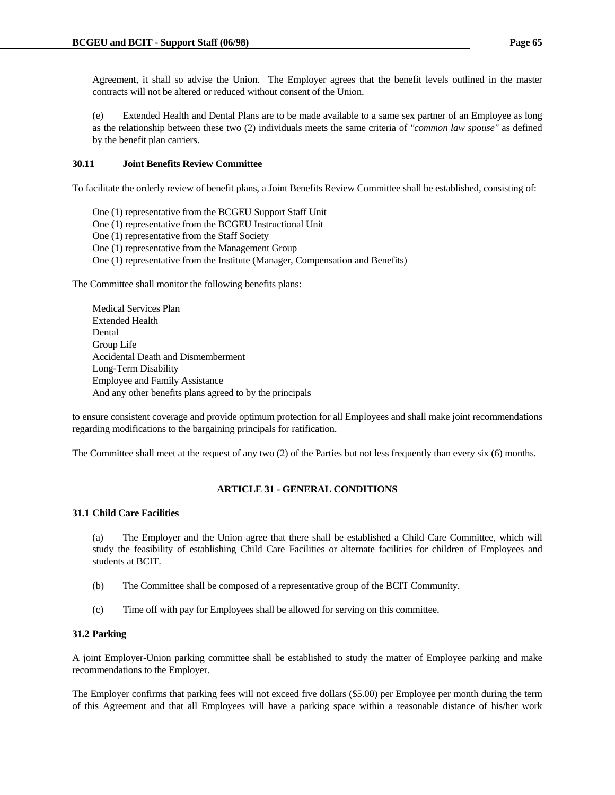Agreement, it shall so advise the Union. The Employer agrees that the benefit levels outlined in the master contracts will not be altered or reduced without consent of the Union.

 (e) Extended Health and Dental Plans are to be made available to a same sex partner of an Employee as long as the relationship between these two (2) individuals meets the same criteria of *"common law spouse"* as defined by the benefit plan carriers.

### **30.11 Joint Benefits Review Committee**

To facilitate the orderly review of benefit plans, a Joint Benefits Review Committee shall be established, consisting of:

- One (1) representative from the BCGEU Support Staff Unit
- One (1) representative from the BCGEU Instructional Unit
- One (1) representative from the Staff Society
- One (1) representative from the Management Group
- One (1) representative from the Institute (Manager, Compensation and Benefits)

The Committee shall monitor the following benefits plans:

 Medical Services Plan Extended Health Dental Group Life Accidental Death and Dismemberment Long-Term Disability Employee and Family Assistance And any other benefits plans agreed to by the principals

to ensure consistent coverage and provide optimum protection for all Employees and shall make joint recommendations regarding modifications to the bargaining principals for ratification.

The Committee shall meet at the request of any two (2) of the Parties but not less frequently than every six (6) months.

# **ARTICLE 31 - GENERAL CONDITIONS**

# **31.1 Child Care Facilities**

 (a) The Employer and the Union agree that there shall be established a Child Care Committee, which will study the feasibility of establishing Child Care Facilities or alternate facilities for children of Employees and students at BCIT.

- (b) The Committee shall be composed of a representative group of the BCIT Community.
- (c) Time off with pay for Employees shall be allowed for serving on this committee.

### **31.2 Parking**

A joint Employer-Union parking committee shall be established to study the matter of Employee parking and make recommendations to the Employer.

The Employer confirms that parking fees will not exceed five dollars (\$5.00) per Employee per month during the term of this Agreement and that all Employees will have a parking space within a reasonable distance of his/her work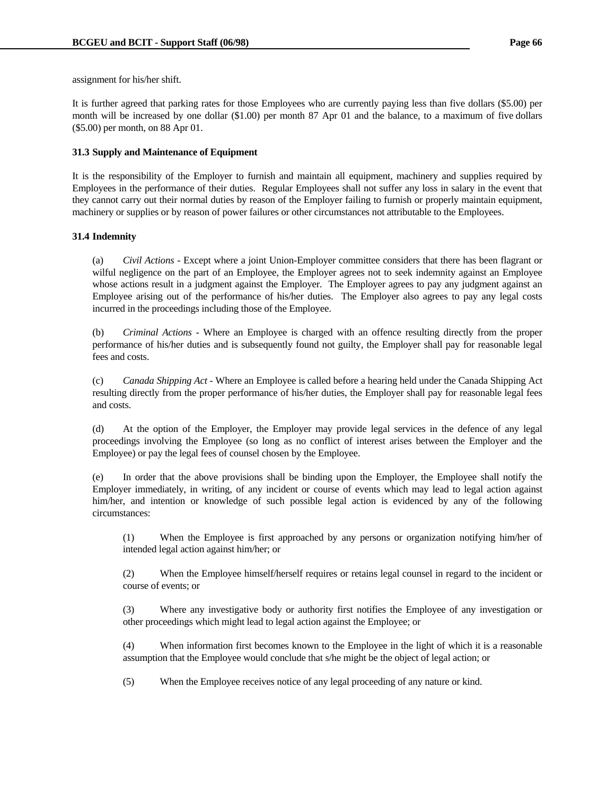assignment for his/her shift.

It is further agreed that parking rates for those Employees who are currently paying less than five dollars (\$5.00) per month will be increased by one dollar (\$1.00) per month 87 Apr 01 and the balance, to a maximum of five dollars (\$5.00) per month, on 88 Apr 01.

# **31.3 Supply and Maintenance of Equipment**

It is the responsibility of the Employer to furnish and maintain all equipment, machinery and supplies required by Employees in the performance of their duties. Regular Employees shall not suffer any loss in salary in the event that they cannot carry out their normal duties by reason of the Employer failing to furnish or properly maintain equipment, machinery or supplies or by reason of power failures or other circumstances not attributable to the Employees.

### **31.4 Indemnity**

 (a) *Civil Actions* - Except where a joint Union-Employer committee considers that there has been flagrant or wilful negligence on the part of an Employee, the Employer agrees not to seek indemnity against an Employee whose actions result in a judgment against the Employer. The Employer agrees to pay any judgment against an Employee arising out of the performance of his/her duties. The Employer also agrees to pay any legal costs incurred in the proceedings including those of the Employee.

 (b) *Criminal Actions* - Where an Employee is charged with an offence resulting directly from the proper performance of his/her duties and is subsequently found not guilty, the Employer shall pay for reasonable legal fees and costs.

 (c) *Canada Shipping Act* - Where an Employee is called before a hearing held under the Canada Shipping Act resulting directly from the proper performance of his/her duties, the Employer shall pay for reasonable legal fees and costs.

 (d) At the option of the Employer, the Employer may provide legal services in the defence of any legal proceedings involving the Employee (so long as no conflict of interest arises between the Employer and the Employee) or pay the legal fees of counsel chosen by the Employee.

 (e) In order that the above provisions shall be binding upon the Employer, the Employee shall notify the Employer immediately, in writing, of any incident or course of events which may lead to legal action against him/her, and intention or knowledge of such possible legal action is evidenced by any of the following circumstances:

 (1) When the Employee is first approached by any persons or organization notifying him/her of intended legal action against him/her; or

 (2) When the Employee himself/herself requires or retains legal counsel in regard to the incident or course of events; or

 (3) Where any investigative body or authority first notifies the Employee of any investigation or other proceedings which might lead to legal action against the Employee; or

 (4) When information first becomes known to the Employee in the light of which it is a reasonable assumption that the Employee would conclude that s/he might be the object of legal action; or

(5) When the Employee receives notice of any legal proceeding of any nature or kind.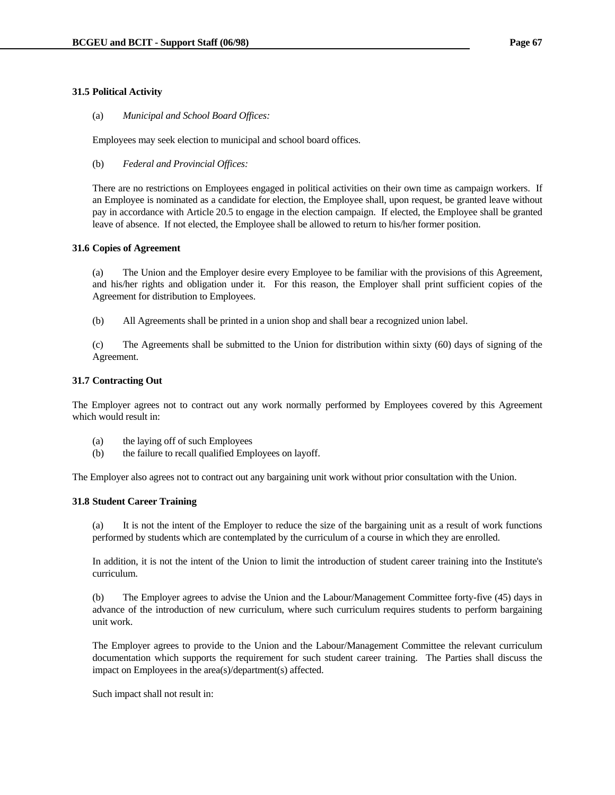### **31.5 Political Activity**

(a) *Municipal and School Board Offices:*

Employees may seek election to municipal and school board offices.

(b) *Federal and Provincial Offices:*

 There are no restrictions on Employees engaged in political activities on their own time as campaign workers. If an Employee is nominated as a candidate for election, the Employee shall, upon request, be granted leave without pay in accordance with Article 20.5 to engage in the election campaign. If elected, the Employee shall be granted leave of absence. If not elected, the Employee shall be allowed to return to his/her former position.

### **31.6 Copies of Agreement**

 (a) The Union and the Employer desire every Employee to be familiar with the provisions of this Agreement, and his/her rights and obligation under it. For this reason, the Employer shall print sufficient copies of the Agreement for distribution to Employees.

(b) All Agreements shall be printed in a union shop and shall bear a recognized union label.

 (c) The Agreements shall be submitted to the Union for distribution within sixty (60) days of signing of the Agreement.

### **31.7 Contracting Out**

The Employer agrees not to contract out any work normally performed by Employees covered by this Agreement which would result in:

- (a) the laying off of such Employees
- (b) the failure to recall qualified Employees on layoff.

The Employer also agrees not to contract out any bargaining unit work without prior consultation with the Union.

### **31.8 Student Career Training**

 (a) It is not the intent of the Employer to reduce the size of the bargaining unit as a result of work functions performed by students which are contemplated by the curriculum of a course in which they are enrolled.

 In addition, it is not the intent of the Union to limit the introduction of student career training into the Institute's curriculum.

 (b) The Employer agrees to advise the Union and the Labour/Management Committee forty-five (45) days in advance of the introduction of new curriculum, where such curriculum requires students to perform bargaining unit work.

 The Employer agrees to provide to the Union and the Labour/Management Committee the relevant curriculum documentation which supports the requirement for such student career training. The Parties shall discuss the impact on Employees in the area(s)/department(s) affected.

Such impact shall not result in: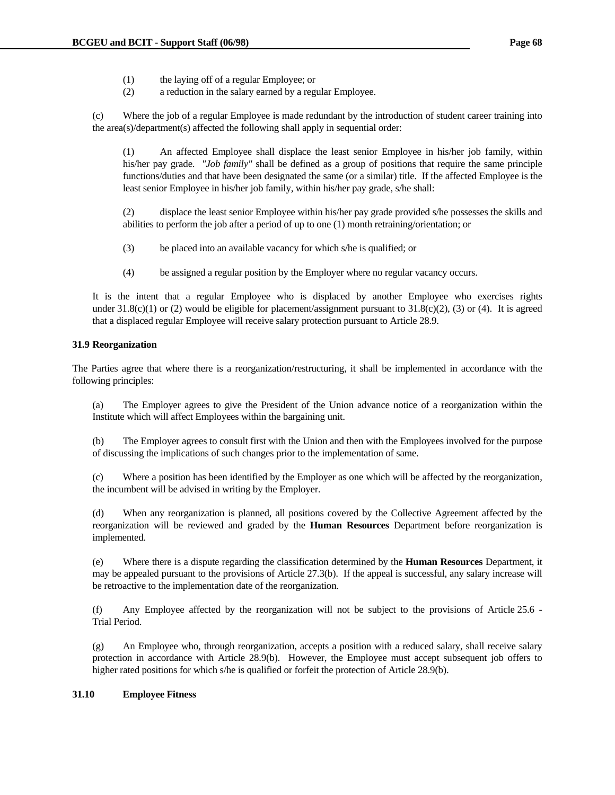- (1) the laying off of a regular Employee; or
- (2) a reduction in the salary earned by a regular Employee.

 (c) Where the job of a regular Employee is made redundant by the introduction of student career training into the area(s)/department(s) affected the following shall apply in sequential order:

 (1) An affected Employee shall displace the least senior Employee in his/her job family, within his/her pay grade. *"Job family"* shall be defined as a group of positions that require the same principle functions/duties and that have been designated the same (or a similar) title. If the affected Employee is the least senior Employee in his/her job family, within his/her pay grade, s/he shall:

 (2) displace the least senior Employee within his/her pay grade provided s/he possesses the skills and abilities to perform the job after a period of up to one (1) month retraining/orientation; or

- (3) be placed into an available vacancy for which s/he is qualified; or
- (4) be assigned a regular position by the Employer where no regular vacancy occurs.

 It is the intent that a regular Employee who is displaced by another Employee who exercises rights under  $31.8(c)(1)$  or (2) would be eligible for placement/assignment pursuant to  $31.8(c)(2)$ , (3) or (4). It is agreed that a displaced regular Employee will receive salary protection pursuant to Article 28.9.

### **31.9 Reorganization**

The Parties agree that where there is a reorganization/restructuring, it shall be implemented in accordance with the following principles:

 (a) The Employer agrees to give the President of the Union advance notice of a reorganization within the Institute which will affect Employees within the bargaining unit.

 (b) The Employer agrees to consult first with the Union and then with the Employees involved for the purpose of discussing the implications of such changes prior to the implementation of same.

 (c) Where a position has been identified by the Employer as one which will be affected by the reorganization, the incumbent will be advised in writing by the Employer.

 (d) When any reorganization is planned, all positions covered by the Collective Agreement affected by the reorganization will be reviewed and graded by the **Human Resources** Department before reorganization is implemented.

 (e) Where there is a dispute regarding the classification determined by the **Human Resources** Department, it may be appealed pursuant to the provisions of Article 27.3(b). If the appeal is successful, any salary increase will be retroactive to the implementation date of the reorganization.

 (f) Any Employee affected by the reorganization will not be subject to the provisions of Article 25.6 - Trial Period.

 (g) An Employee who, through reorganization, accepts a position with a reduced salary, shall receive salary protection in accordance with Article 28.9(b). However, the Employee must accept subsequent job offers to higher rated positions for which s/he is qualified or forfeit the protection of Article 28.9(b).

## **31.10 Employee Fitness**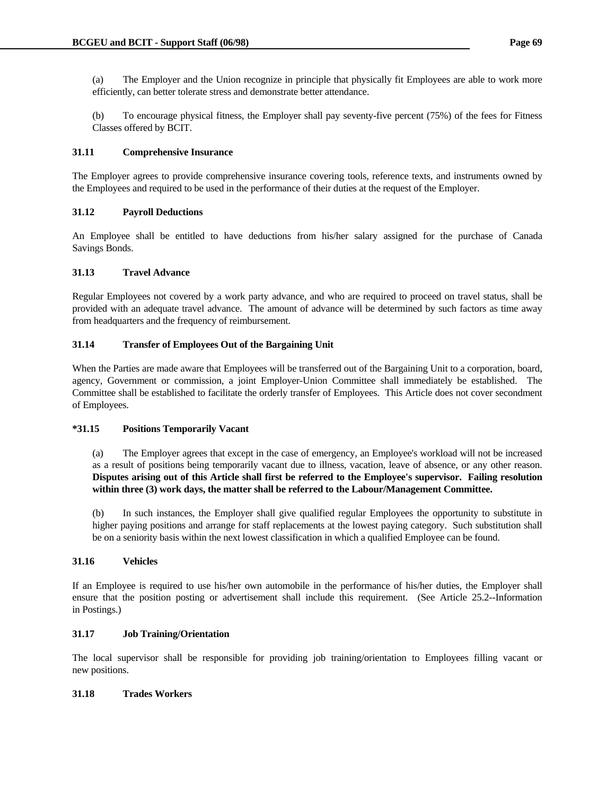(a) The Employer and the Union recognize in principle that physically fit Employees are able to work more efficiently, can better tolerate stress and demonstrate better attendance.

 (b) To encourage physical fitness, the Employer shall pay seventy-five percent (75%) of the fees for Fitness Classes offered by BCIT.

# **31.11 Comprehensive Insurance**

The Employer agrees to provide comprehensive insurance covering tools, reference texts, and instruments owned by the Employees and required to be used in the performance of their duties at the request of the Employer.

# **31.12 Payroll Deductions**

An Employee shall be entitled to have deductions from his/her salary assigned for the purchase of Canada Savings Bonds.

# **31.13 Travel Advance**

Regular Employees not covered by a work party advance, and who are required to proceed on travel status, shall be provided with an adequate travel advance. The amount of advance will be determined by such factors as time away from headquarters and the frequency of reimbursement.

# **31.14 Transfer of Employees Out of the Bargaining Unit**

When the Parties are made aware that Employees will be transferred out of the Bargaining Unit to a corporation, board, agency, Government or commission, a joint Employer-Union Committee shall immediately be established. The Committee shall be established to facilitate the orderly transfer of Employees. This Article does not cover secondment of Employees.

# **\*31.15 Positions Temporarily Vacant**

 (a) The Employer agrees that except in the case of emergency, an Employee's workload will not be increased as a result of positions being temporarily vacant due to illness, vacation, leave of absence, or any other reason. **Disputes arising out of this Article shall first be referred to the Employee's supervisor. Failing resolution within three (3) work days, the matter shall be referred to the Labour/Management Committee.**

 (b) In such instances, the Employer shall give qualified regular Employees the opportunity to substitute in higher paying positions and arrange for staff replacements at the lowest paying category. Such substitution shall be on a seniority basis within the next lowest classification in which a qualified Employee can be found.

# **31.16 Vehicles**

If an Employee is required to use his/her own automobile in the performance of his/her duties, the Employer shall ensure that the position posting or advertisement shall include this requirement. (See Article 25.2--Information in Postings.)

# **31.17 Job Training/Orientation**

The local supervisor shall be responsible for providing job training/orientation to Employees filling vacant or new positions.

# **31.18 Trades Workers**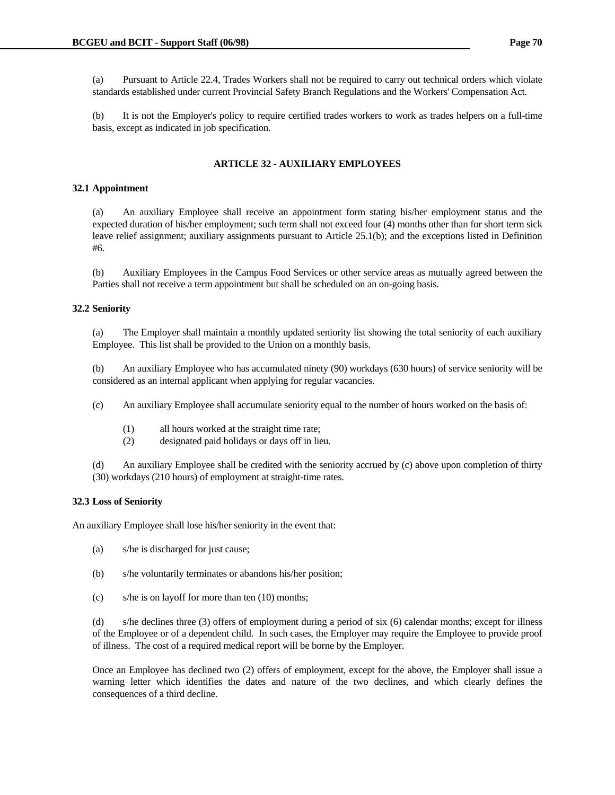(a) Pursuant to Article 22.4, Trades Workers shall not be required to carry out technical orders which violate standards established under current Provincial Safety Branch Regulations and the Workers' Compensation Act.

 (b) It is not the Employer's policy to require certified trades workers to work as trades helpers on a full-time basis, except as indicated in job specification.

### **ARTICLE 32 - AUXILIARY EMPLOYEES**

### **32.1 Appointment**

 (a) An auxiliary Employee shall receive an appointment form stating his/her employment status and the expected duration of his/her employment; such term shall not exceed four (4) months other than for short term sick leave relief assignment; auxiliary assignments pursuant to Article 25.1(b); and the exceptions listed in Definition #6.

 (b) Auxiliary Employees in the Campus Food Services or other service areas as mutually agreed between the Parties shall not receive a term appointment but shall be scheduled on an on-going basis.

### **32.2 Seniority**

 (a) The Employer shall maintain a monthly updated seniority list showing the total seniority of each auxiliary Employee. This list shall be provided to the Union on a monthly basis.

 (b) An auxiliary Employee who has accumulated ninety (90) workdays (630 hours) of service seniority will be considered as an internal applicant when applying for regular vacancies.

- (c) An auxiliary Employee shall accumulate seniority equal to the number of hours worked on the basis of:
	- (1) all hours worked at the straight time rate;
	- (2) designated paid holidays or days off in lieu.

 (d) An auxiliary Employee shall be credited with the seniority accrued by (c) above upon completion of thirty (30) workdays (210 hours) of employment at straight-time rates.

### **32.3 Loss of Seniority**

An auxiliary Employee shall lose his/her seniority in the event that:

- (a) s/he is discharged for just cause;
- (b) s/he voluntarily terminates or abandons his/her position;
- (c) s/he is on layoff for more than ten (10) months;

 (d) s/he declines three (3) offers of employment during a period of six (6) calendar months; except for illness of the Employee or of a dependent child. In such cases, the Employer may require the Employee to provide proof of illness. The cost of a required medical report will be borne by the Employer.

 Once an Employee has declined two (2) offers of employment, except for the above, the Employer shall issue a warning letter which identifies the dates and nature of the two declines, and which clearly defines the consequences of a third decline.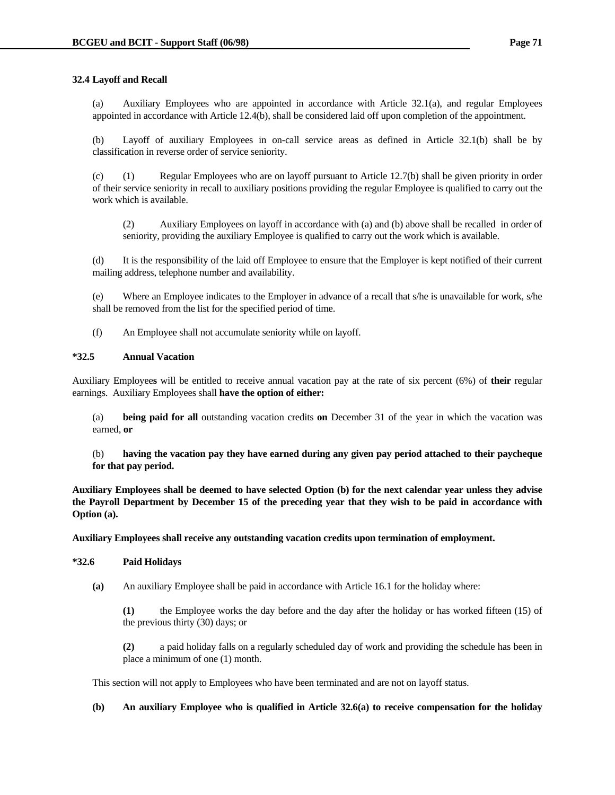### **32.4 Layoff and Recall**

 (a) Auxiliary Employees who are appointed in accordance with Article 32.1(a), and regular Employees appointed in accordance with Article 12.4(b), shall be considered laid off upon completion of the appointment.

 (b) Layoff of auxiliary Employees in on-call service areas as defined in Article 32.1(b) shall be by classification in reverse order of service seniority.

 (c) (1) Regular Employees who are on layoff pursuant to Article 12.7(b) shall be given priority in order of their service seniority in recall to auxiliary positions providing the regular Employee is qualified to carry out the work which is available.

 (2) Auxiliary Employees on layoff in accordance with (a) and (b) above shall be recalled in order of seniority, providing the auxiliary Employee is qualified to carry out the work which is available.

 (d) It is the responsibility of the laid off Employee to ensure that the Employer is kept notified of their current mailing address, telephone number and availability.

 (e) Where an Employee indicates to the Employer in advance of a recall that s/he is unavailable for work, s/he shall be removed from the list for the specified period of time.

(f) An Employee shall not accumulate seniority while on layoff.

### **\*32.5 Annual Vacation**

Auxiliary Employee**s** will be entitled to receive annual vacation pay at the rate of six percent (6%) of **their** regular earnings. Auxiliary Employees shall **have the option of either:**

 (a) **being paid for all** outstanding vacation credits **on** December 31 of the year in which the vacation was earned, **or**

 (b) **having the vacation pay they have earned during any given pay period attached to their paycheque for that pay period.**

**Auxiliary Employees shall be deemed to have selected Option (b) for the next calendar year unless they advise the Payroll Department by December 15 of the preceding year that they wish to be paid in accordance with Option (a).** 

**Auxiliary Employees shall receive any outstanding vacation credits upon termination of employment.**

### **\*32.6 Paid Holidays**

 **(a)** An auxiliary Employee shall be paid in accordance with Article 16.1 for the holiday where:

 **(1)** the Employee works the day before and the day after the holiday or has worked fifteen (15) of the previous thirty (30) days; or

 **(2)** a paid holiday falls on a regularly scheduled day of work and providing the schedule has been in place a minimum of one (1) month.

This section will not apply to Employees who have been terminated and are not on layoff status.

 **(b) An auxiliary Employee who is qualified in Article 32.6(a) to receive compensation for the holiday**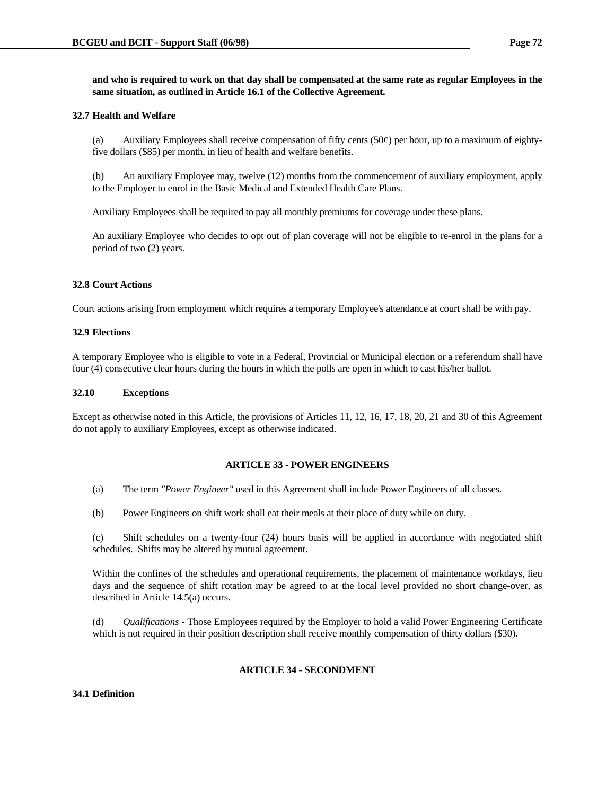**and who is required to work on that day shall be compensated at the same rate as regular Employees in the same situation, as outlined in Article 16.1 of the Collective Agreement.**

### **32.7 Health and Welfare**

(a) Auxiliary Employees shall receive compensation of fifty cents  $(50¢)$  per hour, up to a maximum of eightyfive dollars (\$85) per month, in lieu of health and welfare benefits.

 (b) An auxiliary Employee may, twelve (12) months from the commencement of auxiliary employment, apply to the Employer to enrol in the Basic Medical and Extended Health Care Plans.

Auxiliary Employees shall be required to pay all monthly premiums for coverage under these plans.

 An auxiliary Employee who decides to opt out of plan coverage will not be eligible to re-enrol in the plans for a period of two (2) years.

### **32.8 Court Actions**

Court actions arising from employment which requires a temporary Employee's attendance at court shall be with pay.

### **32.9 Elections**

A temporary Employee who is eligible to vote in a Federal, Provincial or Municipal election or a referendum shall have four (4) consecutive clear hours during the hours in which the polls are open in which to cast his/her ballot.

### **32.10 Exceptions**

Except as otherwise noted in this Article, the provisions of Articles 11, 12, 16, 17, 18, 20, 21 and 30 of this Agreement do not apply to auxiliary Employees, except as otherwise indicated.

# **ARTICLE 33 - POWER ENGINEERS**

- (a) The term *"Power Engineer"* used in this Agreement shall include Power Engineers of all classes.
- (b) Power Engineers on shift work shall eat their meals at their place of duty while on duty.

 (c) Shift schedules on a twenty-four (24) hours basis will be applied in accordance with negotiated shift schedules. Shifts may be altered by mutual agreement.

 Within the confines of the schedules and operational requirements, the placement of maintenance workdays, lieu days and the sequence of shift rotation may be agreed to at the local level provided no short change-over, as described in Article 14.5(a) occurs.

 (d) *Qualifications* - Those Employees required by the Employer to hold a valid Power Engineering Certificate which is not required in their position description shall receive monthly compensation of thirty dollars (\$30).

# **ARTICLE 34 - SECONDMENT**

### **34.1 Definition**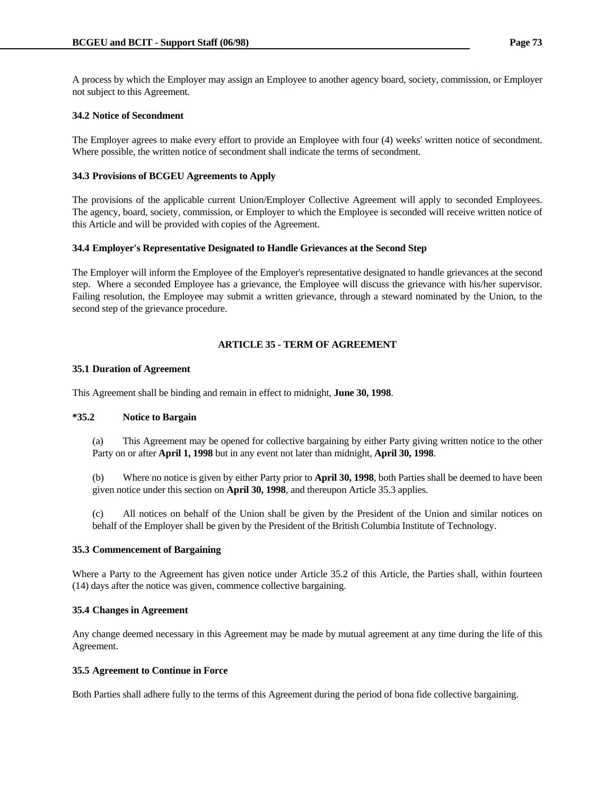A process by which the Employer may assign an Employee to another agency board, society, commission, or Employer not subject to this Agreement.

### **34.2 Notice of Secondment**

The Employer agrees to make every effort to provide an Employee with four (4) weeks' written notice of secondment. Where possible, the written notice of secondment shall indicate the terms of secondment.

### **34.3 Provisions of BCGEU Agreements to Apply**

The provisions of the applicable current Union/Employer Collective Agreement will apply to seconded Employees. The agency, board, society, commission, or Employer to which the Employee is seconded will receive written notice of this Article and will be provided with copies of the Agreement.

### **34.4 Employer's Representative Designated to Handle Grievances at the Second Step**

The Employer will inform the Employee of the Employer's representative designated to handle grievances at the second step. Where a seconded Employee has a grievance, the Employee will discuss the grievance with his/her supervisor. Failing resolution, the Employee may submit a written grievance, through a steward nominated by the Union, to the second step of the grievance procedure.

# **ARTICLE 35 - TERM OF AGREEMENT**

# **35.1 Duration of Agreement**

This Agreement shall be binding and remain in effect to midnight, **June 30, 1998**.

### **\*35.2 Notice to Bargain**

 (a) This Agreement may be opened for collective bargaining by either Party giving written notice to the other Party on or after **April 1, 1998** but in any event not later than midnight, **April 30, 1998**.

 (b) Where no notice is given by either Party prior to **April 30, 1998**, both Parties shall be deemed to have been given notice under this section on **April 30, 1998**, and thereupon Article 35.3 applies.

 (c) All notices on behalf of the Union shall be given by the President of the Union and similar notices on behalf of the Employer shall be given by the President of the British Columbia Institute of Technology.

### **35.3 Commencement of Bargaining**

Where a Party to the Agreement has given notice under Article 35.2 of this Article, the Parties shall, within fourteen (14) days after the notice was given, commence collective bargaining.

### **35.4 Changes in Agreement**

Any change deemed necessary in this Agreement may be made by mutual agreement at any time during the life of this Agreement.

### **35.5 Agreement to Continue in Force**

Both Parties shall adhere fully to the terms of this Agreement during the period of bona fide collective bargaining.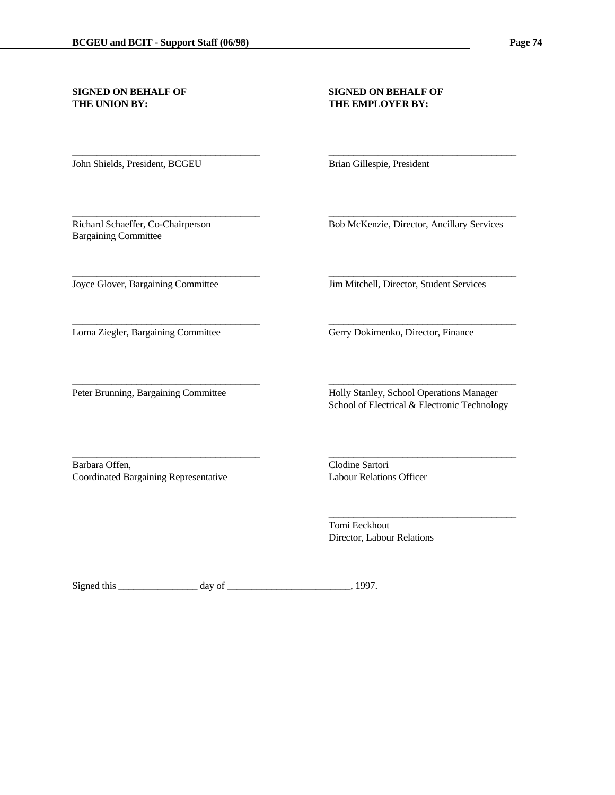# **THE UNION BY:** THE EMPLOYER BY:

# **SIGNED ON BEHALF OF SIGNED ON BEHALF OF**

John Shields, President, BCGEU Brian Gillespie, President

Bargaining Committee

\_\_\_\_\_\_\_\_\_\_\_\_\_\_\_\_\_\_\_\_\_\_\_\_\_\_\_\_\_\_\_\_\_\_\_\_\_\_ \_\_\_\_\_\_\_\_\_\_\_\_\_\_\_\_\_\_\_\_\_\_\_\_\_\_\_\_\_\_\_\_\_\_\_\_\_\_

\_\_\_\_\_\_\_\_\_\_\_\_\_\_\_\_\_\_\_\_\_\_\_\_\_\_\_\_\_\_\_\_\_\_\_\_\_\_ \_\_\_\_\_\_\_\_\_\_\_\_\_\_\_\_\_\_\_\_\_\_\_\_\_\_\_\_\_\_\_\_\_\_\_\_\_\_

\_\_\_\_\_\_\_\_\_\_\_\_\_\_\_\_\_\_\_\_\_\_\_\_\_\_\_\_\_\_\_\_\_\_\_\_\_\_ \_\_\_\_\_\_\_\_\_\_\_\_\_\_\_\_\_\_\_\_\_\_\_\_\_\_\_\_\_\_\_\_\_\_\_\_\_\_

\_\_\_\_\_\_\_\_\_\_\_\_\_\_\_\_\_\_\_\_\_\_\_\_\_\_\_\_\_\_\_\_\_\_\_\_\_\_ \_\_\_\_\_\_\_\_\_\_\_\_\_\_\_\_\_\_\_\_\_\_\_\_\_\_\_\_\_\_\_\_\_\_\_\_\_\_

\_\_\_\_\_\_\_\_\_\_\_\_\_\_\_\_\_\_\_\_\_\_\_\_\_\_\_\_\_\_\_\_\_\_\_\_\_\_ \_\_\_\_\_\_\_\_\_\_\_\_\_\_\_\_\_\_\_\_\_\_\_\_\_\_\_\_\_\_\_\_\_\_\_\_\_\_

Richard Schaeffer, Co-Chairperson Bob McKenzie, Director, Ancillary Services

Barbara Offen, Clodine Sartori Coordinated Bargaining Representative Labour Relations Officer

Joyce Glover, Bargaining Committee Jim Mitchell, Director, Student Services

Lorna Ziegler, Bargaining Committee Gerry Dokimenko, Director, Finance

\_\_\_\_\_\_\_\_\_\_\_\_\_\_\_\_\_\_\_\_\_\_\_\_\_\_\_\_\_\_\_\_\_\_\_\_\_\_ \_\_\_\_\_\_\_\_\_\_\_\_\_\_\_\_\_\_\_\_\_\_\_\_\_\_\_\_\_\_\_\_\_\_\_\_\_\_ Peter Brunning, Bargaining Committee Holly Stanley, School Operations Manager School of Electrical & Electronic Technology

 $\frac{1}{\sqrt{2}}$  , and the contract of the contract of the contract of the contract of the contract of the contract of the contract of the contract of the contract of the contract of the contract of the contract of the contra Tomi Eeckhout Director, Labour Relations

Signed this \_\_\_\_\_\_\_\_\_\_\_\_\_\_\_\_\_\_ day of \_\_\_\_\_\_\_\_\_\_\_\_\_\_\_\_\_\_\_\_\_\_\_\_\_\_\_\_, 1997.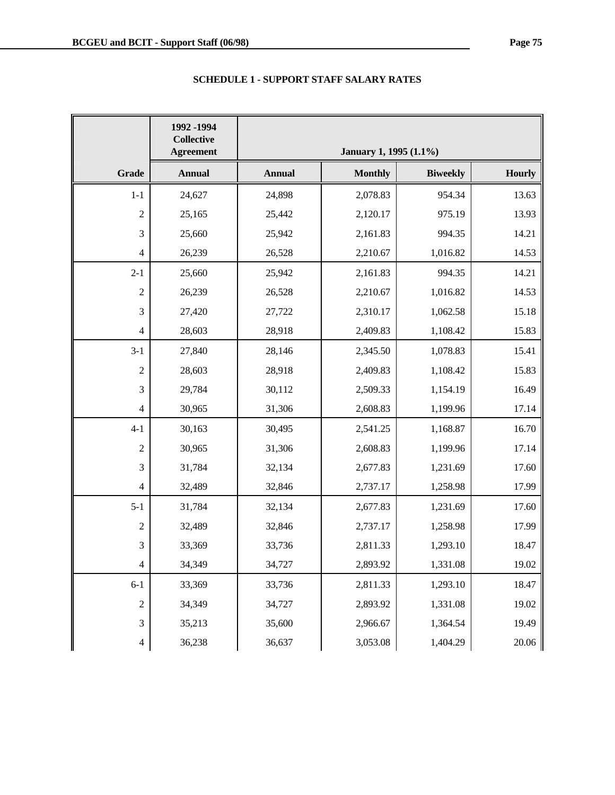|                  | 1992 - 1994<br><b>Collective</b><br><b>Agreement</b> |               | January 1, 1995 (1.1%) |                 |               |
|------------------|------------------------------------------------------|---------------|------------------------|-----------------|---------------|
| <b>Grade</b>     | <b>Annual</b>                                        | <b>Annual</b> | <b>Monthly</b>         | <b>Biweekly</b> | <b>Hourly</b> |
| $1 - 1$          | 24,627                                               | 24,898        | 2,078.83               | 954.34          | 13.63         |
| $\mathfrak{2}$   | 25,165                                               | 25,442        | 2,120.17               | 975.19          | 13.93         |
| 3                | 25,660                                               | 25,942        | 2,161.83               | 994.35          | 14.21         |
| 4                | 26,239                                               | 26,528        | 2,210.67               | 1,016.82        | 14.53         |
| $2 - 1$          | 25,660                                               | 25,942        | 2,161.83               | 994.35          | 14.21         |
| $\overline{c}$   | 26,239                                               | 26,528        | 2,210.67               | 1,016.82        | 14.53         |
| 3                | 27,420                                               | 27,722        | 2,310.17               | 1,062.58        | 15.18         |
| $\overline{4}$   | 28,603                                               | 28,918        | 2,409.83               | 1,108.42        | 15.83         |
| $3 - 1$          | 27,840                                               | 28,146        | 2,345.50               | 1,078.83        | 15.41         |
| $\boldsymbol{2}$ | 28,603                                               | 28,918        | 2,409.83               | 1,108.42        | 15.83         |
| 3                | 29,784                                               | 30,112        | 2,509.33               | 1,154.19        | 16.49         |
| 4                | 30,965                                               | 31,306        | 2,608.83               | 1,199.96        | 17.14         |
| $4 - 1$          | 30,163                                               | 30,495        | 2,541.25               | 1,168.87        | 16.70         |
| $\sqrt{2}$       | 30,965                                               | 31,306        | 2,608.83               | 1,199.96        | 17.14         |
| 3                | 31,784                                               | 32,134        | 2,677.83               | 1,231.69        | 17.60         |
| 4                | 32,489                                               | 32,846        | 2,737.17               | 1,258.98        | 17.99         |
| $5 - 1$          | 31,784                                               | 32,134        | 2,677.83               | 1,231.69        | 17.60         |
| $\boldsymbol{2}$ | 32,489                                               | 32,846        | 2,737.17               | 1,258.98        | 17.99         |
| 3                | 33,369                                               | 33,736        | 2,811.33               | 1,293.10        | 18.47         |
| 4                | 34,349                                               | 34,727        | 2,893.92               | 1,331.08        | 19.02         |
| $6 - 1$          | 33,369                                               | 33,736        | 2,811.33               | 1,293.10        | 18.47         |
| $\boldsymbol{2}$ | 34,349                                               | 34,727        | 2,893.92               | 1,331.08        | 19.02         |
| 3                | 35,213                                               | 35,600        | 2,966.67               | 1,364.54        | 19.49         |
| $\overline{4}$   | 36,238                                               | 36,637        | 3,053.08               | 1,404.29        | 20.06         |

# **SCHEDULE 1 - SUPPORT STAFF SALARY RATES**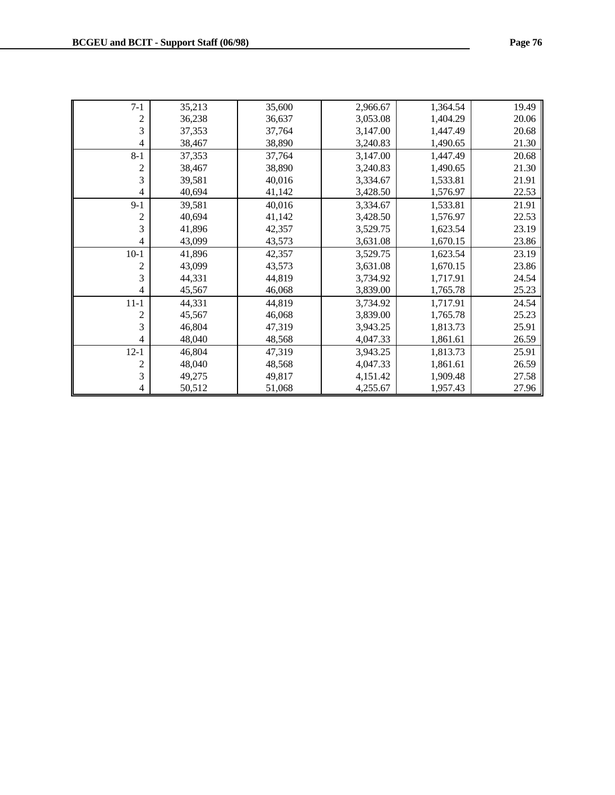| $7-1$          | 35,213 | 35,600 | 2,966.67 | 1,364.54 | 19.49 |
|----------------|--------|--------|----------|----------|-------|
| $\overline{c}$ | 36,238 | 36,637 | 3,053.08 | 1,404.29 | 20.06 |
| 3              | 37,353 | 37,764 | 3,147.00 | 1,447.49 | 20.68 |
| 4              | 38,467 | 38,890 | 3,240.83 | 1,490.65 | 21.30 |
| $8 - 1$        | 37,353 | 37,764 | 3,147.00 | 1,447.49 | 20.68 |
| 2              | 38,467 | 38,890 | 3,240.83 | 1,490.65 | 21.30 |
| 3              | 39,581 | 40,016 | 3,334.67 | 1,533.81 | 21.91 |
| 4              | 40,694 | 41,142 | 3,428.50 | 1,576.97 | 22.53 |
| $9-1$          | 39,581 | 40,016 | 3,334.67 | 1,533.81 | 21.91 |
| 2              | 40,694 | 41,142 | 3,428.50 | 1,576.97 | 22.53 |
| 3              | 41,896 | 42,357 | 3,529.75 | 1,623.54 | 23.19 |
| 4              | 43,099 | 43,573 | 3,631.08 | 1,670.15 | 23.86 |
| $10-1$         | 41,896 | 42,357 | 3,529.75 | 1,623.54 | 23.19 |
| $\overline{c}$ | 43,099 | 43,573 | 3,631.08 | 1,670.15 | 23.86 |
| 3              | 44,331 | 44,819 | 3,734.92 | 1,717.91 | 24.54 |
| 4              | 45,567 | 46,068 | 3,839.00 | 1,765.78 | 25.23 |
| $11 - 1$       | 44,331 | 44,819 | 3,734.92 | 1,717.91 | 24.54 |
| 2              | 45,567 | 46,068 | 3,839.00 | 1,765.78 | 25.23 |
| 3              | 46,804 | 47,319 | 3,943.25 | 1,813.73 | 25.91 |
| 4              | 48,040 | 48,568 | 4,047.33 | 1,861.61 | 26.59 |
| $12-1$         | 46,804 | 47,319 | 3,943.25 | 1,813.73 | 25.91 |
| 2              | 48,040 | 48,568 | 4,047.33 | 1,861.61 | 26.59 |
| 3              | 49,275 | 49,817 | 4,151.42 | 1,909.48 | 27.58 |
| 4              | 50,512 | 51,068 | 4,255.67 | 1,957.43 | 27.96 |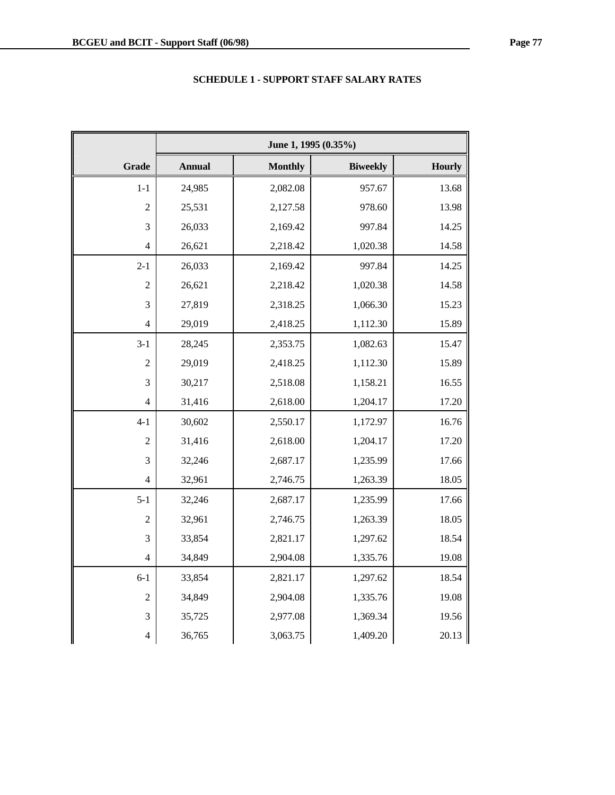|                | June 1, 1995 (0.35%) |                |                 |        |  |  |
|----------------|----------------------|----------------|-----------------|--------|--|--|
| <b>Grade</b>   | <b>Annual</b>        | <b>Monthly</b> | <b>Biweekly</b> | Hourly |  |  |
| $1 - 1$        | 24,985               | 2,082.08       | 957.67          | 13.68  |  |  |
| $\overline{2}$ | 25,531               | 2,127.58       | 978.60          | 13.98  |  |  |
| 3              | 26,033               | 2,169.42       | 997.84          | 14.25  |  |  |
| 4              | 26,621               | 2,218.42       | 1,020.38        | 14.58  |  |  |
| $2 - 1$        | 26,033               | 2,169.42       | 997.84          | 14.25  |  |  |
| $\overline{2}$ | 26,621               | 2,218.42       | 1,020.38        | 14.58  |  |  |
| 3              | 27,819               | 2,318.25       | 1,066.30        | 15.23  |  |  |
| $\overline{4}$ | 29,019               | 2,418.25       | 1,112.30        | 15.89  |  |  |
| $3 - 1$        | 28,245               | 2,353.75       | 1,082.63        | 15.47  |  |  |
| $\overline{2}$ | 29,019               | 2,418.25       | 1,112.30        | 15.89  |  |  |
| 3              | 30,217               | 2,518.08       | 1,158.21        | 16.55  |  |  |
| 4              | 31,416               | 2,618.00       | 1,204.17        | 17.20  |  |  |
| $4 - 1$        | 30,602               | 2,550.17       | 1,172.97        | 16.76  |  |  |
| $\overline{2}$ | 31,416               | 2,618.00       | 1,204.17        | 17.20  |  |  |
| 3              | 32,246               | 2,687.17       | 1,235.99        | 17.66  |  |  |
| $\overline{4}$ | 32,961               | 2,746.75       | 1,263.39        | 18.05  |  |  |
| $5 - 1$        | 32,246               | 2,687.17       | 1,235.99        | 17.66  |  |  |
| $\overline{c}$ | 32,961               | 2,746.75       | 1,263.39        | 18.05  |  |  |
| 3              | 33,854               | 2,821.17       | 1,297.62        | 18.54  |  |  |
| $\overline{4}$ | 34,849               | 2,904.08       | 1,335.76        | 19.08  |  |  |
| $6 - 1$        | 33,854               | 2,821.17       | 1,297.62        | 18.54  |  |  |
| $\overline{2}$ | 34,849               | 2,904.08       | 1,335.76        | 19.08  |  |  |
| $\mathfrak{Z}$ | 35,725               | 2,977.08       | 1,369.34        | 19.56  |  |  |
| 4              | 36,765               | 3,063.75       | 1,409.20        | 20.13  |  |  |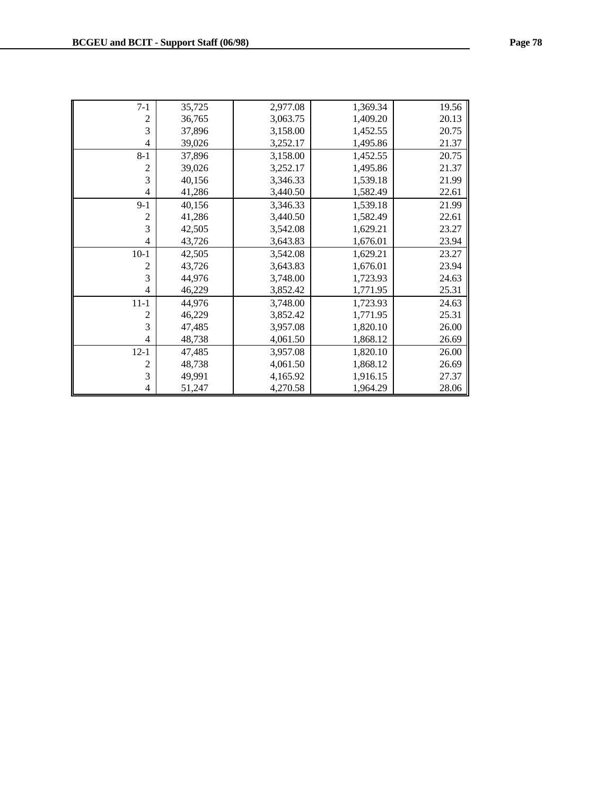| $7 - 1$        | 35,725 | 2,977.08 | 1,369.34 | 19.56 |
|----------------|--------|----------|----------|-------|
| $\overline{c}$ | 36,765 | 3,063.75 | 1,409.20 | 20.13 |
| 3              | 37,896 | 3,158.00 | 1,452.55 | 20.75 |
| $\overline{4}$ | 39,026 | 3,252.17 | 1,495.86 | 21.37 |
| $8 - 1$        | 37,896 | 3,158.00 | 1,452.55 | 20.75 |
| 2              | 39,026 | 3,252.17 | 1,495.86 | 21.37 |
| 3              | 40,156 | 3,346.33 | 1,539.18 | 21.99 |
| 4              | 41,286 | 3,440.50 | 1,582.49 | 22.61 |
| $9 - 1$        | 40,156 | 3,346.33 | 1,539.18 | 21.99 |
| $\overline{c}$ | 41,286 | 3,440.50 | 1,582.49 | 22.61 |
| 3              | 42,505 | 3,542.08 | 1,629.21 | 23.27 |
| $\overline{4}$ | 43,726 | 3,643.83 | 1,676.01 | 23.94 |
| $10-1$         | 42,505 | 3,542.08 | 1,629.21 | 23.27 |
| 2              | 43,726 | 3,643.83 | 1,676.01 | 23.94 |
| 3              | 44,976 | 3,748.00 | 1,723.93 | 24.63 |
| 4              | 46,229 | 3,852.42 | 1,771.95 | 25.31 |
| $11 - 1$       | 44,976 | 3,748.00 | 1,723.93 | 24.63 |
| 2              | 46,229 | 3,852.42 | 1,771.95 | 25.31 |
| 3              | 47,485 | 3,957.08 | 1,820.10 | 26.00 |
| $\overline{4}$ | 48,738 | 4,061.50 | 1,868.12 | 26.69 |
| $12 - 1$       | 47,485 | 3,957.08 | 1,820.10 | 26.00 |
| 2              | 48,738 | 4,061.50 | 1,868.12 | 26.69 |
| 3              | 49,991 | 4,165.92 | 1,916.15 | 27.37 |
| 4              | 51,247 | 4,270.58 | 1,964.29 | 28.06 |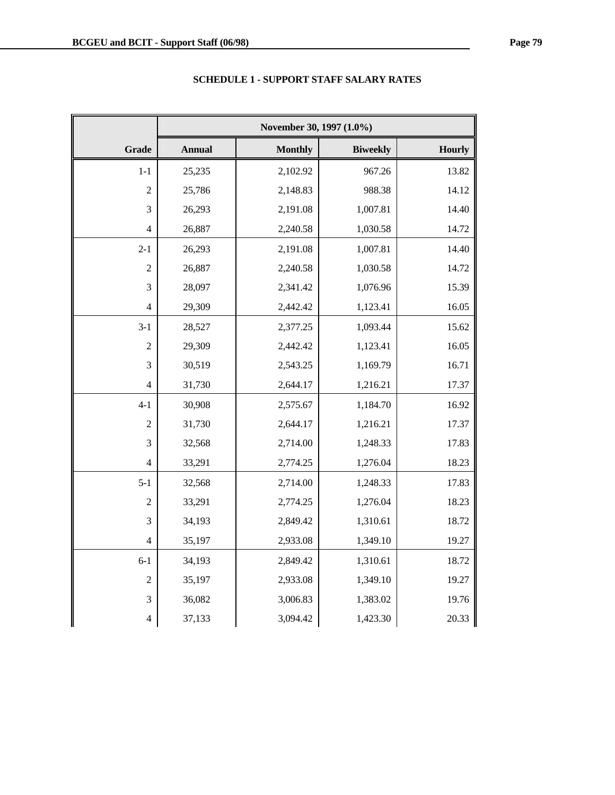|                          | November 30, 1997 (1.0%) |                |                 |        |  |  |
|--------------------------|--------------------------|----------------|-----------------|--------|--|--|
| <b>Grade</b>             | <b>Annual</b>            | <b>Monthly</b> | <b>Biweekly</b> | Hourly |  |  |
| $1-1$                    | 25,235                   | 2,102.92       | 967.26          | 13.82  |  |  |
| $\overline{2}$           | 25,786                   | 2,148.83       | 988.38          | 14.12  |  |  |
| 3                        | 26,293                   | 2,191.08       | 1,007.81        | 14.40  |  |  |
| $\overline{4}$           | 26,887                   | 2,240.58       | 1,030.58        | 14.72  |  |  |
| $2 - 1$                  | 26,293                   | 2,191.08       | 1,007.81        | 14.40  |  |  |
| $\overline{2}$           | 26,887                   | 2,240.58       | 1,030.58        | 14.72  |  |  |
| 3                        | 28,097                   | 2,341.42       | 1,076.96        | 15.39  |  |  |
| $\overline{4}$           | 29,309                   | 2,442.42       | 1,123.41        | 16.05  |  |  |
| $3 - 1$                  | 28,527                   | 2,377.25       | 1,093.44        | 15.62  |  |  |
| $\overline{2}$           | 29,309                   | 2,442.42       | 1,123.41        | 16.05  |  |  |
| 3                        | 30,519                   | 2,543.25       | 1,169.79        | 16.71  |  |  |
| $\overline{4}$           | 31,730                   | 2,644.17       | 1,216.21        | 17.37  |  |  |
| $4 - 1$                  | 30,908                   | 2,575.67       | 1,184.70        | 16.92  |  |  |
| $\overline{c}$           | 31,730                   | 2,644.17       | 1,216.21        | 17.37  |  |  |
| 3                        | 32,568                   | 2,714.00       | 1,248.33        | 17.83  |  |  |
| $\overline{4}$           | 33,291                   | 2,774.25       | 1,276.04        | 18.23  |  |  |
| $5 - 1$                  | 32,568                   | 2,714.00       | 1,248.33        | 17.83  |  |  |
| $\overline{2}$           | 33,291                   | 2,774.25       | 1,276.04        | 18.23  |  |  |
| 3                        | 34,193                   | 2,849.42       | 1,310.61        | 18.72  |  |  |
| $\overline{4}$           | 35,197                   | 2,933.08       | 1,349.10        | 19.27  |  |  |
| $6 - 1$                  | 34,193                   | 2,849.42       | 1,310.61        | 18.72  |  |  |
| $\overline{2}$           | 35,197                   | 2,933.08       | 1,349.10        | 19.27  |  |  |
| 3                        | 36,082                   | 3,006.83       | 1,383.02        | 19.76  |  |  |
| $\overline{\mathcal{L}}$ | 37,133                   | 3,094.42       | 1,423.30        | 20.33  |  |  |

# **SCHEDULE 1 - SUPPORT STAFF SALARY RATES**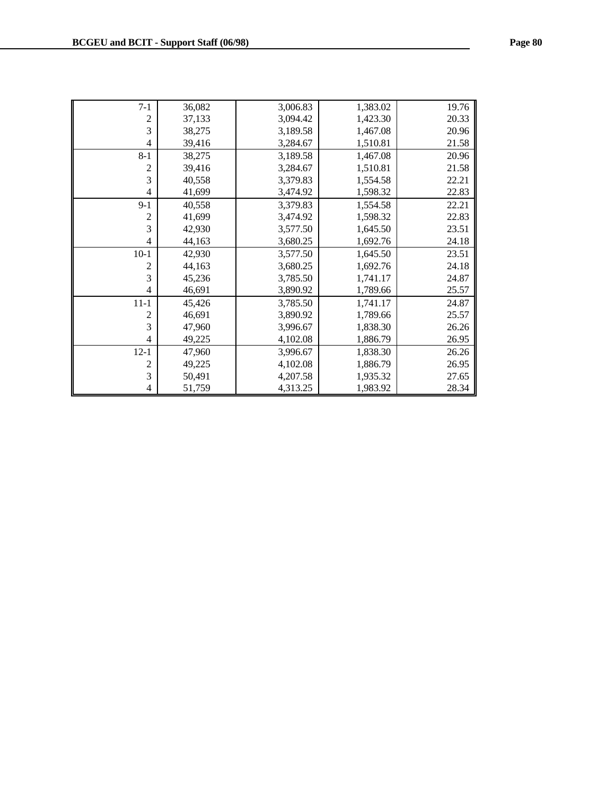| $7 - 1$        | 36,082 | 3,006.83 | 1,383.02 | 19.76 |
|----------------|--------|----------|----------|-------|
| $\overline{c}$ | 37,133 | 3,094.42 | 1,423.30 | 20.33 |
| 3              | 38,275 | 3,189.58 | 1,467.08 | 20.96 |
| 4              | 39,416 | 3,284.67 | 1,510.81 | 21.58 |
| $8 - 1$        | 38,275 | 3,189.58 | 1,467.08 | 20.96 |
| $\overline{c}$ | 39,416 | 3,284.67 | 1,510.81 | 21.58 |
| 3              | 40,558 | 3,379.83 | 1,554.58 | 22.21 |
| 4              | 41,699 | 3,474.92 | 1,598.32 | 22.83 |
| $9-1$          | 40,558 | 3,379.83 | 1,554.58 | 22.21 |
| 2              | 41,699 | 3,474.92 | 1,598.32 | 22.83 |
| 3              | 42,930 | 3,577.50 | 1,645.50 | 23.51 |
| 4              | 44,163 | 3,680.25 | 1,692.76 | 24.18 |
| $10-1$         | 42,930 | 3,577.50 | 1,645.50 | 23.51 |
| 2              | 44,163 | 3,680.25 | 1,692.76 | 24.18 |
| 3              | 45,236 | 3,785.50 | 1,741.17 | 24.87 |
| 4              | 46,691 | 3,890.92 | 1,789.66 | 25.57 |
| $11 - 1$       | 45,426 | 3,785.50 | 1,741.17 | 24.87 |
| 2              | 46,691 | 3,890.92 | 1,789.66 | 25.57 |
| 3              | 47,960 | 3,996.67 | 1,838.30 | 26.26 |
| 4              | 49,225 | 4,102.08 | 1,886.79 | 26.95 |
| $12 - 1$       | 47,960 | 3,996.67 | 1,838.30 | 26.26 |
| 2              | 49,225 | 4,102.08 | 1,886.79 | 26.95 |
| 3              | 50,491 | 4,207.58 | 1,935.32 | 27.65 |
| 4              | 51,759 | 4,313.25 | 1,983.92 | 28.34 |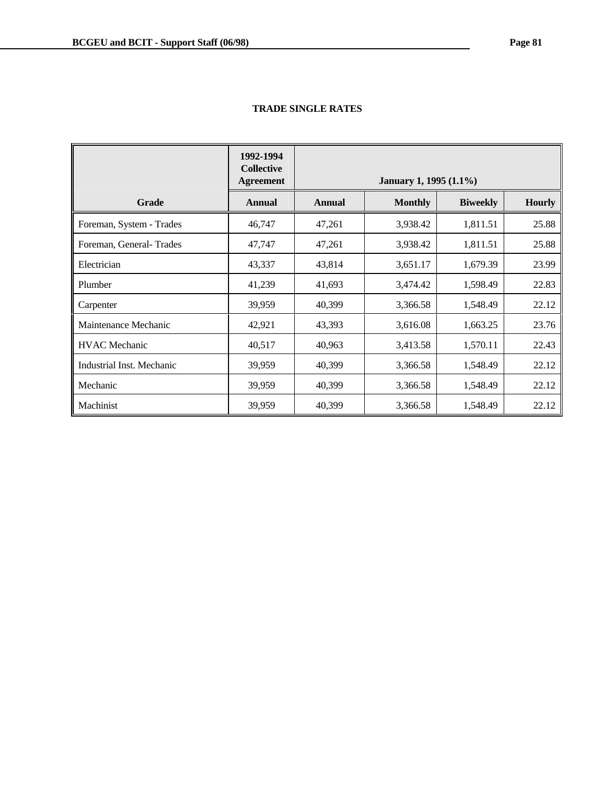|                           | 1992-1994<br><b>Collective</b><br><b>Agreement</b> | January 1, 1995 (1.1%) |                |                 |               |  |
|---------------------------|----------------------------------------------------|------------------------|----------------|-----------------|---------------|--|
| <b>Grade</b>              | <b>Annual</b>                                      | <b>Annual</b>          | <b>Monthly</b> | <b>Biweekly</b> | <b>Hourly</b> |  |
| Foreman, System - Trades  | 46,747                                             | 47,261                 | 3,938.42       | 1,811.51        | 25.88         |  |
| Foreman, General-Trades   | 47,747                                             | 47,261                 | 3,938.42       | 1,811.51        | 25.88         |  |
| Electrician               | 43,337                                             | 43,814                 | 3,651.17       | 1,679.39        | 23.99         |  |
| Plumber                   | 41,239                                             | 41,693                 | 3,474.42       | 1,598.49        | 22.83         |  |
| Carpenter                 | 39,959                                             | 40,399                 | 3,366.58       | 1,548.49        | 22.12         |  |
| Maintenance Mechanic      | 42,921                                             | 43,393                 | 3,616.08       | 1,663.25        | 23.76         |  |
| <b>HVAC</b> Mechanic      | 40,517                                             | 40,963                 | 3,413.58       | 1,570.11        | 22.43         |  |
| Industrial Inst. Mechanic | 39,959                                             | 40,399                 | 3,366.58       | 1,548.49        | 22.12         |  |
| Mechanic                  | 39,959                                             | 40,399                 | 3,366.58       | 1,548.49        | 22.12         |  |
| Machinist                 | 39,959                                             | 40,399                 | 3,366.58       | 1,548.49        | 22.12         |  |

# **TRADE SINGLE RATES**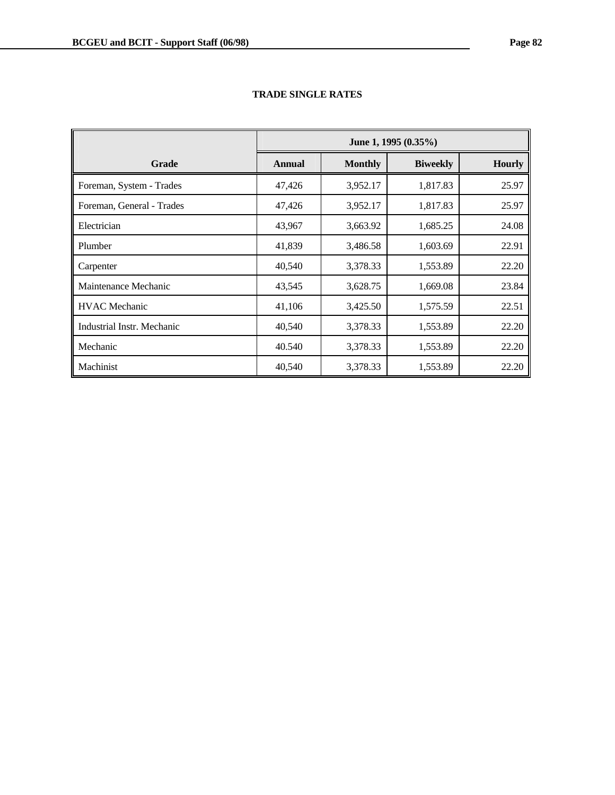|                            | June 1, 1995 (0.35%) |                |                 |               |
|----------------------------|----------------------|----------------|-----------------|---------------|
| Grade                      | <b>Annual</b>        | <b>Monthly</b> | <b>Biweekly</b> | <b>Hourly</b> |
| Foreman, System - Trades   | 47,426               | 3,952.17       | 1,817.83        | 25.97         |
| Foreman, General - Trades  | 47,426               | 3,952.17       | 1,817.83        | 25.97         |
| Electrician                | 43,967               | 3,663.92       | 1,685.25        | 24.08         |
| Plumber                    | 41,839               | 3,486.58       | 1,603.69        | 22.91         |
| Carpenter                  | 40,540               | 3,378.33       | 1,553.89        | 22.20         |
| Maintenance Mechanic       | 43,545               | 3,628.75       | 1,669.08        | 23.84         |
| <b>HVAC</b> Mechanic       | 41,106               | 3,425.50       | 1,575.59        | 22.51         |
| Industrial Instr. Mechanic | 40,540               | 3,378.33       | 1,553.89        | 22.20         |
| Mechanic                   | 40.540               | 3,378.33       | 1,553.89        | 22.20         |
| Machinist                  | 40,540               | 3,378.33       | 1,553.89        | 22.20         |

# **TRADE SINGLE RATES**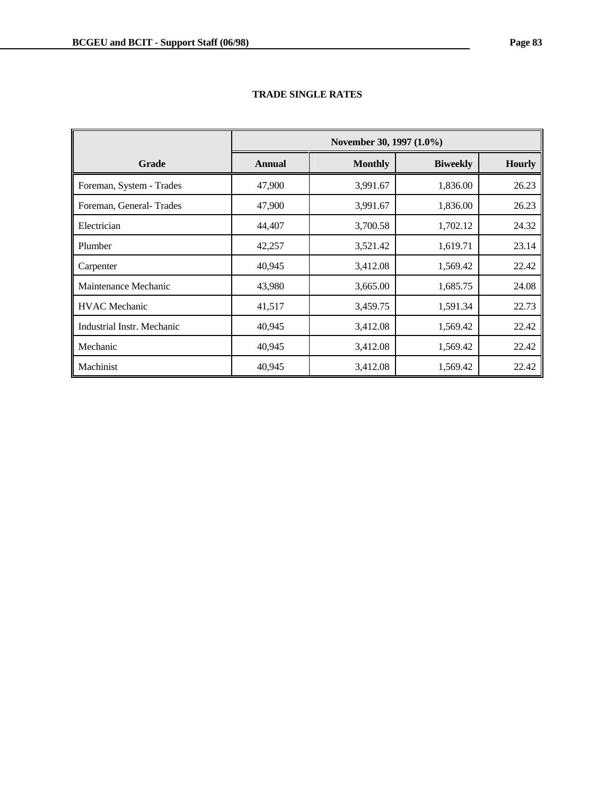|                            | November 30, 1997 (1.0%) |                |                 |               |  |
|----------------------------|--------------------------|----------------|-----------------|---------------|--|
| Grade                      | <b>Annual</b>            | <b>Monthly</b> | <b>Biweekly</b> | <b>Hourly</b> |  |
| Foreman, System - Trades   | 47,900                   | 3,991.67       | 1,836.00        | 26.23         |  |
| Foreman, General-Trades    | 47,900                   | 3,991.67       | 1,836.00        | 26.23         |  |
| Electrician                | 44,407                   | 3,700.58       | 1,702.12        | 24.32         |  |
| Plumber                    | 42,257                   | 3,521.42       | 1,619.71        | 23.14         |  |
| Carpenter                  | 40,945                   | 3,412.08       | 1,569.42        | 22.42         |  |
| Maintenance Mechanic       | 43,980                   | 3,665.00       | 1,685.75        | 24.08         |  |
| <b>HVAC</b> Mechanic       | 41,517                   | 3,459.75       | 1,591.34        | 22.73         |  |
| Industrial Instr. Mechanic | 40,945                   | 3,412.08       | 1,569.42        | 22.42         |  |
| Mechanic                   | 40,945                   | 3,412.08       | 1,569.42        | 22.42         |  |
| Machinist                  | 40,945                   | 3,412.08       | 1,569.42        | 22.42         |  |

# **TRADE SINGLE RATES**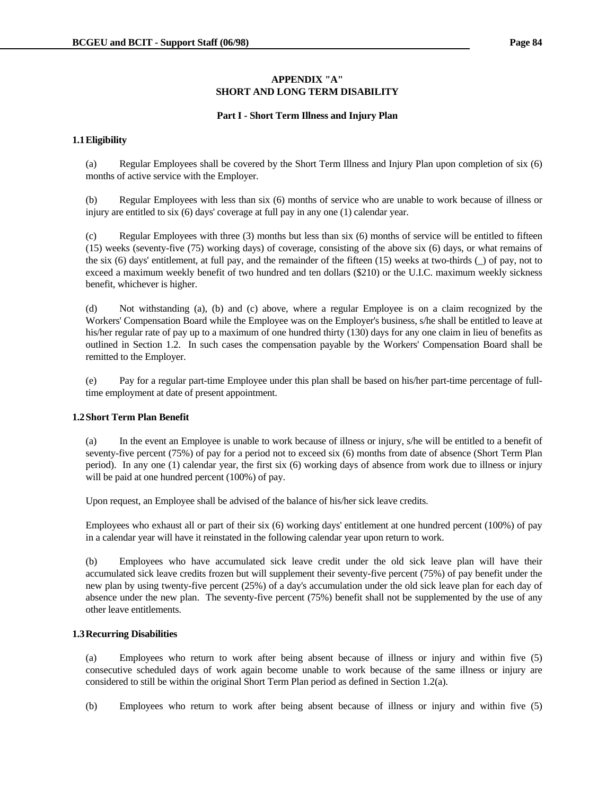## **APPENDIX "A" SHORT AND LONG TERM DISABILITY**

### **Part I - Short Term Illness and Injury Plan**

## **1.1 Eligibility**

 (a) Regular Employees shall be covered by the Short Term Illness and Injury Plan upon completion of six (6) months of active service with the Employer.

 (b) Regular Employees with less than six (6) months of service who are unable to work because of illness or injury are entitled to six (6) days' coverage at full pay in any one (1) calendar year.

 (c) Regular Employees with three (3) months but less than six (6) months of service will be entitled to fifteen (15) weeks (seventy-five (75) working days) of coverage, consisting of the above six (6) days, or what remains of the six (6) days' entitlement, at full pay, and the remainder of the fifteen (15) weeks at two-thirds (\_) of pay, not to exceed a maximum weekly benefit of two hundred and ten dollars (\$210) or the U.I.C. maximum weekly sickness benefit, whichever is higher.

 (d) Not withstanding (a), (b) and (c) above, where a regular Employee is on a claim recognized by the Workers' Compensation Board while the Employee was on the Employer's business, s/he shall be entitled to leave at his/her regular rate of pay up to a maximum of one hundred thirty (130) days for any one claim in lieu of benefits as outlined in Section 1.2. In such cases the compensation payable by the Workers' Compensation Board shall be remitted to the Employer.

 (e) Pay for a regular part-time Employee under this plan shall be based on his/her part-time percentage of fulltime employment at date of present appointment.

# **1.2 Short Term Plan Benefit**

 (a) In the event an Employee is unable to work because of illness or injury, s/he will be entitled to a benefit of seventy-five percent (75%) of pay for a period not to exceed six (6) months from date of absence (Short Term Plan period). In any one (1) calendar year, the first six (6) working days of absence from work due to illness or injury will be paid at one hundred percent (100%) of pay.

Upon request, an Employee shall be advised of the balance of his/her sick leave credits.

 Employees who exhaust all or part of their six (6) working days' entitlement at one hundred percent (100%) of pay in a calendar year will have it reinstated in the following calendar year upon return to work.

 (b) Employees who have accumulated sick leave credit under the old sick leave plan will have their accumulated sick leave credits frozen but will supplement their seventy-five percent (75%) of pay benefit under the new plan by using twenty-five percent (25%) of a day's accumulation under the old sick leave plan for each day of absence under the new plan. The seventy-five percent (75%) benefit shall not be supplemented by the use of any other leave entitlements.

# **1.3 Recurring Disabilities**

 (a) Employees who return to work after being absent because of illness or injury and within five (5) consecutive scheduled days of work again become unable to work because of the same illness or injury are considered to still be within the original Short Term Plan period as defined in Section 1.2(a).

(b) Employees who return to work after being absent because of illness or injury and within five (5)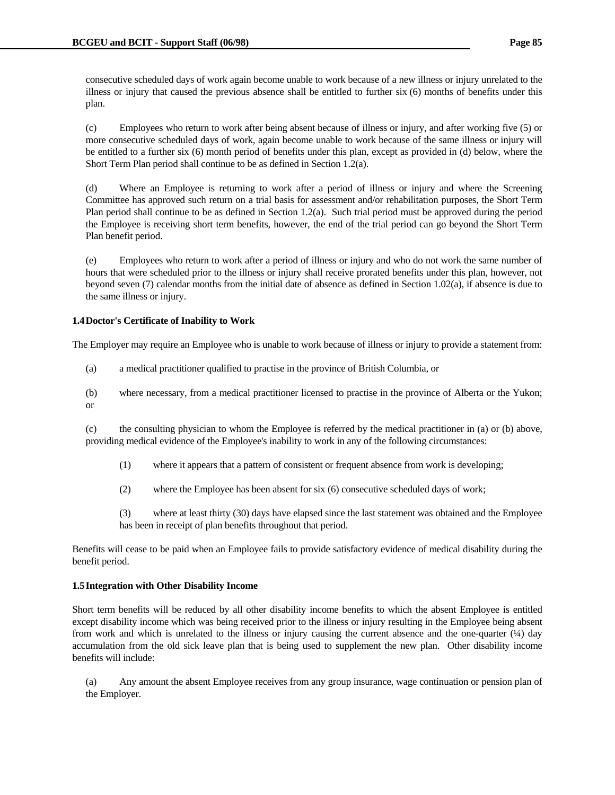consecutive scheduled days of work again become unable to work because of a new illness or injury unrelated to the illness or injury that caused the previous absence shall be entitled to further six (6) months of benefits under this plan.

 (c) Employees who return to work after being absent because of illness or injury, and after working five (5) or more consecutive scheduled days of work, again become unable to work because of the same illness or injury will be entitled to a further six (6) month period of benefits under this plan, except as provided in (d) below, where the Short Term Plan period shall continue to be as defined in Section 1.2(a).

 (d) Where an Employee is returning to work after a period of illness or injury and where the Screening Committee has approved such return on a trial basis for assessment and/or rehabilitation purposes, the Short Term Plan period shall continue to be as defined in Section 1.2(a). Such trial period must be approved during the period the Employee is receiving short term benefits, however, the end of the trial period can go beyond the Short Term Plan benefit period.

 (e) Employees who return to work after a period of illness or injury and who do not work the same number of hours that were scheduled prior to the illness or injury shall receive prorated benefits under this plan, however, not beyond seven (7) calendar months from the initial date of absence as defined in Section 1.02(a), if absence is due to the same illness or injury.

# **1.4 Doctor's Certificate of Inability to Work**

The Employer may require an Employee who is unable to work because of illness or injury to provide a statement from:

(a) a medical practitioner qualified to practise in the province of British Columbia, or

 (b) where necessary, from a medical practitioner licensed to practise in the province of Alberta or the Yukon; or

 (c) the consulting physician to whom the Employee is referred by the medical practitioner in (a) or (b) above, providing medical evidence of the Employee's inability to work in any of the following circumstances:

- (1) where it appears that a pattern of consistent or frequent absence from work is developing;
- (2) where the Employee has been absent for six (6) consecutive scheduled days of work;

 (3) where at least thirty (30) days have elapsed since the last statement was obtained and the Employee has been in receipt of plan benefits throughout that period.

Benefits will cease to be paid when an Employee fails to provide satisfactory evidence of medical disability during the benefit period.

# **1.5 Integration with Other Disability Income**

Short term benefits will be reduced by all other disability income benefits to which the absent Employee is entitled except disability income which was being received prior to the illness or injury resulting in the Employee being absent from work and which is unrelated to the illness or injury causing the current absence and the one-quarter  $(½)$  day accumulation from the old sick leave plan that is being used to supplement the new plan. Other disability income benefits will include:

 (a) Any amount the absent Employee receives from any group insurance, wage continuation or pension plan of the Employer.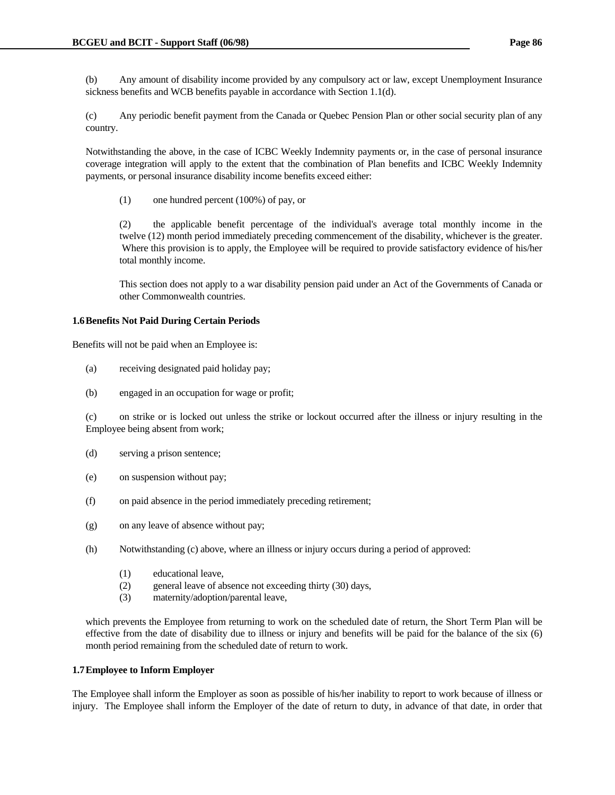(b) Any amount of disability income provided by any compulsory act or law, except Unemployment Insurance sickness benefits and WCB benefits payable in accordance with Section 1.1(d).

 (c) Any periodic benefit payment from the Canada or Quebec Pension Plan or other social security plan of any country.

 Notwithstanding the above, in the case of ICBC Weekly Indemnity payments or, in the case of personal insurance coverage integration will apply to the extent that the combination of Plan benefits and ICBC Weekly Indemnity payments, or personal insurance disability income benefits exceed either:

(1) one hundred percent (100%) of pay, or

 (2) the applicable benefit percentage of the individual's average total monthly income in the twelve (12) month period immediately preceding commencement of the disability, whichever is the greater. Where this provision is to apply, the Employee will be required to provide satisfactory evidence of his/her total monthly income.

 This section does not apply to a war disability pension paid under an Act of the Governments of Canada or other Commonwealth countries.

### **1.6 Benefits Not Paid During Certain Periods**

Benefits will not be paid when an Employee is:

- (a) receiving designated paid holiday pay;
- (b) engaged in an occupation for wage or profit;

 (c) on strike or is locked out unless the strike or lockout occurred after the illness or injury resulting in the Employee being absent from work;

- (d) serving a prison sentence;
- (e) on suspension without pay;
- (f) on paid absence in the period immediately preceding retirement;
- (g) on any leave of absence without pay;
- (h) Notwithstanding (c) above, where an illness or injury occurs during a period of approved:
	- (1) educational leave,
	- (2) general leave of absence not exceeding thirty (30) days,
	- (3) maternity/adoption/parental leave,

 which prevents the Employee from returning to work on the scheduled date of return, the Short Term Plan will be effective from the date of disability due to illness or injury and benefits will be paid for the balance of the six (6) month period remaining from the scheduled date of return to work.

#### **1.7 Employee to Inform Employer**

The Employee shall inform the Employer as soon as possible of his/her inability to report to work because of illness or injury. The Employee shall inform the Employer of the date of return to duty, in advance of that date, in order that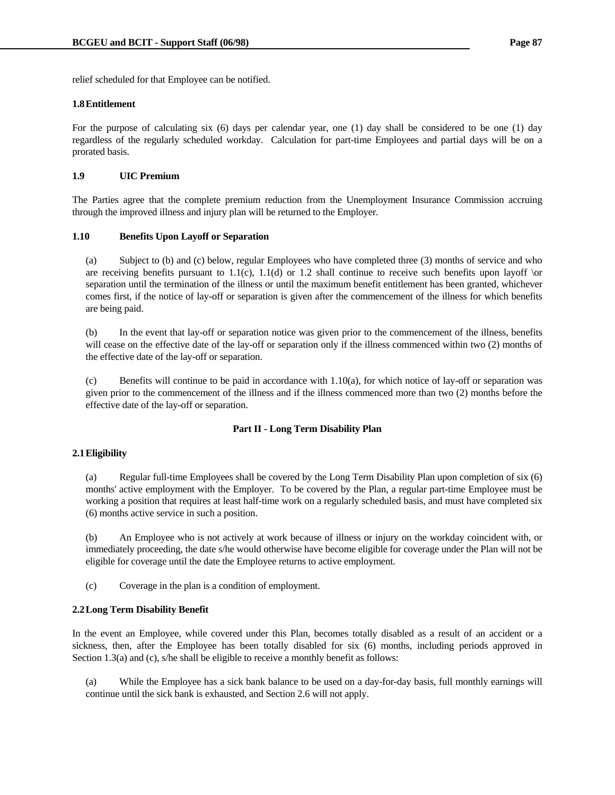relief scheduled for that Employee can be notified.

#### **1.8 Entitlement**

For the purpose of calculating six (6) days per calendar year, one (1) day shall be considered to be one (1) day regardless of the regularly scheduled workday. Calculation for part-time Employees and partial days will be on a prorated basis.

### **1.9 UIC Premium**

The Parties agree that the complete premium reduction from the Unemployment Insurance Commission accruing through the improved illness and injury plan will be returned to the Employer.

#### **1.10 Benefits Upon Layoff or Separation**

 (a) Subject to (b) and (c) below, regular Employees who have completed three (3) months of service and who are receiving benefits pursuant to  $1.1(c)$ ,  $1.1(d)$  or 1.2 shall continue to receive such benefits upon layoff  $\sigma$ separation until the termination of the illness or until the maximum benefit entitlement has been granted, whichever comes first, if the notice of lay-off or separation is given after the commencement of the illness for which benefits are being paid.

 (b) In the event that lay-off or separation notice was given prior to the commencement of the illness, benefits will cease on the effective date of the lay-off or separation only if the illness commenced within two (2) months of the effective date of the lay-off or separation.

(c) Benefits will continue to be paid in accordance with  $1.10(a)$ , for which notice of lay-off or separation was given prior to the commencement of the illness and if the illness commenced more than two (2) months before the effective date of the lay-off or separation.

### **Part II - Long Term Disability Plan**

### **2.1 Eligibility**

 (a) Regular full-time Employees shall be covered by the Long Term Disability Plan upon completion of six (6) months' active employment with the Employer. To be covered by the Plan, a regular part-time Employee must be working a position that requires at least half-time work on a regularly scheduled basis, and must have completed six (6) months active service in such a position.

 (b) An Employee who is not actively at work because of illness or injury on the workday coincident with, or immediately proceeding, the date s/he would otherwise have become eligible for coverage under the Plan will not be eligible for coverage until the date the Employee returns to active employment.

(c) Coverage in the plan is a condition of employment.

### **2.2 Long Term Disability Benefit**

In the event an Employee, while covered under this Plan, becomes totally disabled as a result of an accident or a sickness, then, after the Employee has been totally disabled for six (6) months, including periods approved in Section 1.3(a) and (c), s/he shall be eligible to receive a monthly benefit as follows:

 (a) While the Employee has a sick bank balance to be used on a day-for-day basis, full monthly earnings will continue until the sick bank is exhausted, and Section 2.6 will not apply.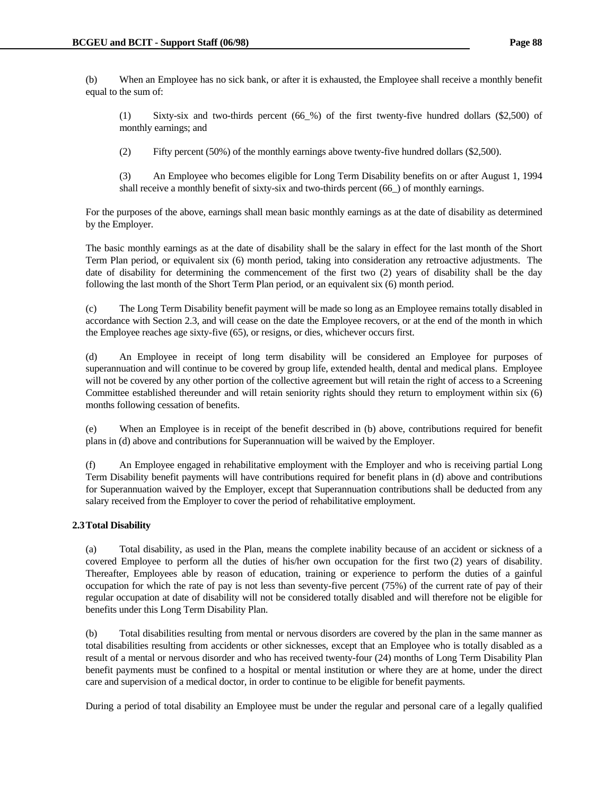(b) When an Employee has no sick bank, or after it is exhausted, the Employee shall receive a monthly benefit equal to the sum of:

 (1) Sixty-six and two-thirds percent (66\_%) of the first twenty-five hundred dollars (\$2,500) of monthly earnings; and

(2) Fifty percent (50%) of the monthly earnings above twenty-five hundred dollars (\$2,500).

 (3) An Employee who becomes eligible for Long Term Disability benefits on or after August 1, 1994 shall receive a monthly benefit of sixty-six and two-thirds percent (66\_) of monthly earnings.

 For the purposes of the above, earnings shall mean basic monthly earnings as at the date of disability as determined by the Employer.

 The basic monthly earnings as at the date of disability shall be the salary in effect for the last month of the Short Term Plan period, or equivalent six (6) month period, taking into consideration any retroactive adjustments. The date of disability for determining the commencement of the first two (2) years of disability shall be the day following the last month of the Short Term Plan period, or an equivalent six (6) month period.

 (c) The Long Term Disability benefit payment will be made so long as an Employee remains totally disabled in accordance with Section 2.3, and will cease on the date the Employee recovers, or at the end of the month in which the Employee reaches age sixty-five (65), or resigns, or dies, whichever occurs first.

 (d) An Employee in receipt of long term disability will be considered an Employee for purposes of superannuation and will continue to be covered by group life, extended health, dental and medical plans. Employee will not be covered by any other portion of the collective agreement but will retain the right of access to a Screening Committee established thereunder and will retain seniority rights should they return to employment within six (6) months following cessation of benefits.

 (e) When an Employee is in receipt of the benefit described in (b) above, contributions required for benefit plans in (d) above and contributions for Superannuation will be waived by the Employer.

 (f) An Employee engaged in rehabilitative employment with the Employer and who is receiving partial Long Term Disability benefit payments will have contributions required for benefit plans in (d) above and contributions for Superannuation waived by the Employer, except that Superannuation contributions shall be deducted from any salary received from the Employer to cover the period of rehabilitative employment.

# **2.3 Total Disability**

 (a) Total disability, as used in the Plan, means the complete inability because of an accident or sickness of a covered Employee to perform all the duties of his/her own occupation for the first two (2) years of disability. Thereafter, Employees able by reason of education, training or experience to perform the duties of a gainful occupation for which the rate of pay is not less than seventy-five percent (75%) of the current rate of pay of their regular occupation at date of disability will not be considered totally disabled and will therefore not be eligible for benefits under this Long Term Disability Plan.

 (b) Total disabilities resulting from mental or nervous disorders are covered by the plan in the same manner as total disabilities resulting from accidents or other sicknesses, except that an Employee who is totally disabled as a result of a mental or nervous disorder and who has received twenty-four (24) months of Long Term Disability Plan benefit payments must be confined to a hospital or mental institution or where they are at home, under the direct care and supervision of a medical doctor, in order to continue to be eligible for benefit payments.

During a period of total disability an Employee must be under the regular and personal care of a legally qualified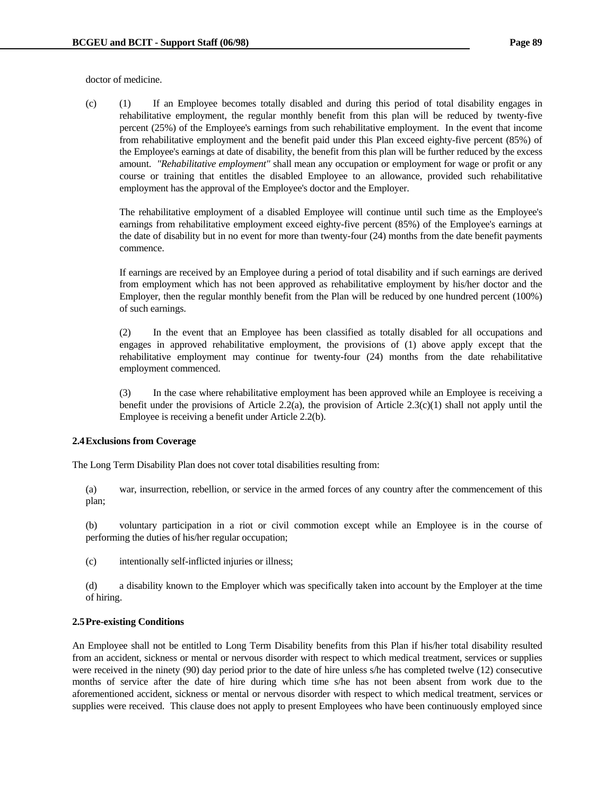doctor of medicine.

 (c) (1) If an Employee becomes totally disabled and during this period of total disability engages in rehabilitative employment, the regular monthly benefit from this plan will be reduced by twenty-five percent (25%) of the Employee's earnings from such rehabilitative employment. In the event that income from rehabilitative employment and the benefit paid under this Plan exceed eighty-five percent (85%) of the Employee's earnings at date of disability, the benefit from this plan will be further reduced by the excess amount. *"Rehabilitative employment"* shall mean any occupation or employment for wage or profit or any course or training that entitles the disabled Employee to an allowance, provided such rehabilitative employment has the approval of the Employee's doctor and the Employer.

 The rehabilitative employment of a disabled Employee will continue until such time as the Employee's earnings from rehabilitative employment exceed eighty-five percent (85%) of the Employee's earnings at the date of disability but in no event for more than twenty-four (24) months from the date benefit payments commence.

 If earnings are received by an Employee during a period of total disability and if such earnings are derived from employment which has not been approved as rehabilitative employment by his/her doctor and the Employer, then the regular monthly benefit from the Plan will be reduced by one hundred percent (100%) of such earnings.

 (2) In the event that an Employee has been classified as totally disabled for all occupations and engages in approved rehabilitative employment, the provisions of (1) above apply except that the rehabilitative employment may continue for twenty-four (24) months from the date rehabilitative employment commenced.

 (3) In the case where rehabilitative employment has been approved while an Employee is receiving a benefit under the provisions of Article 2.2(a), the provision of Article 2.3(c)(1) shall not apply until the Employee is receiving a benefit under Article 2.2(b).

### **2.4 Exclusions from Coverage**

The Long Term Disability Plan does not cover total disabilities resulting from:

 (a) war, insurrection, rebellion, or service in the armed forces of any country after the commencement of this plan;

 (b) voluntary participation in a riot or civil commotion except while an Employee is in the course of performing the duties of his/her regular occupation;

(c) intentionally self-inflicted injuries or illness;

 (d) a disability known to the Employer which was specifically taken into account by the Employer at the time of hiring.

# **2.5 Pre-existing Conditions**

An Employee shall not be entitled to Long Term Disability benefits from this Plan if his/her total disability resulted from an accident, sickness or mental or nervous disorder with respect to which medical treatment, services or supplies were received in the ninety (90) day period prior to the date of hire unless s/he has completed twelve (12) consecutive months of service after the date of hire during which time s/he has not been absent from work due to the aforementioned accident, sickness or mental or nervous disorder with respect to which medical treatment, services or supplies were received. This clause does not apply to present Employees who have been continuously employed since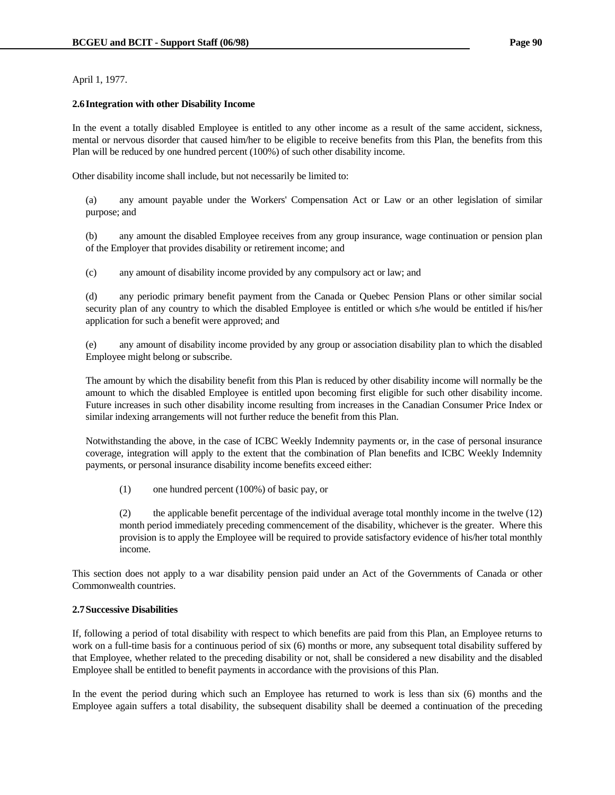April 1, 1977.

### **2.6 Integration with other Disability Income**

In the event a totally disabled Employee is entitled to any other income as a result of the same accident, sickness, mental or nervous disorder that caused him/her to be eligible to receive benefits from this Plan, the benefits from this Plan will be reduced by one hundred percent (100%) of such other disability income.

Other disability income shall include, but not necessarily be limited to:

 (a) any amount payable under the Workers' Compensation Act or Law or an other legislation of similar purpose; and

 (b) any amount the disabled Employee receives from any group insurance, wage continuation or pension plan of the Employer that provides disability or retirement income; and

(c) any amount of disability income provided by any compulsory act or law; and

 (d) any periodic primary benefit payment from the Canada or Quebec Pension Plans or other similar social security plan of any country to which the disabled Employee is entitled or which s/he would be entitled if his/her application for such a benefit were approved; and

 (e) any amount of disability income provided by any group or association disability plan to which the disabled Employee might belong or subscribe.

 The amount by which the disability benefit from this Plan is reduced by other disability income will normally be the amount to which the disabled Employee is entitled upon becoming first eligible for such other disability income. Future increases in such other disability income resulting from increases in the Canadian Consumer Price Index or similar indexing arrangements will not further reduce the benefit from this Plan.

 Notwithstanding the above, in the case of ICBC Weekly Indemnity payments or, in the case of personal insurance coverage, integration will apply to the extent that the combination of Plan benefits and ICBC Weekly Indemnity payments, or personal insurance disability income benefits exceed either:

(1) one hundred percent (100%) of basic pay, or

 (2) the applicable benefit percentage of the individual average total monthly income in the twelve (12) month period immediately preceding commencement of the disability, whichever is the greater. Where this provision is to apply the Employee will be required to provide satisfactory evidence of his/her total monthly income.

This section does not apply to a war disability pension paid under an Act of the Governments of Canada or other Commonwealth countries.

### **2.7 Successive Disabilities**

If, following a period of total disability with respect to which benefits are paid from this Plan, an Employee returns to work on a full-time basis for a continuous period of six (6) months or more, any subsequent total disability suffered by that Employee, whether related to the preceding disability or not, shall be considered a new disability and the disabled Employee shall be entitled to benefit payments in accordance with the provisions of this Plan.

In the event the period during which such an Employee has returned to work is less than six (6) months and the Employee again suffers a total disability, the subsequent disability shall be deemed a continuation of the preceding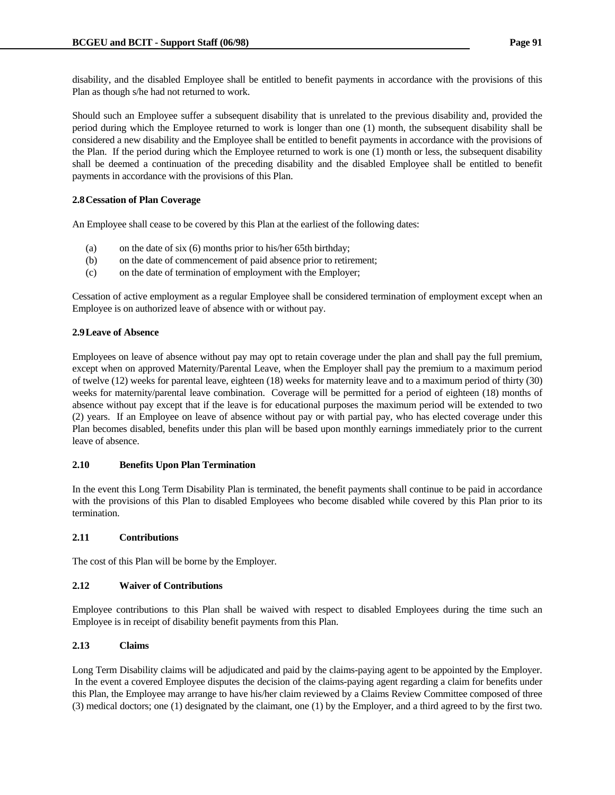disability, and the disabled Employee shall be entitled to benefit payments in accordance with the provisions of this Plan as though s/he had not returned to work.

Should such an Employee suffer a subsequent disability that is unrelated to the previous disability and, provided the period during which the Employee returned to work is longer than one (1) month, the subsequent disability shall be considered a new disability and the Employee shall be entitled to benefit payments in accordance with the provisions of the Plan. If the period during which the Employee returned to work is one (1) month or less, the subsequent disability shall be deemed a continuation of the preceding disability and the disabled Employee shall be entitled to benefit payments in accordance with the provisions of this Plan.

# **2.8 Cessation of Plan Coverage**

An Employee shall cease to be covered by this Plan at the earliest of the following dates:

- (a) on the date of six (6) months prior to his/her 65th birthday;
- (b) on the date of commencement of paid absence prior to retirement;
- (c) on the date of termination of employment with the Employer;

Cessation of active employment as a regular Employee shall be considered termination of employment except when an Employee is on authorized leave of absence with or without pay.

# **2.9 Leave of Absence**

Employees on leave of absence without pay may opt to retain coverage under the plan and shall pay the full premium, except when on approved Maternity/Parental Leave, when the Employer shall pay the premium to a maximum period of twelve (12) weeks for parental leave, eighteen (18) weeks for maternity leave and to a maximum period of thirty (30) weeks for maternity/parental leave combination. Coverage will be permitted for a period of eighteen (18) months of absence without pay except that if the leave is for educational purposes the maximum period will be extended to two (2) years. If an Employee on leave of absence without pay or with partial pay, who has elected coverage under this Plan becomes disabled, benefits under this plan will be based upon monthly earnings immediately prior to the current leave of absence.

# **2.10 Benefits Upon Plan Termination**

In the event this Long Term Disability Plan is terminated, the benefit payments shall continue to be paid in accordance with the provisions of this Plan to disabled Employees who become disabled while covered by this Plan prior to its termination.

# **2.11 Contributions**

The cost of this Plan will be borne by the Employer.

# **2.12 Waiver of Contributions**

Employee contributions to this Plan shall be waived with respect to disabled Employees during the time such an Employee is in receipt of disability benefit payments from this Plan.

# **2.13 Claims**

Long Term Disability claims will be adjudicated and paid by the claims-paying agent to be appointed by the Employer. In the event a covered Employee disputes the decision of the claims-paying agent regarding a claim for benefits under this Plan, the Employee may arrange to have his/her claim reviewed by a Claims Review Committee composed of three (3) medical doctors; one (1) designated by the claimant, one (1) by the Employer, and a third agreed to by the first two.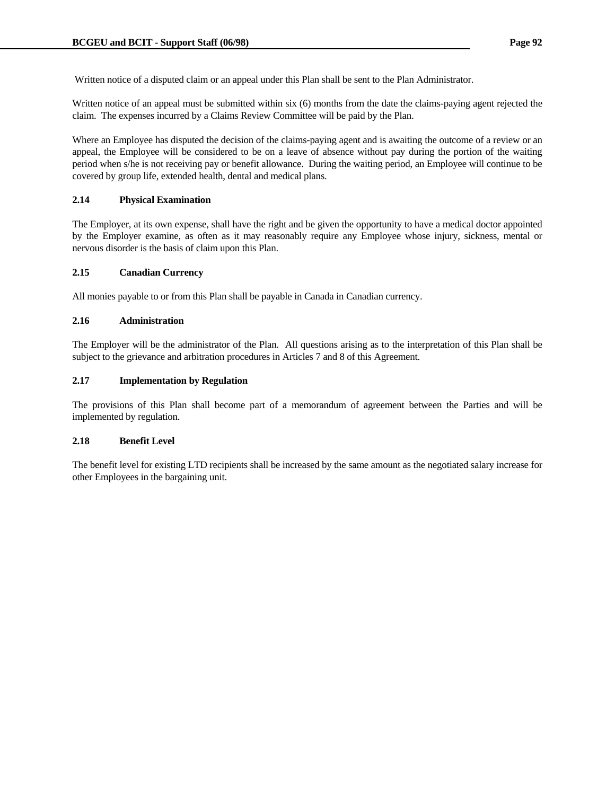Written notice of a disputed claim or an appeal under this Plan shall be sent to the Plan Administrator.

Written notice of an appeal must be submitted within six (6) months from the date the claims-paying agent rejected the claim. The expenses incurred by a Claims Review Committee will be paid by the Plan.

Where an Employee has disputed the decision of the claims-paying agent and is awaiting the outcome of a review or an appeal, the Employee will be considered to be on a leave of absence without pay during the portion of the waiting period when s/he is not receiving pay or benefit allowance. During the waiting period, an Employee will continue to be covered by group life, extended health, dental and medical plans.

# **2.14 Physical Examination**

The Employer, at its own expense, shall have the right and be given the opportunity to have a medical doctor appointed by the Employer examine, as often as it may reasonably require any Employee whose injury, sickness, mental or nervous disorder is the basis of claim upon this Plan.

## **2.15 Canadian Currency**

All monies payable to or from this Plan shall be payable in Canada in Canadian currency.

### **2.16 Administration**

The Employer will be the administrator of the Plan. All questions arising as to the interpretation of this Plan shall be subject to the grievance and arbitration procedures in Articles 7 and 8 of this Agreement.

### **2.17 Implementation by Regulation**

The provisions of this Plan shall become part of a memorandum of agreement between the Parties and will be implemented by regulation.

### **2.18 Benefit Level**

The benefit level for existing LTD recipients shall be increased by the same amount as the negotiated salary increase for other Employees in the bargaining unit.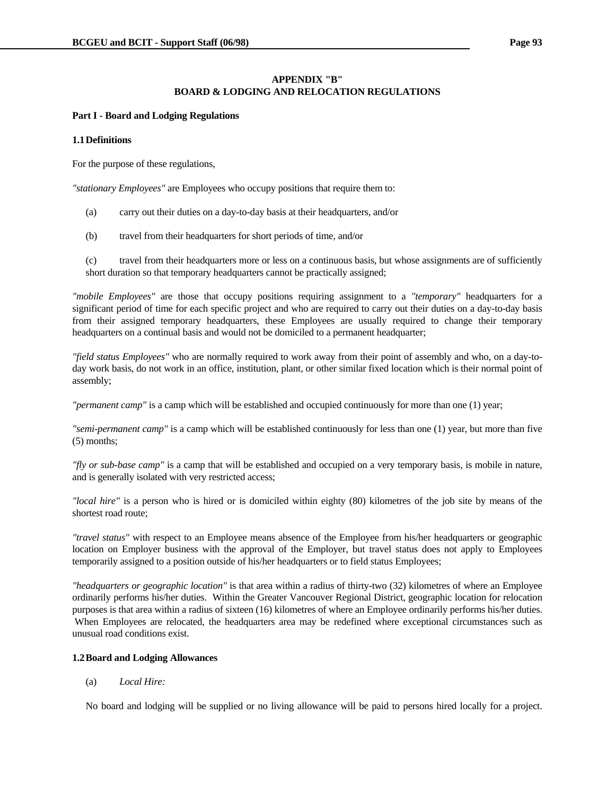# **APPENDIX "B" BOARD & LODGING AND RELOCATION REGULATIONS**

### **Part I - Board and Lodging Regulations**

### **1.1 Definitions**

For the purpose of these regulations,

*"stationary Employees"* are Employees who occupy positions that require them to:

- (a) carry out their duties on a day-to-day basis at their headquarters, and/or
- (b) travel from their headquarters for short periods of time, and/or

 (c) travel from their headquarters more or less on a continuous basis, but whose assignments are of sufficiently short duration so that temporary headquarters cannot be practically assigned;

*"mobile Employees"* are those that occupy positions requiring assignment to a *"temporary"* headquarters for a significant period of time for each specific project and who are required to carry out their duties on a day-to-day basis from their assigned temporary headquarters, these Employees are usually required to change their temporary headquarters on a continual basis and would not be domiciled to a permanent headquarter;

*"field status Employees"* who are normally required to work away from their point of assembly and who, on a day-today work basis, do not work in an office, institution, plant, or other similar fixed location which is their normal point of assembly;

*"permanent camp"* is a camp which will be established and occupied continuously for more than one (1) year;

*"semi-permanent camp"* is a camp which will be established continuously for less than one (1) year, but more than five (5) months;

*"fly or sub-base camp"* is a camp that will be established and occupied on a very temporary basis, is mobile in nature, and is generally isolated with very restricted access;

*"local hire"* is a person who is hired or is domiciled within eighty (80) kilometres of the job site by means of the shortest road route;

*"travel status"* with respect to an Employee means absence of the Employee from his/her headquarters or geographic location on Employer business with the approval of the Employer, but travel status does not apply to Employees temporarily assigned to a position outside of his/her headquarters or to field status Employees;

*"headquarters or geographic location"* is that area within a radius of thirty-two (32) kilometres of where an Employee ordinarily performs his/her duties. Within the Greater Vancouver Regional District, geographic location for relocation purposes is that area within a radius of sixteen (16) kilometres of where an Employee ordinarily performs his/her duties. When Employees are relocated, the headquarters area may be redefined where exceptional circumstances such as unusual road conditions exist.

# **1.2 Board and Lodging Allowances**

(a) *Local Hire:*

No board and lodging will be supplied or no living allowance will be paid to persons hired locally for a project.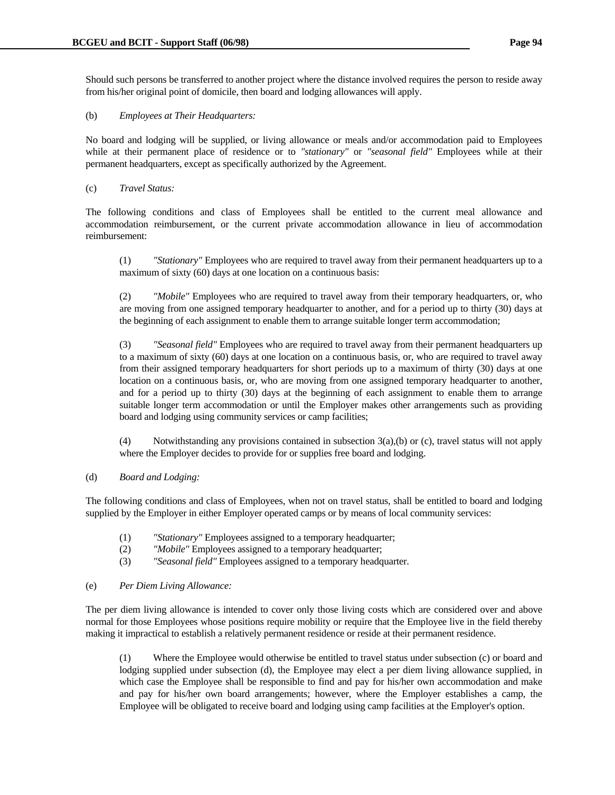Should such persons be transferred to another project where the distance involved requires the person to reside away from his/her original point of domicile, then board and lodging allowances will apply.

### (b) *Employees at Their Headquarters:*

 No board and lodging will be supplied, or living allowance or meals and/or accommodation paid to Employees while at their permanent place of residence or to *"stationary"* or *"seasonal field"* Employees while at their permanent headquarters, except as specifically authorized by the Agreement.

(c) *Travel Status:*

 The following conditions and class of Employees shall be entitled to the current meal allowance and accommodation reimbursement, or the current private accommodation allowance in lieu of accommodation reimbursement:

 (1) *"Stationary"* Employees who are required to travel away from their permanent headquarters up to a maximum of sixty (60) days at one location on a continuous basis:

 (2) *"Mobile"* Employees who are required to travel away from their temporary headquarters, or, who are moving from one assigned temporary headquarter to another, and for a period up to thirty (30) days at the beginning of each assignment to enable them to arrange suitable longer term accommodation;

 (3) *"Seasonal field"* Employees who are required to travel away from their permanent headquarters up to a maximum of sixty (60) days at one location on a continuous basis, or, who are required to travel away from their assigned temporary headquarters for short periods up to a maximum of thirty (30) days at one location on a continuous basis, or, who are moving from one assigned temporary headquarter to another, and for a period up to thirty (30) days at the beginning of each assignment to enable them to arrange suitable longer term accommodation or until the Employer makes other arrangements such as providing board and lodging using community services or camp facilities;

 (4) Notwithstanding any provisions contained in subsection 3(a),(b) or (c), travel status will not apply where the Employer decides to provide for or supplies free board and lodging.

# (d) *Board and Lodging:*

 The following conditions and class of Employees, when not on travel status, shall be entitled to board and lodging supplied by the Employer in either Employer operated camps or by means of local community services:

- (1) *"Stationary"* Employees assigned to a temporary headquarter;
- (2) *"Mobile"* Employees assigned to a temporary headquarter;
- (3) *"Seasonal field"* Employees assigned to a temporary headquarter.

### (e) *Per Diem Living Allowance:*

 The per diem living allowance is intended to cover only those living costs which are considered over and above normal for those Employees whose positions require mobility or require that the Employee live in the field thereby making it impractical to establish a relatively permanent residence or reside at their permanent residence.

 (1) Where the Employee would otherwise be entitled to travel status under subsection (c) or board and lodging supplied under subsection (d), the Employee may elect a per diem living allowance supplied, in which case the Employee shall be responsible to find and pay for his/her own accommodation and make and pay for his/her own board arrangements; however, where the Employer establishes a camp, the Employee will be obligated to receive board and lodging using camp facilities at the Employer's option.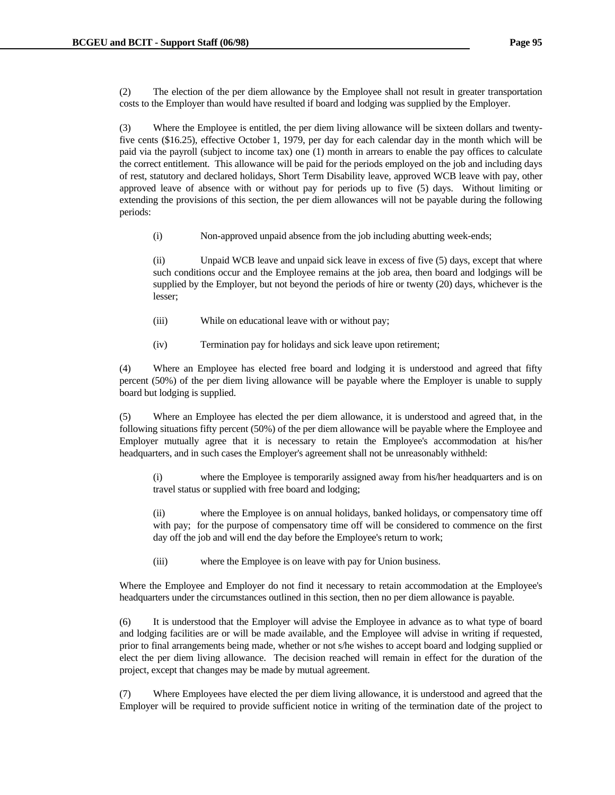(2) The election of the per diem allowance by the Employee shall not result in greater transportation costs to the Employer than would have resulted if board and lodging was supplied by the Employer.

 (3) Where the Employee is entitled, the per diem living allowance will be sixteen dollars and twentyfive cents (\$16.25), effective October 1, 1979, per day for each calendar day in the month which will be paid via the payroll (subject to income tax) one (1) month in arrears to enable the pay offices to calculate the correct entitlement. This allowance will be paid for the periods employed on the job and including days of rest, statutory and declared holidays, Short Term Disability leave, approved WCB leave with pay, other approved leave of absence with or without pay for periods up to five (5) days. Without limiting or extending the provisions of this section, the per diem allowances will not be payable during the following periods:

(i) Non-approved unpaid absence from the job including abutting week-ends;

 (ii) Unpaid WCB leave and unpaid sick leave in excess of five (5) days, except that where such conditions occur and the Employee remains at the job area, then board and lodgings will be supplied by the Employer, but not beyond the periods of hire or twenty (20) days, whichever is the lesser;

- (iii) While on educational leave with or without pay;
- (iv) Termination pay for holidays and sick leave upon retirement;

 (4) Where an Employee has elected free board and lodging it is understood and agreed that fifty percent (50%) of the per diem living allowance will be payable where the Employer is unable to supply board but lodging is supplied.

 (5) Where an Employee has elected the per diem allowance, it is understood and agreed that, in the following situations fifty percent (50%) of the per diem allowance will be payable where the Employee and Employer mutually agree that it is necessary to retain the Employee's accommodation at his/her headquarters, and in such cases the Employer's agreement shall not be unreasonably withheld:

 (i) where the Employee is temporarily assigned away from his/her headquarters and is on travel status or supplied with free board and lodging;

 (ii) where the Employee is on annual holidays, banked holidays, or compensatory time off with pay; for the purpose of compensatory time off will be considered to commence on the first day off the job and will end the day before the Employee's return to work;

(iii) where the Employee is on leave with pay for Union business.

 Where the Employee and Employer do not find it necessary to retain accommodation at the Employee's headquarters under the circumstances outlined in this section, then no per diem allowance is payable.

 (6) It is understood that the Employer will advise the Employee in advance as to what type of board and lodging facilities are or will be made available, and the Employee will advise in writing if requested, prior to final arrangements being made, whether or not s/he wishes to accept board and lodging supplied or elect the per diem living allowance. The decision reached will remain in effect for the duration of the project, except that changes may be made by mutual agreement.

 (7) Where Employees have elected the per diem living allowance, it is understood and agreed that the Employer will be required to provide sufficient notice in writing of the termination date of the project to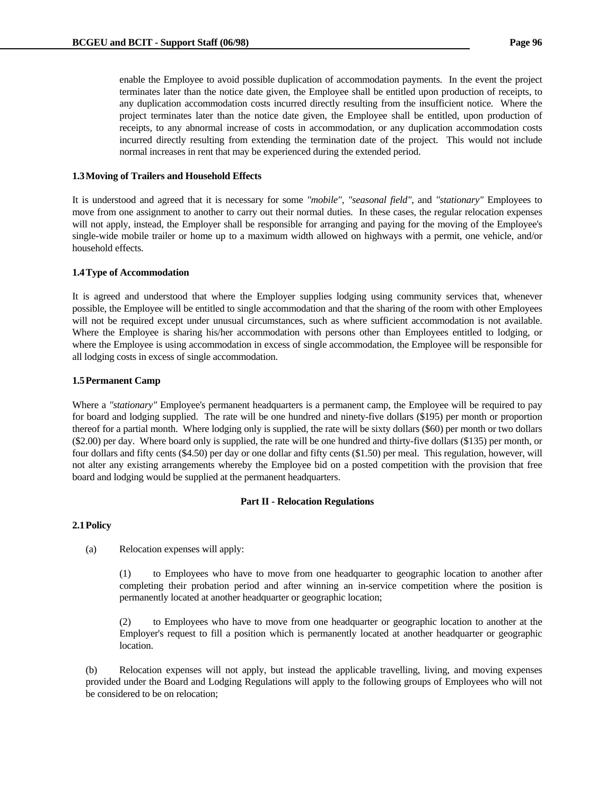enable the Employee to avoid possible duplication of accommodation payments. In the event the project terminates later than the notice date given, the Employee shall be entitled upon production of receipts, to any duplication accommodation costs incurred directly resulting from the insufficient notice. Where the project terminates later than the notice date given, the Employee shall be entitled, upon production of receipts, to any abnormal increase of costs in accommodation, or any duplication accommodation costs incurred directly resulting from extending the termination date of the project. This would not include normal increases in rent that may be experienced during the extended period.

### **1.3 Moving of Trailers and Household Effects**

It is understood and agreed that it is necessary for some *"mobile"*, *"seasonal field"*, and *"stationary"* Employees to move from one assignment to another to carry out their normal duties. In these cases, the regular relocation expenses will not apply, instead, the Employer shall be responsible for arranging and paying for the moving of the Employee's single-wide mobile trailer or home up to a maximum width allowed on highways with a permit, one vehicle, and/or household effects.

#### **1.4 Type of Accommodation**

It is agreed and understood that where the Employer supplies lodging using community services that, whenever possible, the Employee will be entitled to single accommodation and that the sharing of the room with other Employees will not be required except under unusual circumstances, such as where sufficient accommodation is not available. Where the Employee is sharing his/her accommodation with persons other than Employees entitled to lodging, or where the Employee is using accommodation in excess of single accommodation, the Employee will be responsible for all lodging costs in excess of single accommodation.

#### **1.5 Permanent Camp**

Where a *"stationary"* Employee's permanent headquarters is a permanent camp, the Employee will be required to pay for board and lodging supplied. The rate will be one hundred and ninety-five dollars (\$195) per month or proportion thereof for a partial month. Where lodging only is supplied, the rate will be sixty dollars (\$60) per month or two dollars (\$2.00) per day. Where board only is supplied, the rate will be one hundred and thirty-five dollars (\$135) per month, or four dollars and fifty cents (\$4.50) per day or one dollar and fifty cents (\$1.50) per meal. This regulation, however, will not alter any existing arrangements whereby the Employee bid on a posted competition with the provision that free board and lodging would be supplied at the permanent headquarters.

#### **Part II - Relocation Regulations**

### **2.1 Policy**

(a) Relocation expenses will apply:

 (1) to Employees who have to move from one headquarter to geographic location to another after completing their probation period and after winning an in-service competition where the position is permanently located at another headquarter or geographic location;

 (2) to Employees who have to move from one headquarter or geographic location to another at the Employer's request to fill a position which is permanently located at another headquarter or geographic location.

 (b) Relocation expenses will not apply, but instead the applicable travelling, living, and moving expenses provided under the Board and Lodging Regulations will apply to the following groups of Employees who will not be considered to be on relocation;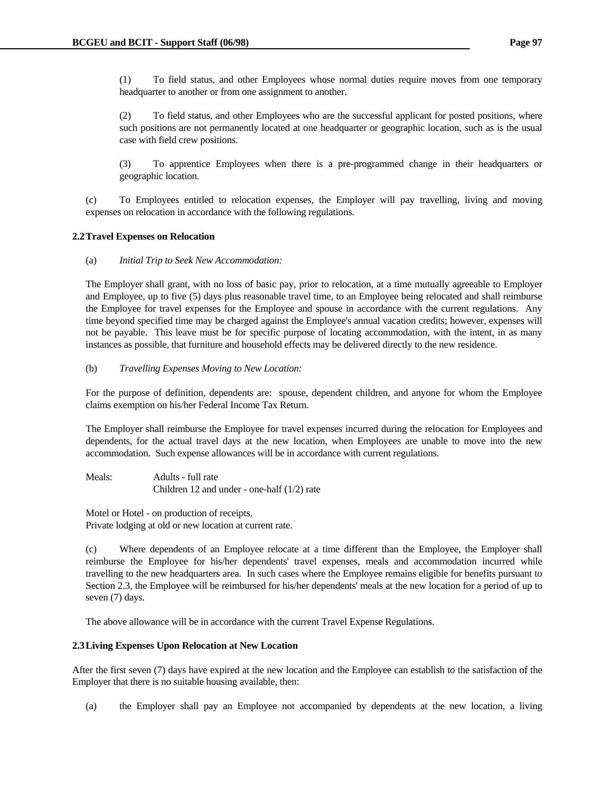(1) To field status, and other Employees whose normal duties require moves from one temporary headquarter to another or from one assignment to another.

 (2) To field status, and other Employees who are the successful applicant for posted positions, where such positions are not permanently located at one headquarter or geographic location, such as is the usual case with field crew positions.

 (3) To apprentice Employees when there is a pre-programmed change in their headquarters or geographic location.

 (c) To Employees entitled to relocation expenses, the Employer will pay travelling, living and moving expenses on relocation in accordance with the following regulations.

### **2.2 Travel Expenses on Relocation**

(a) *Initial Trip to Seek New Accommodation:*

 The Employer shall grant, with no loss of basic pay, prior to relocation, at a time mutually agreeable to Employer and Employee, up to five (5) days plus reasonable travel time, to an Employee being relocated and shall reimburse the Employee for travel expenses for the Employee and spouse in accordance with the current regulations. Any time beyond specified time may be charged against the Employee's annual vacation credits; however, expenses will not be payable. This leave must be for specific purpose of locating accommodation, with the intent, in as many instances as possible, that furniture and household effects may be delivered directly to the new residence.

### (b) *Travelling Expenses Moving to New Location:*

 For the purpose of definition, dependents are: spouse, dependent children, and anyone for whom the Employee claims exemption on his/her Federal Income Tax Return.

 The Employer shall reimburse the Employee for travel expenses incurred during the relocation for Employees and dependents, for the actual travel days at the new location, when Employees are unable to move into the new accommodation. Such expense allowances will be in accordance with current regulations.

```
 Meals: Adults - full rate 
     Children 12 and under - one-half (1/2) rate
```
 Motel or Hotel - on production of receipts. Private lodging at old or new location at current rate.

 (c) Where dependents of an Employee relocate at a time different than the Employee, the Employer shall reimburse the Employee for his/her dependents' travel expenses, meals and accommodation incurred while travelling to the new headquarters area. In such cases where the Employee remains eligible for benefits pursuant to Section 2.3, the Employee will be reimbursed for his/her dependents' meals at the new location for a period of up to seven (7) days.

The above allowance will be in accordance with the current Travel Expense Regulations.

### **2.3 Living Expenses Upon Relocation at New Location**

After the first seven (7) days have expired at the new location and the Employee can establish to the satisfaction of the Employer that there is no suitable housing available, then:

(a) the Employer shall pay an Employee not accompanied by dependents at the new location, a living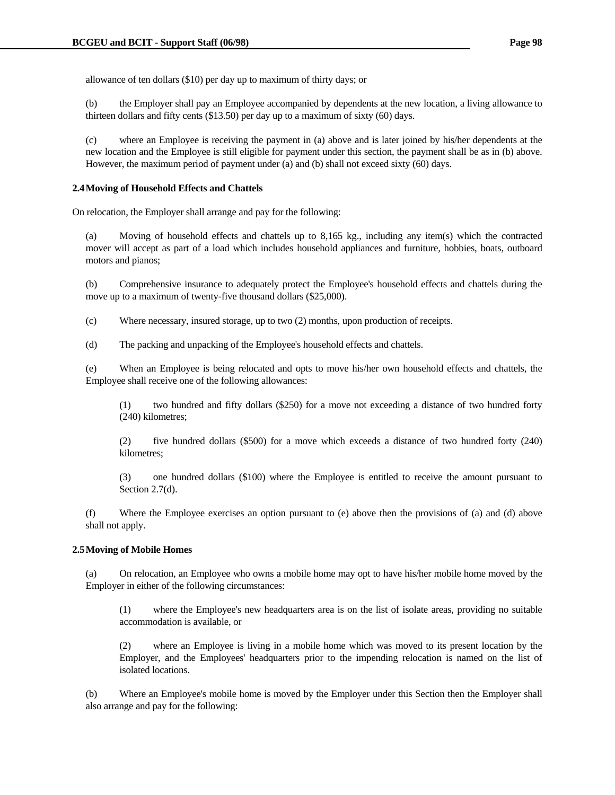allowance of ten dollars (\$10) per day up to maximum of thirty days; or

 (b) the Employer shall pay an Employee accompanied by dependents at the new location, a living allowance to thirteen dollars and fifty cents (\$13.50) per day up to a maximum of sixty (60) days.

 (c) where an Employee is receiving the payment in (a) above and is later joined by his/her dependents at the new location and the Employee is still eligible for payment under this section, the payment shall be as in (b) above. However, the maximum period of payment under (a) and (b) shall not exceed sixty (60) days.

#### **2.4 Moving of Household Effects and Chattels**

On relocation, the Employer shall arrange and pay for the following:

 (a) Moving of household effects and chattels up to 8,165 kg., including any item(s) which the contracted mover will accept as part of a load which includes household appliances and furniture, hobbies, boats, outboard motors and pianos;

 (b) Comprehensive insurance to adequately protect the Employee's household effects and chattels during the move up to a maximum of twenty-five thousand dollars (\$25,000).

(c) Where necessary, insured storage, up to two (2) months, upon production of receipts.

(d) The packing and unpacking of the Employee's household effects and chattels.

 (e) When an Employee is being relocated and opts to move his/her own household effects and chattels, the Employee shall receive one of the following allowances:

 (1) two hundred and fifty dollars (\$250) for a move not exceeding a distance of two hundred forty (240) kilometres;

 (2) five hundred dollars (\$500) for a move which exceeds a distance of two hundred forty (240) kilometres;

 (3) one hundred dollars (\$100) where the Employee is entitled to receive the amount pursuant to Section 2.7(d).

 (f) Where the Employee exercises an option pursuant to (e) above then the provisions of (a) and (d) above shall not apply.

#### **2.5 Moving of Mobile Homes**

 (a) On relocation, an Employee who owns a mobile home may opt to have his/her mobile home moved by the Employer in either of the following circumstances:

 (1) where the Employee's new headquarters area is on the list of isolate areas, providing no suitable accommodation is available, or

 (2) where an Employee is living in a mobile home which was moved to its present location by the Employer, and the Employees' headquarters prior to the impending relocation is named on the list of isolated locations.

 (b) Where an Employee's mobile home is moved by the Employer under this Section then the Employer shall also arrange and pay for the following: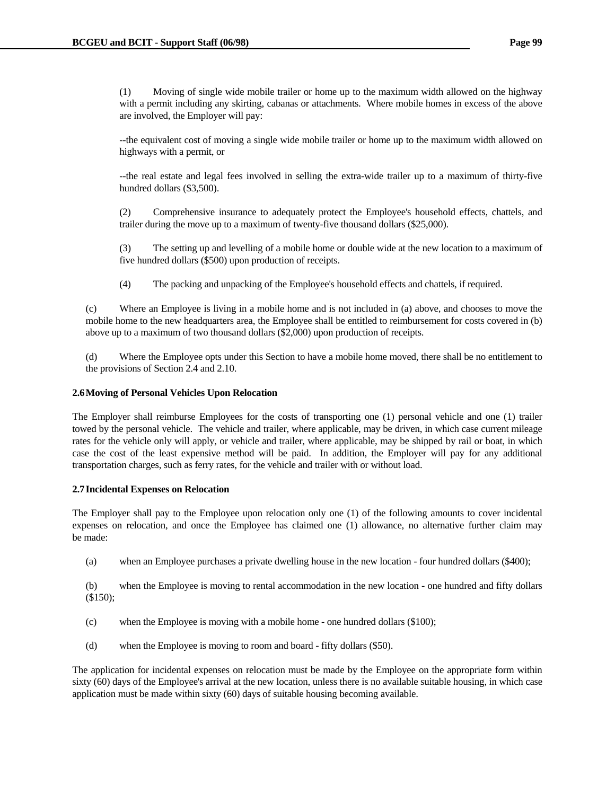(1) Moving of single wide mobile trailer or home up to the maximum width allowed on the highway with a permit including any skirting, cabanas or attachments. Where mobile homes in excess of the above are involved, the Employer will pay:

 --the equivalent cost of moving a single wide mobile trailer or home up to the maximum width allowed on highways with a permit, or

 --the real estate and legal fees involved in selling the extra-wide trailer up to a maximum of thirty-five hundred dollars (\$3,500).

 (2) Comprehensive insurance to adequately protect the Employee's household effects, chattels, and trailer during the move up to a maximum of twenty-five thousand dollars (\$25,000).

 (3) The setting up and levelling of a mobile home or double wide at the new location to a maximum of five hundred dollars (\$500) upon production of receipts.

(4) The packing and unpacking of the Employee's household effects and chattels, if required.

 (c) Where an Employee is living in a mobile home and is not included in (a) above, and chooses to move the mobile home to the new headquarters area, the Employee shall be entitled to reimbursement for costs covered in (b) above up to a maximum of two thousand dollars (\$2,000) upon production of receipts.

 (d) Where the Employee opts under this Section to have a mobile home moved, there shall be no entitlement to the provisions of Section 2.4 and 2.10.

## **2.6 Moving of Personal Vehicles Upon Relocation**

The Employer shall reimburse Employees for the costs of transporting one (1) personal vehicle and one (1) trailer towed by the personal vehicle. The vehicle and trailer, where applicable, may be driven, in which case current mileage rates for the vehicle only will apply, or vehicle and trailer, where applicable, may be shipped by rail or boat, in which case the cost of the least expensive method will be paid. In addition, the Employer will pay for any additional transportation charges, such as ferry rates, for the vehicle and trailer with or without load.

# **2.7 Incidental Expenses on Relocation**

The Employer shall pay to the Employee upon relocation only one (1) of the following amounts to cover incidental expenses on relocation, and once the Employee has claimed one (1) allowance, no alternative further claim may be made:

(a) when an Employee purchases a private dwelling house in the new location - four hundred dollars (\$400);

 (b) when the Employee is moving to rental accommodation in the new location - one hundred and fifty dollars (\$150);

- (c) when the Employee is moving with a mobile home one hundred dollars (\$100);
- (d) when the Employee is moving to room and board fifty dollars (\$50).

The application for incidental expenses on relocation must be made by the Employee on the appropriate form within sixty (60) days of the Employee's arrival at the new location, unless there is no available suitable housing, in which case application must be made within sixty (60) days of suitable housing becoming available.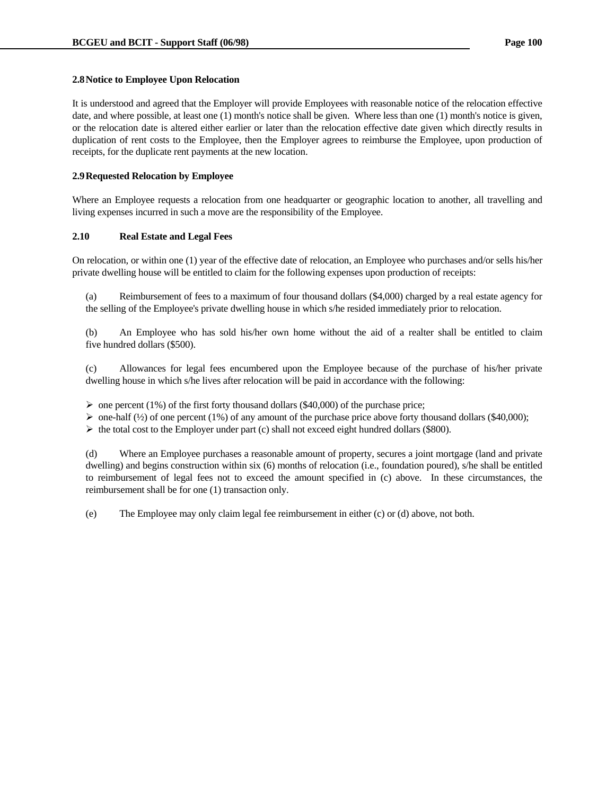## **2.8 Notice to Employee Upon Relocation**

It is understood and agreed that the Employer will provide Employees with reasonable notice of the relocation effective date, and where possible, at least one (1) month's notice shall be given. Where less than one (1) month's notice is given, or the relocation date is altered either earlier or later than the relocation effective date given which directly results in duplication of rent costs to the Employee, then the Employer agrees to reimburse the Employee, upon production of receipts, for the duplicate rent payments at the new location.

## **2.9 Requested Relocation by Employee**

Where an Employee requests a relocation from one headquarter or geographic location to another, all travelling and living expenses incurred in such a move are the responsibility of the Employee.

#### **2.10 Real Estate and Legal Fees**

On relocation, or within one (1) year of the effective date of relocation, an Employee who purchases and/or sells his/her private dwelling house will be entitled to claim for the following expenses upon production of receipts:

 (a) Reimbursement of fees to a maximum of four thousand dollars (\$4,000) charged by a real estate agency for the selling of the Employee's private dwelling house in which s/he resided immediately prior to relocation.

 (b) An Employee who has sold his/her own home without the aid of a realter shall be entitled to claim five hundred dollars (\$500).

 (c) Allowances for legal fees encumbered upon the Employee because of the purchase of his/her private dwelling house in which s/he lives after relocation will be paid in accordance with the following:

 $\triangleright$  one percent (1%) of the first forty thousand dollars (\$40,000) of the purchase price;

 $\triangleright$  one-half (½) of one percent (1%) of any amount of the purchase price above forty thousand dollars (\$40,000);

 $\triangleright$  the total cost to the Employer under part (c) shall not exceed eight hundred dollars (\$800).

 (d) Where an Employee purchases a reasonable amount of property, secures a joint mortgage (land and private dwelling) and begins construction within six (6) months of relocation (i.e., foundation poured), s/he shall be entitled to reimbursement of legal fees not to exceed the amount specified in (c) above. In these circumstances, the reimbursement shall be for one (1) transaction only.

(e) The Employee may only claim legal fee reimbursement in either (c) or (d) above, not both.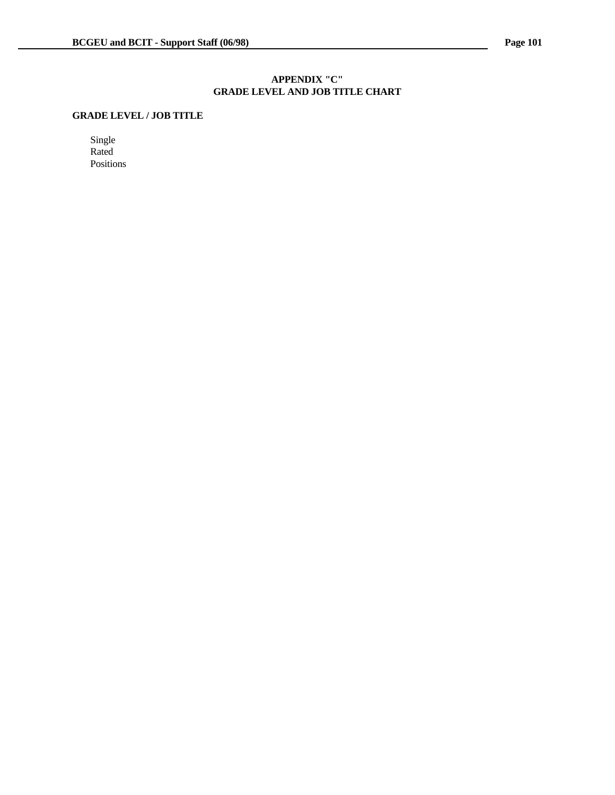## **APPENDIX "C" GRADE LEVEL AND JOB TITLE CHART**

# **GRADE LEVEL / JOB TITLE**

Single Rated Positions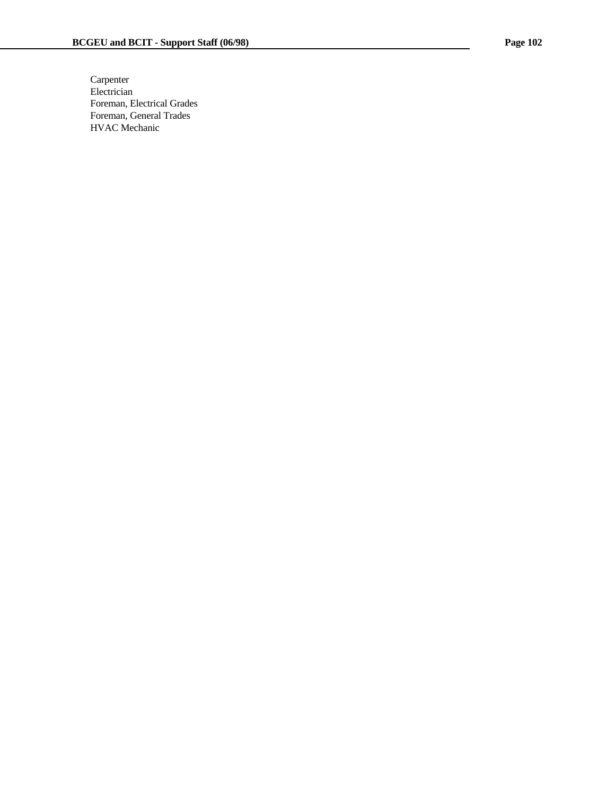Carpenter Electrician Foreman, Electrical Grades Foreman, General Trades HVAC Mechanic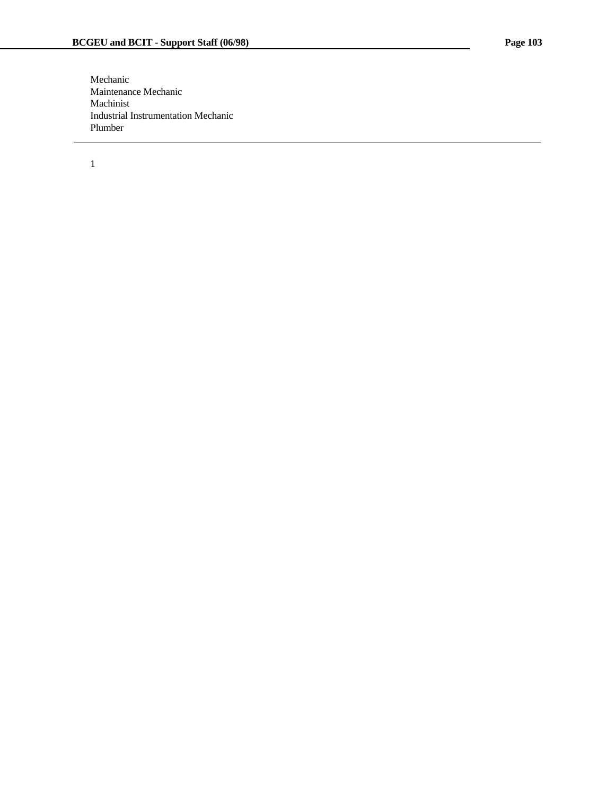Mechanic Maintenance Mechanic Machinist Industrial Instrumentation Mechanic Plumber

j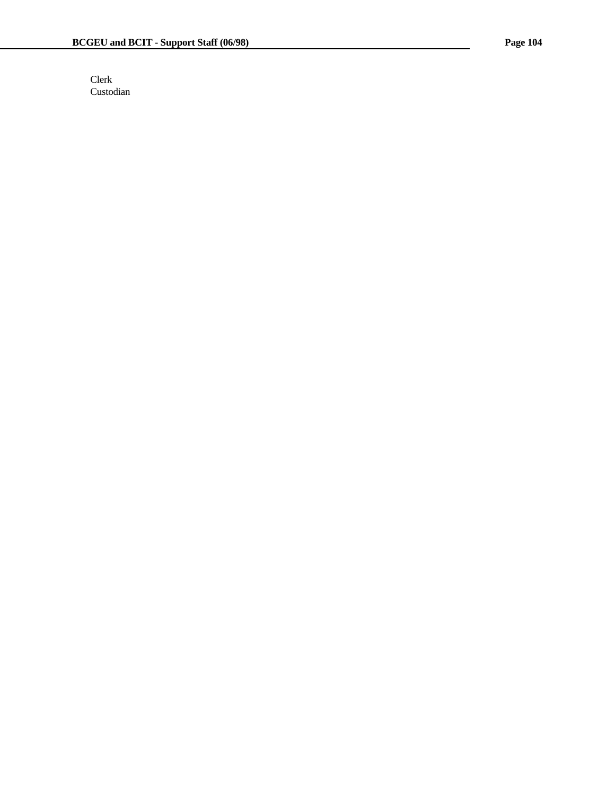Clerk Custodian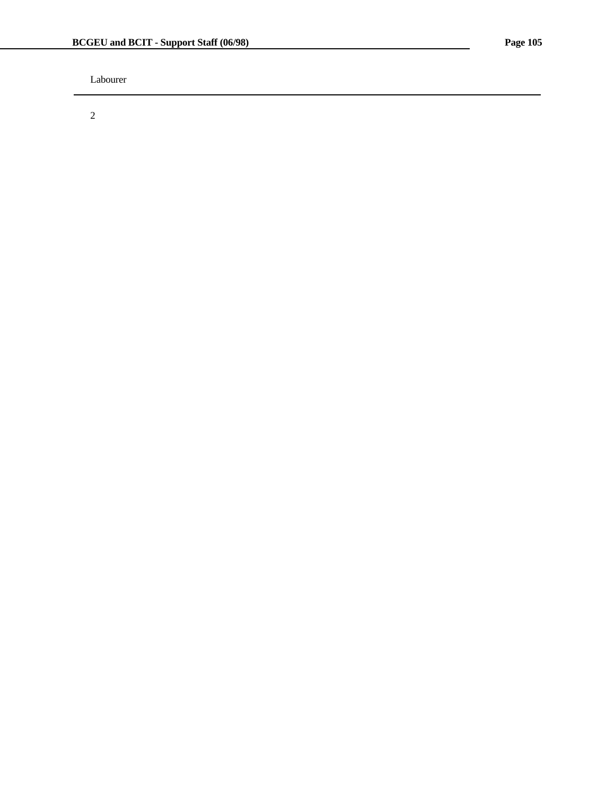Labourer

2

j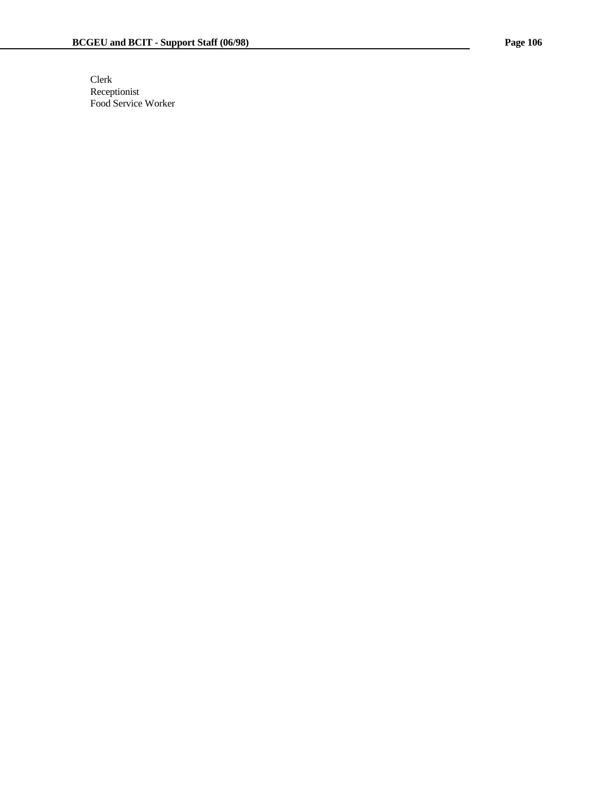Clerk Receptionist Food Service Worker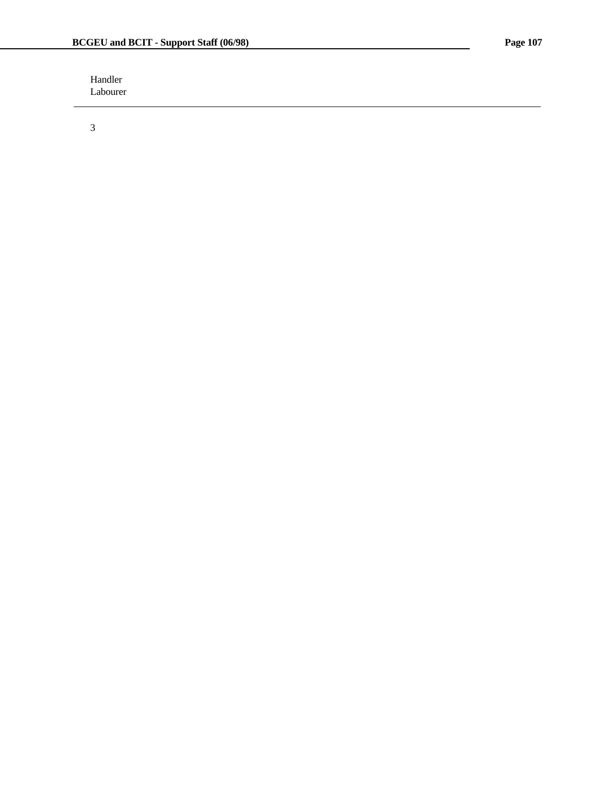Handler Labourer

3

j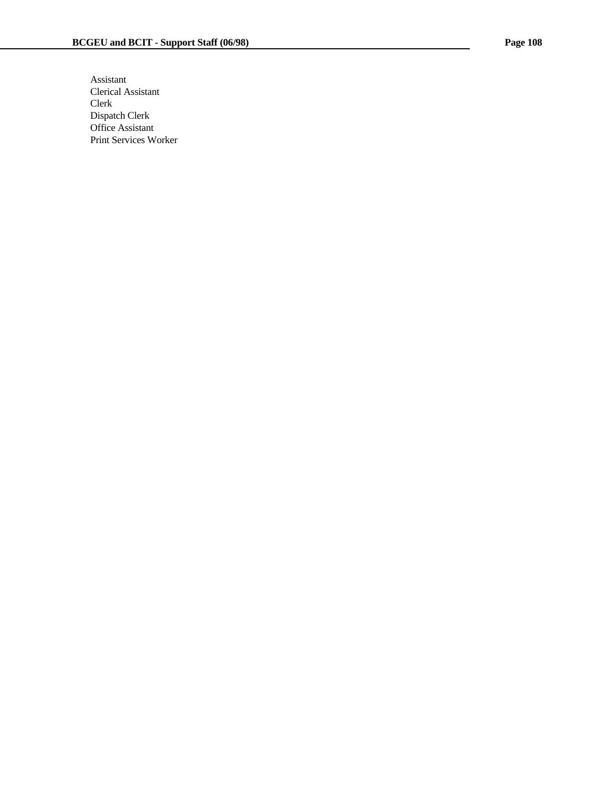Assistant Clerical Assistant Clerk Dispatch Clerk Office Assistant Print Services Worker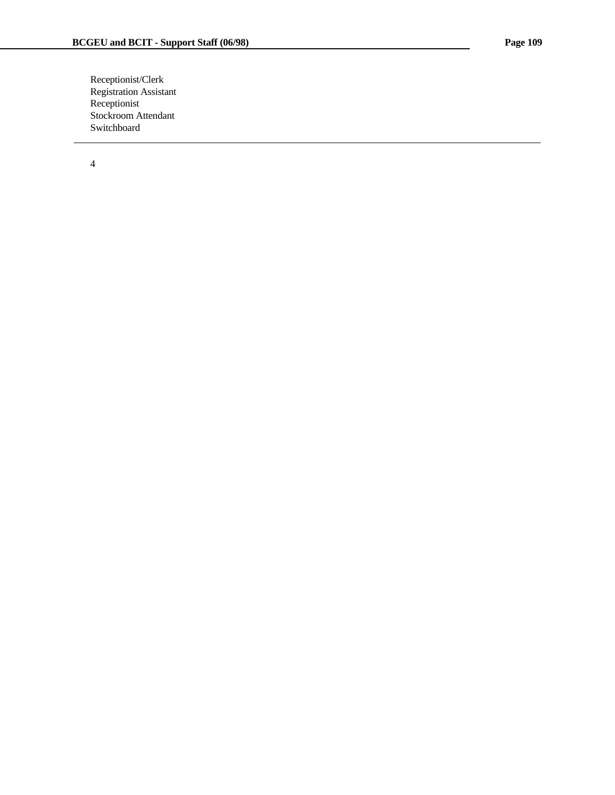Receptionist/Clerk Registration Assistant Receptionist Stockroom Attendant Switchboard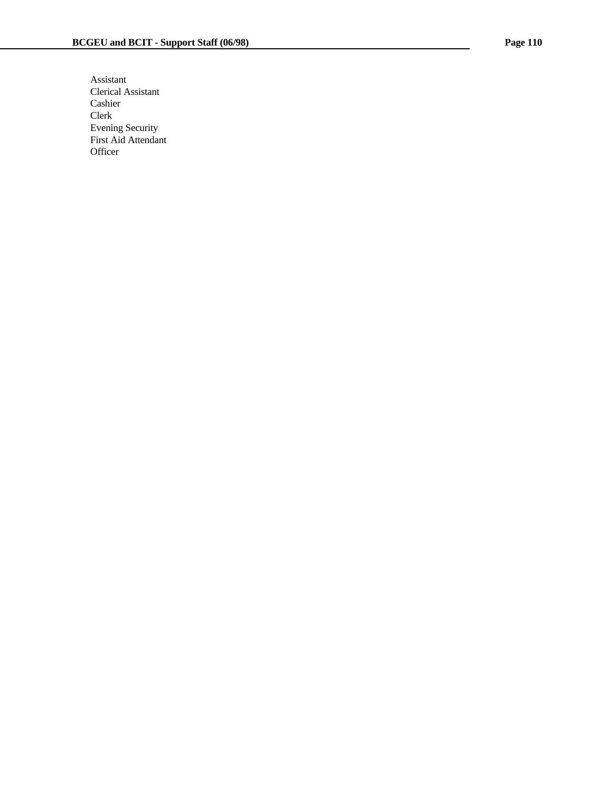Assistant Clerical Assistant Cashier Clerk Evening Security First Aid Attendant **Officer**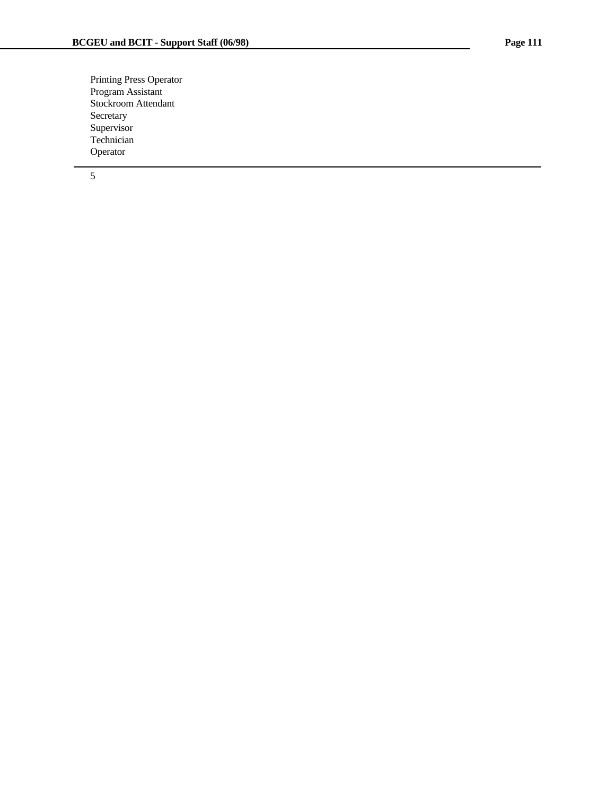Printing Press Operator Program Assistant Stockroom Attendant Secretary Supervisor Technician Operator

5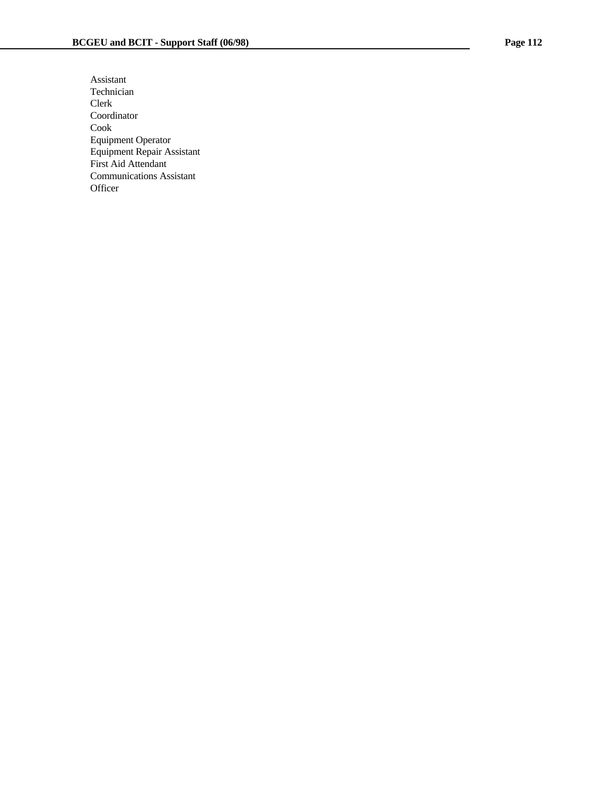Assistant Technician Clerk Coordinator Cook Equipment Operator Equipment Repair Assistant First Aid Attendant Communications Assistant **Officer**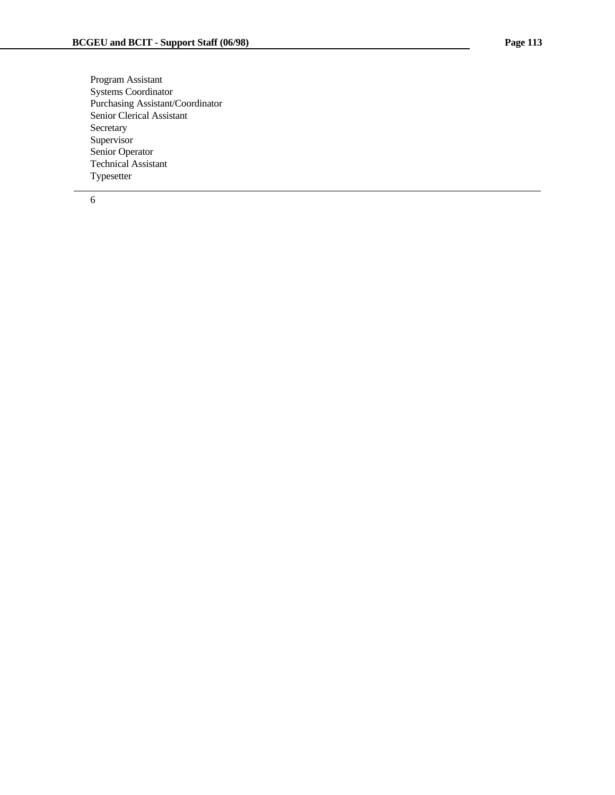Program Assistant Systems Coordinator Purchasing Assistant/Coordinator Senior Clerical Assistant Secretary Supervisor Senior Operator Technical Assistant Typesetter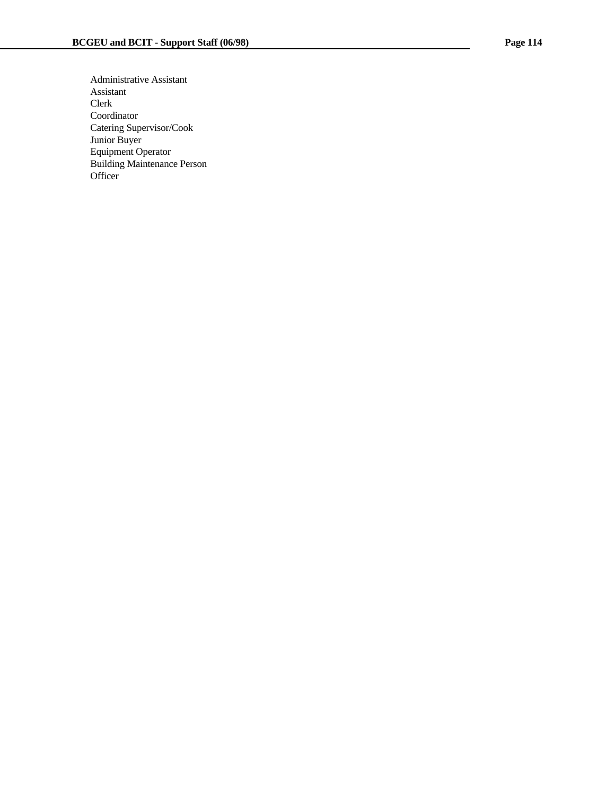Administrative Assistant Assistant Clerk Coordinator Catering Supervisor/Cook Junior Buyer Equipment Operator Building Maintenance Person **Officer**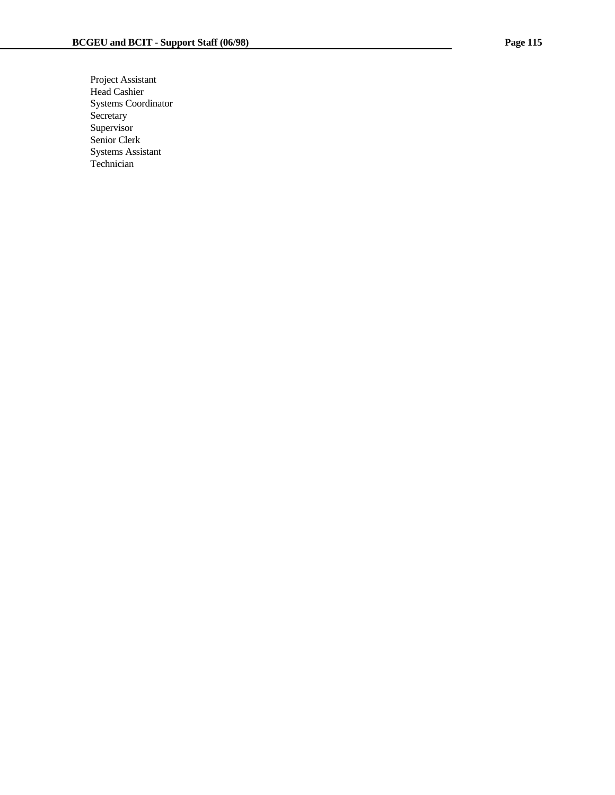Project Assistant Head Cashier Systems Coordinator Secretary Supervisor Senior Clerk Systems Assistant Technician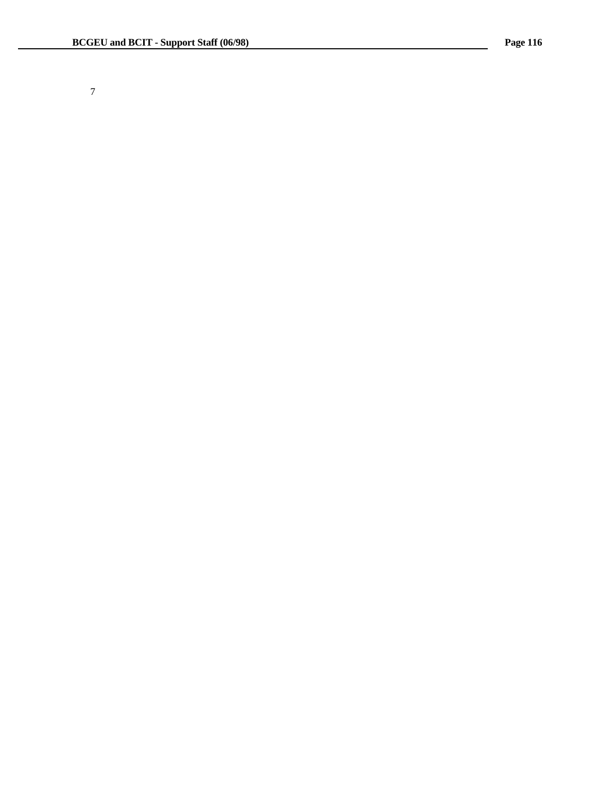7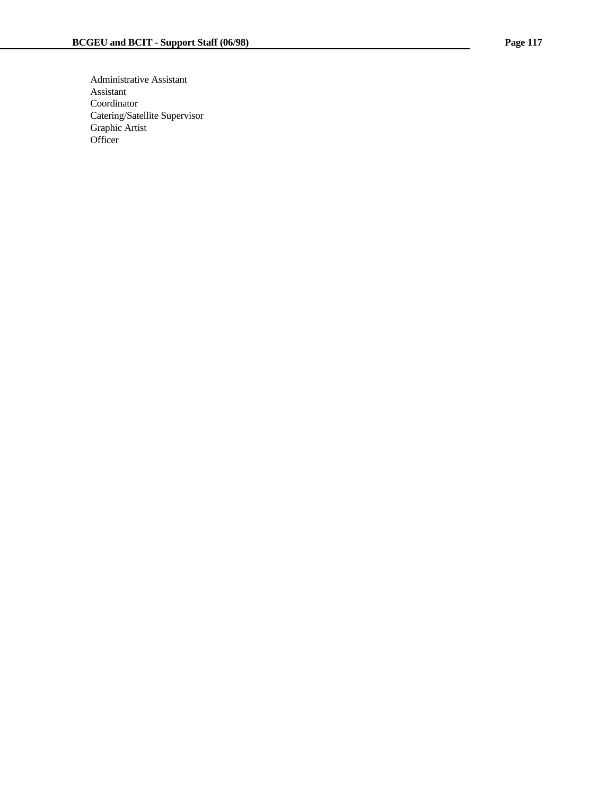Administrative Assistant Assistant Coordinator Catering/Satellite Supervisor Graphic Artist **Officer**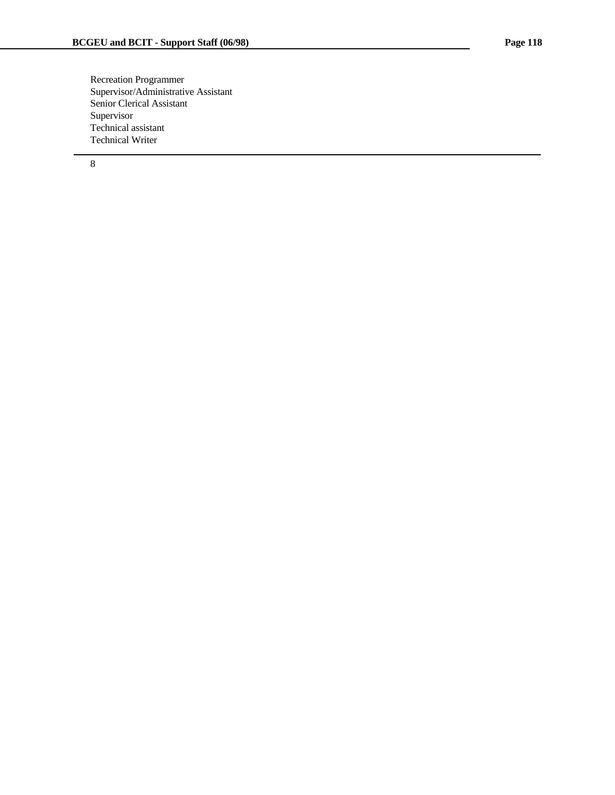Recreation Programmer Supervisor/Administrative Assistant Senior Clerical Assistant Supervisor Technical assistant Technical Writer

8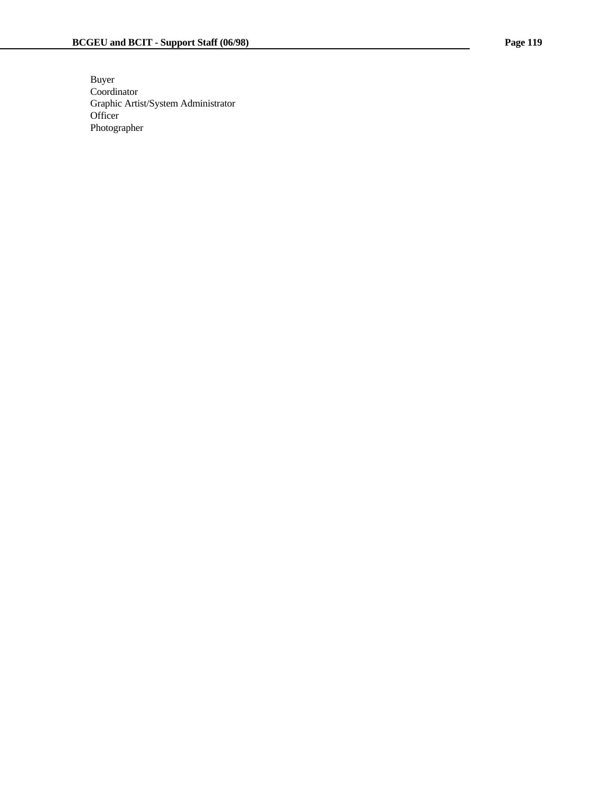Buyer Coordinator Graphic Artist/System Administrator **Officer** Photographer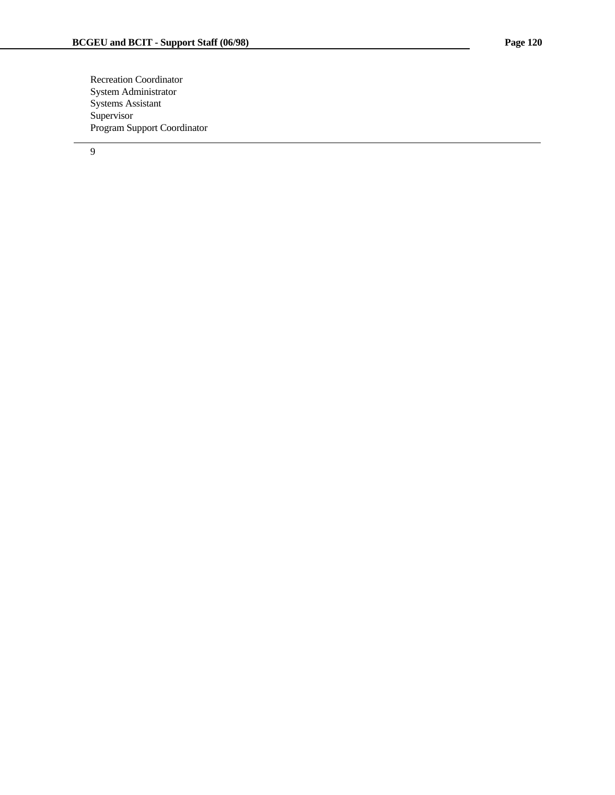Recreation Coordinator System Administrator Systems Assistant Supervisor Program Support Coordinator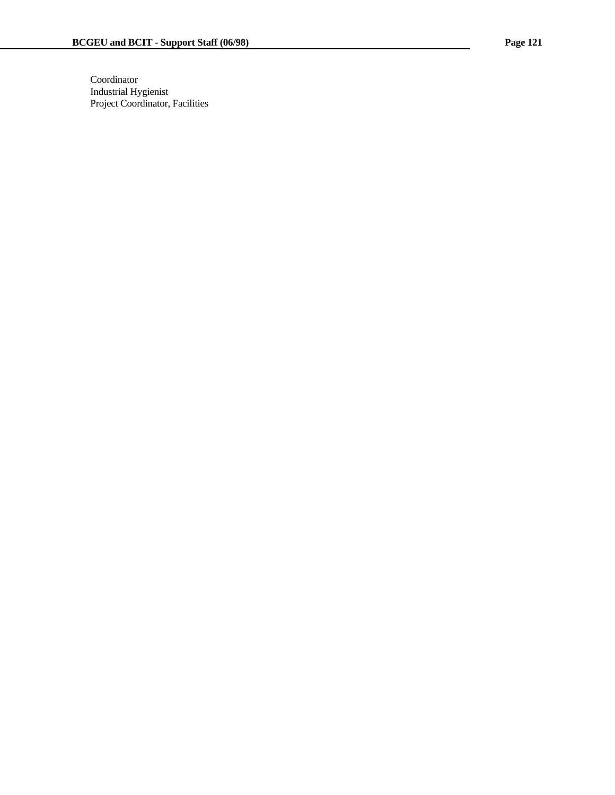Coordinator Industrial Hygienist Project Coordinator, Facilities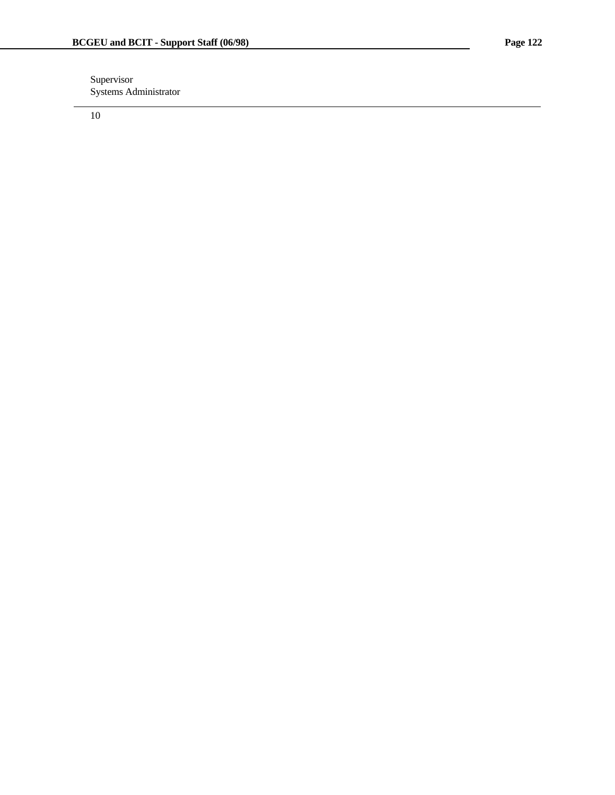Supervisor Systems Administrator

10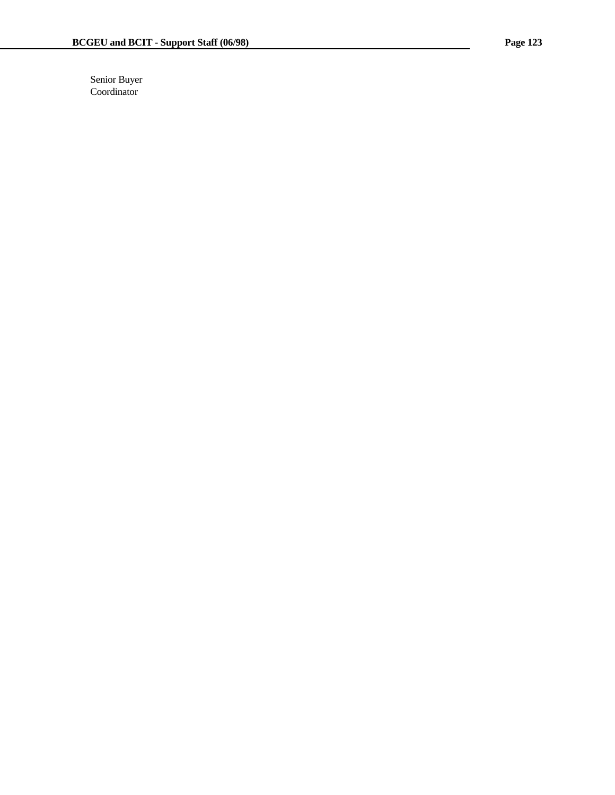Senior Buyer Coordinator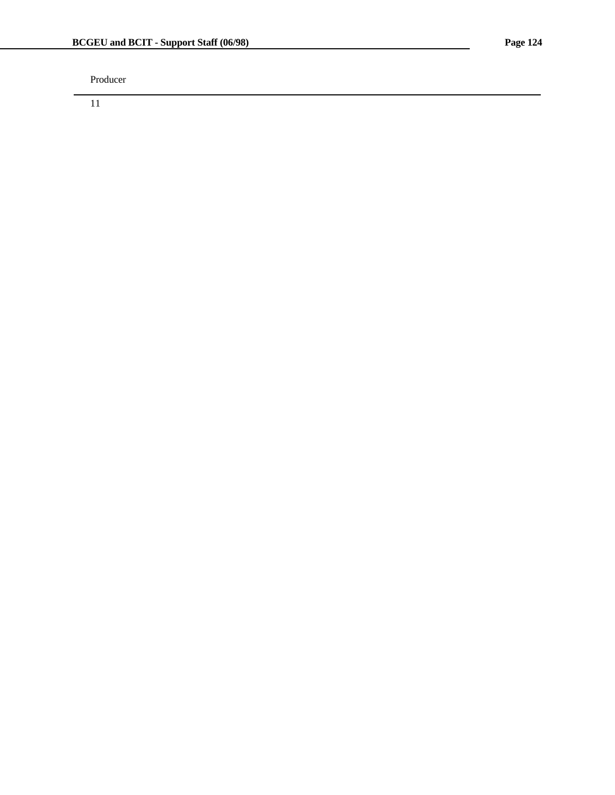Producer

11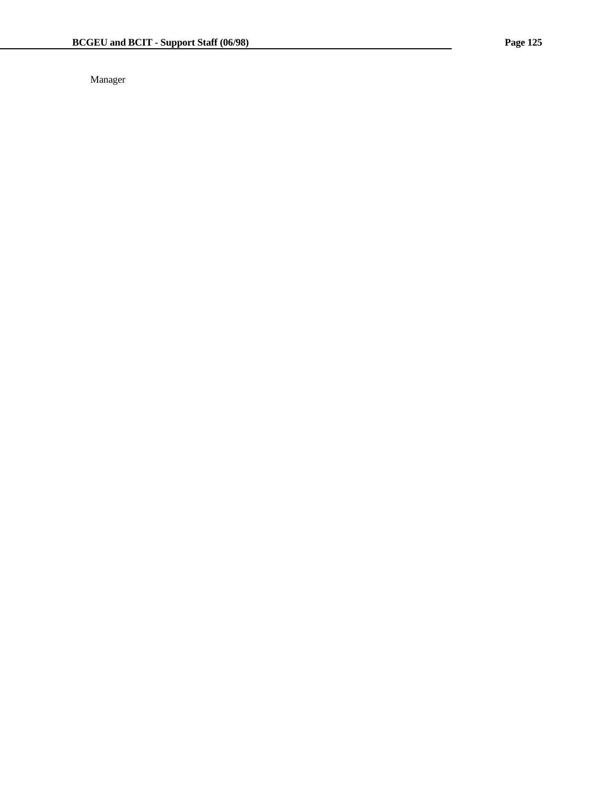Manager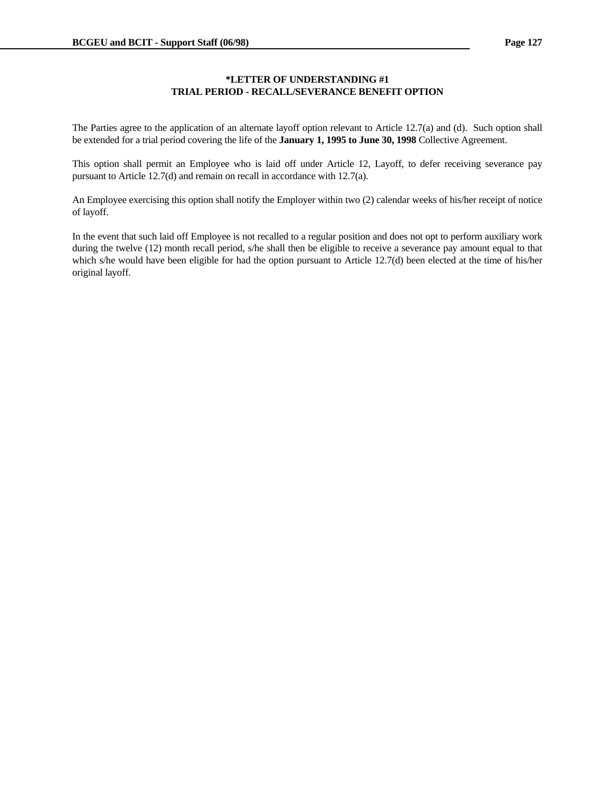## **\*LETTER OF UNDERSTANDING #1 TRIAL PERIOD - RECALL/SEVERANCE BENEFIT OPTION**

The Parties agree to the application of an alternate layoff option relevant to Article 12.7(a) and (d). Such option shall be extended for a trial period covering the life of the **January 1, 1995 to June 30, 1998** Collective Agreement.

This option shall permit an Employee who is laid off under Article 12, Layoff, to defer receiving severance pay pursuant to Article 12.7(d) and remain on recall in accordance with 12.7(a).

An Employee exercising this option shall notify the Employer within two (2) calendar weeks of his/her receipt of notice of layoff.

In the event that such laid off Employee is not recalled to a regular position and does not opt to perform auxiliary work during the twelve (12) month recall period, s/he shall then be eligible to receive a severance pay amount equal to that which s/he would have been eligible for had the option pursuant to Article 12.7(d) been elected at the time of his/her original layoff.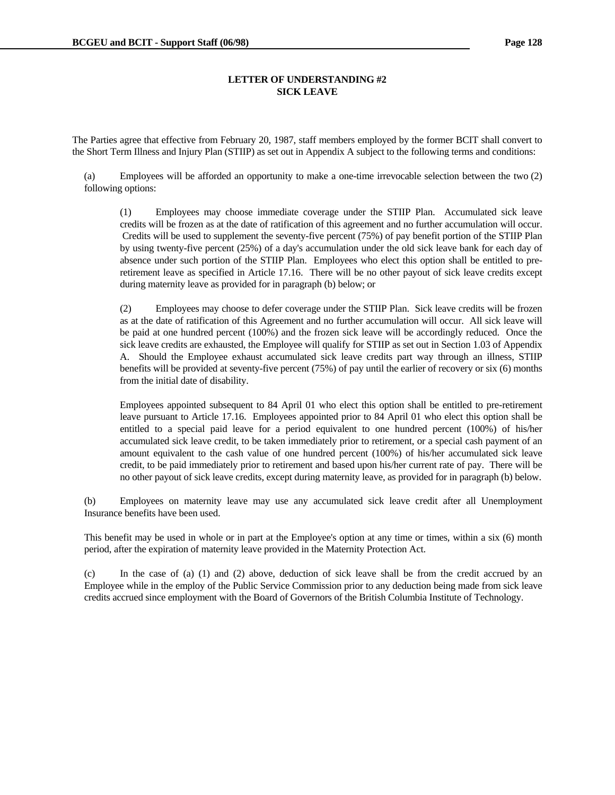### **LETTER OF UNDERSTANDING #2 SICK LEAVE**

The Parties agree that effective from February 20, 1987, staff members employed by the former BCIT shall convert to the Short Term Illness and Injury Plan (STIIP) as set out in Appendix A subject to the following terms and conditions:

 (a) Employees will be afforded an opportunity to make a one-time irrevocable selection between the two (2) following options:

 (1) Employees may choose immediate coverage under the STIIP Plan. Accumulated sick leave credits will be frozen as at the date of ratification of this agreement and no further accumulation will occur. Credits will be used to supplement the seventy-five percent (75%) of pay benefit portion of the STIIP Plan by using twenty-five percent (25%) of a day's accumulation under the old sick leave bank for each day of absence under such portion of the STIIP Plan. Employees who elect this option shall be entitled to preretirement leave as specified in Article 17.16. There will be no other payout of sick leave credits except during maternity leave as provided for in paragraph (b) below; or

 (2) Employees may choose to defer coverage under the STIIP Plan. Sick leave credits will be frozen as at the date of ratification of this Agreement and no further accumulation will occur. All sick leave will be paid at one hundred percent (100%) and the frozen sick leave will be accordingly reduced. Once the sick leave credits are exhausted, the Employee will qualify for STIIP as set out in Section 1.03 of Appendix A. Should the Employee exhaust accumulated sick leave credits part way through an illness, STIIP benefits will be provided at seventy-five percent (75%) of pay until the earlier of recovery or six (6) months from the initial date of disability.

 Employees appointed subsequent to 84 April 01 who elect this option shall be entitled to pre-retirement leave pursuant to Article 17.16. Employees appointed prior to 84 April 01 who elect this option shall be entitled to a special paid leave for a period equivalent to one hundred percent (100%) of his/her accumulated sick leave credit, to be taken immediately prior to retirement, or a special cash payment of an amount equivalent to the cash value of one hundred percent (100%) of his/her accumulated sick leave credit, to be paid immediately prior to retirement and based upon his/her current rate of pay. There will be no other payout of sick leave credits, except during maternity leave, as provided for in paragraph (b) below.

 (b) Employees on maternity leave may use any accumulated sick leave credit after all Unemployment Insurance benefits have been used.

 This benefit may be used in whole or in part at the Employee's option at any time or times, within a six (6) month period, after the expiration of maternity leave provided in the Maternity Protection Act.

 (c) In the case of (a) (1) and (2) above, deduction of sick leave shall be from the credit accrued by an Employee while in the employ of the Public Service Commission prior to any deduction being made from sick leave credits accrued since employment with the Board of Governors of the British Columbia Institute of Technology.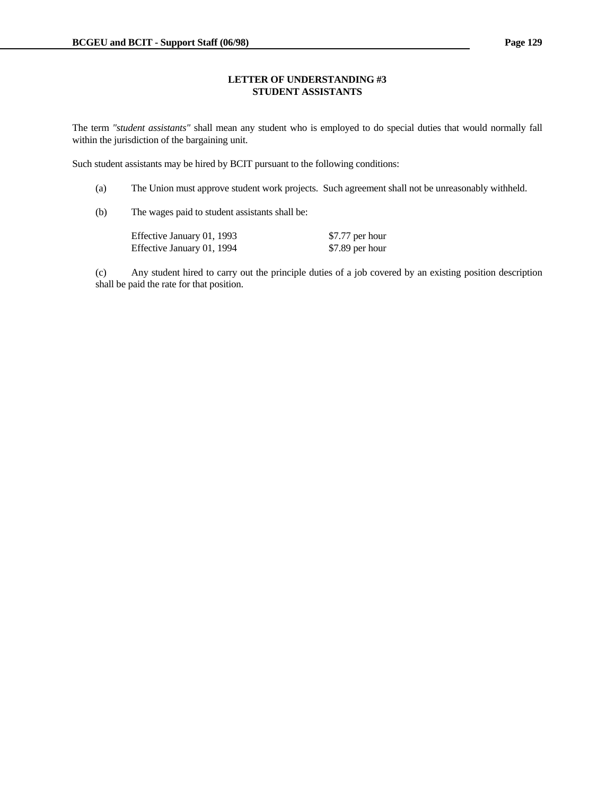#### **LETTER OF UNDERSTANDING #3 STUDENT ASSISTANTS**

The term *"student assistants"* shall mean any student who is employed to do special duties that would normally fall within the jurisdiction of the bargaining unit.

Such student assistants may be hired by BCIT pursuant to the following conditions:

(a) The Union must approve student work projects. Such agreement shall not be unreasonably withheld.

(b) The wages paid to student assistants shall be:

| Effective January 01, 1993 | \$7.77 per hour |
|----------------------------|-----------------|
| Effective January 01, 1994 | \$7.89 per hour |

 (c) Any student hired to carry out the principle duties of a job covered by an existing position description shall be paid the rate for that position.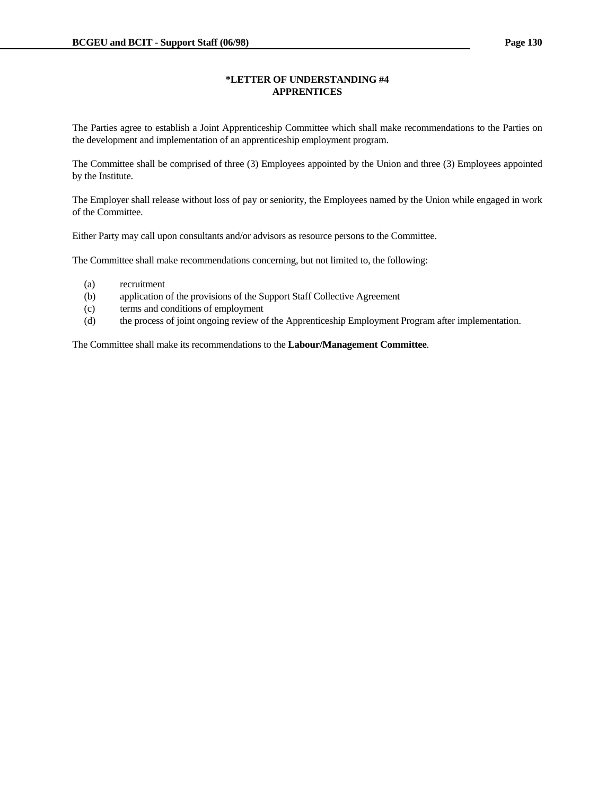## **\*LETTER OF UNDERSTANDING #4 APPRENTICES**

The Parties agree to establish a Joint Apprenticeship Committee which shall make recommendations to the Parties on the development and implementation of an apprenticeship employment program.

The Committee shall be comprised of three (3) Employees appointed by the Union and three (3) Employees appointed by the Institute.

The Employer shall release without loss of pay or seniority, the Employees named by the Union while engaged in work of the Committee.

Either Party may call upon consultants and/or advisors as resource persons to the Committee.

The Committee shall make recommendations concerning, but not limited to, the following:

- (a) recruitment
- (b) application of the provisions of the Support Staff Collective Agreement
- (c) terms and conditions of employment
- (d) the process of joint ongoing review of the Apprenticeship Employment Program after implementation.

The Committee shall make its recommendations to the **Labour/Management Committee**.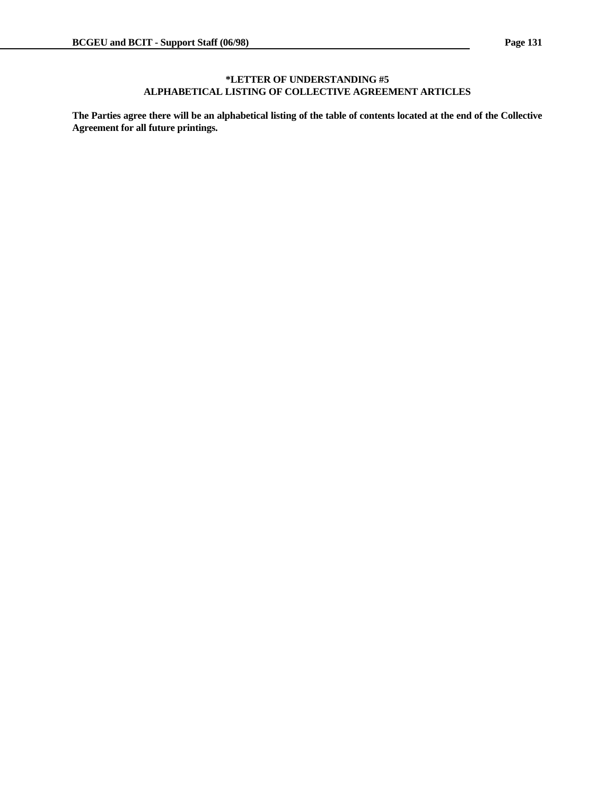## **\*LETTER OF UNDERSTANDING #5 ALPHABETICAL LISTING OF COLLECTIVE AGREEMENT ARTICLES**

**The Parties agree there will be an alphabetical listing of the table of contents located at the end of the Collective Agreement for all future printings.**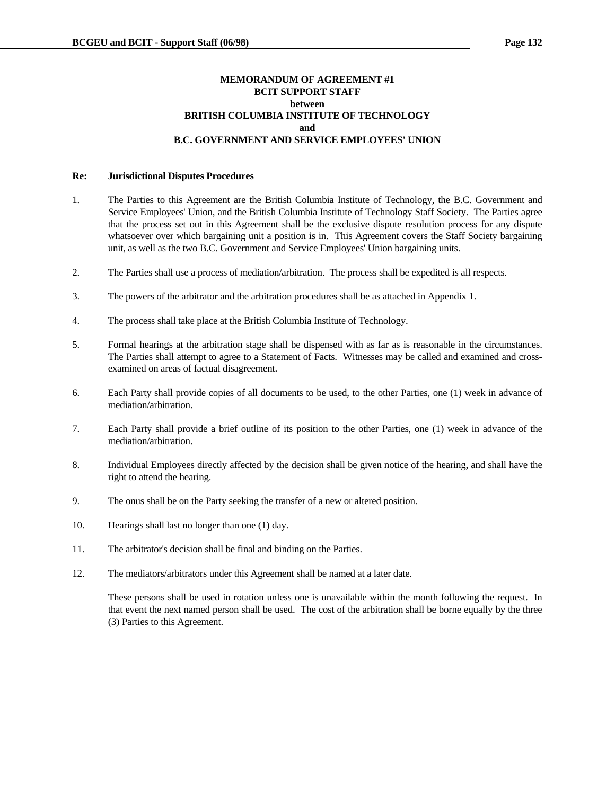## **MEMORANDUM OF AGREEMENT #1 BCIT SUPPORT STAFF between BRITISH COLUMBIA INSTITUTE OF TECHNOLOGY and and and B.C. GOVERNMENT AND SERVICE EMPLOYEES' UNION**

#### **Re: Jurisdictional Disputes Procedures**

- 1. The Parties to this Agreement are the British Columbia Institute of Technology, the B.C. Government and Service Employees' Union, and the British Columbia Institute of Technology Staff Society. The Parties agree that the process set out in this Agreement shall be the exclusive dispute resolution process for any dispute whatsoever over which bargaining unit a position is in. This Agreement covers the Staff Society bargaining unit, as well as the two B.C. Government and Service Employees' Union bargaining units.
- 2. The Parties shall use a process of mediation/arbitration. The process shall be expedited is all respects.
- 3. The powers of the arbitrator and the arbitration procedures shall be as attached in Appendix 1.
- 4. The process shall take place at the British Columbia Institute of Technology.
- 5. Formal hearings at the arbitration stage shall be dispensed with as far as is reasonable in the circumstances. The Parties shall attempt to agree to a Statement of Facts. Witnesses may be called and examined and crossexamined on areas of factual disagreement.
- 6. Each Party shall provide copies of all documents to be used, to the other Parties, one (1) week in advance of mediation/arbitration.
- 7. Each Party shall provide a brief outline of its position to the other Parties, one (1) week in advance of the mediation/arbitration.
- 8. Individual Employees directly affected by the decision shall be given notice of the hearing, and shall have the right to attend the hearing.
- 9. The onus shall be on the Party seeking the transfer of a new or altered position.
- 10. Hearings shall last no longer than one (1) day.
- 11. The arbitrator's decision shall be final and binding on the Parties.
- 12. The mediators/arbitrators under this Agreement shall be named at a later date.

 These persons shall be used in rotation unless one is unavailable within the month following the request. In that event the next named person shall be used. The cost of the arbitration shall be borne equally by the three (3) Parties to this Agreement.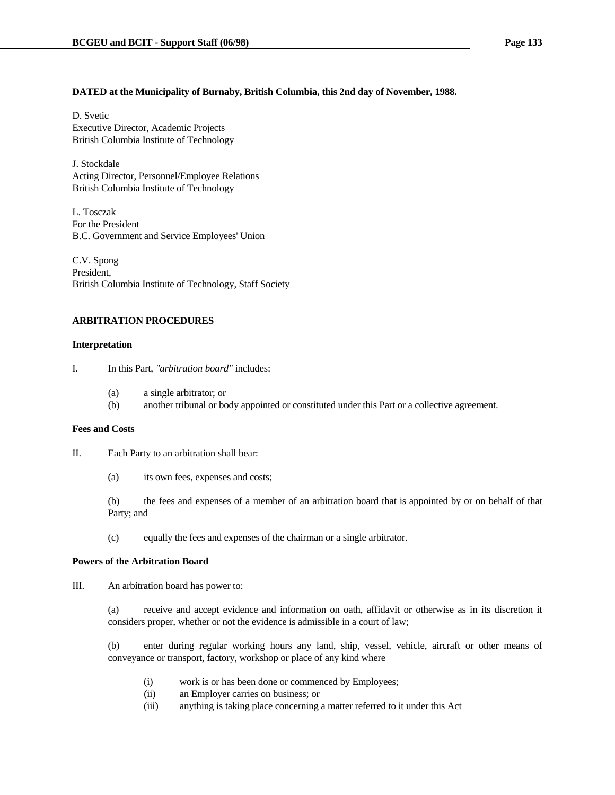#### **DATED at the Municipality of Burnaby, British Columbia, this 2nd day of November, 1988.**

D. Svetic Executive Director, Academic Projects British Columbia Institute of Technology

J. Stockdale Acting Director, Personnel/Employee Relations British Columbia Institute of Technology

L. Tosczak For the President B.C. Government and Service Employees' Union

C.V. Spong President, British Columbia Institute of Technology, Staff Society

### **ARBITRATION PROCEDURES**

#### **Interpretation**

- I. In this Part, *"arbitration board"* includes:
	- (a) a single arbitrator; or
	- (b) another tribunal or body appointed or constituted under this Part or a collective agreement.

#### **Fees and Costs**

II. Each Party to an arbitration shall bear:

(a) its own fees, expenses and costs;

 (b) the fees and expenses of a member of an arbitration board that is appointed by or on behalf of that Party; and

(c) equally the fees and expenses of the chairman or a single arbitrator.

#### **Powers of the Arbitration Board**

III. An arbitration board has power to:

 (a) receive and accept evidence and information on oath, affidavit or otherwise as in its discretion it considers proper, whether or not the evidence is admissible in a court of law;

 (b) enter during regular working hours any land, ship, vessel, vehicle, aircraft or other means of conveyance or transport, factory, workshop or place of any kind where

- (i) work is or has been done or commenced by Employees;
- (ii) an Employer carries on business; or
- (iii) anything is taking place concerning a matter referred to it under this Act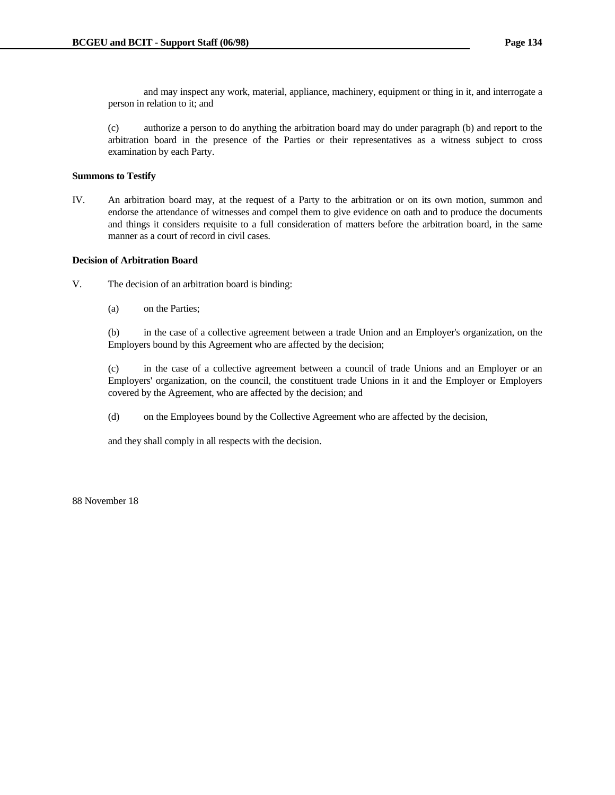and may inspect any work, material, appliance, machinery, equipment or thing in it, and interrogate a person in relation to it; and

 (c) authorize a person to do anything the arbitration board may do under paragraph (b) and report to the arbitration board in the presence of the Parties or their representatives as a witness subject to cross examination by each Party.

## **Summons to Testify**

IV. An arbitration board may, at the request of a Party to the arbitration or on its own motion, summon and endorse the attendance of witnesses and compel them to give evidence on oath and to produce the documents and things it considers requisite to a full consideration of matters before the arbitration board, in the same manner as a court of record in civil cases.

#### **Decision of Arbitration Board**

- V. The decision of an arbitration board is binding:
	- (a) on the Parties;

 (b) in the case of a collective agreement between a trade Union and an Employer's organization, on the Employers bound by this Agreement who are affected by the decision;

 (c) in the case of a collective agreement between a council of trade Unions and an Employer or an Employers' organization, on the council, the constituent trade Unions in it and the Employer or Employers covered by the Agreement, who are affected by the decision; and

(d) on the Employees bound by the Collective Agreement who are affected by the decision,

and they shall comply in all respects with the decision.

88 November 18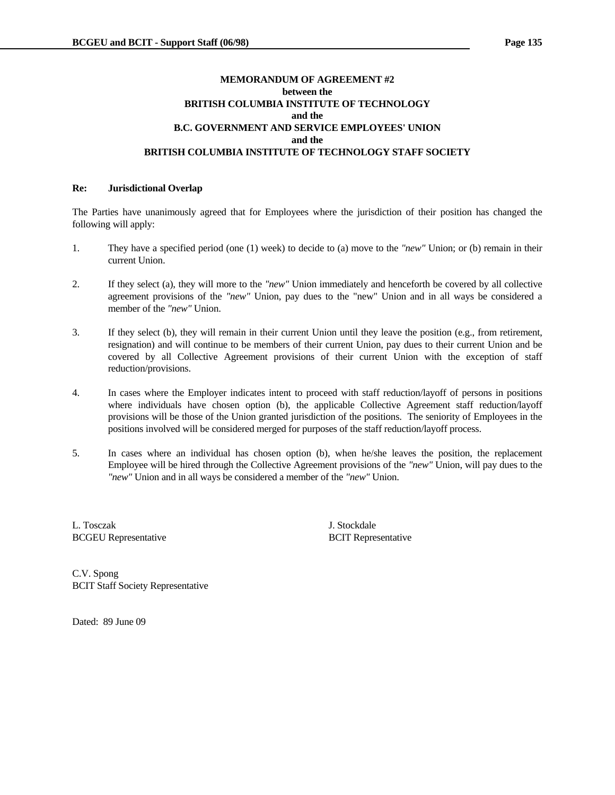# **MEMORANDUM OF AGREEMENT #2 between the BRITISH COLUMBIA INSTITUTE OF TECHNOLOGY and the B.C. GOVERNMENT AND SERVICE EMPLOYEES' UNION and the BRITISH COLUMBIA INSTITUTE OF TECHNOLOGY STAFF SOCIETY**

#### **Re: Jurisdictional Overlap**

The Parties have unanimously agreed that for Employees where the jurisdiction of their position has changed the following will apply:

- 1. They have a specified period (one (1) week) to decide to (a) move to the *"new"* Union; or (b) remain in their current Union.
- 2. If they select (a), they will more to the *"new"* Union immediately and henceforth be covered by all collective agreement provisions of the *"new"* Union, pay dues to the "new" Union and in all ways be considered a member of the *"new"* Union.
- 3. If they select (b), they will remain in their current Union until they leave the position (e.g., from retirement, resignation) and will continue to be members of their current Union, pay dues to their current Union and be covered by all Collective Agreement provisions of their current Union with the exception of staff reduction/provisions.
- 4. In cases where the Employer indicates intent to proceed with staff reduction/layoff of persons in positions where individuals have chosen option (b), the applicable Collective Agreement staff reduction/layoff provisions will be those of the Union granted jurisdiction of the positions. The seniority of Employees in the positions involved will be considered merged for purposes of the staff reduction/layoff process.
- 5. In cases where an individual has chosen option (b), when he/she leaves the position, the replacement Employee will be hired through the Collective Agreement provisions of the *"new"* Union, will pay dues to the *"new"* Union and in all ways be considered a member of the *"new"* Union.

L. Tosczak J. Stockdale BCGEU Representative BCIT Representative

C.V. Spong BCIT Staff Society Representative

Dated: 89 June 09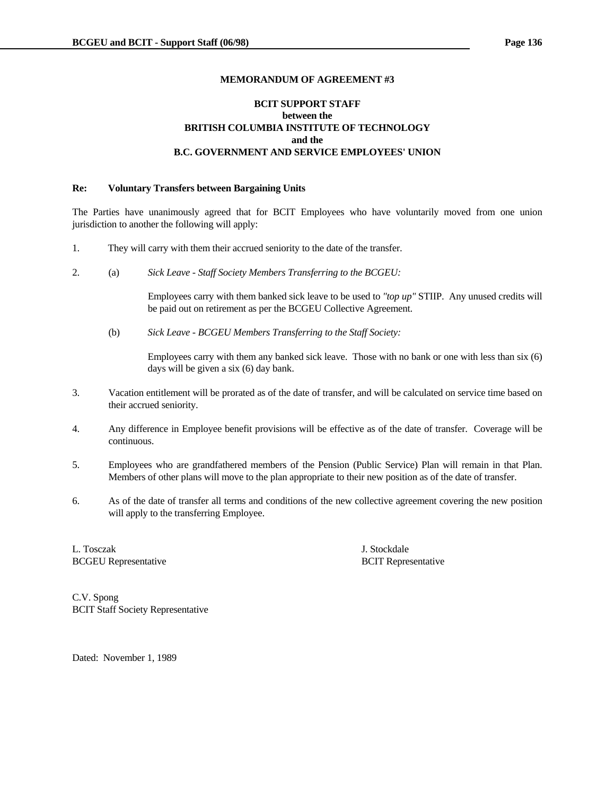# **BCIT SUPPORT STAFF between the BRITISH COLUMBIA INSTITUTE OF TECHNOLOGY and the B.C. GOVERNMENT AND SERVICE EMPLOYEES' UNION**

## **Re: Voluntary Transfers between Bargaining Units**

The Parties have unanimously agreed that for BCIT Employees who have voluntarily moved from one union jurisdiction to another the following will apply:

- 1. They will carry with them their accrued seniority to the date of the transfer.
- 2. (a) *Sick Leave Staff Society Members Transferring to the BCGEU:*

 Employees carry with them banked sick leave to be used to *"top up"* STIIP. Any unused credits will be paid out on retirement as per the BCGEU Collective Agreement.

(b) *Sick Leave - BCGEU Members Transferring to the Staff Society:*

 Employees carry with them any banked sick leave. Those with no bank or one with less than six (6) days will be given a six (6) day bank.

- 3. Vacation entitlement will be prorated as of the date of transfer, and will be calculated on service time based on their accrued seniority.
- 4. Any difference in Employee benefit provisions will be effective as of the date of transfer. Coverage will be continuous.
- 5. Employees who are grandfathered members of the Pension (Public Service) Plan will remain in that Plan. Members of other plans will move to the plan appropriate to their new position as of the date of transfer.
- 6. As of the date of transfer all terms and conditions of the new collective agreement covering the new position will apply to the transferring Employee.

L. Tosczak J. Stockdale BCGEU Representative BCIT Representative BCIT Representative

C.V. Spong BCIT Staff Society Representative

Dated: November 1, 1989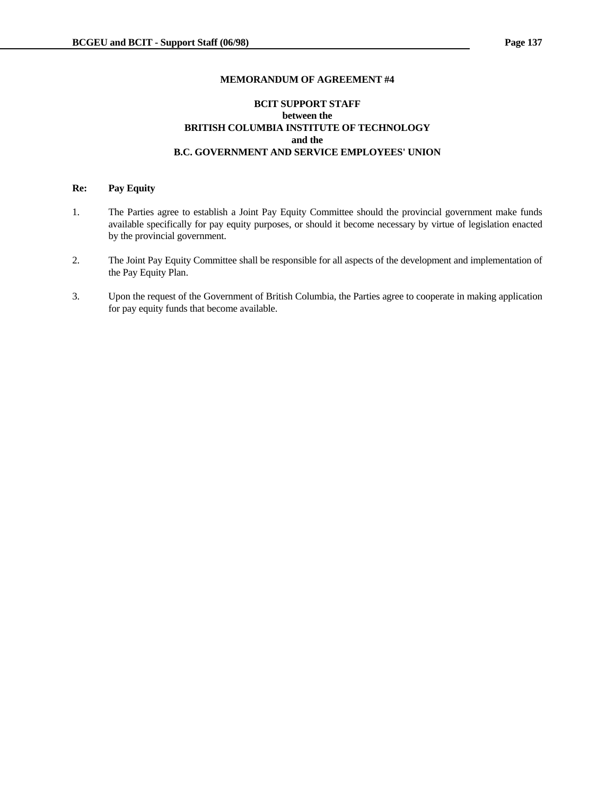# **BCIT SUPPORT STAFF between the BRITISH COLUMBIA INSTITUTE OF TECHNOLOGY and the B.C. GOVERNMENT AND SERVICE EMPLOYEES' UNION**

#### **Re: Pay Equity**

- 1. The Parties agree to establish a Joint Pay Equity Committee should the provincial government make funds available specifically for pay equity purposes, or should it become necessary by virtue of legislation enacted by the provincial government.
- 2. The Joint Pay Equity Committee shall be responsible for all aspects of the development and implementation of the Pay Equity Plan.
- 3. Upon the request of the Government of British Columbia, the Parties agree to cooperate in making application for pay equity funds that become available.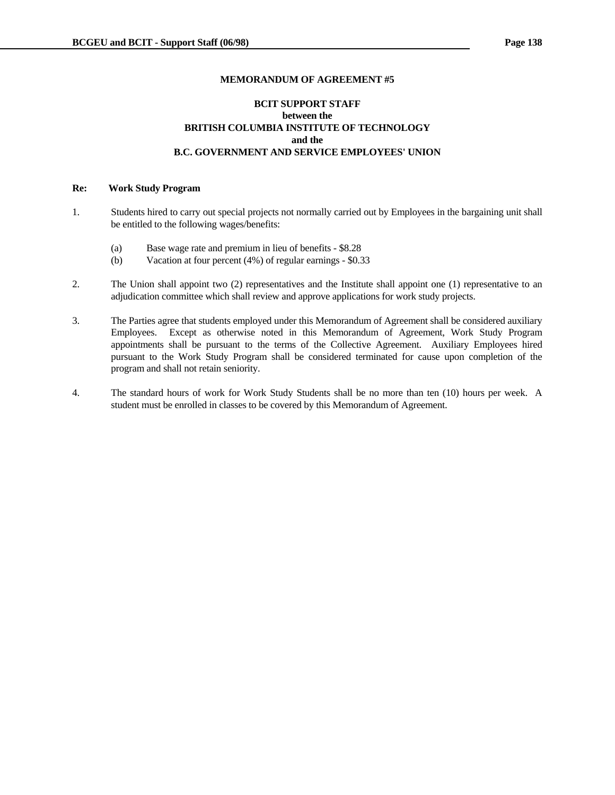# **BCIT SUPPORT STAFF between the BRITISH COLUMBIA INSTITUTE OF TECHNOLOGY and the B.C. GOVERNMENT AND SERVICE EMPLOYEES' UNION**

#### **Re: Work Study Program**

- 1. Students hired to carry out special projects not normally carried out by Employees in the bargaining unit shall be entitled to the following wages/benefits:
	- (a) Base wage rate and premium in lieu of benefits \$8.28
	- (b) Vacation at four percent (4%) of regular earnings \$0.33
- 2. The Union shall appoint two (2) representatives and the Institute shall appoint one (1) representative to an adjudication committee which shall review and approve applications for work study projects.
- 3. The Parties agree that students employed under this Memorandum of Agreement shall be considered auxiliary Employees. Except as otherwise noted in this Memorandum of Agreement, Work Study Program appointments shall be pursuant to the terms of the Collective Agreement. Auxiliary Employees hired pursuant to the Work Study Program shall be considered terminated for cause upon completion of the program and shall not retain seniority.
- 4. The standard hours of work for Work Study Students shall be no more than ten (10) hours per week. A student must be enrolled in classes to be covered by this Memorandum of Agreement.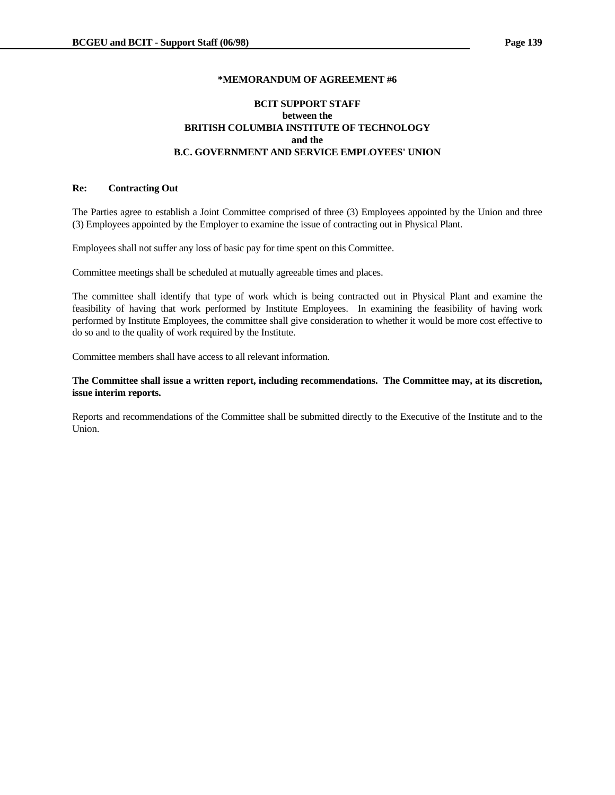# **BCIT SUPPORT STAFF between the BRITISH COLUMBIA INSTITUTE OF TECHNOLOGY and the B.C. GOVERNMENT AND SERVICE EMPLOYEES' UNION**

## **Re: Contracting Out**

The Parties agree to establish a Joint Committee comprised of three (3) Employees appointed by the Union and three (3) Employees appointed by the Employer to examine the issue of contracting out in Physical Plant.

Employees shall not suffer any loss of basic pay for time spent on this Committee.

Committee meetings shall be scheduled at mutually agreeable times and places.

The committee shall identify that type of work which is being contracted out in Physical Plant and examine the feasibility of having that work performed by Institute Employees. In examining the feasibility of having work performed by Institute Employees, the committee shall give consideration to whether it would be more cost effective to do so and to the quality of work required by the Institute.

Committee members shall have access to all relevant information.

**The Committee shall issue a written report, including recommendations. The Committee may, at its discretion, issue interim reports.**

Reports and recommendations of the Committee shall be submitted directly to the Executive of the Institute and to the Union.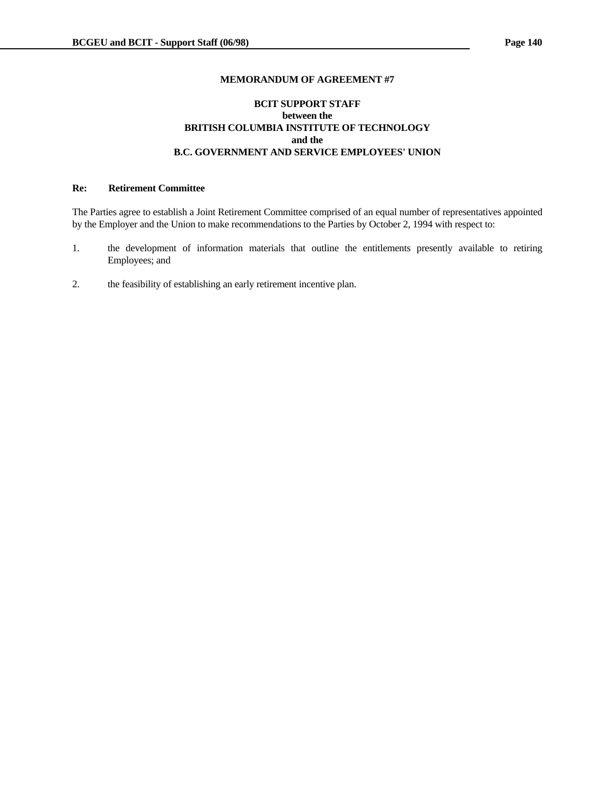# **BCIT SUPPORT STAFF between the BRITISH COLUMBIA INSTITUTE OF TECHNOLOGY and the B.C. GOVERNMENT AND SERVICE EMPLOYEES' UNION**

# **Re: Retirement Committee**

The Parties agree to establish a Joint Retirement Committee comprised of an equal number of representatives appointed by the Employer and the Union to make recommendations to the Parties by October 2, 1994 with respect to:

- 1. the development of information materials that outline the entitlements presently available to retiring Employees; and
- 2. the feasibility of establishing an early retirement incentive plan.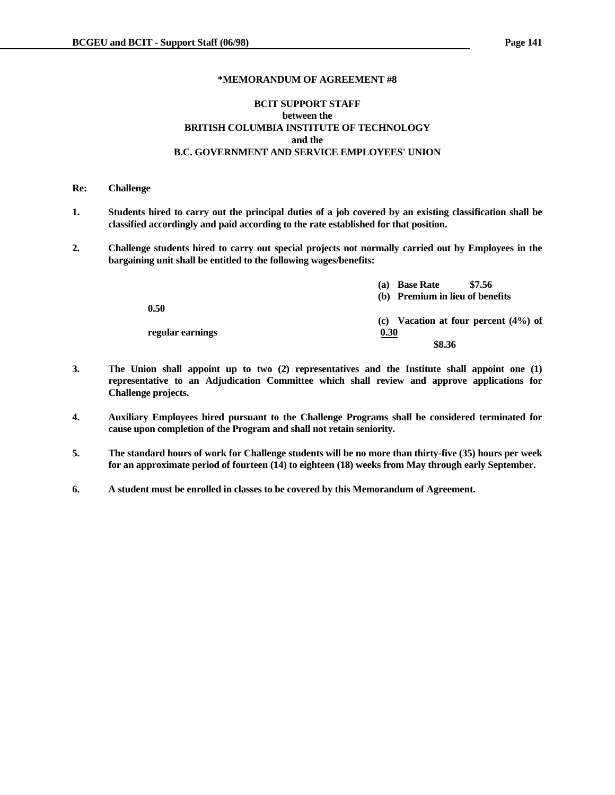# **BCIT SUPPORT STAFF between the BRITISH COLUMBIA INSTITUTE OF TECHNOLOGY and the B.C. GOVERNMENT AND SERVICE EMPLOYEES' UNION**

#### **Re: Challenge**

- **1. Students hired to carry out the principal duties of a job covered by an existing classification shall be classified accordingly and paid according to the rate established for that position.**
- **2. Challenge students hired to carry out special projects not normally carried out by Employees in the bargaining unit shall be entitled to the following wages/benefits:**

|                  | \$7.56<br><b>Base Rate</b><br>(a)      |
|------------------|----------------------------------------|
|                  | (b) Premium in lieu of benefits        |
| 0.50             |                                        |
|                  | (c) Vacation at four percent $(4%)$ of |
| regular earnings | 0.30                                   |
|                  | \$8.36                                 |

- **3. The Union shall appoint up to two (2) representatives and the Institute shall appoint one (1) representative to an Adjudication Committee which shall review and approve applications for Challenge projects.**
- **4. Auxiliary Employees hired pursuant to the Challenge Programs shall be considered terminated for cause upon completion of the Program and shall not retain seniority.**
- **5. The standard hours of work for Challenge students will be no more than thirty-five (35) hours per week for an approximate period of fourteen (14) to eighteen (18) weeks from May through early September.**
- **6. A student must be enrolled in classes to be covered by this Memorandum of Agreement.**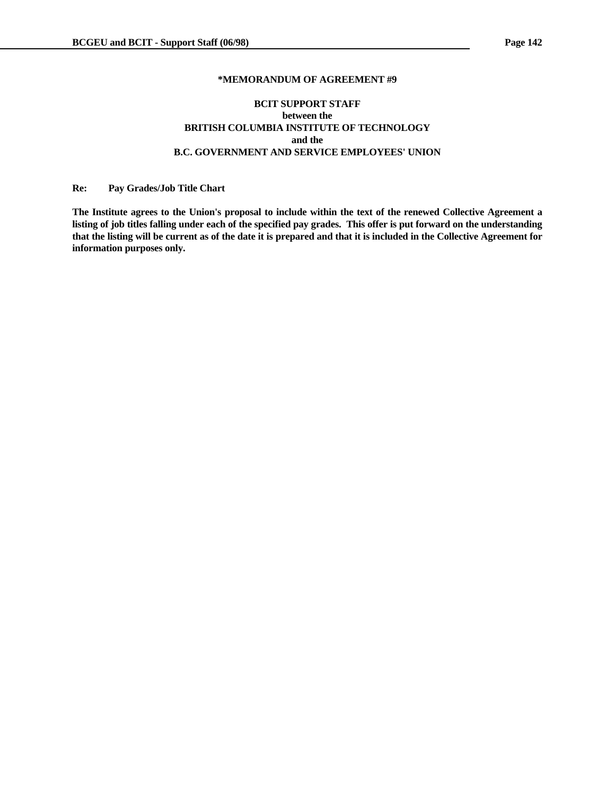# **BCIT SUPPORT STAFF between the BRITISH COLUMBIA INSTITUTE OF TECHNOLOGY and the B.C. GOVERNMENT AND SERVICE EMPLOYEES' UNION**

#### **Re: Pay Grades/Job Title Chart**

**The Institute agrees to the Union's proposal to include within the text of the renewed Collective Agreement a listing of job titles falling under each of the specified pay grades. This offer is put forward on the understanding that the listing will be current as of the date it is prepared and that it is included in the Collective Agreement for information purposes only.**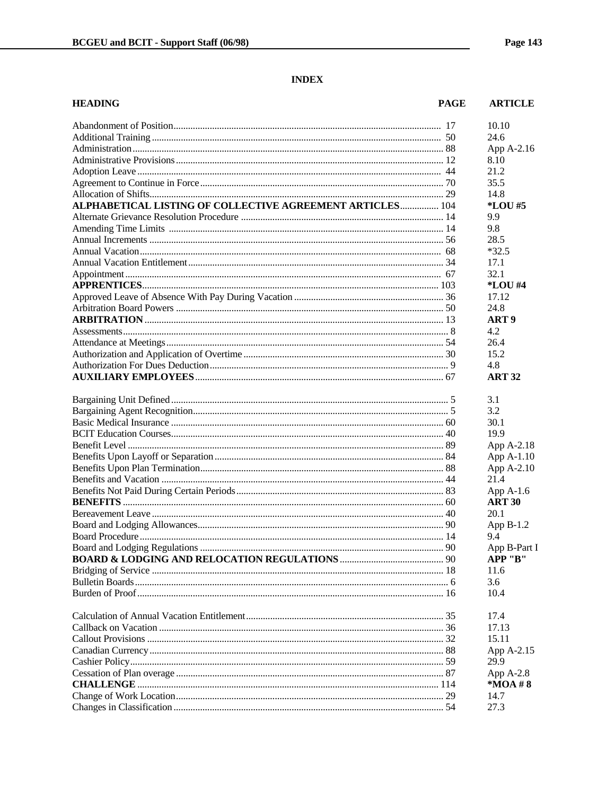# **INDEX**

| <b>HEADING</b>                                            | <b>PAGE</b> | <b>ARTICLE</b>   |
|-----------------------------------------------------------|-------------|------------------|
|                                                           |             | 10.10            |
|                                                           |             | 24.6             |
|                                                           |             | App A-2.16       |
|                                                           |             | 8.10             |
|                                                           |             | 21.2             |
|                                                           |             | 35.5             |
|                                                           |             | 14.8             |
| ALPHABETICAL LISTING OF COLLECTIVE AGREEMENT ARTICLES 104 |             | *LOU #5          |
|                                                           |             | 9.9              |
|                                                           |             | 9.8              |
|                                                           |             | 28.5             |
|                                                           |             | $*32.5$          |
|                                                           |             | 17.1             |
|                                                           |             | 32.1             |
|                                                           |             | *LOU #4          |
|                                                           |             | 17.12            |
|                                                           |             | 24.8             |
|                                                           |             | ART <sub>9</sub> |
|                                                           |             | 4.2              |
|                                                           |             | 26.4             |
|                                                           |             | 15.2             |
|                                                           |             | 4.8              |
|                                                           |             | <b>ART 32</b>    |
|                                                           |             | 3.1              |
|                                                           |             | 3.2              |
|                                                           |             | 30.1             |
|                                                           |             | 19.9             |
|                                                           |             | App A-2.18       |
|                                                           |             | App A-1.10       |
|                                                           |             | App A-2.10       |
|                                                           |             | 21.4             |
|                                                           |             | App $A-1.6$      |
|                                                           |             | <b>ART 30</b>    |
|                                                           |             | 20.1             |
|                                                           |             | App $B-1.2$      |
|                                                           |             | 9.4              |
|                                                           |             | App B-Part I     |
|                                                           |             | APP "B"          |
|                                                           |             | 11.6             |
|                                                           |             | 3.6              |
|                                                           |             | 10.4             |
|                                                           |             | 17.4             |
|                                                           |             | 17.13            |
|                                                           |             | 15.11            |
|                                                           |             | App A-2.15       |
|                                                           |             | 29.9             |
|                                                           |             | App A-2.8        |
|                                                           |             | $*MOA # 8$       |
|                                                           |             | 14.7             |
|                                                           |             | 27.3             |
|                                                           |             |                  |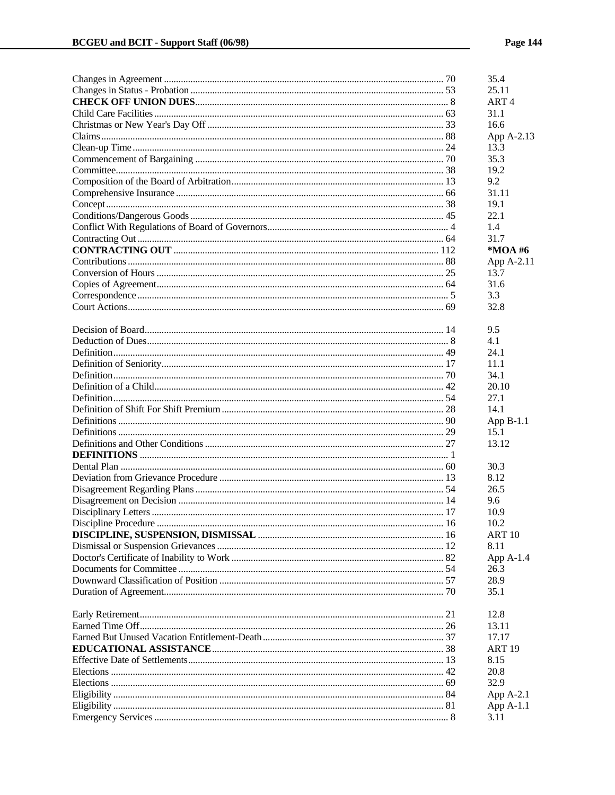|                      |      | 35.4             |
|----------------------|------|------------------|
|                      |      | 25.11            |
|                      |      | ART <sub>4</sub> |
|                      |      | 31.1             |
|                      |      | 16.6             |
|                      |      | App A-2.13       |
|                      |      | 13.3             |
|                      |      | 35.3             |
|                      |      | 19.2             |
|                      |      | 9.2              |
|                      |      | 31.11            |
|                      |      | 19.1             |
|                      |      | 22.1             |
|                      |      | 1.4              |
|                      |      | 31.7             |
|                      |      | *MOA #6          |
|                      |      | App A-2.11       |
|                      |      | 13.7             |
|                      |      | 31.6             |
|                      |      | 3.3              |
|                      |      | 32.8             |
|                      |      |                  |
|                      |      | 9.5              |
|                      |      | 4.1              |
|                      |      | 24.1             |
|                      |      | 11.1             |
|                      |      | 34.1             |
|                      |      | 20.10            |
|                      |      | 27.1             |
|                      |      | 14.1             |
|                      |      | App $B-1.1$      |
|                      |      | 15.1             |
|                      |      | 13.12            |
|                      |      |                  |
|                      |      | 30.3             |
|                      |      | 8.12             |
|                      |      | 26.5             |
|                      |      | 9.6              |
|                      |      | 10.9             |
| Discipline Procedure | . 16 | 10.2             |
|                      |      | <b>ART10</b>     |
|                      |      | 8.11             |
|                      |      | App $A-1.4$      |
|                      |      | 26.3             |
|                      |      | 28.9             |
|                      |      | 35.1             |
|                      |      |                  |
|                      |      | 12.8             |
|                      |      | 13.11            |
|                      |      | 17.17            |
|                      |      | <b>ART 19</b>    |
|                      |      | 8.15             |
|                      |      | 20.8             |
|                      |      | 32.9             |
|                      |      | App A-2.1        |
|                      |      | App A-1.1        |
|                      |      | 3.11             |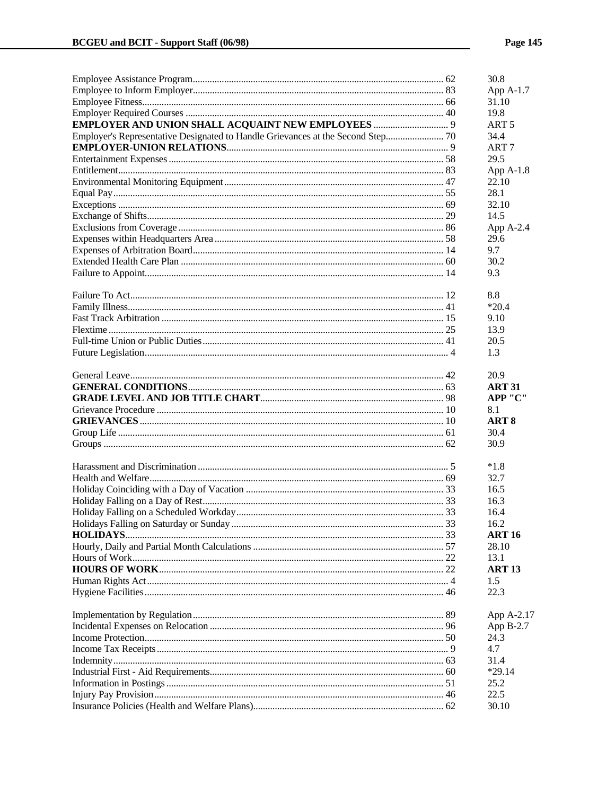|                                                                                 |     | 30.8             |
|---------------------------------------------------------------------------------|-----|------------------|
|                                                                                 |     | App A-1.7        |
|                                                                                 |     | 31.10            |
|                                                                                 |     | 19.8             |
|                                                                                 |     | ART <sub>5</sub> |
| Employer's Representative Designated to Handle Grievances at the Second Step 70 |     | 34.4             |
|                                                                                 |     | ART <sub>7</sub> |
|                                                                                 |     | 29.5             |
|                                                                                 |     | App $A-1.8$      |
|                                                                                 |     | 22.10            |
|                                                                                 |     | 28.1             |
|                                                                                 |     | 32.10            |
|                                                                                 |     | 14.5             |
|                                                                                 |     | App A-2.4        |
|                                                                                 |     | 29.6             |
|                                                                                 |     | 9.7              |
|                                                                                 |     | 30.2             |
|                                                                                 |     | 9.3              |
|                                                                                 |     | 8.8              |
|                                                                                 |     | $*20.4$          |
|                                                                                 |     | 9.10             |
|                                                                                 |     | 13.9             |
|                                                                                 |     | 20.5             |
|                                                                                 |     | 1.3              |
|                                                                                 |     | 20.9             |
|                                                                                 |     | <b>ART 31</b>    |
|                                                                                 |     | APP "C"          |
|                                                                                 |     | 8.1              |
|                                                                                 |     | ART <sub>8</sub> |
|                                                                                 |     | 30.4             |
|                                                                                 |     | 30.9             |
|                                                                                 |     | $*1.8$           |
|                                                                                 |     | 32.7             |
|                                                                                 |     | 16.5             |
|                                                                                 |     | 16.3             |
|                                                                                 |     | 16.4             |
|                                                                                 | -33 | 16.2             |
|                                                                                 |     | ART 16           |
|                                                                                 |     | 28.10            |
|                                                                                 |     | 13.1             |
|                                                                                 |     | <b>ART 13</b>    |
|                                                                                 |     | 1.5              |
|                                                                                 |     | 22.3             |
|                                                                                 |     | App A-2.17       |
|                                                                                 |     | App B-2.7        |
|                                                                                 |     | 24.3             |
|                                                                                 |     | 4.7              |
|                                                                                 |     | 31.4             |
|                                                                                 |     | $*29.14$         |
|                                                                                 |     | 25.2             |
|                                                                                 |     | 22.5             |
|                                                                                 |     | 30.10            |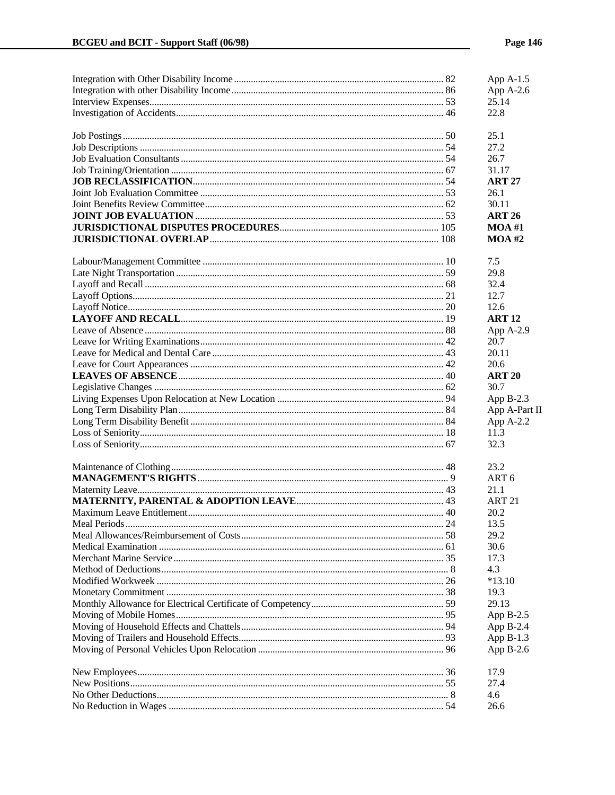|               | App $A-1.5$      |
|---------------|------------------|
|               | App A-2.6        |
|               | 25.14            |
|               | 22.8             |
|               | 25.1             |
|               | 27.2             |
|               | 26.7             |
|               | 31.17            |
|               | <b>ART 27</b>    |
|               | 26.1             |
|               | 30.11            |
|               | <b>ART 26</b>    |
|               | $MOA$ #1         |
|               | $MOA$ #2         |
|               | 7.5              |
|               | 29.8             |
|               | 32.4             |
|               | 12.7             |
|               | 12.6             |
|               | <b>ART 12</b>    |
|               | App A-2.9        |
|               | 20.7             |
|               | 20.11            |
|               | 20.6             |
|               | <b>ART 20</b>    |
|               | 30.7             |
|               | App $B-2.3$      |
|               | App A-Part II    |
|               | App A-2.2        |
|               | 11.3             |
|               | 32.3             |
|               | 23.2             |
|               | ART <sub>6</sub> |
|               | 21.1             |
|               | <b>ART 21</b>    |
|               | 20.2             |
| Meal Periods. | 13.5             |
|               | 29.2             |
|               | 30.6             |
|               | 17.3             |
|               | 4.3              |
|               | $*13.10$         |
|               | 19.3             |
|               | 29.13            |
|               | App B-2.5        |
|               | App $B-2.4$      |
|               | App $B-1.3$      |
|               | App $B-2.6$      |
|               | 17.9             |
|               | 27.4             |
|               | 4.6              |
|               | 26.6             |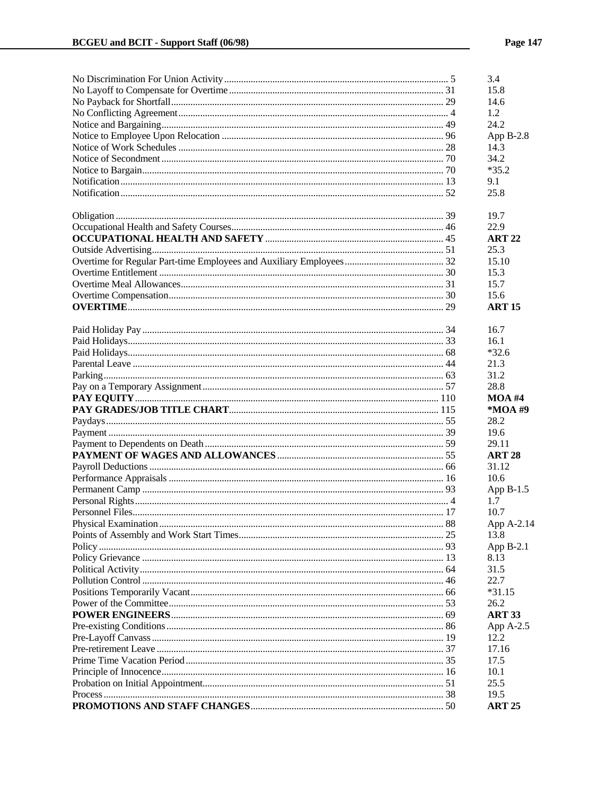|  | 3.4           |
|--|---------------|
|  | 15.8          |
|  | 14.6          |
|  | 1.2           |
|  | 24.2          |
|  | App $B-2.8$   |
|  | 14.3          |
|  | 34.2          |
|  | $*35.2$       |
|  | 9.1           |
|  | 25.8          |
|  |               |
|  | 19.7          |
|  | 22.9          |
|  | <b>ART 22</b> |
|  | 25.3          |
|  | 15.10         |
|  | 15.3          |
|  | 15.7          |
|  | 15.6          |
|  | <b>ART 15</b> |
|  | 16.7          |
|  | 16.1          |
|  | $*32.6$       |
|  | 21.3          |
|  | 31.2          |
|  | 28.8          |
|  | $MOA$ #4      |
|  | *MOA #9       |
|  | 28.2          |
|  | 19.6          |
|  | 29.11         |
|  | <b>ART 28</b> |
|  | 31.12         |
|  | 10.6          |
|  | App $B-1.5$   |
|  | 1.7           |
|  | 10.7          |
|  | App A-2.14    |
|  | 13.8          |
|  | App $B-2.1$   |
|  | 8.13          |
|  | 31.5          |
|  | 22.7          |
|  | $*31.15$      |
|  | 26.2          |
|  | <b>ART 33</b> |
|  | App A-2.5     |
|  | 12.2          |
|  | 17.16         |
|  | 17.5          |
|  | 10.1          |
|  | 25.5          |
|  |               |
|  | 19.5          |
|  | <b>ART 25</b> |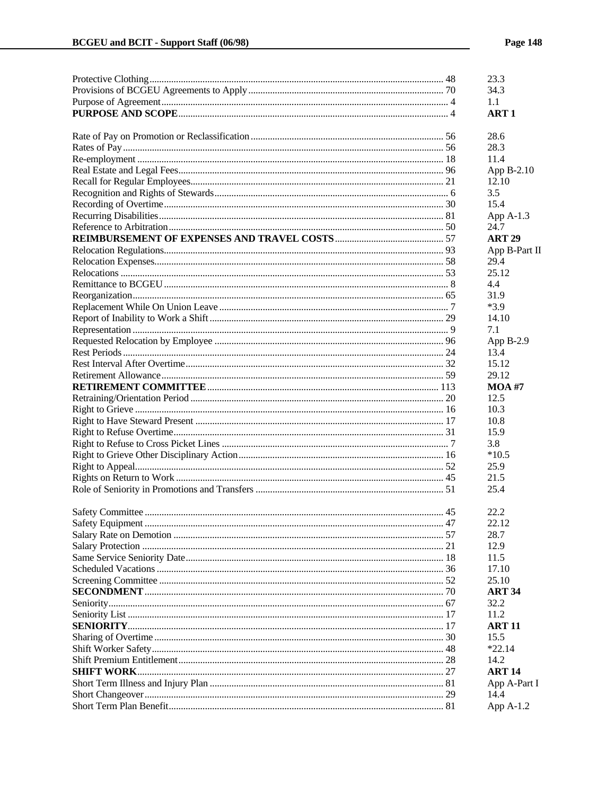|  | 23.3             |
|--|------------------|
|  | 34.3             |
|  | 1.1              |
|  | ART <sub>1</sub> |
|  |                  |
|  | 28.6             |
|  | 28.3             |
|  | 11.4             |
|  | App B-2.10       |
|  | 12.10            |
|  | 3.5              |
|  | 15.4             |
|  | App $A-1.3$      |
|  | 24.7             |
|  | <b>ART 29</b>    |
|  | App B-Part II    |
|  | 29.4             |
|  | 25.12            |
|  | 4.4              |
|  | 31.9             |
|  | $*3.9$           |
|  | 14.10            |
|  | 7.1              |
|  | App B-2.9        |
|  | 13.4             |
|  | 15.12            |
|  | 29.12            |
|  |                  |
|  | <b>MOA #7</b>    |
|  | 12.5             |
|  | 10.3             |
|  | 10.8             |
|  | 15.9             |
|  | 3.8              |
|  | $*10.5$          |
|  | 25.9             |
|  | 21.5             |
|  | 25.4             |
|  | 22.2             |
|  | 22.12            |
|  | 28.7             |
|  | 12.9             |
|  | 11.5             |
|  | 17.10            |
|  | 25.10            |
|  | <b>ART 34</b>    |
|  |                  |
|  | 32.2             |
|  | 11.2             |
|  | <b>ART 11</b>    |
|  | 15.5             |
|  | $*22.14$         |
|  | 14.2             |
|  | <b>ART 14</b>    |
|  | App A-Part I     |
|  | 14.4             |
|  | App $A-1.2$      |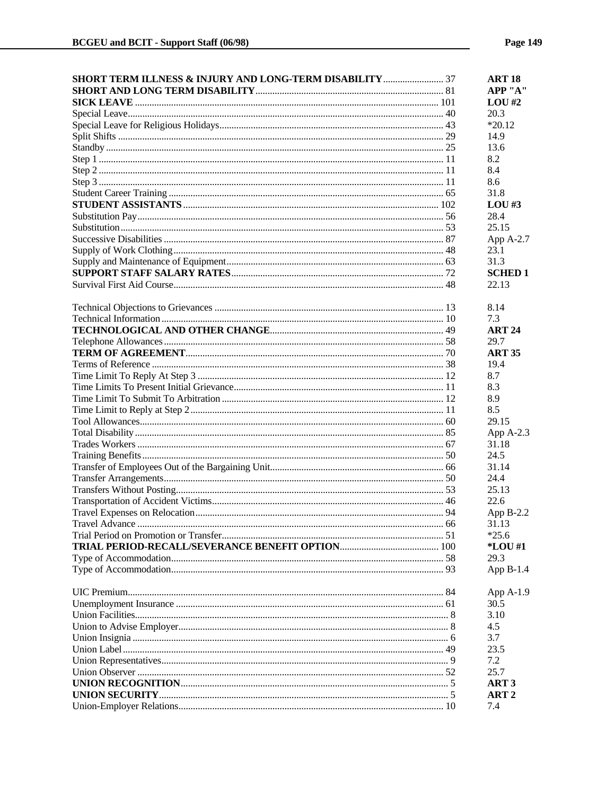| SHORT TERM ILLNESS & INJURY AND LONG-TERM DISABILITY  37 | <b>ART 18</b>    |
|----------------------------------------------------------|------------------|
|                                                          | APP "A"          |
|                                                          | $LOU$ #2         |
|                                                          | 20.3             |
|                                                          | $*20.12$         |
|                                                          | 14.9             |
|                                                          | 13.6             |
|                                                          | 8.2              |
|                                                          | 8.4              |
|                                                          | 8.6              |
|                                                          | 31.8             |
|                                                          | $LOU$ #3         |
|                                                          | 28.4             |
|                                                          | 25.15            |
|                                                          | App A-2.7        |
|                                                          | 23.1             |
|                                                          | 31.3             |
|                                                          | <b>SCHED1</b>    |
|                                                          | 22.13            |
|                                                          |                  |
|                                                          | 8.14             |
|                                                          | 7.3              |
|                                                          | <b>ART 24</b>    |
|                                                          | 29.7             |
|                                                          | <b>ART 35</b>    |
|                                                          | 19.4             |
|                                                          | 8.7              |
|                                                          | 8.3              |
|                                                          | 8.9              |
|                                                          | 8.5              |
|                                                          | 29.15            |
|                                                          | App A-2.3        |
|                                                          | 31.18            |
|                                                          | 24.5             |
|                                                          | 31.14            |
|                                                          | 24.4             |
|                                                          | 25.13            |
|                                                          | 22.6             |
|                                                          | App $B-2.2$      |
| Travel Advance                                           | 31.13            |
|                                                          | $*25.6$          |
|                                                          | *LOU #1          |
|                                                          | 29.3             |
|                                                          | App $B-1.4$      |
|                                                          | App A-1.9        |
|                                                          | 30.5             |
|                                                          | 3.10             |
|                                                          | 4.5              |
|                                                          | 3.7              |
|                                                          | 23.5             |
|                                                          | 7.2              |
|                                                          | 25.7             |
|                                                          | ART <sub>3</sub> |
|                                                          | ART <sub>2</sub> |
|                                                          | 7.4              |
|                                                          |                  |